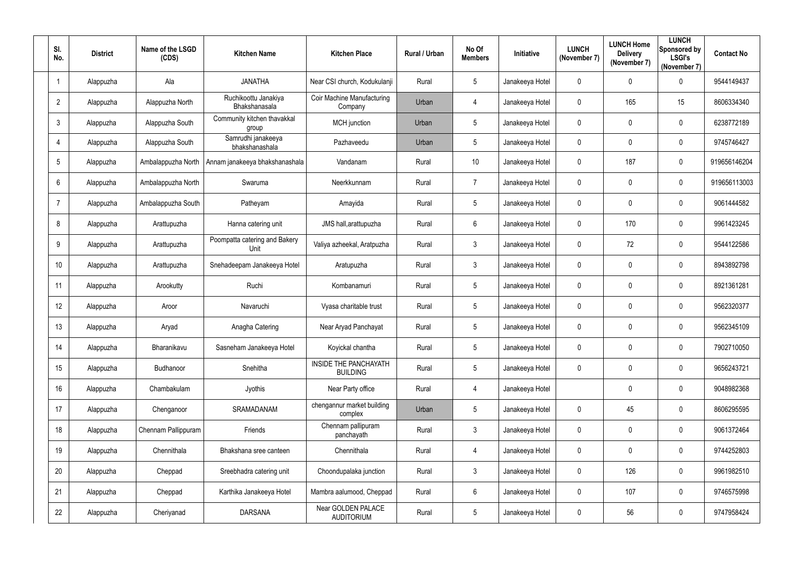| SI.<br>No.      | <b>District</b> | Name of the LSGD<br>(CDS) | <b>Kitchen Name</b>                          | <b>Kitchen Place</b>                            | Rural / Urban | No Of<br><b>Members</b> | Initiative      | <b>LUNCH</b><br>(November 7) | <b>LUNCH Home</b><br><b>Delivery</b><br>(November 7) | <b>LUNCH</b><br>Sponsored by<br><b>LSGI's</b><br>(November 7) | <b>Contact No</b> |
|-----------------|-----------------|---------------------------|----------------------------------------------|-------------------------------------------------|---------------|-------------------------|-----------------|------------------------------|------------------------------------------------------|---------------------------------------------------------------|-------------------|
|                 | Alappuzha       | Ala                       | <b>JANATHA</b>                               | Near CSI church, Kodukulanji                    | Rural         | $5\phantom{.0}$         | Janakeeya Hotel | $\mathbf 0$                  | $\mathbf 0$                                          | $\mathbf 0$                                                   | 9544149437        |
| $\overline{2}$  | Alappuzha       | Alappuzha North           | Ruchikoottu Janakiya<br><b>Bhakshanasala</b> | Coir Machine Manufacturing<br>Company           | Urban         | $\overline{4}$          | Janakeeya Hotel | $\boldsymbol{0}$             | 165                                                  | 15                                                            | 8606334340        |
| 3               | Alappuzha       | Alappuzha South           | Community kitchen thavakkal<br>group         | <b>MCH</b> junction                             | Urban         | $5\phantom{.0}$         | Janakeeya Hotel | $\mathbf 0$                  | $\mathbf 0$                                          | $\mathbf 0$                                                   | 6238772189        |
| 4               | Alappuzha       | Alappuzha South           | Samrudhi janakeeya<br>bhakshanashala         | Pazhaveedu                                      | Urban         | $5\overline{)}$         | Janakeeya Hotel | $\boldsymbol{0}$             | $\mathbf 0$                                          | $\overline{0}$                                                | 9745746427        |
| $5\phantom{.0}$ | Alappuzha       | Ambalappuzha North        | Annam janakeeya bhakshanashala               | Vandanam                                        | Rural         | 10                      | Janakeeya Hotel | $\mathbf 0$                  | 187                                                  | $\mathbf 0$                                                   | 919656146204      |
| 6               | Alappuzha       | Ambalappuzha North        | Swaruma                                      | Neerkkunnam                                     | Rural         | $\overline{7}$          | Janakeeya Hotel | $\mathbf 0$                  | $\mathbf 0$                                          | $\mathbf 0$                                                   | 919656113003      |
| 7               | Alappuzha       | Ambalappuzha South        | Patheyam                                     | Amayida                                         | Rural         | $5\phantom{.0}$         | Janakeeya Hotel | $\mathbf 0$                  | $\mathbf 0$                                          | $\overline{0}$                                                | 9061444582        |
| 8               | Alappuzha       | Arattupuzha               | Hanna catering unit                          | JMS hall, arattupuzha                           | Rural         | $6\overline{6}$         | Janakeeya Hotel | $\mathbf 0$                  | 170                                                  | $\overline{0}$                                                | 9961423245        |
| 9               | Alappuzha       | Arattupuzha               | Poompatta catering and Bakery<br>Unit        | Valiya azheekal, Aratpuzha                      | Rural         | $\mathbf{3}$            | Janakeeya Hotel | $\mathbf 0$                  | 72                                                   | $\overline{0}$                                                | 9544122586        |
| 10              | Alappuzha       | Arattupuzha               | Snehadeepam Janakeeya Hotel                  | Aratupuzha                                      | Rural         | $\mathbf{3}$            | Janakeeya Hotel | $\mathbf 0$                  | 0                                                    | $\mathbf 0$                                                   | 8943892798        |
| 11              | Alappuzha       | Arookutty                 | Ruchi                                        | Kombanamuri                                     | Rural         | $5\overline{)}$         | Janakeeya Hotel | $\mathbf 0$                  | $\mathbf 0$                                          | $\overline{0}$                                                | 8921361281        |
| 12              | Alappuzha       | Aroor                     | Navaruchi                                    | Vyasa charitable trust                          | Rural         | $5\overline{)}$         | Janakeeya Hotel | $\mathbf 0$                  | $\mathbf 0$                                          | $\overline{0}$                                                | 9562320377        |
| 13              | Alappuzha       | Aryad                     | Anagha Catering                              | Near Aryad Panchayat                            | Rural         | 5                       | Janakeeya Hotel | $\mathbf 0$                  | 0                                                    | $\overline{0}$                                                | 9562345109        |
| 14              | Alappuzha       | Bharanikavu               | Sasneham Janakeeya Hotel                     | Koyickal chantha                                | Rural         | $5\phantom{.0}$         | Janakeeya Hotel | $\boldsymbol{0}$             | $\mathbf 0$                                          | $\mathbf 0$                                                   | 7902710050        |
| 15              | Alappuzha       | Budhanoor                 | Snehitha                                     | <b>INSIDE THE PANCHAYATH</b><br><b>BUILDING</b> | Rural         | $5\overline{)}$         | Janakeeya Hotel | $\mathbf 0$                  | $\mathbf 0$                                          | $\mathbf 0$                                                   | 9656243721        |
| 16              | Alappuzha       | Chambakulam               | Jyothis                                      | Near Party office                               | Rural         | $\overline{4}$          | Janakeeya Hotel |                              | $\mathbf 0$                                          | $\mathbf 0$                                                   | 9048982368        |
| 17              | Alappuzha       | Chenganoor                | SRAMADANAM                                   | chengannur market building<br>complex           | Urban         | $5\overline{)}$         | Janakeeya Hotel | $\mathbf 0$                  | 45                                                   | $\mathbf 0$                                                   | 8606295595        |
| 18              | Alappuzha       | Chennam Pallippuram       | Friends                                      | Chennam pallipuram<br>panchayath                | Rural         | $\mathbf{3}$            | Janakeeya Hotel | $\mathbf 0$                  | $\mathbf 0$                                          | $\mathbf 0$                                                   | 9061372464        |
| 19              | Alappuzha       | Chennithala               | Bhakshana sree canteen                       | Chennithala                                     | Rural         | $\overline{4}$          | Janakeeya Hotel | $\pmb{0}$                    | $\mathbf 0$                                          | $\mathbf 0$                                                   | 9744252803        |
| 20              | Alappuzha       | Cheppad                   | Sreebhadra catering unit                     | Choondupalaka junction                          | Rural         | $\mathbf{3}$            | Janakeeya Hotel | $\mathbf 0$                  | 126                                                  | $\mathbf 0$                                                   | 9961982510        |
| 21              | Alappuzha       | Cheppad                   | Karthika Janakeeya Hotel                     | Mambra aalumood, Cheppad                        | Rural         | $6\overline{6}$         | Janakeeya Hotel | $\mathbf 0$                  | 107                                                  | $\mathbf 0$                                                   | 9746575998        |
| 22              | Alappuzha       | Cheriyanad                | <b>DARSANA</b>                               | Near GOLDEN PALACE<br><b>AUDITORIUM</b>         | Rural         | $5\phantom{.0}$         | Janakeeya Hotel | $\boldsymbol{0}$             | 56                                                   | $\mathbf 0$                                                   | 9747958424        |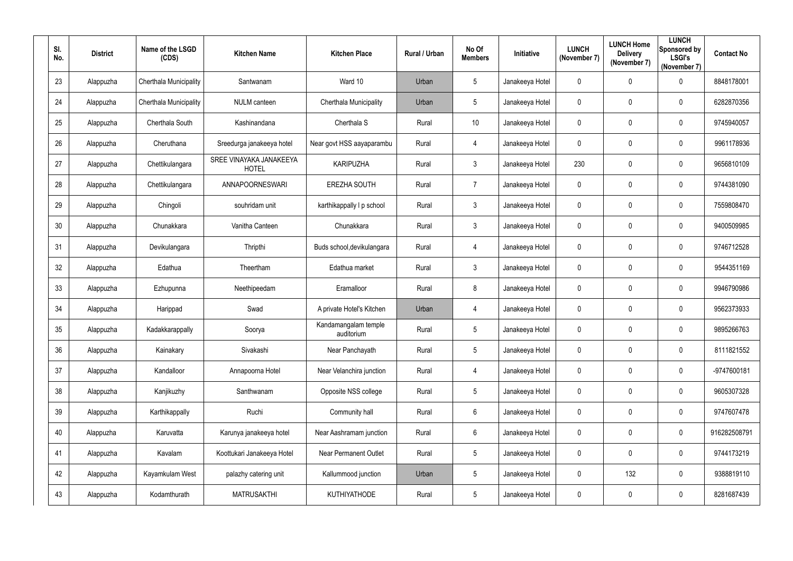| SI.<br>No.      | <b>District</b> | Name of the LSGD<br>(CDS) | <b>Kitchen Name</b>                     | <b>Kitchen Place</b>               | Rural / Urban | No Of<br><b>Members</b> | Initiative      | <b>LUNCH</b><br>(November 7) | <b>LUNCH Home</b><br><b>Delivery</b><br>(November 7) | <b>LUNCH</b><br>Sponsored by<br><b>LSGI's</b><br>(November 7) | <b>Contact No</b> |
|-----------------|-----------------|---------------------------|-----------------------------------------|------------------------------------|---------------|-------------------------|-----------------|------------------------------|------------------------------------------------------|---------------------------------------------------------------|-------------------|
| 23              | Alappuzha       | Cherthala Municipality    | Santwanam                               | Ward 10                            | Urban         | $5\phantom{.0}$         | Janakeeya Hotel | $\mathbf 0$                  | $\mathbf 0$                                          | $\mathbf 0$                                                   | 8848178001        |
| 24              | Alappuzha       | Cherthala Municipality    | <b>NULM</b> canteen                     | Cherthala Municipality             | Urban         | 5 <sup>5</sup>          | Janakeeya Hotel | $\boldsymbol{0}$             | $\mathbf 0$                                          | $\mathbf 0$                                                   | 6282870356        |
| 25              | Alappuzha       | Cherthala South           | Kashinandana                            | Cherthala S                        | Rural         | 10                      | Janakeeya Hotel | $\mathbf 0$                  | $\overline{0}$                                       | $\boldsymbol{0}$                                              | 9745940057        |
| 26              | Alappuzha       | Cheruthana                | Sreedurga janakeeya hotel               | Near govt HSS aayaparambu          | Rural         | $\overline{4}$          | Janakeeya Hotel | $\mathbf 0$                  | $\pmb{0}$                                            | $\mathbf 0$                                                   | 9961178936        |
| 27              | Alappuzha       | Chettikulangara           | SREE VINAYAKA JANAKEEYA<br><b>HOTEL</b> | <b>KARIPUZHA</b>                   | Rural         | 3                       | Janakeeya Hotel | 230                          | $\mathbf 0$                                          | $\boldsymbol{0}$                                              | 9656810109        |
| 28              | Alappuzha       | Chettikulangara           | <b>ANNAPOORNESWARI</b>                  | <b>EREZHA SOUTH</b>                | Rural         | $\overline{7}$          | Janakeeya Hotel | $\pmb{0}$                    | $\boldsymbol{0}$                                     | $\boldsymbol{0}$                                              | 9744381090        |
| 29              | Alappuzha       | Chingoli                  | souhridam unit                          | karthikappally I p school          | Rural         | $\mathbf{3}$            | Janakeeya Hotel | $\mathbf 0$                  | $\mathbf 0$                                          | $\mathbf 0$                                                   | 7559808470        |
| 30 <sup>°</sup> | Alappuzha       | Chunakkara                | Vanitha Canteen                         | Chunakkara                         | Rural         | 3 <sup>1</sup>          | Janakeeya Hotel | $\pmb{0}$                    | $\mathbf 0$                                          | $\mathbf 0$                                                   | 9400509985        |
| 31              | Alappuzha       | Devikulangara             | Thripthi                                | Buds school, devikulangara         | Rural         | $\overline{4}$          | Janakeeya Hotel | $\boldsymbol{0}$             | $\overline{0}$                                       | $\mathbf 0$                                                   | 9746712528        |
| 32              | Alappuzha       | Edathua                   | Theertham                               | Edathua market                     | Rural         | $\mathbf{3}$            | Janakeeya Hotel | $\pmb{0}$                    | $\pmb{0}$                                            | $\mathbf 0$                                                   | 9544351169        |
| 33              | Alappuzha       | Ezhupunna                 | Neethipeedam                            | Eramalloor                         | Rural         | 8                       | Janakeeya Hotel | $\mathbf 0$                  | $\mathbf 0$                                          | $\mathbf 0$                                                   | 9946790986        |
| 34              | Alappuzha       | Harippad                  | Swad                                    | A private Hotel's Kitchen          | Urban         | 4                       | Janakeeya Hotel | $\mathbf 0$                  | $\boldsymbol{0}$                                     | $\boldsymbol{0}$                                              | 9562373933        |
| 35              | Alappuzha       | Kadakkarappally           | Soorya                                  | Kandamangalam temple<br>auditorium | Rural         | 5 <sup>5</sup>          | Janakeeya Hotel | $\mathbf 0$                  | 0                                                    | $\overline{0}$                                                | 9895266763        |
| 36              | Alappuzha       | Kainakary                 | Sivakashi                               | Near Panchayath                    | Rural         | $5\phantom{.0}$         | Janakeeya Hotel | $\pmb{0}$                    | $\mathbf 0$                                          | $\mathbf 0$                                                   | 8111821552        |
| 37              | Alappuzha       | Kandalloor                | Annapoorna Hotel                        | Near Velanchira junction           | Rural         | $\overline{4}$          | Janakeeya Hotel | $\boldsymbol{0}$             | $\boldsymbol{0}$                                     | $\mathbf 0$                                                   | -9747600181       |
| 38              | Alappuzha       | Kanjikuzhy                | Santhwanam                              | Opposite NSS college               | Rural         | $5\phantom{.0}$         | Janakeeya Hotel | $\pmb{0}$                    | $\mathbf 0$                                          | $\mathbf 0$                                                   | 9605307328        |
| 39              | Alappuzha       | Karthikappally            | Ruchi                                   | Community hall                     | Rural         | $6\overline{6}$         | Janakeeya Hotel | $\pmb{0}$                    | $\boldsymbol{0}$                                     | $\boldsymbol{0}$                                              | 9747607478        |
| 40              | Alappuzha       | Karuvatta                 | Karunya janakeeya hotel                 | Near Aashramam junction            | Rural         | $6\overline{6}$         | Janakeeya Hotel | $\pmb{0}$                    | $\pmb{0}$                                            | $\mathbf 0$                                                   | 916282508791      |
| 41              | Alappuzha       | Kavalam                   | Koottukari Janakeeya Hotel              | <b>Near Permanent Outlet</b>       | Rural         | $5\overline{)}$         | Janakeeya Hotel | $\pmb{0}$                    | $\mathbf 0$                                          | $\mathbf 0$                                                   | 9744173219        |
| 42              | Alappuzha       | Kayamkulam West           | palazhy catering unit                   | Kallummood junction                | Urban         | $5\phantom{.0}$         | Janakeeya Hotel | $\boldsymbol{0}$             | 132                                                  | $\mathbf 0$                                                   | 9388819110        |
| 43              | Alappuzha       | Kodamthurath              | <b>MATRUSAKTHI</b>                      | <b>KUTHIYATHODE</b>                | Rural         | $5\phantom{.0}$         | Janakeeya Hotel | $\boldsymbol{0}$             | $\boldsymbol{0}$                                     | $\bm{0}$                                                      | 8281687439        |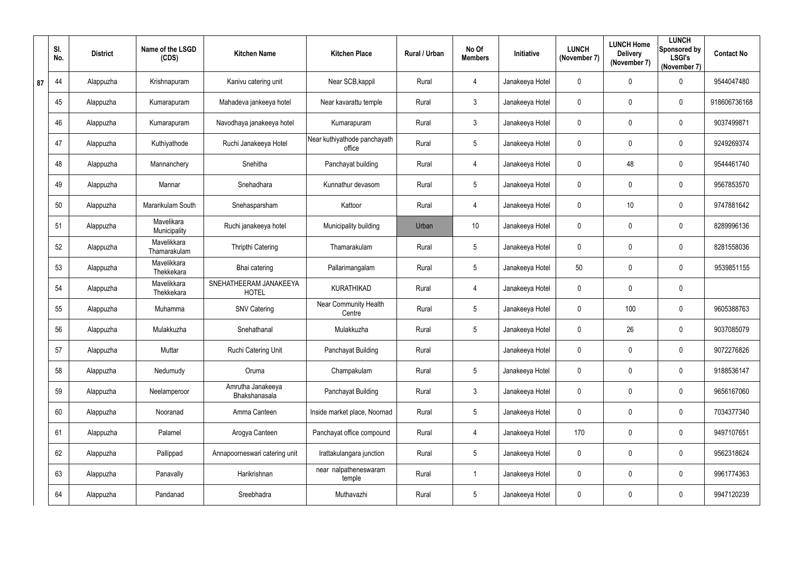|    | SI.<br>No. | <b>District</b> | Name of the LSGD<br>(CDS)   | <b>Kitchen Name</b>                    | <b>Kitchen Place</b>                   | Rural / Urban | No Of<br><b>Members</b> | Initiative      | <b>LUNCH</b><br>(November 7) | <b>LUNCH Home</b><br><b>Delivery</b><br>(November 7) | <b>LUNCH</b><br>Sponsored by<br><b>LSGI's</b><br>(November 7) | <b>Contact No</b> |
|----|------------|-----------------|-----------------------------|----------------------------------------|----------------------------------------|---------------|-------------------------|-----------------|------------------------------|------------------------------------------------------|---------------------------------------------------------------|-------------------|
| 87 | 44         | Alappuzha       | Krishnapuram                | Kanivu catering unit                   | Near SCB, kappil                       | Rural         | 4                       | Janakeeya Hotel | $\mathbf 0$                  | $\pmb{0}$                                            | $\mathbf 0$                                                   | 9544047480        |
|    | 45         | Alappuzha       | Kumarapuram                 | Mahadeva jankeeya hotel                | Near kavarattu temple                  | Rural         | $\mathfrak{Z}$          | Janakeeya Hotel | $\mathbf 0$                  | 0                                                    | $\mathbf 0$                                                   | 918606736168      |
|    | 46         | Alappuzha       | Kumarapuram                 | Navodhaya janakeeya hotel              | Kumarapuram                            | Rural         | $3\overline{3}$         | Janakeeya Hotel | $\overline{0}$               | 0                                                    | $\overline{0}$                                                | 9037499871        |
|    | 47         | Alappuzha       | Kuthiyathode                | Ruchi Janakeeya Hotel                  | Near kuthiyathode panchayath<br>office | Rural         | 5                       | Janakeeya Hotel | $\mathbf 0$                  | 0                                                    | $\mathbf 0$                                                   | 9249269374        |
|    | 48         | Alappuzha       | Mannanchery                 | Snehitha                               | Panchayat building                     | Rural         | 4                       | Janakeeya Hotel | $\mathbf 0$                  | 48                                                   | $\mathbf 0$                                                   | 9544461740        |
|    | 49         | Alappuzha       | Mannar                      | Snehadhara                             | Kunnathur devasom                      | Rural         | 5                       | Janakeeya Hotel | $\overline{0}$               | 0                                                    | $\overline{0}$                                                | 9567853570        |
|    | 50         | Alappuzha       | Mararikulam South           | Snehasparsham                          | Kattoor                                | Rural         | 4                       | Janakeeya Hotel | $\mathbf 0$                  | 10                                                   | $\mathbf 0$                                                   | 9747881642        |
|    | 51         | Alappuzha       | Mavelikara<br>Municipality  | Ruchi janakeeya hotel                  | Municipality building                  | Urban         | 10                      | Janakeeya Hotel | $\mathbf 0$                  | 0                                                    | $\mathbf 0$                                                   | 8289996136        |
|    | 52         | Alappuzha       | Mavelikkara<br>Thamarakulam | Thripthi Catering                      | Thamarakulam                           | Rural         | 5                       | Janakeeya Hotel | $\mathbf 0$                  | 0                                                    | $\mathbf 0$                                                   | 8281558036        |
|    | 53         | Alappuzha       | Mavelikkara<br>Thekkekara   | Bhai catering                          | Pallarimangalam                        | Rural         | 5                       | Janakeeya Hotel | 50                           | $\boldsymbol{0}$                                     | $\mathbf 0$                                                   | 9539851155        |
|    | 54         | Alappuzha       | Mavelikkara<br>Thekkekara   | SNEHATHEERAM JANAKEEYA<br><b>HOTEL</b> | <b>KURATHIKAD</b>                      | Rural         | $\overline{4}$          | Janakeeya Hotel | $\mathbf 0$                  | 0                                                    | $\mathbf 0$                                                   |                   |
|    | 55         | Alappuzha       | Muhamma                     | <b>SNV Catering</b>                    | Near Community Health<br>Centre        | Rural         | 5                       | Janakeeya Hotel | $\overline{0}$               | 100                                                  | $\mathbf 0$                                                   | 9605388763        |
|    | 56         | Alappuzha       | Mulakkuzha                  | Snehathanal                            | Mulakkuzha                             | Rural         | 5                       | Janakeeya Hotel | $\mathbf 0$                  | 26                                                   | $\mathbf 0$                                                   | 9037085079        |
|    | 57         | Alappuzha       | Muttar                      | Ruchi Catering Unit                    | Panchayat Building                     | Rural         |                         | Janakeeya Hotel | $\overline{0}$               | 0                                                    | $\overline{0}$                                                | 9072276826        |
|    | 58         | Alappuzha       | Nedumudy                    | Oruma                                  | Champakulam                            | Rural         | $5\overline{)}$         | Janakeeya Hotel | $\mathbf 0$                  | 0                                                    | $\overline{0}$                                                | 9188536147        |
|    | 59         | Alappuzha       | Neelamperoor                | Amrutha Janakeeya<br>Bhakshanasala     | Panchayat Building                     | Rural         | $\mathfrak{Z}$          | Janakeeya Hotel | $\mathbf 0$                  | $\pmb{0}$                                            | $\overline{0}$                                                | 9656167060        |
|    | 60         | Alappuzha       | Nooranad                    | Amma Canteen                           | Inside market place, Noornad           | Rural         | 5                       | Janakeeya Hotel | $\mathbf 0$                  | $\pmb{0}$                                            | $\overline{0}$                                                | 7034377340        |
|    | 61         | Alappuzha       | Palamel                     | Arogya Canteen                         | Panchayat office compound              | Rural         | $\overline{4}$          | Janakeeya Hotel | 170                          | $\pmb{0}$                                            | $\overline{0}$                                                | 9497107651        |
|    | 62         | Alappuzha       | Pallippad                   | Annapoorneswari catering unit          | Irattakulangara junction               | Rural         | $5\overline{)}$         | Janakeeya Hotel | $\overline{0}$               | $\pmb{0}$                                            | $\overline{0}$                                                | 9562318624        |
|    | 63         | Alappuzha       | Panavally                   | Harikrishnan                           | near nalpatheneswaram<br>temple        | Rural         | $\mathbf{1}$            | Janakeeya Hotel | $\mathbf 0$                  | 0                                                    | $\overline{0}$                                                | 9961774363        |
|    | 64         | Alappuzha       | Pandanad                    | Sreebhadra                             | Muthavazhi                             | Rural         | 5                       | Janakeeya Hotel | $\pmb{0}$                    | 0                                                    | $\overline{0}$                                                | 9947120239        |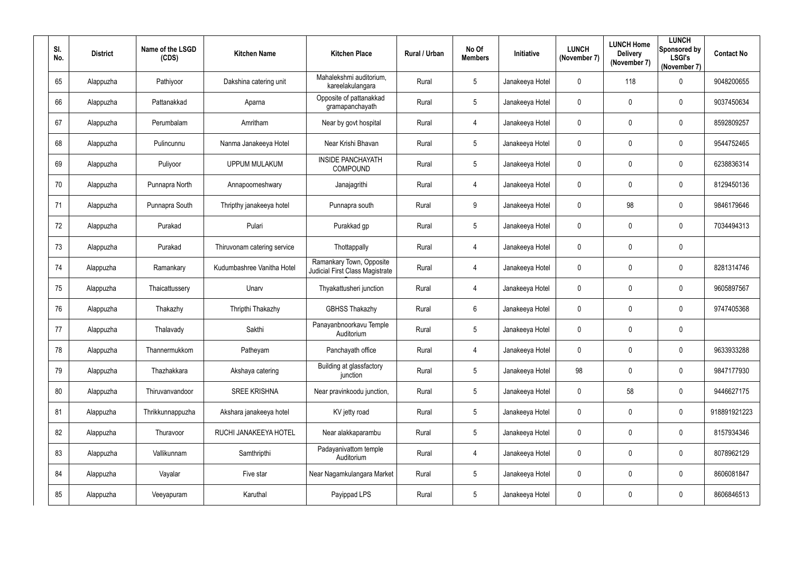| SI. | No. | <b>District</b> | Name of the LSGD<br>(CDS) | <b>Kitchen Name</b>         | <b>Kitchen Place</b>                                               | Rural / Urban | No Of<br><b>Members</b> | Initiative      | <b>LUNCH</b><br>(November 7) | <b>LUNCH Home</b><br><b>Delivery</b><br>(November 7) | <b>LUNCH</b><br>Sponsored by<br><b>LSGI's</b><br>(November 7) | <b>Contact No</b> |
|-----|-----|-----------------|---------------------------|-----------------------------|--------------------------------------------------------------------|---------------|-------------------------|-----------------|------------------------------|------------------------------------------------------|---------------------------------------------------------------|-------------------|
|     | 65  | Alappuzha       | Pathiyoor                 | Dakshina catering unit      | Mahalekshmi auditorium,<br>kareelakulangara                        | Rural         | $5\phantom{.0}$         | Janakeeya Hotel | $\mathbf 0$                  | 118                                                  | $\mathbf 0$                                                   | 9048200655        |
|     | 66  | Alappuzha       | Pattanakkad               | Aparna                      | Opposite of pattanakkad<br>gramapanchayath                         | Rural         | $5\overline{)}$         | Janakeeya Hotel | $\boldsymbol{0}$             | 0                                                    | $\overline{0}$                                                | 9037450634        |
|     | 67  | Alappuzha       | Perumbalam                | Amritham                    | Near by govt hospital                                              | Rural         | 4                       | Janakeeya Hotel | $\mathbf 0$                  | $\mathbf 0$                                          | $\mathbf 0$                                                   | 8592809257        |
|     | 68  | Alappuzha       | Pulincunnu                | Nanma Janakeeya Hotel       | Near Krishi Bhavan                                                 | Rural         | $5\phantom{.0}$         | Janakeeya Hotel | $\boldsymbol{0}$             | $\mathbf 0$                                          | $\mathbf 0$                                                   | 9544752465        |
|     | 69  | Alappuzha       | Puliyoor                  | <b>UPPUM MULAKUM</b>        | <b>INSIDE PANCHAYATH</b><br><b>COMPOUND</b>                        | Rural         | $5\overline{)}$         | Janakeeya Hotel | $\mathbf 0$                  | $\mathbf 0$                                          | $\overline{0}$                                                | 6238836314        |
|     | 70  | Alappuzha       | Punnapra North            | Annapoorneshwary            | Janajagrithi                                                       | Rural         | 4                       | Janakeeya Hotel | $\mathbf 0$                  | $\overline{0}$                                       | $\overline{0}$                                                | 8129450136        |
|     | 71  | Alappuzha       | Punnapra South            | Thripthy janakeeya hotel    | Punnapra south                                                     | Rural         | 9                       | Janakeeya Hotel | $\mathbf 0$                  | 98                                                   | $\mathbf 0$                                                   | 9846179646        |
|     | 72  | Alappuzha       | Purakad                   | Pulari                      | Purakkad gp                                                        | Rural         | $5\phantom{.0}$         | Janakeeya Hotel | $\mathbf 0$                  | $\mathbf 0$                                          | $\overline{0}$                                                | 7034494313        |
|     | 73  | Alappuzha       | Purakad                   | Thiruvonam catering service | Thottappally                                                       | Rural         | 4                       | Janakeeya Hotel | $\boldsymbol{0}$             | $\overline{0}$                                       | $\mathbf 0$                                                   |                   |
|     | 74  | Alappuzha       | Ramankary                 | Kudumbashree Vanitha Hotel  | Ramankary Town, Opposite<br><b>Judicial First Class Magistrate</b> | Rural         | 4                       | Janakeeya Hotel | $\mathbf 0$                  | $\mathbf 0$                                          | $\mathbf 0$                                                   | 8281314746        |
|     | 75  | Alappuzha       | Thaicattussery            | Unarv                       | Thyakattusheri junction                                            | Rural         | 4                       | Janakeeya Hotel | $\mathbf 0$                  | $\overline{0}$                                       | $\boldsymbol{0}$                                              | 9605897567        |
|     | 76  | Alappuzha       | Thakazhy                  | Thripthi Thakazhy           | <b>GBHSS Thakazhy</b>                                              | Rural         | $6\overline{6}$         | Janakeeya Hotel | $\mathbf 0$                  | $\overline{0}$                                       | $\overline{0}$                                                | 9747405368        |
|     | 77  | Alappuzha       | Thalavady                 | Sakthi                      | Panayanbnoorkavu Temple<br>Auditorium                              | Rural         | 5                       | Janakeeya Hotel | $\mathbf 0$                  | $\mathbf 0$                                          | $\mathbf 0$                                                   |                   |
|     | 78  | Alappuzha       | Thannermukkom             | Patheyam                    | Panchayath office                                                  | Rural         | $\overline{4}$          | Janakeeya Hotel | $\pmb{0}$                    | $\mathbf 0$                                          | $\mathbf 0$                                                   | 9633933288        |
|     | 79  | Alappuzha       | Thazhakkara               | Akshaya catering            | Building at glassfactory<br>junction                               | Rural         | $5\overline{)}$         | Janakeeya Hotel | 98                           | $\mathbf 0$                                          | $\mathbf 0$                                                   | 9847177930        |
|     | 80  | Alappuzha       | Thiruvanvandoor           | <b>SREE KRISHNA</b>         | Near pravinkoodu junction,                                         | Rural         | $5\overline{)}$         | Janakeeya Hotel | $\mathbf 0$                  | 58                                                   | $\mathbf 0$                                                   | 9446627175        |
|     | 81  | Alappuzha       | Thrikkunnappuzha          | Akshara janakeeya hotel     | KV jetty road                                                      | Rural         | $5\overline{)}$         | Janakeeya Hotel | $\overline{0}$               | $\mathbf 0$                                          | $\mathbf 0$                                                   | 918891921223      |
|     | 82  | Alappuzha       | Thuravoor                 | RUCHI JANAKEEYA HOTEL       | Near alakkaparambu                                                 | Rural         | $5\overline{)}$         | Janakeeya Hotel | $\mathbf 0$                  | $\mathbf 0$                                          | $\mathbf 0$                                                   | 8157934346        |
|     | 83  | Alappuzha       | Vallikunnam               | Samthripthi                 | Padayanivattom temple<br>Auditorium                                | Rural         | $\overline{4}$          | Janakeeya Hotel | $\pmb{0}$                    | $\mathbf 0$                                          | $\mathbf 0$                                                   | 8078962129        |
|     | 84  | Alappuzha       | Vayalar                   | Five star                   | Near Nagamkulangara Market                                         | Rural         | $5\overline{)}$         | Janakeeya Hotel | $\boldsymbol{0}$             | $\mathbf 0$                                          | $\mathbf 0$                                                   | 8606081847        |
|     | 85  | Alappuzha       | Veeyapuram                | Karuthal                    | Payippad LPS                                                       | Rural         | $5\overline{)}$         | Janakeeya Hotel | $\boldsymbol{0}$             | $\mathbf 0$                                          | $\bm{0}$                                                      | 8606846513        |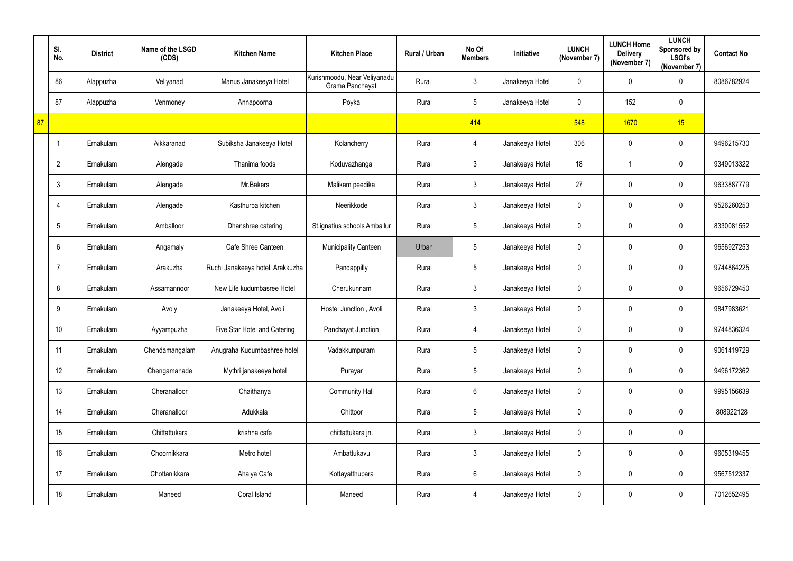|    | SI.<br>No.      | <b>District</b> | Name of the LSGD<br>(CDS) | <b>Kitchen Name</b>              | <b>Kitchen Place</b>                            | Rural / Urban | No Of<br><b>Members</b> | Initiative      | <b>LUNCH</b><br>(November 7) | <b>LUNCH Home</b><br><b>Delivery</b><br>(November 7) | <b>LUNCH</b><br>Sponsored by<br><b>LSGI's</b><br>(November 7) | <b>Contact No</b> |
|----|-----------------|-----------------|---------------------------|----------------------------------|-------------------------------------------------|---------------|-------------------------|-----------------|------------------------------|------------------------------------------------------|---------------------------------------------------------------|-------------------|
|    | 86              | Alappuzha       | Veliyanad                 | Manus Janakeeya Hotel            | Kurishmoodu, Near Veliyanadu<br>Grama Panchayat | Rural         | $\mathfrak{Z}$          | Janakeeya Hotel | $\mathbf 0$                  | $\pmb{0}$                                            | $\overline{0}$                                                | 8086782924        |
|    | 87              | Alappuzha       | Venmoney                  | Annapoorna                       | Poyka                                           | Rural         | $5\phantom{.0}$         | Janakeeya Hotel | $\mathbf 0$                  | 152                                                  | $\overline{0}$                                                |                   |
| 87 |                 |                 |                           |                                  |                                                 |               | 414                     |                 | 548                          | 1670                                                 | 15                                                            |                   |
|    |                 | Ernakulam       | Aikkaranad                | Subiksha Janakeeya Hotel         | Kolancherry                                     | Rural         | $\overline{4}$          | Janakeeya Hotel | 306                          | $\pmb{0}$                                            | $\overline{0}$                                                | 9496215730        |
|    | $\overline{2}$  | Ernakulam       | Alengade                  | Thanima foods                    | Koduvazhanga                                    | Rural         | $\mathfrak{Z}$          | Janakeeya Hotel | 18                           | 1                                                    | $\overline{0}$                                                | 9349013322        |
|    | $\mathbf{3}$    | Ernakulam       | Alengade                  | Mr.Bakers                        | Malikam peedika                                 | Rural         | $\mathfrak{Z}$          | Janakeeya Hotel | 27                           | 0                                                    | $\overline{0}$                                                | 9633887779        |
|    | 4               | Ernakulam       | Alengade                  | Kasthurba kitchen                | Neerikkode                                      | Rural         | $\mathfrak{Z}$          | Janakeeya Hotel | $\mathbf 0$                  | 0                                                    | $\overline{0}$                                                | 9526260253        |
|    | $5\phantom{.0}$ | Ernakulam       | Amballoor                 | Dhanshree catering               | St.ignatius schools Amballur                    | Rural         | 5                       | Janakeeya Hotel | $\mathbf 0$                  | 0                                                    | $\overline{0}$                                                | 8330081552        |
|    | $6\phantom{.}$  | Ernakulam       | Angamaly                  | Cafe Shree Canteen               | <b>Municipality Canteen</b>                     | Urban         | $5\phantom{.0}$         | Janakeeya Hotel | $\mathbf 0$                  | 0                                                    | $\mathbf 0$                                                   | 9656927253        |
|    | 7               | Ernakulam       | Arakuzha                  | Ruchi Janakeeya hotel, Arakkuzha | Pandappilly                                     | Rural         | 5                       | Janakeeya Hotel | $\mathbf 0$                  | 0                                                    | $\overline{0}$                                                | 9744864225        |
|    | 8               | Ernakulam       | Assamannoor               | New Life kudumbasree Hotel       | Cherukunnam                                     | Rural         | $\mathfrak{Z}$          | Janakeeya Hotel | $\mathbf 0$                  | 0                                                    | $\overline{0}$                                                | 9656729450        |
|    | 9               | Ernakulam       | Avoly                     | Janakeeya Hotel, Avoli           | Hostel Junction, Avoli                          | Rural         | $\mathfrak{Z}$          | Janakeeya Hotel | $\mathbf 0$                  | 0                                                    | $\overline{0}$                                                | 9847983621        |
|    | 10 <sup>°</sup> | Ernakulam       | Ayyampuzha                | Five Star Hotel and Catering     | Panchayat Junction                              | Rural         | $\overline{4}$          | Janakeeya Hotel | $\mathbf 0$                  | $\mathbf 0$                                          | $\mathbf 0$                                                   | 9744836324        |
|    | 11              | Ernakulam       | Chendamangalam            | Anugraha Kudumbashree hotel      | Vadakkumpuram                                   | Rural         | $5\phantom{.0}$         | Janakeeya Hotel | $\mathbf 0$                  | 0                                                    | $\mathbf 0$                                                   | 9061419729        |
|    | 12              | Ernakulam       | Chengamanade              | Mythri janakeeya hotel           | Purayar                                         | Rural         | $\overline{5}$          | Janakeeya Hotel | $\mathbf 0$                  | 0                                                    | $\mathbf 0$                                                   | 9496172362        |
|    | 13              | Ernakulam       | Cheranalloor              | Chaithanya                       | <b>Community Hall</b>                           | Rural         | $6\phantom{.0}$         | Janakeeya Hotel | $\mathbf 0$                  | 0                                                    | $\mathbf 0$                                                   | 9995156639        |
|    | 14              | Ernakulam       | Cheranalloor              | Adukkala                         | Chittoor                                        | Rural         | $5\phantom{.0}$         | Janakeeya Hotel | $\mathbf 0$                  | 0                                                    | $\mathbf 0$                                                   | 808922128         |
|    | 15              | Ernakulam       | Chittattukara             | krishna cafe                     | chittattukara jn.                               | Rural         | $\mathfrak{Z}$          | Janakeeya Hotel | $\mathbf 0$                  | 0                                                    | $\mathbf 0$                                                   |                   |
|    | 16              | Ernakulam       | Choornikkara              | Metro hotel                      | Ambattukavu                                     | Rural         | $\mathfrak{Z}$          | Janakeeya Hotel | $\mathbf 0$                  | $\pmb{0}$                                            | $\mathbf 0$                                                   | 9605319455        |
|    | 17              | Ernakulam       | Chottanikkara             | Ahalya Cafe                      | Kottayatthupara                                 | Rural         | $6\phantom{.0}$         | Janakeeya Hotel | $\mathbf 0$                  | 0                                                    | $\mathbf 0$                                                   | 9567512337        |
|    | 18              | Ernakulam       | Maneed                    | Coral Island                     | Maneed                                          | Rural         | $\overline{4}$          | Janakeeya Hotel | $\mathbf 0$                  | 0                                                    | $\overline{0}$                                                | 7012652495        |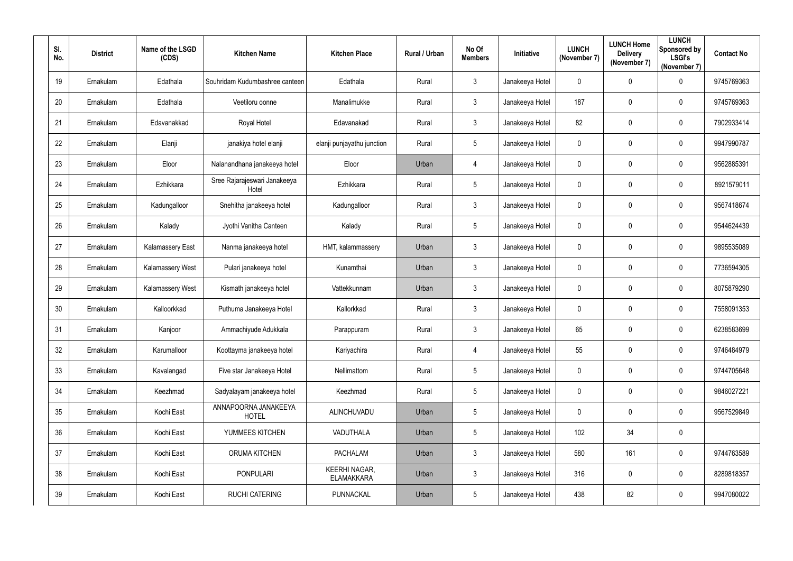| SI.<br>No.      | <b>District</b> | Name of the LSGD<br>(CDS) | <b>Kitchen Name</b>                   | <b>Kitchen Place</b>                      | Rural / Urban | No Of<br><b>Members</b> | Initiative      | <b>LUNCH</b><br>(November 7) | <b>LUNCH Home</b><br><b>Delivery</b><br>(November 7) | <b>LUNCH</b><br>Sponsored by<br><b>LSGI's</b><br>(November 7) | <b>Contact No</b> |
|-----------------|-----------------|---------------------------|---------------------------------------|-------------------------------------------|---------------|-------------------------|-----------------|------------------------------|------------------------------------------------------|---------------------------------------------------------------|-------------------|
| 19              | Ernakulam       | Edathala                  | Souhridam Kudumbashree canteen        | Edathala                                  | Rural         | $\mathbf{3}$            | Janakeeya Hotel | $\overline{0}$               | 0                                                    | $\mathbf 0$                                                   | 9745769363        |
| 20              | Ernakulam       | Edathala                  | Veetiloru oonne                       | Manalimukke                               | Rural         | $\mathbf{3}$            | Janakeeya Hotel | 187                          | 0                                                    | $\mathbf 0$                                                   | 9745769363        |
| 21              | Ernakulam       | Edavanakkad               | Royal Hotel                           | Edavanakad                                | Rural         | $\mathbf{3}$            | Janakeeya Hotel | 82                           | 0                                                    | $\overline{0}$                                                | 7902933414        |
| 22              | Ernakulam       | Elanji                    | janakiya hotel elanji                 | elanji punjayathu junction                | Rural         | $5\phantom{.0}$         | Janakeeya Hotel | $\boldsymbol{0}$             | 0                                                    | $\mathbf 0$                                                   | 9947990787        |
| 23              | Ernakulam       | Eloor                     | Nalanandhana janakeeya hotel          | Eloor                                     | Urban         | 4                       | Janakeeya Hotel | $\mathbf 0$                  | 0                                                    | $\mathbf 0$                                                   | 9562885391        |
| 24              | Ernakulam       | Ezhikkara                 | Sree Rajarajeswari Janakeeya<br>Hotel | Ezhikkara                                 | Rural         | $5\overline{)}$         | Janakeeya Hotel | $\mathbf 0$                  | 0                                                    | $\mathbf 0$                                                   | 8921579011        |
| 25              | Ernakulam       | Kadungalloor              | Snehitha janakeeya hotel              | Kadungalloor                              | Rural         | $\mathbf{3}$            | Janakeeya Hotel | $\mathbf 0$                  | 0                                                    | $\mathbf 0$                                                   | 9567418674        |
| 26              | Ernakulam       | Kalady                    | Jyothi Vanitha Canteen                | Kalady                                    | Rural         | $5\overline{)}$         | Janakeeya Hotel | $\overline{0}$               | 0                                                    | $\mathbf 0$                                                   | 9544624439        |
| 27              | Ernakulam       | Kalamassery East          | Nanma janakeeya hotel                 | HMT, kalammassery                         | Urban         | $\mathbf{3}$            | Janakeeya Hotel | $\boldsymbol{0}$             | 0                                                    | $\mathbf 0$                                                   | 9895535089        |
| 28              | Ernakulam       | <b>Kalamassery West</b>   | Pulari janakeeya hotel                | Kunamthai                                 | Urban         | $\mathbf{3}$            | Janakeeya Hotel | $\mathbf 0$                  | 0                                                    | $\mathbf 0$                                                   | 7736594305        |
| 29              | Ernakulam       | Kalamassery West          | Kismath janakeeya hotel               | Vattekkunnam                              | Urban         | $\mathbf{3}$            | Janakeeya Hotel | $\overline{0}$               | 0                                                    | $\overline{0}$                                                | 8075879290        |
| 30 <sub>2</sub> | Ernakulam       | Kalloorkkad               | Puthuma Janakeeya Hotel               | Kallorkkad                                | Rural         | $\mathbf{3}$            | Janakeeya Hotel | $\mathbf 0$                  | 0                                                    | $\mathbf 0$                                                   | 7558091353        |
| 31              | Ernakulam       | Kanjoor                   | Ammachiyude Adukkala                  | Parappuram                                | Rural         | $\mathbf{3}$            | Janakeeya Hotel | 65                           | 0                                                    | $\mathbf 0$                                                   | 6238583699        |
| 32              | Ernakulam       | Karumalloor               | Koottayma janakeeya hotel             | Kariyachira                               | Rural         | $\overline{4}$          | Janakeeya Hotel | 55                           | $\mathbf 0$                                          | $\overline{0}$                                                | 9746484979        |
| 33              | Ernakulam       | Kavalangad                | Five star Janakeeya Hotel             | Nellimattom                               | Rural         | $5\overline{)}$         | Janakeeya Hotel | $\pmb{0}$                    | 0                                                    | $\mathbf 0$                                                   | 9744705648        |
| 34              | Ernakulam       | Keezhmad                  | Sadyalayam janakeeya hotel            | Keezhmad                                  | Rural         | $5\overline{)}$         | Janakeeya Hotel | $\mathbf 0$                  | $\mathbf 0$                                          | $\overline{0}$                                                | 9846027221        |
| 35              | Ernakulam       | Kochi East                | ANNAPOORNA JANAKEEYA<br><b>HOTEL</b>  | ALINCHUVADU                               | Urban         | $5\overline{)}$         | Janakeeya Hotel | $\mathbf 0$                  | $\mathbf 0$                                          | $\mathbf 0$                                                   | 9567529849        |
| 36              | Ernakulam       | Kochi East                | YUMMEES KITCHEN                       | <b>VADUTHALA</b>                          | Urban         | $5\phantom{.0}$         | Janakeeya Hotel | 102                          | 34                                                   | $\overline{0}$                                                |                   |
| 37              | Ernakulam       | Kochi East                | ORUMA KITCHEN                         | <b>PACHALAM</b>                           | Urban         | $\mathbf{3}$            | Janakeeya Hotel | 580                          | 161                                                  | $\mathbf 0$                                                   | 9744763589        |
| 38              | Ernakulam       | Kochi East                | <b>PONPULARI</b>                      | <b>KEERHI NAGAR,</b><br><b>ELAMAKKARA</b> | Urban         | $\mathbf{3}$            | Janakeeya Hotel | 316                          | $\mathbf 0$                                          | $\mathbf 0$                                                   | 8289818357        |
| 39              | Ernakulam       | Kochi East                | <b>RUCHI CATERING</b>                 | PUNNACKAL                                 | Urban         | $5\phantom{.0}$         | Janakeeya Hotel | 438                          | 82                                                   | $\overline{0}$                                                | 9947080022        |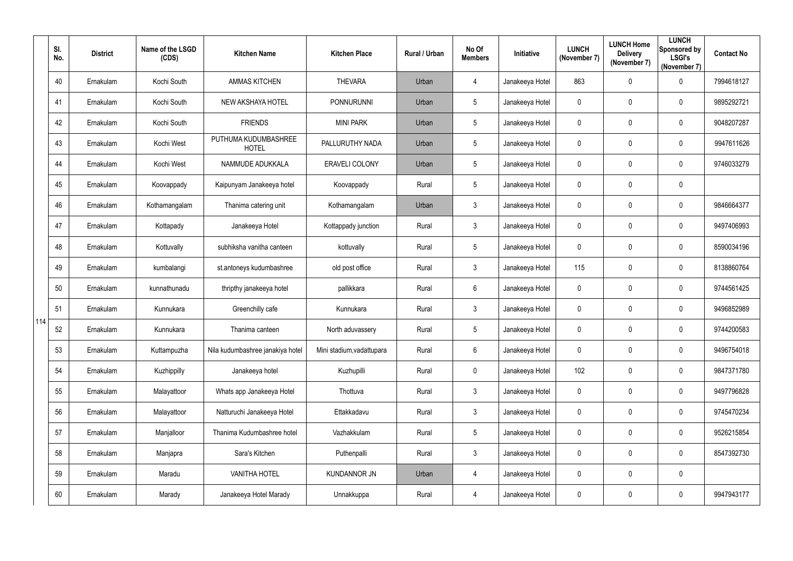|     | SI.<br>No. | <b>District</b> | Name of the LSGD<br>(CDS) | <b>Kitchen Name</b>                  | <b>Kitchen Place</b>      | Rural / Urban | No Of<br><b>Members</b> | Initiative      | <b>LUNCH</b><br>(November 7) | <b>LUNCH Home</b><br><b>Delivery</b><br>(November 7) | <b>LUNCH</b><br>Sponsored by<br><b>LSGI's</b><br>(November 7) | <b>Contact No</b> |
|-----|------------|-----------------|---------------------------|--------------------------------------|---------------------------|---------------|-------------------------|-----------------|------------------------------|------------------------------------------------------|---------------------------------------------------------------|-------------------|
|     | 40         | Ernakulam       | Kochi South               | <b>AMMAS KITCHEN</b>                 | <b>THEVARA</b>            | Urban         | 4                       | Janakeeya Hotel | 863                          | 0                                                    | $\mathbf 0$                                                   | 7994618127        |
|     | 41         | Ernakulam       | Kochi South               | <b>NEW AKSHAYA HOTEL</b>             | <b>PONNURUNNI</b>         | Urban         | 5                       | Janakeeya Hotel | $\mathbf 0$                  | 0                                                    | $\mathbf 0$                                                   | 9895292721        |
|     | 42         | Ernakulam       | Kochi South               | <b>FRIENDS</b>                       | <b>MINI PARK</b>          | Urban         | 5                       | Janakeeya Hotel | $\mathbf 0$                  | 0                                                    | $\mathbf 0$                                                   | 9048207287        |
|     | 43         | Ernakulam       | Kochi West                | PUTHUMA KUDUMBASHREE<br><b>HOTEL</b> | PALLURUTHY NADA           | Urban         | 5                       | Janakeeya Hotel | $\overline{0}$               | 0                                                    | $\mathbf 0$                                                   | 9947611626        |
|     | 44         | Ernakulam       | Kochi West                | NAMMUDE ADUKKALA                     | <b>ERAVELI COLONY</b>     | Urban         | 5                       | Janakeeya Hotel | $\mathbf 0$                  | 0                                                    | $\mathbf 0$                                                   | 9746033279        |
|     | 45         | Ernakulam       | Koovappady                | Kaipunyam Janakeeya hotel            | Koovappady                | Rural         | $5\overline{)}$         | Janakeeya Hotel | $\mathbf 0$                  | 0                                                    | $\mathbf 0$                                                   |                   |
|     | 46         | Ernakulam       | Kothamangalam             | Thanima catering unit                | Kothamangalam             | Urban         | $\mathfrak{Z}$          | Janakeeya Hotel | $\mathbf 0$                  | 0                                                    | $\mathbf 0$                                                   | 9846664377        |
|     | 47         | Ernakulam       | Kottapady                 | Janakeeya Hotel                      | Kottappady junction       | Rural         | $3\overline{3}$         | Janakeeya Hotel | $\mathbf 0$                  | 0                                                    | $\mathbf 0$                                                   | 9497406993        |
|     | 48         | Ernakulam       | Kottuvally                | subhiksha vanitha canteen            | kottuvally                | Rural         | 5                       | Janakeeya Hotel | $\overline{0}$               | 0                                                    | $\mathbf 0$                                                   | 8590034196        |
|     | 49         | Ernakulam       | kumbalangi                | st.antoneys kudumbashree             | old post office           | Rural         | 3                       | Janakeeya Hotel | 115                          | 0                                                    | $\mathbf 0$                                                   | 8138860764        |
|     | 50         | Ernakulam       | kunnathunadu              | thripthy janakeeya hotel             | pallikkara                | Rural         | $6\phantom{.0}$         | Janakeeya Hotel | $\mathbf 0$                  | 0                                                    | $\boldsymbol{0}$                                              | 9744561425        |
|     | 51         | Ernakulam       | Kunnukara                 | Greenchilly cafe                     | Kunnukara                 | Rural         | $\mathfrak{Z}$          | Janakeeya Hotel | $\mathbf 0$                  | 0                                                    | $\mathbf 0$                                                   | 9496852989        |
| 114 | 52         | Ernakulam       | Kunnukara                 | Thanima canteen                      | North aduvassery          | Rural         | 5                       | Janakeeya Hotel | $\mathbf 0$                  | 0                                                    | 0                                                             | 9744200583        |
|     | 53         | Ernakulam       | Kuttampuzha               | Nila kudumbashree janakiya hotel     | Mini stadium, vadattupara | Rural         | $6\overline{6}$         | Janakeeya Hotel | $\mathbf 0$                  | 0                                                    | $\pmb{0}$                                                     | 9496754018        |
|     | 54         | Ernakulam       | Kuzhippilly               | Janakeeya hotel                      | Kuzhupilli                | Rural         | $\mathbf 0$             | Janakeeya Hotel | 102                          | 0                                                    | $\mathbf 0$                                                   | 9847371780        |
|     | 55         | Ernakulam       | Malayattoor               | Whats app Janakeeya Hotel            | Thottuva                  | Rural         | $\mathfrak{Z}$          | Janakeeya Hotel | $\mathbf 0$                  | 0                                                    | $\mathbf 0$                                                   | 9497796828        |
|     | 56         | Ernakulam       | Malayattoor               | Natturuchi Janakeeya Hotel           | Ettakkadavu               | Rural         | $3\overline{3}$         | Janakeeya Hotel | $\mathbf 0$                  | 0                                                    | $\pmb{0}$                                                     | 9745470234        |
|     | 57         | Ernakulam       | Manjalloor                | Thanima Kudumbashree hotel           | Vazhakkulam               | Rural         | $5\overline{)}$         | Janakeeya Hotel | $\mathbf 0$                  | 0                                                    | $\mathbf 0$                                                   | 9526215854        |
|     | 58         | Ernakulam       | Manjapra                  | Sara's Kitchen                       | Puthenpalli               | Rural         | $\mathfrak{Z}$          | Janakeeya Hotel | $\mathbf 0$                  | 0                                                    | $\mathbf 0$                                                   | 8547392730        |
|     | 59         | Ernakulam       | Maradu                    | <b>VANITHA HOTEL</b>                 | <b>KUNDANNOR JN</b>       | Urban         | $\overline{4}$          | Janakeeya Hotel | $\mathbf 0$                  | 0                                                    | $\pmb{0}$                                                     |                   |
|     | 60         | Ernakulam       | Marady                    | Janakeeya Hotel Marady               | Unnakkuppa                | Rural         | $\overline{4}$          | Janakeeya Hotel | $\mathbf 0$                  | 0                                                    | $\pmb{0}$                                                     | 9947943177        |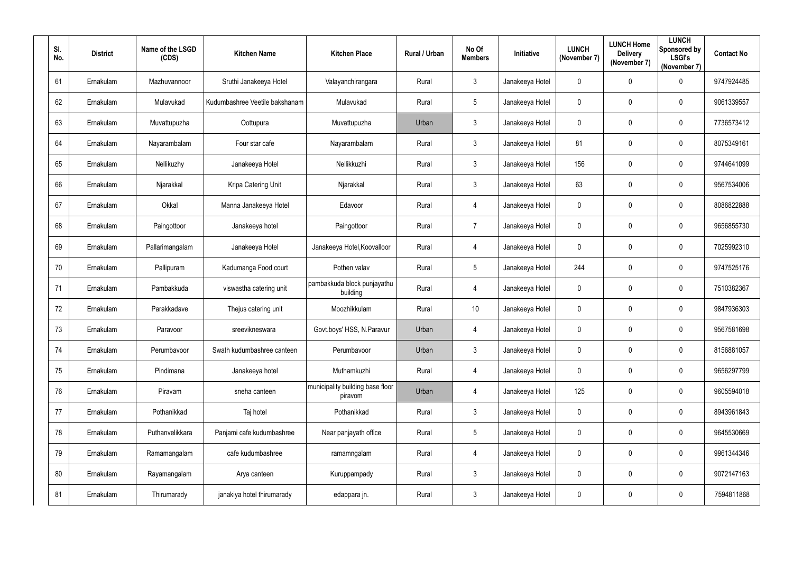| SI.<br>No. | <b>District</b> | Name of the LSGD<br>(CDS) | <b>Kitchen Name</b>            | <b>Kitchen Place</b>                        | Rural / Urban | No Of<br><b>Members</b> | <b>Initiative</b> | <b>LUNCH</b><br>(November 7) | <b>LUNCH Home</b><br><b>Delivery</b><br>(November 7) | <b>LUNCH</b><br>Sponsored by<br><b>LSGI's</b><br>(November 7) | <b>Contact No</b> |
|------------|-----------------|---------------------------|--------------------------------|---------------------------------------------|---------------|-------------------------|-------------------|------------------------------|------------------------------------------------------|---------------------------------------------------------------|-------------------|
| 61         | Ernakulam       | Mazhuvannoor              | Sruthi Janakeeya Hotel         | Valayanchirangara                           | Rural         | $\mathbf{3}$            | Janakeeya Hotel   | $\mathbf 0$                  | $\mathbf 0$                                          | $\mathbf 0$                                                   | 9747924485        |
| 62         | Ernakulam       | Mulavukad                 | Kudumbashree Veetile bakshanam | Mulavukad                                   | Rural         | $5\overline{)}$         | Janakeeya Hotel   | $\mathbf 0$                  | $\mathbf 0$                                          | $\overline{0}$                                                | 9061339557        |
| 63         | Ernakulam       | Muvattupuzha              | Oottupura                      | Muvattupuzha                                | Urban         | $\mathfrak{Z}$          | Janakeeya Hotel   | $\boldsymbol{0}$             | $\overline{0}$                                       | $\boldsymbol{0}$                                              | 7736573412        |
| 64         | Ernakulam       | Nayarambalam              | Four star cafe                 | Nayarambalam                                | Rural         | $\mathbf{3}$            | Janakeeya Hotel   | 81                           | $\overline{0}$                                       | $\mathbf 0$                                                   | 8075349161        |
| 65         | Ernakulam       | Nellikuzhy                | Janakeeya Hotel                | Nellikkuzhi                                 | Rural         | 3                       | Janakeeya Hotel   | 156                          | 0                                                    | $\overline{0}$                                                | 9744641099        |
| 66         | Ernakulam       | Njarakkal                 | Kripa Catering Unit            | Njarakkal                                   | Rural         | $\mathbf{3}$            | Janakeeya Hotel   | 63                           | $\overline{0}$                                       | $\boldsymbol{0}$                                              | 9567534006        |
| 67         | Ernakulam       | Okkal                     | Manna Janakeeya Hotel          | Edavoor                                     | Rural         | $\overline{4}$          | Janakeeya Hotel   | $\mathbf 0$                  | $\mathbf 0$                                          | $\overline{0}$                                                | 8086822888        |
| 68         | Ernakulam       | Paingottoor               | Janakeeya hotel                | Paingottoor                                 | Rural         | $\overline{7}$          | Janakeeya Hotel   | $\boldsymbol{0}$             | $\mathbf 0$                                          | $\overline{0}$                                                | 9656855730        |
| 69         | Ernakulam       | Pallarimangalam           | Janakeeya Hotel                | Janakeeya Hotel, Koovalloor                 | Rural         | 4                       | Janakeeya Hotel   | $\boldsymbol{0}$             | $\mathbf 0$                                          | $\overline{0}$                                                | 7025992310        |
| 70         | Ernakulam       | Pallipuram                | Kadumanga Food court           | Pothen valav                                | Rural         | $5\phantom{.0}$         | Janakeeya Hotel   | 244                          | $\mathbf 0$                                          | $\overline{0}$                                                | 9747525176        |
| 71         | Ernakulam       | Pambakkuda                | viswastha catering unit        | pambakkuda block punjayathu<br>building     | Rural         | $\overline{4}$          | Janakeeya Hotel   | $\boldsymbol{0}$             | $\overline{0}$                                       | $\overline{0}$                                                | 7510382367        |
| 72         | Ernakulam       | Parakkadave               | Thejus catering unit           | Moozhikkulam                                | Rural         | 10                      | Janakeeya Hotel   | $\mathbf 0$                  | $\overline{0}$                                       | $\overline{0}$                                                | 9847936303        |
| 73         | Ernakulam       | Paravoor                  | sreevikneswara                 | Govt.boys' HSS, N.Paravur                   | Urban         | 4                       | Janakeeya Hotel   | $\mathbf 0$                  | $\mathbf 0$                                          | $\overline{0}$                                                | 9567581698        |
| 74         | Ernakulam       | Perumbavoor               | Swath kudumbashree canteen     | Perumbavoor                                 | Urban         | 3 <sup>1</sup>          | Janakeeya Hotel   | $\pmb{0}$                    | $\mathbf 0$                                          | $\mathbf 0$                                                   | 8156881057        |
| 75         | Ernakulam       | Pindimana                 | Janakeeya hotel                | Muthamkuzhi                                 | Rural         | $\overline{4}$          | Janakeeya Hotel   | $\boldsymbol{0}$             | $\mathbf 0$                                          | $\mathbf 0$                                                   | 9656297799        |
| 76         | Ernakulam       | Piravam                   | sneha canteen                  | municipality building base floor<br>piravom | Urban         | $\overline{4}$          | Janakeeya Hotel   | 125                          | $\mathbf 0$                                          | $\mathbf 0$                                                   | 9605594018        |
| 77         | Ernakulam       | Pothanikkad               | Taj hotel                      | Pothanikkad                                 | Rural         | 3 <sup>1</sup>          | Janakeeya Hotel   | $\pmb{0}$                    | $\mathbf 0$                                          | $\boldsymbol{0}$                                              | 8943961843        |
| 78         | Ernakulam       | Puthanvelikkara           | Panjami cafe kudumbashree      | Near panjayath office                       | Rural         | $5\overline{)}$         | Janakeeya Hotel   | $\pmb{0}$                    | $\mathbf 0$                                          | $\mathbf 0$                                                   | 9645530669        |
| 79         | Ernakulam       | Ramamangalam              | cafe kudumbashree              | ramamngalam                                 | Rural         | $\overline{4}$          | Janakeeya Hotel   | $\mathbf 0$                  | $\mathbf 0$                                          | $\pmb{0}$                                                     | 9961344346        |
| $80\,$     | Ernakulam       | Rayamangalam              | Arya canteen                   | Kuruppampady                                | Rural         | $3\phantom{.0}$         | Janakeeya Hotel   | $\boldsymbol{0}$             | $\mathbf 0$                                          | $\pmb{0}$                                                     | 9072147163        |
| 81         | Ernakulam       | Thirumarady               | janakiya hotel thirumarady     | edappara jn.                                | Rural         | $\mathfrak{Z}$          | Janakeeya Hotel   | $\boldsymbol{0}$             | $\mathbf 0$                                          | $\bm{0}$                                                      | 7594811868        |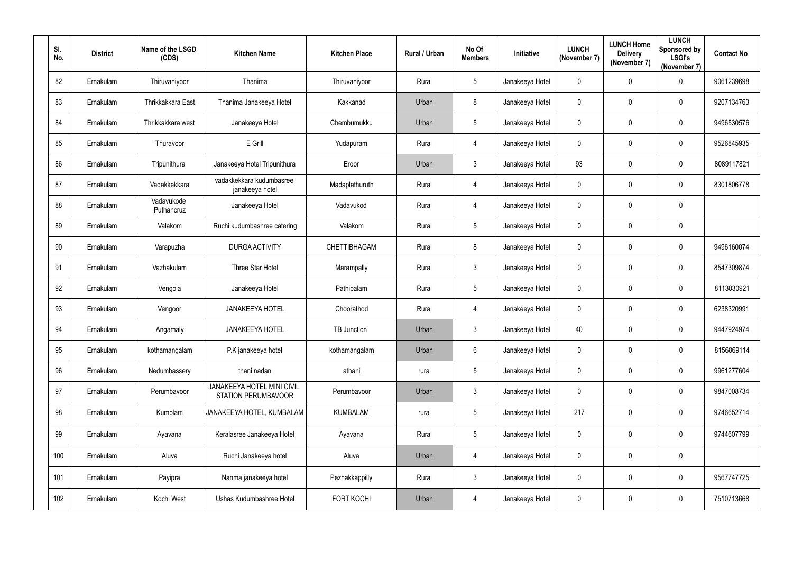| SI.<br>No. | <b>District</b> | Name of the LSGD<br>(CDS) | <b>Kitchen Name</b>                                      | <b>Kitchen Place</b> | Rural / Urban | No Of<br><b>Members</b> | Initiative      | <b>LUNCH</b><br>(November 7) | <b>LUNCH Home</b><br><b>Delivery</b><br>(November 7) | <b>LUNCH</b><br>Sponsored by<br><b>LSGI's</b><br>(November 7) | <b>Contact No</b> |
|------------|-----------------|---------------------------|----------------------------------------------------------|----------------------|---------------|-------------------------|-----------------|------------------------------|------------------------------------------------------|---------------------------------------------------------------|-------------------|
| 82         | Ernakulam       | Thiruvaniyoor             | Thanima                                                  | Thiruvaniyoor        | Rural         | 5                       | Janakeeya Hotel | $\overline{0}$               | 0                                                    | $\mathbf 0$                                                   | 9061239698        |
| 83         | Ernakulam       | Thrikkakkara East         | Thanima Janakeeya Hotel                                  | Kakkanad             | Urban         | 8                       | Janakeeya Hotel | $\mathbf 0$                  | 0                                                    | $\mathbf 0$                                                   | 9207134763        |
| 84         | Ernakulam       | Thrikkakkara west         | Janakeeya Hotel                                          | Chembumukku          | Urban         | 5                       | Janakeeya Hotel | $\mathbf 0$                  | $\pmb{0}$                                            | $\overline{0}$                                                | 9496530576        |
| 85         | Ernakulam       | Thuravoor                 | E Grill                                                  | Yudapuram            | Rural         | $\overline{4}$          | Janakeeya Hotel | $\overline{0}$               | 0                                                    | $\overline{0}$                                                | 9526845935        |
| 86         | Ernakulam       | Tripunithura              | Janakeeya Hotel Tripunithura                             | Eroor                | Urban         | $3\overline{3}$         | Janakeeya Hotel | 93                           | $\boldsymbol{0}$                                     | $\mathbf 0$                                                   | 8089117821        |
| 87         | Ernakulam       | Vadakkekkara              | vadakkekkara kudumbasree<br>janakeeya hotel              | Madaplathuruth       | Rural         | $\overline{4}$          | Janakeeya Hotel | $\mathbf 0$                  | $\pmb{0}$                                            | $\overline{0}$                                                | 8301806778        |
| 88         | Ernakulam       | Vadavukode<br>Puthancruz  | Janakeeya Hotel                                          | Vadavukod            | Rural         | $\overline{4}$          | Janakeeya Hotel | $\mathbf 0$                  | 0                                                    | $\overline{0}$                                                |                   |
| 89         | Ernakulam       | Valakom                   | Ruchi kudumbashree catering                              | Valakom              | Rural         | 5                       | Janakeeya Hotel | $\mathbf 0$                  | 0                                                    | $\mathbf 0$                                                   |                   |
| 90         | Ernakulam       | Varapuzha                 | <b>DURGA ACTIVITY</b>                                    | CHETTIBHAGAM         | Rural         | 8                       | Janakeeya Hotel | $\mathbf 0$                  | 0                                                    | $\overline{0}$                                                | 9496160074        |
| 91         | Ernakulam       | Vazhakulam                | <b>Three Star Hotel</b>                                  | Marampally           | Rural         | $3\overline{3}$         | Janakeeya Hotel | $\mathbf 0$                  | $\boldsymbol{0}$                                     | $\mathbf 0$                                                   | 8547309874        |
| 92         | Ernakulam       | Vengola                   | Janakeeya Hotel                                          | Pathipalam           | Rural         | 5                       | Janakeeya Hotel | $\mathbf 0$                  | 0                                                    | $\overline{0}$                                                | 8113030921        |
| 93         | Ernakulam       | Vengoor                   | <b>JANAKEEYA HOTEL</b>                                   | Choorathod           | Rural         | $\overline{4}$          | Janakeeya Hotel | $\overline{0}$               | 0                                                    | $\mathbf 0$                                                   | 6238320991        |
| 94         | Ernakulam       | Angamaly                  | <b>JANAKEEYA HOTEL</b>                                   | TB Junction          | Urban         | 3                       | Janakeeya Hotel | 40                           | 0                                                    | $\mathbf 0$                                                   | 9447924974        |
| 95         | Ernakulam       | kothamangalam             | P.K janakeeya hotel                                      | kothamangalam        | Urban         | $6\overline{6}$         | Janakeeya Hotel | $\overline{0}$               | $\pmb{0}$                                            | $\overline{0}$                                                | 8156869114        |
| 96         | Ernakulam       | Nedumbassery              | thani nadan                                              | athani               | rural         | $5\overline{)}$         | Janakeeya Hotel | $\mathbf 0$                  | $\pmb{0}$                                            | $\overline{0}$                                                | 9961277604        |
| 97         | Ernakulam       | Perumbavoor               | JANAKEEYA HOTEL MINI CIVIL<br><b>STATION PERUMBAVOOR</b> | Perumbavoor          | Urban         | $3\overline{3}$         | Janakeeya Hotel | $\mathbf 0$                  | 0                                                    | $\overline{0}$                                                | 9847008734        |
| 98         | Ernakulam       | Kumblam                   | JANAKEEYA HOTEL, KUMBALAM                                | <b>KUMBALAM</b>      | rural         | $5\overline{)}$         | Janakeeya Hotel | 217                          | $\pmb{0}$                                            | $\overline{0}$                                                | 9746652714        |
| 99         | Ernakulam       | Ayavana                   | Keralasree Janakeeya Hotel                               | Ayavana              | Rural         | 5                       | Janakeeya Hotel | $\overline{0}$               | 0                                                    | $\overline{0}$                                                | 9744607799        |
| 100        | Ernakulam       | Aluva                     | Ruchi Janakeeya hotel                                    | Aluva                | Urban         | $\overline{4}$          | Janakeeya Hotel | $\mathbf 0$                  | 0                                                    | $\overline{0}$                                                |                   |
| 101        | Ernakulam       | Payipra                   | Nanma janakeeya hotel                                    | Pezhakkappilly       | Rural         | $\mathfrak{Z}$          | Janakeeya Hotel | $\overline{0}$               | $\pmb{0}$                                            | $\overline{0}$                                                | 9567747725        |
| 102        | Ernakulam       | Kochi West                | Ushas Kudumbashree Hotel                                 | <b>FORT KOCHI</b>    | Urban         | $\overline{4}$          | Janakeeya Hotel | $\mathbf 0$                  | 0                                                    | $\overline{0}$                                                | 7510713668        |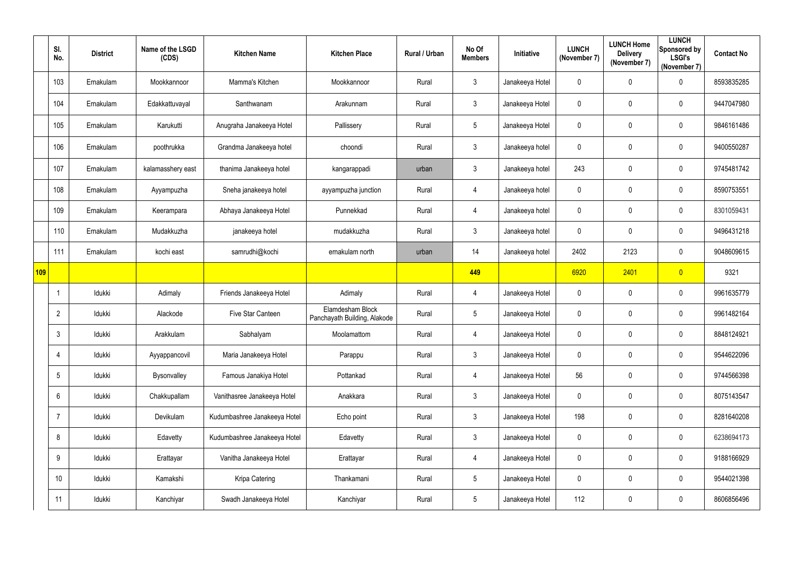|     | SI.<br>No.      | <b>District</b> | Name of the LSGD<br>(CDS) | <b>Kitchen Name</b>          | <b>Kitchen Place</b>                             | Rural / Urban | No Of<br><b>Members</b> | Initiative      | <b>LUNCH</b><br>(November 7) | <b>LUNCH Home</b><br><b>Delivery</b><br>(November 7) | <b>LUNCH</b><br>Sponsored by<br><b>LSGI's</b><br>(November 7) | <b>Contact No</b> |
|-----|-----------------|-----------------|---------------------------|------------------------------|--------------------------------------------------|---------------|-------------------------|-----------------|------------------------------|------------------------------------------------------|---------------------------------------------------------------|-------------------|
|     | 103             | Ernakulam       | Mookkannoor               | Mamma's Kitchen              | Mookkannoor                                      | Rural         | $\mathfrak{Z}$          | Janakeeya Hotel | $\mathbf 0$                  | 0                                                    | $\mathbf 0$                                                   | 8593835285        |
|     | 104             | Ernakulam       | Edakkattuvayal            | Santhwanam                   | Arakunnam                                        | Rural         | 3                       | Janakeeya Hotel | $\mathbf 0$                  | 0                                                    | $\mathbf 0$                                                   | 9447047980        |
|     | 105             | Ernakulam       | Karukutti                 | Anugraha Janakeeya Hotel     | Pallissery                                       | Rural         | 5                       | Janakeeya Hotel | $\mathbf 0$                  | 0                                                    | $\mathbf 0$                                                   | 9846161486        |
|     | 106             | Ernakulam       | poothrukka                | Grandma Janakeeya hotel      | choondi                                          | Rural         | 3                       | Janakeeya hotel | $\mathbf 0$                  | 0                                                    | $\mathbf 0$                                                   | 9400550287        |
|     | 107             | Ernakulam       | kalamasshery east         | thanima Janakeeya hotel      | kangarappadi                                     | urban         | $\mathfrak{Z}$          | Janakeeya hotel | 243                          | 0                                                    | $\mathbf 0$                                                   | 9745481742        |
|     | 108             | Ernakulam       | Ayyampuzha                | Sneha janakeeya hotel        | ayyampuzha junction                              | Rural         | $\overline{4}$          | Janakeeya hotel | $\mathbf 0$                  | 0                                                    | $\mathbf 0$                                                   | 8590753551        |
|     | 109             | Ernakulam       | Keerampara                | Abhaya Janakeeya Hotel       | Punnekkad                                        | Rural         | $\overline{4}$          | Janakeeya hotel | $\mathbf 0$                  | 0                                                    | $\mathbf 0$                                                   | 8301059431        |
|     | 110             | Ernakulam       | Mudakkuzha                | janakeeya hotel              | mudakkuzha                                       | Rural         | $\mathbf{3}$            | Janakeeya hotel | $\mathbf 0$                  | 0                                                    | $\mathbf 0$                                                   | 9496431218        |
|     | 111             | Ernakulam       | kochi east                | samrudhi@kochi               | ernakulam north                                  | urban         | 14                      | Janakeeya hotel | 2402                         | 2123                                                 | $\mathbf 0$                                                   | 9048609615        |
| 109 |                 |                 |                           |                              |                                                  |               | 449                     |                 | 6920                         | 2401                                                 | $\overline{0}$                                                | 9321              |
|     | 1               | Idukki          | Adimaly                   | Friends Janakeeya Hotel      | Adimaly                                          | Rural         | $\overline{4}$          | Janakeeya Hotel | $\overline{0}$               | 0                                                    | $\mathbf 0$                                                   | 9961635779        |
|     | $\overline{2}$  | Idukki          | Alackode                  | Five Star Canteen            | Elamdesham Block<br>Panchayath Building, Alakode | Rural         | 5                       | Janakeeya Hotel | $\mathbf 0$                  | 0                                                    | $\mathbf 0$                                                   | 9961482164        |
|     | 3               | Idukki          | Arakkulam                 | Sabhalyam                    | Moolamattom                                      | Rural         | $4\overline{ }$         | Janakeeya Hotel | $\mathbf 0$                  | $\mathbf 0$                                          | $\mathbf 0$                                                   | 8848124921        |
|     | 4               | Idukki          | Ayyappancovil             | Maria Janakeeya Hotel        | Parappu                                          | Rural         | $\mathfrak{Z}$          | Janakeeya Hotel | $\mathbf 0$                  | 0                                                    | $\mathbf 0$                                                   | 9544622096        |
|     | 5 <sup>5</sup>  | Idukki          | Bysonvalley               | Famous Janakiya Hotel        | Pottankad                                        | Rural         | $\overline{4}$          | Janakeeya Hotel | 56                           | 0                                                    | $\mathbf 0$                                                   | 9744566398        |
|     | 6               | Idukki          | Chakkupallam              | Vanithasree Janakeeya Hotel  | Anakkara                                         | Rural         | $\mathfrak{Z}$          | Janakeeya Hotel | $\mathbf 0$                  | 0                                                    | $\mathbf 0$                                                   | 8075143547        |
|     | 7               | Idukki          | Devikulam                 | Kudumbashree Janakeeya Hotel | Echo point                                       | Rural         | $3\overline{3}$         | Janakeeya Hotel | 198                          | 0                                                    | $\mathbf 0$                                                   | 8281640208        |
|     | 8               | Idukki          | Edavetty                  | Kudumbashree Janakeeya Hotel | Edavetty                                         | Rural         | 3 <sup>1</sup>          | Janakeeya Hotel | $\overline{0}$               | 0                                                    | $\mathbf 0$                                                   | 6238694173        |
|     | 9               | Idukki          | Erattayar                 | Vanitha Janakeeya Hotel      | Erattayar                                        | Rural         | $\overline{4}$          | Janakeeya Hotel | $\mathbf 0$                  | 0                                                    | $\mathbf 0$                                                   | 9188166929        |
|     | 10 <sup>°</sup> | Idukki          | Kamakshi                  | Kripa Catering               | Thankamani                                       | Rural         | 5                       | Janakeeya Hotel | $\mathbf 0$                  | 0                                                    | $\mathbf 0$                                                   | 9544021398        |
|     | 11              | Idukki          | Kanchiyar                 | Swadh Janakeeya Hotel        | Kanchiyar                                        | Rural         | $5\overline{)}$         | Janakeeya Hotel | 112                          | 0                                                    | $\pmb{0}$                                                     | 8606856496        |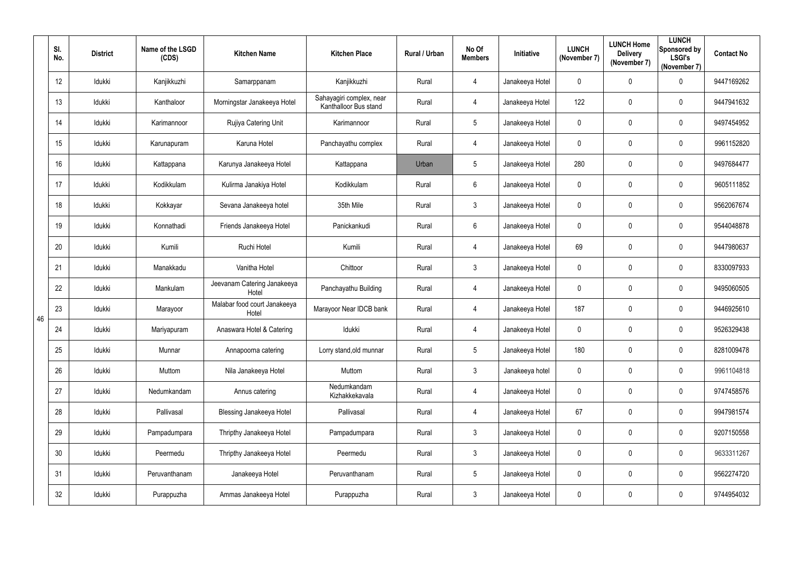|    | SI.<br>No. | <b>District</b> | Name of the LSGD<br>(CDS) | <b>Kitchen Name</b>                   | <b>Kitchen Place</b>                              | Rural / Urban | No Of<br><b>Members</b> | Initiative      | <b>LUNCH</b><br>(November 7) | <b>LUNCH Home</b><br><b>Delivery</b><br>(November 7) | <b>LUNCH</b><br>Sponsored by<br><b>LSGI's</b><br>(November 7) | <b>Contact No</b> |
|----|------------|-----------------|---------------------------|---------------------------------------|---------------------------------------------------|---------------|-------------------------|-----------------|------------------------------|------------------------------------------------------|---------------------------------------------------------------|-------------------|
|    | 12         | Idukki          | Kanjikkuzhi               | Samarppanam                           | Kanjikkuzhi                                       | Rural         | $\overline{4}$          | Janakeeya Hotel | $\mathbf 0$                  | 0                                                    | $\mathbf 0$                                                   | 9447169262        |
|    | 13         | Idukki          | Kanthaloor                | Morningstar Janakeeya Hotel           | Sahayagiri complex, near<br>Kanthalloor Bus stand | Rural         | $\overline{4}$          | Janakeeya Hotel | 122                          | 0                                                    | $\mathbf 0$                                                   | 9447941632        |
|    | 14         | Idukki          | Karimannoor               | Rujiya Catering Unit                  | Karimannoor                                       | Rural         | 5                       | Janakeeya Hotel | $\mathbf 0$                  | 0                                                    | $\mathbf 0$                                                   | 9497454952        |
|    | 15         | Idukki          | Karunapuram               | Karuna Hotel                          | Panchayathu complex                               | Rural         | $\overline{4}$          | Janakeeya Hotel | $\mathbf 0$                  | 0                                                    | $\mathbf 0$                                                   | 9961152820        |
|    | 16         | Idukki          | Kattappana                | Karunya Janakeeya Hotel               | Kattappana                                        | Urban         | 5                       | Janakeeya Hotel | 280                          | 0                                                    | $\mathbf 0$                                                   | 9497684477        |
|    | 17         | Idukki          | Kodikkulam                | Kulirma Janakiya Hotel                | Kodikkulam                                        | Rural         | 6                       | Janakeeya Hotel | $\overline{0}$               | 0                                                    | $\mathbf 0$                                                   | 9605111852        |
|    | 18         | Idukki          | Kokkayar                  | Sevana Janakeeya hotel                | 35th Mile                                         | Rural         | $\mathfrak{Z}$          | Janakeeya Hotel | $\mathbf 0$                  | 0                                                    | $\mathbf 0$                                                   | 9562067674        |
|    | 19         | Idukki          | Konnathadi                | Friends Janakeeya Hotel               | Panickankudi                                      | Rural         | 6                       | Janakeeya Hotel | $\mathbf 0$                  | 0                                                    | $\mathbf 0$                                                   | 9544048878        |
|    | 20         | Idukki          | Kumili                    | Ruchi Hotel                           | Kumili                                            | Rural         | $\overline{4}$          | Janakeeya Hotel | 69                           | 0                                                    | $\mathbf 0$                                                   | 9447980637        |
|    | 21         | Idukki          | Manakkadu                 | Vanitha Hotel                         | Chittoor                                          | Rural         | $\mathfrak{Z}$          | Janakeeya Hotel | $\mathbf 0$                  | 0                                                    | $\mathbf 0$                                                   | 8330097933        |
|    | 22         | Idukki          | Mankulam                  | Jeevanam Catering Janakeeya<br>Hotel  | Panchayathu Building                              | Rural         | $\overline{4}$          | Janakeeya Hotel | $\mathbf 0$                  | 0                                                    | $\mathbf 0$                                                   | 9495060505        |
| 46 | 23         | Idukki          | Marayoor                  | Malabar food court Janakeeya<br>Hotel | Marayoor Near IDCB bank                           | Rural         | $\overline{4}$          | Janakeeya Hotel | 187                          | 0                                                    | $\mathbf 0$                                                   | 9446925610        |
|    | 24         | Idukki          | Mariyapuram               | Anaswara Hotel & Catering             | Idukki                                            | Rural         | 4                       | Janakeeya Hotel | $\mathbf 0$                  | $\mathbf 0$                                          | $\mathbf 0$                                                   | 9526329438        |
|    | 25         | Idukki          | Munnar                    | Annapoorna catering                   | Lorry stand, old munnar                           | Rural         | 5                       | Janakeeya Hotel | 180                          | 0                                                    | $\overline{0}$                                                | 8281009478        |
|    | 26         | Idukki          | Muttom                    | Nila Janakeeya Hotel                  | Muttom                                            | Rural         | 3 <sup>7</sup>          | Janakeeya hotel | $\mathbf 0$                  | 0                                                    | $\mathbf 0$                                                   | 9961104818        |
|    | 27         | Idukki          | Nedumkandam               | Annus catering                        | Nedumkandam<br>Kizhakkekavala                     | Rural         | $\overline{4}$          | Janakeeya Hotel | $\mathbf 0$                  | 0                                                    | $\mathbf 0$                                                   | 9747458576        |
|    | 28         | Idukki          | Pallivasal                | <b>Blessing Janakeeya Hotel</b>       | Pallivasal                                        | Rural         | $\overline{4}$          | Janakeeya Hotel | 67                           | 0                                                    | $\mathbf 0$                                                   | 9947981574        |
|    | 29         | Idukki          | Pampadumpara              | Thripthy Janakeeya Hotel              | Pampadumpara                                      | Rural         | $3\overline{3}$         | Janakeeya Hotel | $\mathbf 0$                  | 0                                                    | $\mathbf 0$                                                   | 9207150558        |
|    | 30         | Idukki          | Peermedu                  | Thripthy Janakeeya Hotel              | Peermedu                                          | Rural         | $\mathfrak{Z}$          | Janakeeya Hotel | $\mathbf 0$                  | $\pmb{0}$                                            | $\overline{0}$                                                | 9633311267        |
|    | 31         | Idukki          | Peruvanthanam             | Janakeeya Hotel                       | Peruvanthanam                                     | Rural         | 5                       | Janakeeya Hotel | $\mathbf 0$                  | 0                                                    | $\mathbf 0$                                                   | 9562274720        |
|    | 32         | Idukki          | Purappuzha                | Ammas Janakeeya Hotel                 | Purappuzha                                        | Rural         | $\mathfrak{Z}$          | Janakeeya Hotel | $\mathbf 0$                  | 0                                                    | $\overline{0}$                                                | 9744954032        |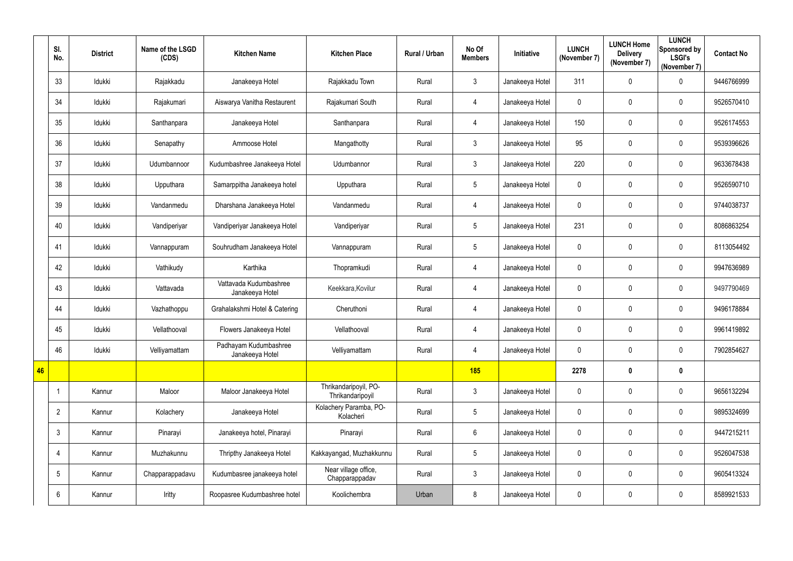|    | SI.<br>No.      | <b>District</b> | Name of the LSGD<br>(CDS) | <b>Kitchen Name</b>                       | <b>Kitchen Place</b>                      | Rural / Urban | No Of<br><b>Members</b> | Initiative      | <b>LUNCH</b><br>(November 7) | <b>LUNCH Home</b><br><b>Delivery</b><br>(November 7) | <b>LUNCH</b><br>Sponsored by<br><b>LSGI's</b><br>(November 7) | <b>Contact No</b> |
|----|-----------------|-----------------|---------------------------|-------------------------------------------|-------------------------------------------|---------------|-------------------------|-----------------|------------------------------|------------------------------------------------------|---------------------------------------------------------------|-------------------|
|    | 33              | Idukki          | Rajakkadu                 | Janakeeya Hotel                           | Rajakkadu Town                            | Rural         | $\mathfrak{Z}$          | Janakeeya Hotel | 311                          | 0                                                    | $\overline{0}$                                                | 9446766999        |
|    | 34              | Idukki          | Rajakumari                | Aiswarya Vanitha Restaurent               | Rajakumari South                          | Rural         | $\overline{4}$          | Janakeeya Hotel | $\mathbf 0$                  | 0                                                    | $\overline{0}$                                                | 9526570410        |
|    | 35              | Idukki          | Santhanpara               | Janakeeya Hotel                           | Santhanpara                               | Rural         | $\overline{4}$          | Janakeeya Hotel | 150                          | 0                                                    | $\mathbf 0$                                                   | 9526174553        |
|    | 36              | Idukki          | Senapathy                 | Ammoose Hotel                             | Mangathotty                               | Rural         | $\mathfrak{Z}$          | Janakeeya Hotel | 95                           | $\pmb{0}$                                            | $\overline{0}$                                                | 9539396626        |
|    | 37              | Idukki          | Udumbannoor               | Kudumbashree Janakeeya Hotel              | Udumbannor                                | Rural         | $\mathfrak{Z}$          | Janakeeya Hotel | 220                          | 0                                                    | $\overline{0}$                                                | 9633678438        |
|    | 38              | Idukki          | Upputhara                 | Samarppitha Janakeeya hotel               | Upputhara                                 | Rural         | $5\phantom{.0}$         | Janakeeya Hotel | $\mathbf 0$                  | 0                                                    | $\mathbf 0$                                                   | 9526590710        |
|    | 39              | Idukki          | Vandanmedu                | Dharshana Janakeeya Hotel                 | Vandanmedu                                | Rural         | $\overline{4}$          | Janakeeya Hotel | $\mathbf 0$                  | 0                                                    | $\overline{0}$                                                | 9744038737        |
|    | 40              | Idukki          | Vandiperiyar              | Vandiperiyar Janakeeya Hotel              | Vandiperiyar                              | Rural         | 5                       | Janakeeya Hotel | 231                          | 0                                                    | $\mathbf 0$                                                   | 8086863254        |
|    | 41              | Idukki          | Vannappuram               | Souhrudham Janakeeya Hotel                | Vannappuram                               | Rural         | $5\phantom{.0}$         | Janakeeya Hotel | $\mathbf 0$                  | 0                                                    | $\mathbf 0$                                                   | 8113054492        |
|    | 42              | Idukki          | Vathikudy                 | Karthika                                  | Thopramkudi                               | Rural         | $\overline{4}$          | Janakeeya Hotel | $\mathbf 0$                  | $\pmb{0}$                                            | $\overline{0}$                                                | 9947636989        |
|    | 43              | Idukki          | Vattavada                 | Vattavada Kudumbashree<br>Janakeeya Hotel | Keekkara, Kovilur                         | Rural         | $\overline{4}$          | Janakeeya Hotel | $\mathbf 0$                  | 0                                                    | $\overline{0}$                                                | 9497790469        |
|    | 44              | Idukki          | Vazhathoppu               | Grahalakshmi Hotel & Catering             | Cheruthoni                                | Rural         | $\overline{4}$          | Janakeeya Hotel | $\mathbf 0$                  | 0                                                    | $\mathbf 0$                                                   | 9496178884        |
|    | 45              | Idukki          | Vellathooval              | Flowers Janakeeya Hotel                   | Vellathooval                              | Rural         | $\overline{4}$          | Janakeeya Hotel | $\mathbf 0$                  | $\mathbf 0$                                          | $\mathbf 0$                                                   | 9961419892        |
|    | 46              | Idukki          | Velliyamattam             | Padhayam Kudumbashree<br>Janakeeya Hotel  | Velliyamattam                             | Rural         | $\overline{4}$          | Janakeeya Hotel | $\mathbf 0$                  | 0                                                    | $\mathbf 0$                                                   | 7902854627        |
| 46 |                 |                 |                           |                                           |                                           |               | 185                     |                 | 2278                         | $\bf{0}$                                             | $\boldsymbol{0}$                                              |                   |
|    |                 | Kannur          | Maloor                    | Maloor Janakeeya Hotel                    | Thrikandaripoyil, PO-<br>Thrikandaripoyil | Rural         | $\mathfrak{Z}$          | Janakeeya Hotel | $\mathbf 0$                  | $\pmb{0}$                                            | $\mathbf 0$                                                   | 9656132294        |
|    | $\overline{2}$  | Kannur          | Kolachery                 | Janakeeya Hotel                           | Kolachery Paramba, PO-<br>Kolacheri       | Rural         | $5\phantom{.0}$         | Janakeeya Hotel | $\mathbf 0$                  | $\pmb{0}$                                            | $\mathbf 0$                                                   | 9895324699        |
|    | $\mathfrak{Z}$  | Kannur          | Pinarayi                  | Janakeeya hotel, Pinarayi                 | Pinarayi                                  | Rural         | $6\phantom{.0}$         | Janakeeya Hotel | $\mathbf 0$                  | 0                                                    | $\mathbf 0$                                                   | 9447215211        |
|    | 4               | Kannur          | Muzhakunnu                | Thripthy Janakeeya Hotel                  | Kakkayangad, Muzhakkunnu                  | Rural         | $5\phantom{.0}$         | Janakeeya Hotel | $\mathbf 0$                  | 0                                                    | $\mathbf 0$                                                   | 9526047538        |
|    | $5\phantom{.0}$ | Kannur          | Chapparappadavu           | Kudumbasree janakeeya hotel               | Near village office,<br>Chapparappadav    | Rural         | $\mathfrak{Z}$          | Janakeeya Hotel | $\mathbf 0$                  | 0                                                    | $\mathbf 0$                                                   | 9605413324        |
|    | $6\phantom{.}$  | Kannur          | Iritty                    | Roopasree Kudumbashree hotel              | Koolichembra                              | Urban         | 8                       | Janakeeya Hotel | $\mathbf 0$                  | 0                                                    | $\mathbf 0$                                                   | 8589921533        |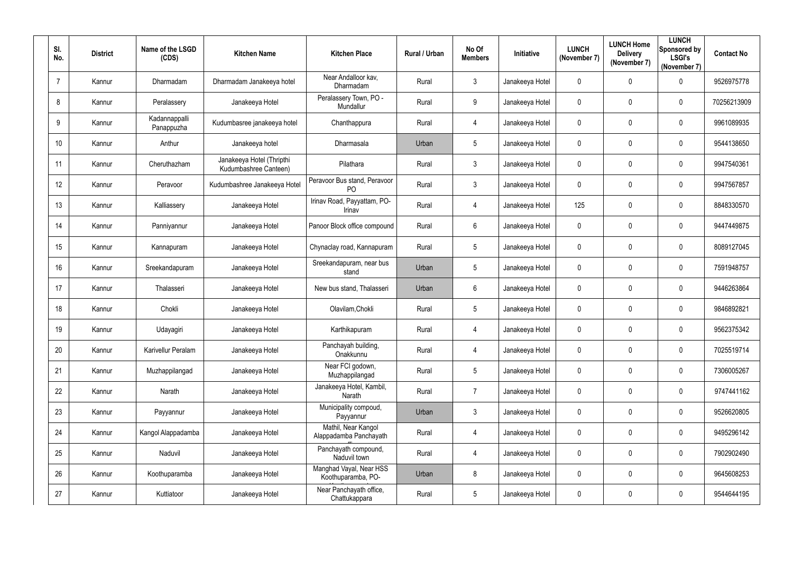| SI.<br>No. | <b>District</b> | Name of the LSGD<br>(CDS)   | <b>Kitchen Name</b>                                | <b>Kitchen Place</b>                           | Rural / Urban | No Of<br><b>Members</b> | Initiative      | <b>LUNCH</b><br>(November 7) | <b>LUNCH Home</b><br><b>Delivery</b><br>(November 7) | <b>LUNCH</b><br>Sponsored by<br><b>LSGI's</b><br>(November 7) | <b>Contact No</b> |
|------------|-----------------|-----------------------------|----------------------------------------------------|------------------------------------------------|---------------|-------------------------|-----------------|------------------------------|------------------------------------------------------|---------------------------------------------------------------|-------------------|
| -7         | Kannur          | Dharmadam                   | Dharmadam Janakeeya hotel                          | Near Andalloor kav,<br>Dharmadam               | Rural         | $\mathbf{3}$            | Janakeeya Hotel | $\mathbf 0$                  | $\mathbf 0$                                          | $\mathbf 0$                                                   | 9526975778        |
| 8          | Kannur          | Peralassery                 | Janakeeya Hotel                                    | Peralassery Town, PO -<br>Mundallur            | Rural         | $9\,$                   | Janakeeya Hotel | $\mathbf 0$                  | $\mathbf 0$                                          | $\mathbf 0$                                                   | 70256213909       |
| 9          | Kannur          | Kadannappalli<br>Panappuzha | Kudumbasree janakeeya hotel                        | Chanthappura                                   | Rural         | $\overline{4}$          | Janakeeya Hotel | $\mathbf 0$                  | $\mathbf 0$                                          | $\overline{0}$                                                | 9961089935        |
| 10         | Kannur          | Anthur                      | Janakeeya hotel                                    | Dharmasala                                     | Urban         | $5\phantom{.0}$         | Janakeeya Hotel | $\mathbf 0$                  | $\mathbf 0$                                          | $\mathbf 0$                                                   | 9544138650        |
| 11         | Kannur          | Cheruthazham                | Janakeeya Hotel (Thripthi<br>Kudumbashree Canteen) | Pilathara                                      | Rural         | $\mathbf{3}$            | Janakeeya Hotel | $\mathbf 0$                  | $\mathbf 0$                                          | $\overline{0}$                                                | 9947540361        |
| 12         | Kannur          | Peravoor                    | Kudumbashree Janakeeya Hotel                       | Peravoor Bus stand, Peravoor<br>P <sub>O</sub> | Rural         | $\mathbf{3}$            | Janakeeya Hotel | $\mathbf 0$                  | $\overline{0}$                                       | $\overline{0}$                                                | 9947567857        |
| 13         | Kannur          | Kalliassery                 | Janakeeya Hotel                                    | Irinav Road, Payyattam, PO-<br>Irinav          | Rural         | $\overline{4}$          | Janakeeya Hotel | 125                          | 0                                                    | $\overline{0}$                                                | 8848330570        |
| 14         | Kannur          | Panniyannur                 | Janakeeya Hotel                                    | Panoor Block office compound                   | Rural         | $6\overline{6}$         | Janakeeya Hotel | $\mathbf 0$                  | $\mathbf 0$                                          | $\mathbf 0$                                                   | 9447449875        |
| 15         | Kannur          | Kannapuram                  | Janakeeya Hotel                                    | Chynaclay road, Kannapuram                     | Rural         | $5\overline{)}$         | Janakeeya Hotel | $\mathbf 0$                  | $\mathbf 0$                                          | $\overline{0}$                                                | 8089127045        |
| 16         | Kannur          | Sreekandapuram              | Janakeeya Hotel                                    | Sreekandapuram, near bus<br>stand              | Urban         | $5\phantom{.0}$         | Janakeeya Hotel | $\mathbf 0$                  | $\mathbf 0$                                          | $\mathbf 0$                                                   | 7591948757        |
| 17         | Kannur          | Thalasseri                  | Janakeeya Hotel                                    | New bus stand, Thalasseri                      | Urban         | $6\phantom{.}$          | Janakeeya Hotel | $\mathbf 0$                  | $\mathbf 0$                                          | $\overline{0}$                                                | 9446263864        |
| 18         | Kannur          | Chokli                      | Janakeeya Hotel                                    | Olavilam, Chokli                               | Rural         | $5\overline{)}$         | Janakeeya Hotel | $\mathbf 0$                  | $\mathbf 0$                                          | $\overline{0}$                                                | 9846892821        |
| 19         | Kannur          | Udayagiri                   | Janakeeya Hotel                                    | Karthikapuram                                  | Rural         | 4                       | Janakeeya Hotel | $\mathbf 0$                  | $\mathbf 0$                                          | $\overline{0}$                                                | 9562375342        |
| 20         | Kannur          | Karivellur Peralam          | Janakeeya Hotel                                    | Panchayah building,<br>Onakkunnu               | Rural         | 4                       | Janakeeya Hotel | $\pmb{0}$                    | $\mathbf 0$                                          | $\mathbf 0$                                                   | 7025519714        |
| 21         | Kannur          | Muzhappilangad              | Janakeeya Hotel                                    | Near FCI godown,<br>Muzhappilangad             | Rural         | $5\phantom{.0}$         | Janakeeya Hotel | $\pmb{0}$                    | $\mathbf 0$                                          | $\mathbf 0$                                                   | 7306005267        |
| 22         | Kannur          | Narath                      | Janakeeya Hotel                                    | Janakeeya Hotel, Kambil,<br>Narath             | Rural         | $\overline{7}$          | Janakeeya Hotel | $\pmb{0}$                    | $\mathbf 0$                                          | $\mathbf 0$                                                   | 9747441162        |
| 23         | Kannur          | Payyannur                   | Janakeeya Hotel                                    | Municipality compoud,<br>Payyannur             | Urban         | $\mathbf{3}$            | Janakeeya Hotel | $\pmb{0}$                    | $\mathbf 0$                                          | $\mathbf 0$                                                   | 9526620805        |
| 24         | Kannur          | Kangol Alappadamba          | Janakeeya Hotel                                    | Mathil, Near Kangol<br>Alappadamba Panchayath  | Rural         | $\overline{4}$          | Janakeeya Hotel | $\mathbf 0$                  | $\mathbf 0$                                          | $\mathbf 0$                                                   | 9495296142        |
| 25         | Kannur          | Naduvil                     | Janakeeya Hotel                                    | Panchayath compound,<br>Naduvil town           | Rural         | 4                       | Janakeeya Hotel | $\pmb{0}$                    | $\mathbf 0$                                          | $\mathbf 0$                                                   | 7902902490        |
| 26         | Kannur          | Koothuparamba               | Janakeeya Hotel                                    | Manghad Vayal, Near HSS<br>Koothuparamba, PO-  | Urban         | 8                       | Janakeeya Hotel | $\boldsymbol{0}$             | $\mathbf 0$                                          | $\pmb{0}$                                                     | 9645608253        |
| 27         | Kannur          | Kuttiatoor                  | Janakeeya Hotel                                    | Near Panchayath office,<br>Chattukappara       | Rural         | $5\overline{)}$         | Janakeeya Hotel | $\boldsymbol{0}$             | $\mathbf 0$                                          | $\pmb{0}$                                                     | 9544644195        |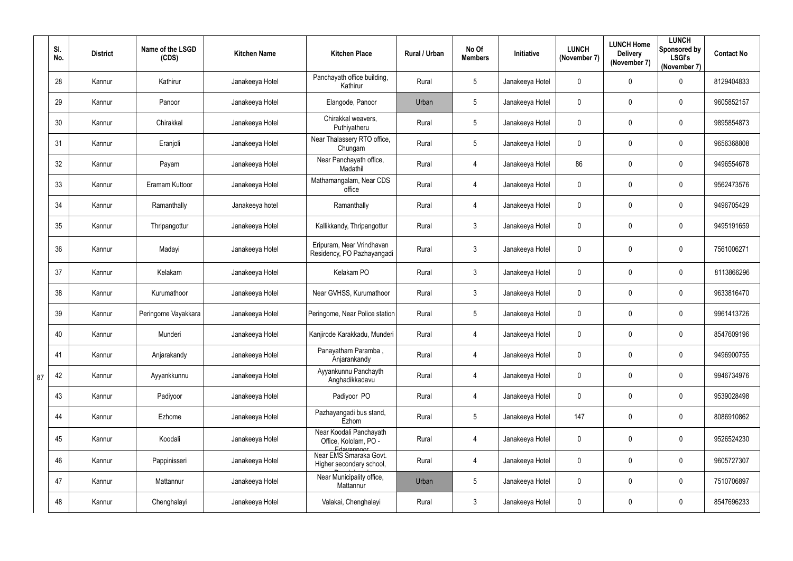|    | SI.<br>No. | <b>District</b> | Name of the LSGD<br>(CDS) | <b>Kitchen Name</b> | <b>Kitchen Place</b>                                           | Rural / Urban | No Of<br><b>Members</b> | Initiative      | <b>LUNCH</b><br>(November 7) | <b>LUNCH Home</b><br><b>Delivery</b><br>(November 7) | <b>LUNCH</b><br>Sponsored by<br><b>LSGI's</b><br>(November 7) | <b>Contact No</b> |
|----|------------|-----------------|---------------------------|---------------------|----------------------------------------------------------------|---------------|-------------------------|-----------------|------------------------------|------------------------------------------------------|---------------------------------------------------------------|-------------------|
|    | 28         | Kannur          | Kathirur                  | Janakeeya Hotel     | Panchayath office building,<br>Kathirur                        | Rural         | 5                       | Janakeeya Hotel | $\mathbf 0$                  | 0                                                    | $\mathbf 0$                                                   | 8129404833        |
|    | 29         | Kannur          | Panoor                    | Janakeeya Hotel     | Elangode, Panoor                                               | Urban         | 5                       | Janakeeya Hotel | $\mathbf 0$                  | $\mathbf 0$                                          | $\overline{0}$                                                | 9605852157        |
|    | 30         | Kannur          | Chirakkal                 | Janakeeya Hotel     | Chirakkal weavers,<br>Puthiyatheru                             | Rural         | 5                       | Janakeeya Hotel | $\mathbf 0$                  | $\mathbf 0$                                          | $\mathbf 0$                                                   | 9895854873        |
|    | 31         | Kannur          | Eranjoli                  | Janakeeya Hotel     | Near Thalassery RTO office,<br>Chungam                         | Rural         | 5                       | Janakeeya Hotel | $\mathbf 0$                  | 0                                                    | $\overline{0}$                                                | 9656368808        |
|    | 32         | Kannur          | Payam                     | Janakeeya Hotel     | Near Panchayath office,<br>Madathil                            | Rural         | $\overline{4}$          | Janakeeya Hotel | 86                           | $\mathbf 0$                                          | $\mathbf 0$                                                   | 9496554678        |
|    | 33         | Kannur          | Eramam Kuttoor            | Janakeeya Hotel     | Mathamangalam, Near CDS<br>office                              | Rural         | $\overline{4}$          | Janakeeya Hotel | $\mathbf 0$                  | 0                                                    | $\mathbf 0$                                                   | 9562473576        |
|    | 34         | Kannur          | Ramanthally               | Janakeeya hotel     | Ramanthally                                                    | Rural         | $\overline{4}$          | Janakeeya Hotel | $\mathbf 0$                  | 0                                                    | $\mathbf 0$                                                   | 9496705429        |
|    | 35         | Kannur          | Thripangottur             | Janakeeya Hotel     | Kallikkandy, Thripangottur                                     | Rural         | 3                       | Janakeeya Hotel | $\mathbf 0$                  | $\mathbf 0$                                          | $\overline{0}$                                                | 9495191659        |
|    | 36         | Kannur          | Madayi                    | Janakeeya Hotel     | Eripuram, Near Vrindhavan<br>Residency, PO Pazhayangadi        | Rural         | $\mathfrak{Z}$          | Janakeeya Hotel | $\mathbf 0$                  | 0                                                    | $\mathbf 0$                                                   | 7561006271        |
|    | 37         | Kannur          | Kelakam                   | Janakeeya Hotel     | Kelakam PO                                                     | Rural         | $\mathfrak{Z}$          | Janakeeya Hotel | $\mathbf 0$                  | 0                                                    | $\mathbf 0$                                                   | 8113866296        |
|    | 38         | Kannur          | Kurumathoor               | Janakeeya Hotel     | Near GVHSS, Kurumathoor                                        | Rural         | 3                       | Janakeeya Hotel | $\mathbf 0$                  | 0                                                    | $\mathbf 0$                                                   | 9633816470        |
|    | 39         | Kannur          | Peringome Vayakkara       | Janakeeya Hotel     | Peringome, Near Police station                                 | Rural         | 5                       | Janakeeya Hotel | $\mathbf 0$                  | 0                                                    | $\overline{0}$                                                | 9961413726        |
|    | 40         | Kannur          | Munderi                   | Janakeeya Hotel     | Kanjirode Karakkadu, Munderi                                   | Rural         | $4\overline{ }$         | Janakeeya Hotel | $\mathbf 0$                  | $\mathbf 0$                                          | $\overline{0}$                                                | 8547609196        |
|    | 41         | Kannur          | Anjarakandy               | Janakeeya Hotel     | Panayatham Paramba,<br>Anjarankandy                            | Rural         | $\overline{4}$          | Janakeeya Hotel | $\mathbf 0$                  | $\pmb{0}$                                            | $\overline{0}$                                                | 9496900755        |
| 87 | 42         | Kannur          | Ayyankkunnu               | Janakeeya Hotel     | Ayyankunnu Panchayth<br>Anghadikkadavu                         | Rural         | $\overline{4}$          | Janakeeya Hotel | $\mathbf 0$                  | $\pmb{0}$                                            | $\overline{0}$                                                | 9946734976        |
|    | 43         | Kannur          | Padiyoor                  | Janakeeya Hotel     | Padiyoor PO                                                    | Rural         | $\overline{4}$          | Janakeeya Hotel | $\mathbf 0$                  | 0                                                    | $\overline{0}$                                                | 9539028498        |
|    | 44         | Kannur          | Ezhome                    | Janakeeya Hotel     | Pazhayangadi bus stand,<br>Ezhom                               | Rural         | $5\overline{)}$         | Janakeeya Hotel | 147                          | $\pmb{0}$                                            | $\overline{0}$                                                | 8086910862        |
|    | 45         | Kannur          | Koodali                   | Janakeeya Hotel     | Near Koodali Panchayath<br>Office, Kololam, PO -<br>Edavannoor | Rural         | $\overline{4}$          | Janakeeya Hotel | $\mathbf 0$                  | $\pmb{0}$                                            | $\overline{0}$                                                | 9526524230        |
|    | 46         | Kannur          | Pappinisseri              | Janakeeya Hotel     | Near EMS Smaraka Govt.<br>Higher secondary school,             | Rural         | $\overline{4}$          | Janakeeya Hotel | $\mathbf 0$                  | $\pmb{0}$                                            | $\overline{0}$                                                | 9605727307        |
|    | 47         | Kannur          | Mattannur                 | Janakeeya Hotel     | Near Municipality office,<br>Mattannur                         | Urban         | $5\overline{)}$         | Janakeeya Hotel | $\mathbf 0$                  | $\pmb{0}$                                            | $\overline{0}$                                                | 7510706897        |
|    | 48         | Kannur          | Chenghalayi               | Janakeeya Hotel     | Valakai, Chenghalayi                                           | Rural         | $\mathfrak{Z}$          | Janakeeya Hotel | $\mathbf 0$                  | 0                                                    | $\overline{0}$                                                | 8547696233        |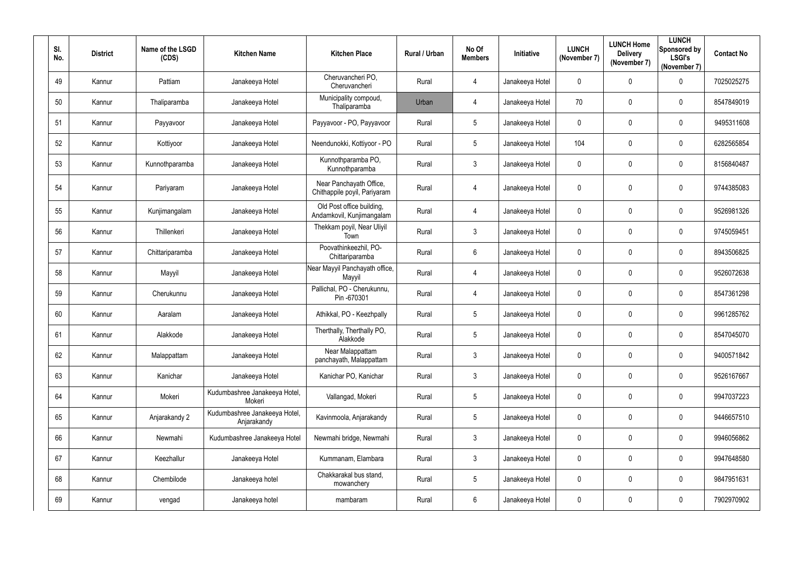| SI.<br>No. | <b>District</b> | Name of the LSGD<br>(CDS) | <b>Kitchen Name</b>                          | <b>Kitchen Place</b>                                    | Rural / Urban | No Of<br><b>Members</b> | Initiative      | <b>LUNCH</b><br>(November 7) | <b>LUNCH Home</b><br><b>Delivery</b><br>(November 7) | <b>LUNCH</b><br>Sponsored by<br><b>LSGI's</b><br>(November 7) | <b>Contact No</b> |
|------------|-----------------|---------------------------|----------------------------------------------|---------------------------------------------------------|---------------|-------------------------|-----------------|------------------------------|------------------------------------------------------|---------------------------------------------------------------|-------------------|
| 49         | Kannur          | Pattiam                   | Janakeeya Hotel                              | Cheruvancheri PO,<br>Cheruvancheri                      | Rural         | $\overline{4}$          | Janakeeya Hotel | $\mathbf 0$                  | $\mathbf 0$                                          | $\mathbf 0$                                                   | 7025025275        |
| 50         | Kannur          | Thaliparamba              | Janakeeya Hotel                              | Municipality compoud,<br>Thaliparamba                   | Urban         | $\overline{4}$          | Janakeeya Hotel | 70                           | $\mathbf 0$                                          | $\mathbf 0$                                                   | 8547849019        |
| 51         | Kannur          | Payyavoor                 | Janakeeya Hotel                              | Payyavoor - PO, Payyavoor                               | Rural         | $5\phantom{.0}$         | Janakeeya Hotel | $\mathbf 0$                  | $\mathbf 0$                                          | $\mathbf 0$                                                   | 9495311608        |
| 52         | Kannur          | Kottiyoor                 | Janakeeya Hotel                              | Neendunokki, Kottiyoor - PO                             | Rural         | $5\phantom{.0}$         | Janakeeya Hotel | 104                          | $\mathbf 0$                                          | $\mathbf 0$                                                   | 6282565854        |
| 53         | Kannur          | Kunnothparamba            | Janakeeya Hotel                              | Kunnothparamba PO,<br>Kunnothparamba                    | Rural         | $\mathbf{3}$            | Janakeeya Hotel | $\mathbf 0$                  | $\mathbf 0$                                          | $\overline{0}$                                                | 8156840487        |
| 54         | Kannur          | Pariyaram                 | Janakeeya Hotel                              | Near Panchayath Office,<br>Chithappile poyil, Pariyaram | Rural         | $\overline{4}$          | Janakeeya Hotel | $\mathbf 0$                  | $\mathbf 0$                                          | $\mathbf 0$                                                   | 9744385083        |
| 55         | Kannur          | Kunjimangalam             | Janakeeya Hotel                              | Old Post office building,<br>Andamkovil, Kunjimangalam  | Rural         | $\overline{4}$          | Janakeeya Hotel | $\mathbf 0$                  | $\mathbf 0$                                          | $\mathbf 0$                                                   | 9526981326        |
| 56         | Kannur          | Thillenkeri               | Janakeeya Hotel                              | Thekkam poyil, Near Uliyil<br>Town                      | Rural         | $\mathbf{3}$            | Janakeeya Hotel | $\mathbf 0$                  | $\mathbf 0$                                          | $\overline{0}$                                                | 9745059451        |
| 57         | Kannur          | Chittariparamba           | Janakeeya Hotel                              | Poovathinkeezhil, PO-<br>Chittariparamba                | Rural         | $6\overline{6}$         | Janakeeya Hotel | $\mathbf 0$                  | $\mathbf 0$                                          | $\overline{0}$                                                | 8943506825        |
| 58         | Kannur          | Mayyil                    | Janakeeya Hotel                              | Near Mayyil Panchayath office,<br>Mayyil                | Rural         | $\overline{4}$          | Janakeeya Hotel | $\mathbf 0$                  | $\mathbf 0$                                          | $\mathbf 0$                                                   | 9526072638        |
| 59         | Kannur          | Cherukunnu                | Janakeeya Hotel                              | Pallichal, PO - Cherukunnu,<br>Pin -670301              | Rural         | $\overline{4}$          | Janakeeya Hotel | $\mathbf 0$                  | 0                                                    | $\mathbf 0$                                                   | 8547361298        |
| 60         | Kannur          | Aaralam                   | Janakeeya Hotel                              | Athikkal, PO - Keezhpally                               | Rural         | $5\overline{)}$         | Janakeeya Hotel | $\mathbf 0$                  | $\mathbf 0$                                          | $\overline{0}$                                                | 9961285762        |
| 61         | Kannur          | Alakkode                  | Janakeeya Hotel                              | Therthally, Therthally PO,<br>Alakkode                  | Rural         | $5\overline{)}$         | Janakeeya Hotel | $\mathbf 0$                  | $\mathbf 0$                                          | $\overline{0}$                                                | 8547045070        |
| 62         | Kannur          | Malappattam               | Janakeeya Hotel                              | Near Malappattam<br>panchayath, Malappattam             | Rural         | $\mathbf{3}$            | Janakeeya Hotel | $\boldsymbol{0}$             | 0                                                    | $\mathbf 0$                                                   | 9400571842        |
| 63         | Kannur          | Kanichar                  | Janakeeya Hotel                              | Kanichar PO, Kanichar                                   | Rural         | $\mathbf{3}$            | Janakeeya Hotel | $\mathbf 0$                  | $\mathbf 0$                                          | $\overline{0}$                                                | 9526167667        |
| 64         | Kannur          | Mokeri                    | Kudumbashree Janakeeya Hotel,<br>Mokeri      | Vallangad, Mokeri                                       | Rural         | $5\phantom{.0}$         | Janakeeya Hotel | $\pmb{0}$                    | $\mathbf 0$                                          | $\mathbf 0$                                                   | 9947037223        |
| 65         | Kannur          | Anjarakandy 2             | Kudumbashree Janakeeya Hotel,<br>Anjarakandy | Kavinmoola, Anjarakandy                                 | Rural         | $5\overline{)}$         | Janakeeya Hotel | $\mathbf 0$                  | $\mathbf 0$                                          | $\mathbf 0$                                                   | 9446657510        |
| 66         | Kannur          | Newmahi                   | Kudumbashree Janakeeya Hotel                 | Newmahi bridge, Newmahi                                 | Rural         | $\mathbf{3}$            | Janakeeya Hotel | $\mathbf 0$                  | $\mathbf 0$                                          | $\boldsymbol{0}$                                              | 9946056862        |
| 67         | Kannur          | Keezhallur                | Janakeeya Hotel                              | Kummanam, Elambara                                      | Rural         | $\mathbf{3}$            | Janakeeya Hotel | $\boldsymbol{0}$             | $\mathbf 0$                                          | $\mathbf 0$                                                   | 9947648580        |
| 68         | Kannur          | Chembilode                | Janakeeya hotel                              | Chakkarakal bus stand,<br>mowanchery                    | Rural         | $5\phantom{.0}$         | Janakeeya Hotel | $\boldsymbol{0}$             | $\overline{0}$                                       | $\mathbf 0$                                                   | 9847951631        |
| 69         | Kannur          | vengad                    | Janakeeya hotel                              | mambaram                                                | Rural         | $6\phantom{.0}$         | Janakeeya Hotel | $\boldsymbol{0}$             | $\mathbf 0$                                          | $\boldsymbol{0}$                                              | 7902970902        |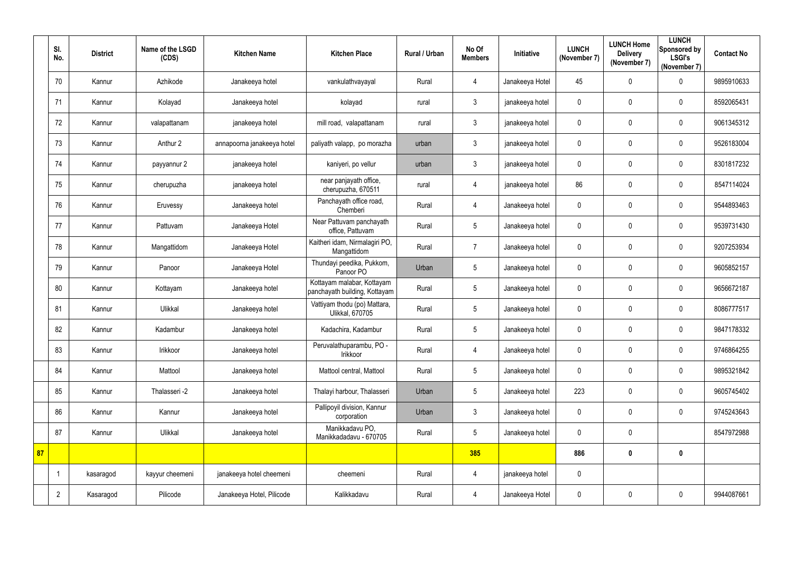|    | SI.<br>No.     | <b>District</b> | Name of the LSGD<br>(CDS) | <b>Kitchen Name</b>        | <b>Kitchen Place</b>                                        | Rural / Urban | No Of<br><b>Members</b> | Initiative      | <b>LUNCH</b><br>(November 7) | <b>LUNCH Home</b><br><b>Delivery</b><br>(November 7) | <b>LUNCH</b><br><b>Sponsored by</b><br><b>LSGI's</b><br>(November 7) | <b>Contact No</b> |
|----|----------------|-----------------|---------------------------|----------------------------|-------------------------------------------------------------|---------------|-------------------------|-----------------|------------------------------|------------------------------------------------------|----------------------------------------------------------------------|-------------------|
|    | 70             | Kannur          | Azhikode                  | Janakeeya hotel            | vankulathvayayal                                            | Rural         | $\overline{4}$          | Janakeeya Hotel | 45                           | $\mathbf 0$                                          | $\overline{0}$                                                       | 9895910633        |
|    | 71             | Kannur          | Kolayad                   | Janakeeya hotel            | kolayad                                                     | rural         | $3\phantom{.0}$         | janakeeya hotel | $\mathbf 0$                  | $\mathbf 0$                                          | $\mathbf 0$                                                          | 8592065431        |
|    | 72             | Kannur          | valapattanam              | janakeeya hotel            | mill road, valapattanam                                     | rural         | $\mathfrak{Z}$          | janakeeya hotel | $\mathbf 0$                  | $\mathbf 0$                                          | $\mathbf 0$                                                          | 9061345312        |
|    | 73             | Kannur          | Anthur 2                  | annapoorna janakeeya hotel | paliyath valapp, po morazha                                 | urban         | 3                       | janakeeya hotel | $\pmb{0}$                    | $\mathbf 0$                                          | $\mathbf 0$                                                          | 9526183004        |
|    | 74             | Kannur          | payyannur 2               | janakeeya hotel            | kaniyeri, po vellur                                         | urban         | $\mathbf{3}$            | janakeeya hotel | $\mathbf 0$                  | $\mathbf 0$                                          | $\mathbf 0$                                                          | 8301817232        |
|    | 75             | Kannur          | cherupuzha                | janakeeya hotel            | near panjayath office,<br>cherupuzha, 670511                | rural         | $\overline{4}$          | janakeeya hotel | 86                           | $\pmb{0}$                                            | $\overline{0}$                                                       | 8547114024        |
|    | 76             | Kannur          | Eruvessy                  | Janakeeya hotel            | Panchayath office road,<br>Chemberi                         | Rural         | $\overline{4}$          | Janakeeya hotel | $\pmb{0}$                    | 0                                                    | $\mathbf 0$                                                          | 9544893463        |
|    | 77             | Kannur          | Pattuvam                  | Janakeeya Hotel            | Near Pattuvam panchayath<br>office, Pattuvam                | Rural         | $5\phantom{.0}$         | Janakeeya hotel | $\mathbf 0$                  | $\mathbf 0$                                          | $\mathbf 0$                                                          | 9539731430        |
|    | 78             | Kannur          | Mangattidom               | Janakeeya Hotel            | Kaitheri idam, Nirmalagiri PO,<br>Mangattidom               | Rural         | $\overline{7}$          | Janakeeya hotel | $\pmb{0}$                    | 0                                                    | $\mathbf 0$                                                          | 9207253934        |
|    | 79             | Kannur          | Panoor                    | Janakeeya Hotel            | Thundayi peedika, Pukkom,<br>Panoor PO                      | Urban         | $\sqrt{5}$              | Janakeeya hotel | 0                            | 0                                                    | $\mathbf 0$                                                          | 9605852157        |
|    | 80             | Kannur          | Kottayam                  | Janakeeya hotel            | Kottayam malabar, Kottayam<br>panchayath building, Kottayam | Rural         | 5                       | Janakeeya hotel | $\mathbf 0$                  | 0                                                    | $\overline{0}$                                                       | 9656672187        |
|    | 81             | Kannur          | Ulikkal                   | Janakeeya hotel            | Vattiyam thodu (po) Mattara,<br><b>Ulikkal, 670705</b>      | Rural         | $5\phantom{.0}$         | Janakeeya hotel | $\mathbf 0$                  | 0                                                    | $\mathbf 0$                                                          | 8086777517        |
|    | 82             | Kannur          | Kadambur                  | Janakeeya hotel            | Kadachira, Kadambur                                         | Rural         | 5                       | Janakeeya hotel | $\mathbf 0$                  | 0                                                    | 0                                                                    | 9847178332        |
|    | 83             | Kannur          | Irikkoor                  | Janakeeya hotel            | Peruvalathuparambu, PO -<br>Irikkoor                        | Rural         | $\overline{4}$          | Janakeeya hotel | $\mathbf 0$                  | 0                                                    | $\mathbf 0$                                                          | 9746864255        |
|    | 84             | Kannur          | Mattool                   | Janakeeya hotel            | Mattool central, Mattool                                    | Rural         | $5\phantom{.0}$         | Janakeeya hotel | $\mathbf 0$                  | $\pmb{0}$                                            | $\mathbf 0$                                                          | 9895321842        |
|    | 85             | Kannur          | Thalasseri -2             | Janakeeya hotel            | Thalayi harbour, Thalasseri                                 | Urban         | $5\phantom{.0}$         | Janakeeya hotel | 223                          | $\pmb{0}$                                            | $\mathbf 0$                                                          | 9605745402        |
|    | 86             | Kannur          | Kannur                    | Janakeeya hotel            | Pallipoyil division, Kannur<br>corporation                  | Urban         | $\mathfrak{Z}$          | Janakeeya hotel | $\mathbf 0$                  | $\pmb{0}$                                            | $\mathbf 0$                                                          | 9745243643        |
|    | 87             | Kannur          | Ulikkal                   | Janakeeya hotel            | Manikkadavu PO,<br>Manikkadadavu - 670705                   | Rural         | $5\phantom{.0}$         | Janakeeya hotel | $\mathbf 0$                  | $\pmb{0}$                                            |                                                                      | 8547972988        |
| 87 |                |                 |                           |                            |                                                             |               | 385                     |                 | 886                          | $\pmb{0}$                                            | $\mathbf 0$                                                          |                   |
|    | -1             | kasaragod       | kayyur cheemeni           | janakeeya hotel cheemeni   | cheemeni                                                    | Rural         | $\overline{4}$          | janakeeya hotel | $\mathbf 0$                  |                                                      |                                                                      |                   |
|    | $\overline{2}$ | Kasaragod       | Pilicode                  | Janakeeya Hotel, Pilicode  | Kalikkadavu                                                 | Rural         | $\overline{4}$          | Janakeeya Hotel | $\boldsymbol{0}$             | $\pmb{0}$                                            | $\overline{0}$                                                       | 9944087661        |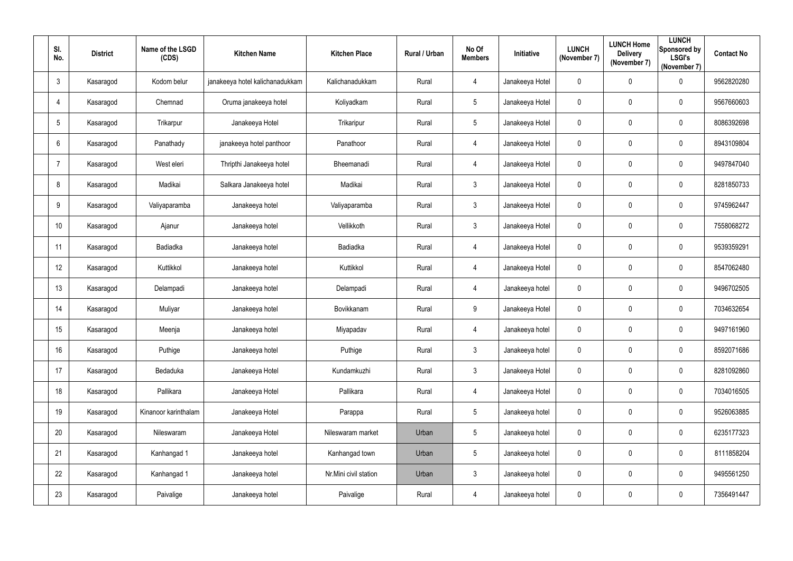| SI.<br>No.      | <b>District</b> | Name of the LSGD<br>(CDS) | <b>Kitchen Name</b>             | <b>Kitchen Place</b>  | <b>Rural / Urban</b> | No Of<br><b>Members</b> | Initiative      | <b>LUNCH</b><br>(November 7) | <b>LUNCH Home</b><br><b>Delivery</b><br>(November 7) | <b>LUNCH</b><br>Sponsored by<br><b>LSGI's</b><br>(November 7) | <b>Contact No</b> |
|-----------------|-----------------|---------------------------|---------------------------------|-----------------------|----------------------|-------------------------|-----------------|------------------------------|------------------------------------------------------|---------------------------------------------------------------|-------------------|
| $\mathbf{3}$    | Kasaragod       | Kodom belur               | janakeeya hotel kalichanadukkam | Kalichanadukkam       | Rural                | 4                       | Janakeeya Hotel | 0                            | 0                                                    | $\mathbf 0$                                                   | 9562820280        |
| $\overline{4}$  | Kasaragod       | Chemnad                   | Oruma janakeeya hotel           | Koliyadkam            | Rural                | $5\phantom{.0}$         | Janakeeya Hotel | 0                            | 0                                                    | $\mathbf 0$                                                   | 9567660603        |
| 5               | Kasaragod       | Trikarpur                 | Janakeeya Hotel                 | Trikaripur            | Rural                | $5\phantom{.0}$         | Janakeeya Hotel | 0                            | 0                                                    | $\mathbf 0$                                                   | 8086392698        |
| $6\phantom{.}6$ | Kasaragod       | Panathady                 | janakeeya hotel panthoor        | Panathoor             | Rural                | $\overline{4}$          | Janakeeya Hotel | 0                            | 0                                                    | $\overline{0}$                                                | 8943109804        |
| -7              | Kasaragod       | West eleri                | Thripthi Janakeeya hotel        | Bheemanadi            | Rural                | $\overline{4}$          | Janakeeya Hotel | 0                            | 0                                                    | $\mathbf 0$                                                   | 9497847040        |
| 8               | Kasaragod       | Madikai                   | Salkara Janakeeya hotel         | Madikai               | Rural                | $\mathfrak{Z}$          | Janakeeya Hotel | 0                            | $\pmb{0}$                                            | $\mathbf 0$                                                   | 8281850733        |
| 9               | Kasaragod       | Valiyaparamba             | Janakeeya hotel                 | Valiyaparamba         | Rural                | $\mathfrak{Z}$          | Janakeeya Hotel | 0                            | 0                                                    | $\mathbf 0$                                                   | 9745962447        |
| 10              | Kasaragod       | Ajanur                    | Janakeeya hotel                 | Vellikkoth            | Rural                | $\mathfrak{Z}$          | Janakeeya Hotel | $\mathbf 0$                  | 0                                                    | $\mathbf 0$                                                   | 7558068272        |
| 11              | Kasaragod       | Badiadka                  | Janakeeya hotel                 | Badiadka              | Rural                | $\overline{4}$          | Janakeeya Hotel | 0                            | $\pmb{0}$                                            | $\mathbf 0$                                                   | 9539359291        |
| 12              | Kasaragod       | Kuttikkol                 | Janakeeya hotel                 | Kuttikkol             | Rural                | $\overline{4}$          | Janakeeya Hotel | 0                            | 0                                                    | $\mathbf 0$                                                   | 8547062480        |
| 13              | Kasaragod       | Delampadi                 | Janakeeya hotel                 | Delampadi             | Rural                | $\overline{4}$          | Janakeeya hotel | 0                            | 0                                                    | $\overline{0}$                                                | 9496702505        |
| 14              | Kasaragod       | Muliyar                   | Janakeeya hotel                 | Bovikkanam            | Rural                | 9                       | Janakeeya Hotel | 0                            | $\pmb{0}$                                            | $\mathbf 0$                                                   | 7034632654        |
| 15              | Kasaragod       | Meenja                    | Janakeeya hotel                 | Miyapadav             | Rural                | 4                       | Janakeeya hotel | $\mathbf 0$                  | $\mathbf{0}$                                         | $\mathbf 0$                                                   | 9497161960        |
| 16              | Kasaragod       | Puthige                   | Janakeeya hotel                 | Puthige               | Rural                | $\mathfrak{Z}$          | Janakeeya hotel | $\mathbf 0$                  | $\pmb{0}$                                            | $\overline{0}$                                                | 8592071686        |
| 17              | Kasaragod       | Bedaduka                  | Janakeeya Hotel                 | Kundamkuzhi           | Rural                | $\mathfrak{Z}$          | Janakeeya Hotel | $\mathbf 0$                  | $\pmb{0}$                                            | $\mathbf 0$                                                   | 8281092860        |
| 18              | Kasaragod       | Pallikara                 | Janakeeya Hotel                 | Pallikara             | Rural                | $\overline{4}$          | Janakeeya Hotel | $\pmb{0}$                    | $\pmb{0}$                                            | $\overline{0}$                                                | 7034016505        |
| 19              | Kasaragod       | Kinanoor karinthalam      | Janakeeya Hotel                 | Parappa               | Rural                | $5\phantom{.0}$         | Janakeeya hotel | $\mathbf 0$                  | $\pmb{0}$                                            | $\mathbf 0$                                                   | 9526063885        |
| 20              | Kasaragod       | Nileswaram                | Janakeeya Hotel                 | Nileswaram market     | Urban                | $5\phantom{.0}$         | Janakeeya hotel | $\mathbf 0$                  | $\pmb{0}$                                            | $\mathbf 0$                                                   | 6235177323        |
| 21              | Kasaragod       | Kanhangad 1               | Janakeeya hotel                 | Kanhangad town        | Urban                | $5\phantom{.0}$         | Janakeeya hotel | $\mathbf 0$                  | $\pmb{0}$                                            | $\mathbf 0$                                                   | 8111858204        |
| 22              | Kasaragod       | Kanhangad 1               | Janakeeya hotel                 | Nr.Mini civil station | Urban                | $\mathfrak{Z}$          | Janakeeya hotel | $\mathbf 0$                  | $\pmb{0}$                                            | $\overline{0}$                                                | 9495561250        |
| 23              | Kasaragod       | Paivalige                 | Janakeeya hotel                 | Paivalige             | Rural                | $\overline{4}$          | Janakeeya hotel | $\boldsymbol{0}$             | $\pmb{0}$                                            | $\mathbf 0$                                                   | 7356491447        |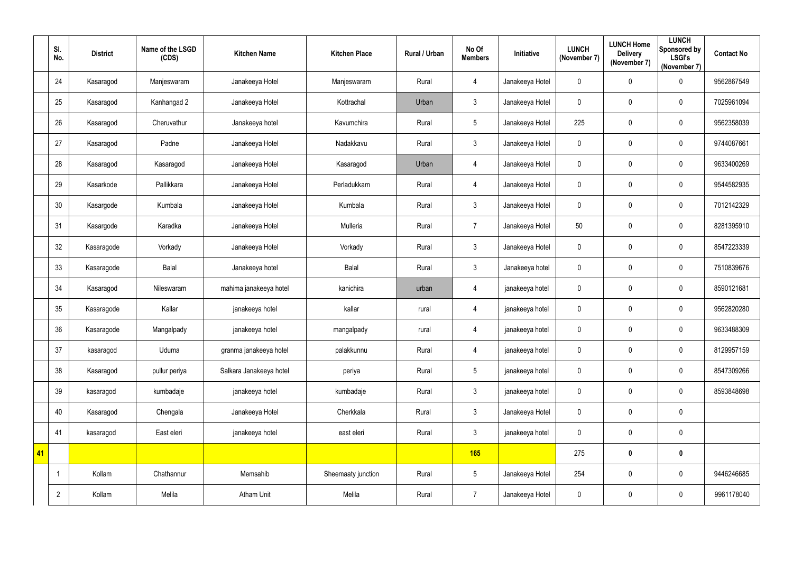|    | SI.<br>No.     | <b>District</b> | Name of the LSGD<br>(CDS) | <b>Kitchen Name</b>     | <b>Kitchen Place</b> | <b>Rural / Urban</b> | No Of<br><b>Members</b> | Initiative      | <b>LUNCH</b><br>(November 7) | <b>LUNCH Home</b><br><b>Delivery</b><br>(November 7) | <b>LUNCH</b><br><b>Sponsored by</b><br><b>LSGI's</b><br>(November 7) | <b>Contact No</b> |
|----|----------------|-----------------|---------------------------|-------------------------|----------------------|----------------------|-------------------------|-----------------|------------------------------|------------------------------------------------------|----------------------------------------------------------------------|-------------------|
|    | 24             | Kasaragod       | Manjeswaram               | Janakeeya Hotel         | Manjeswaram          | Rural                | $\overline{4}$          | Janakeeya Hotel | $\mathbf 0$                  | 0                                                    | $\pmb{0}$                                                            | 9562867549        |
|    | 25             | Kasaragod       | Kanhangad 2               | Janakeeya Hotel         | Kottrachal           | Urban                | $\mathfrak{Z}$          | Janakeeya Hotel | 0                            | 0                                                    | $\overline{0}$                                                       | 7025961094        |
|    | 26             | Kasaragod       | Cheruvathur               | Janakeeya hotel         | Kavumchira           | Rural                | $5\phantom{.0}$         | Janakeeya Hotel | 225                          | 0                                                    | $\overline{0}$                                                       | 9562358039        |
|    | 27             | Kasaragod       | Padne                     | Janakeeya Hotel         | Nadakkavu            | Rural                | $\mathfrak{Z}$          | Janakeeya Hotel | $\pmb{0}$                    | 0                                                    | $\mathbf 0$                                                          | 9744087661        |
|    | 28             | Kasaragod       | Kasaragod                 | Janakeeya Hotel         | Kasaragod            | Urban                | $\overline{4}$          | Janakeeya Hotel | 0                            | 0                                                    | $\mathbf 0$                                                          | 9633400269        |
|    | 29             | Kasarkode       | Pallikkara                | Janakeeya Hotel         | Perladukkam          | Rural                | $\overline{4}$          | Janakeeya Hotel | $\overline{0}$               | 0                                                    | $\overline{0}$                                                       | 9544582935        |
|    | 30             | Kasargode       | Kumbala                   | Janakeeya Hotel         | Kumbala              | Rural                | $\mathfrak{Z}$          | Janakeeya Hotel | 0                            | 0                                                    | $\pmb{0}$                                                            | 7012142329        |
|    | 31             | Kasargode       | Karadka                   | Janakeeya Hotel         | Mulleria             | Rural                | $\overline{7}$          | Janakeeya Hotel | 50                           | 0                                                    | $\overline{0}$                                                       | 8281395910        |
|    | 32             | Kasaragode      | Vorkady                   | Janakeeya Hotel         | Vorkady              | Rural                | $\mathfrak{Z}$          | Janakeeya Hotel | 0                            | 0                                                    | $\mathbf 0$                                                          | 8547223339        |
|    | 33             | Kasaragode      | <b>Balal</b>              | Janakeeya hotel         | Balal                | Rural                | $\mathfrak{Z}$          | Janakeeya hotel | 0                            | 0                                                    | $\overline{0}$                                                       | 7510839676        |
|    | 34             | Kasaragod       | Nileswaram                | mahima janakeeya hotel  | kanichira            | urban                | $\overline{4}$          | janakeeya hotel | $\pmb{0}$                    | $\pmb{0}$                                            | $\mathbf 0$                                                          | 8590121681        |
|    | 35             | Kasaragode      | Kallar                    | janakeeya hotel         | kallar               | rural                | $\overline{4}$          | janakeeya hotel | 0                            | $\pmb{0}$                                            | $\overline{0}$                                                       | 9562820280        |
|    | 36             | Kasaragode      | Mangalpady                | janakeeya hotel         | mangalpady           | rural                | 4                       | janakeeya hotel | $\mathbf 0$                  | $\mathbf 0$                                          | 0                                                                    | 9633488309        |
|    | 37             | kasaragod       | Uduma                     | granma janakeeya hotel  | palakkunnu           | Rural                | $\overline{4}$          | janakeeya hotel | $\mathbf 0$                  | $\pmb{0}$                                            | $\mathbf 0$                                                          | 8129957159        |
|    | 38             | Kasaragod       | pullur periya             | Salkara Janakeeya hotel | periya               | Rural                | $5\phantom{.0}$         | janakeeya hotel | $\mathbf 0$                  | $\pmb{0}$                                            | $\mathbf 0$                                                          | 8547309266        |
|    | 39             | kasaragod       | kumbadaje                 | janakeeya hotel         | kumbadaje            | Rural                | $\mathfrak{Z}$          | janakeeya hotel | $\mathbf 0$                  | $\pmb{0}$                                            | $\overline{0}$                                                       | 8593848698        |
|    | 40             | Kasaragod       | Chengala                  | Janakeeya Hotel         | Cherkkala            | Rural                | $\mathfrak{Z}$          | Janakeeya Hotel | $\mathbf 0$                  | $\pmb{0}$                                            | $\overline{0}$                                                       |                   |
|    | 41             | kasaragod       | East eleri                | janakeeya hotel         | east eleri           | Rural                | $\mathfrak{Z}$          | janakeeya hotel | $\mathbf 0$                  | $\pmb{0}$                                            | $\overline{0}$                                                       |                   |
| 41 |                |                 |                           |                         |                      |                      | 165                     |                 | 275                          | $\pmb{0}$                                            | $\mathbf 0$                                                          |                   |
|    |                | Kollam          | Chathannur                | Memsahib                | Sheemaaty junction   | Rural                | $\sqrt{5}$              | Janakeeya Hotel | 254                          | $\pmb{0}$                                            | $\mathbf 0$                                                          | 9446246685        |
|    | $\overline{2}$ | Kollam          | Melila                    | Atham Unit              | Melila               | Rural                | $\overline{7}$          | Janakeeya Hotel | $\pmb{0}$                    | $\pmb{0}$                                            | $\overline{0}$                                                       | 9961178040        |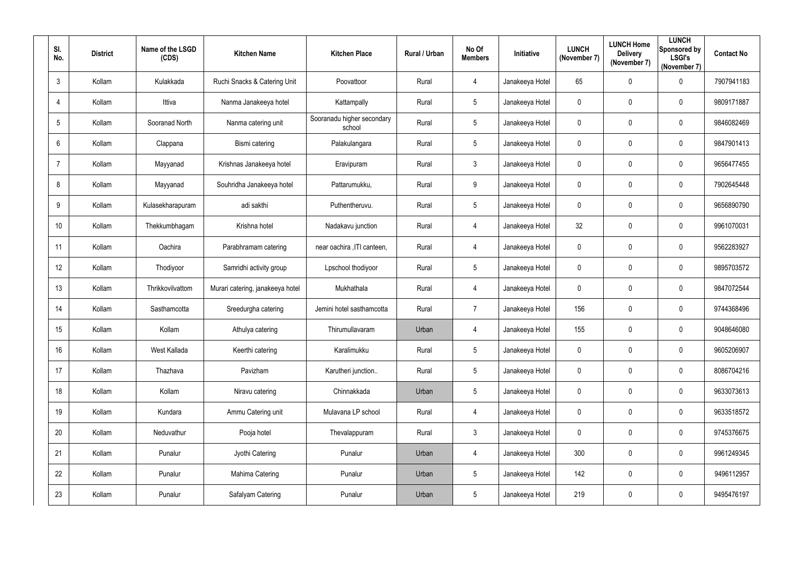| SI.<br>No.     | <b>District</b> | Name of the LSGD<br>(CDS) | <b>Kitchen Name</b>              | <b>Kitchen Place</b>                 | Rural / Urban | No Of<br><b>Members</b> | Initiative      | <b>LUNCH</b><br>(November 7) | <b>LUNCH Home</b><br><b>Delivery</b><br>(November 7) | <b>LUNCH</b><br>Sponsored by<br><b>LSGI's</b><br>(November 7) | <b>Contact No</b> |
|----------------|-----------------|---------------------------|----------------------------------|--------------------------------------|---------------|-------------------------|-----------------|------------------------------|------------------------------------------------------|---------------------------------------------------------------|-------------------|
| $\mathfrak{Z}$ | Kollam          | Kulakkada                 | Ruchi Snacks & Catering Unit     | Poovattoor                           | Rural         | $\overline{4}$          | Janakeeya Hotel | 65                           | $\mathbf 0$                                          | $\mathbf 0$                                                   | 7907941183        |
| 4              | Kollam          | Ittiva                    | Nanma Janakeeya hotel            | Kattampally                          | Rural         | $5\overline{)}$         | Janakeeya Hotel | $\boldsymbol{0}$             | $\mathbf 0$                                          | $\overline{0}$                                                | 9809171887        |
| 5              | Kollam          | Sooranad North            | Nanma catering unit              | Sooranadu higher secondary<br>school | Rural         | $5\phantom{.0}$         | Janakeeya Hotel | $\overline{0}$               | $\mathbf 0$                                          | $\mathbf 0$                                                   | 9846082469        |
| 6              | Kollam          | Clappana                  | Bismi catering                   | Palakulangara                        | Rural         | $5\overline{)}$         | Janakeeya Hotel | $\boldsymbol{0}$             | $\mathbf 0$                                          | $\mathbf 0$                                                   | 9847901413        |
|                | Kollam          | Mayyanad                  | Krishnas Janakeeya hotel         | Eravipuram                           | Rural         | $3\phantom{.0}$         | Janakeeya Hotel | $\mathbf 0$                  | $\mathbf 0$                                          | $\overline{0}$                                                | 9656477455        |
| 8              | Kollam          | Mayyanad                  | Souhridha Janakeeya hotel        | Pattarumukku,                        | Rural         | 9                       | Janakeeya Hotel | $\overline{0}$               | $\mathbf 0$                                          | $\overline{0}$                                                | 7902645448        |
| 9              | Kollam          | Kulasekharapuram          | adi sakthi                       | Puthentheruvu.                       | Rural         | $5\overline{)}$         | Janakeeya Hotel | $\mathbf 0$                  | 0                                                    | $\overline{0}$                                                | 9656890790        |
| 10             | Kollam          | Thekkumbhagam             | Krishna hotel                    | Nadakavu junction                    | Rural         | $\overline{4}$          | Janakeeya Hotel | 32 <sup>°</sup>              | $\mathbf 0$                                          | $\mathbf 0$                                                   | 9961070031        |
| 11             | Kollam          | Oachira                   | Parabhramam catering             | near oachira , ITI canteen,          | Rural         | $\overline{4}$          | Janakeeya Hotel | $\overline{0}$               | $\mathbf 0$                                          | $\overline{0}$                                                | 9562283927        |
| 12             | Kollam          | Thodiyoor                 | Samridhi activity group          | Lpschool thodiyoor                   | Rural         | $5\overline{)}$         | Janakeeya Hotel | $\mathbf 0$                  | $\mathbf 0$                                          | $\mathbf 0$                                                   | 9895703572        |
| 13             | Kollam          | Thrikkovilvattom          | Murari catering, janakeeya hotel | Mukhathala                           | Rural         | $\overline{4}$          | Janakeeya Hotel | $\boldsymbol{0}$             | $\mathbf 0$                                          | $\overline{0}$                                                | 9847072544        |
| 14             | Kollam          | Sasthamcotta              | Sreedurgha catering              | Jemini hotel sasthamcotta            | Rural         | $\overline{7}$          | Janakeeya Hotel | 156                          | $\mathbf 0$                                          | $\overline{0}$                                                | 9744368496        |
| 15             | Kollam          | Kollam                    | Athulya catering                 | Thirumullavaram                      | Urban         | 4                       | Janakeeya Hotel | 155                          | 0                                                    | 0                                                             | 9048646080        |
| 16             | Kollam          | West Kallada              | Keerthi catering                 | Karalimukku                          | Rural         | $5\phantom{.0}$         | Janakeeya Hotel | $\pmb{0}$                    | $\mathbf 0$                                          | $\boldsymbol{0}$                                              | 9605206907        |
| 17             | Kollam          | Thazhava                  | Pavizham                         | Karutheri junction                   | Rural         | $5\phantom{.0}$         | Janakeeya Hotel | $\bm{0}$                     | $\mathbf 0$                                          | $\pmb{0}$                                                     | 8086704216        |
| 18             | Kollam          | Kollam                    | Niravu catering                  | Chinnakkada                          | Urban         | $5\phantom{.0}$         | Janakeeya Hotel | $\pmb{0}$                    | $\mathbf 0$                                          | $\pmb{0}$                                                     | 9633073613        |
| 19             | Kollam          | Kundara                   | Ammu Catering unit               | Mulavana LP school                   | Rural         | $\overline{4}$          | Janakeeya Hotel | $\pmb{0}$                    | $\mathbf 0$                                          | $\boldsymbol{0}$                                              | 9633518572        |
| 20             | Kollam          | Neduvathur                | Pooja hotel                      | Thevalappuram                        | Rural         | $\mathbf{3}$            | Janakeeya Hotel | $\mathbf 0$                  | $\mathbf 0$                                          | $\mathbf 0$                                                   | 9745376675        |
| 21             | Kollam          | Punalur                   | Jyothi Catering                  | Punalur                              | Urban         | $\overline{4}$          | Janakeeya Hotel | 300                          | $\mathbf 0$                                          | $\mathbf 0$                                                   | 9961249345        |
| 22             | Kollam          | Punalur                   | Mahima Catering                  | Punalur                              | Urban         | $5\phantom{.0}$         | Janakeeya Hotel | 142                          | $\pmb{0}$                                            | $\pmb{0}$                                                     | 9496112957        |
| 23             | Kollam          | Punalur                   | Safalyam Catering                | Punalur                              | Urban         | $5\phantom{.0}$         | Janakeeya Hotel | 219                          | $\mathbf 0$                                          | $\bm{0}$                                                      | 9495476197        |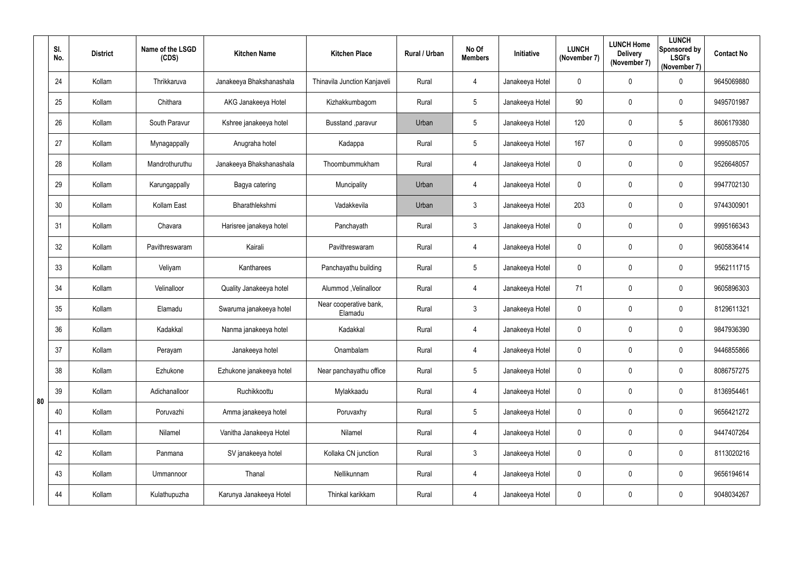|    | SI.<br>No. | <b>District</b> | Name of the LSGD<br>(CDS) | <b>Kitchen Name</b>      | <b>Kitchen Place</b>              | Rural / Urban | No Of<br><b>Members</b> | Initiative      | <b>LUNCH</b><br>(November 7) | <b>LUNCH Home</b><br><b>Delivery</b><br>(November 7) | <b>LUNCH</b><br>Sponsored by<br><b>LSGI's</b><br>(November 7) | <b>Contact No</b> |
|----|------------|-----------------|---------------------------|--------------------------|-----------------------------------|---------------|-------------------------|-----------------|------------------------------|------------------------------------------------------|---------------------------------------------------------------|-------------------|
|    | 24         | Kollam          | Thrikkaruva               | Janakeeya Bhakshanashala | Thinavila Junction Kanjaveli      | Rural         | $\overline{4}$          | Janakeeya Hotel | $\mathbf 0$                  | 0                                                    | $\mathbf 0$                                                   | 9645069880        |
|    | 25         | Kollam          | Chithara                  | AKG Janakeeya Hotel      | Kizhakkumbagom                    | Rural         | 5                       | Janakeeya Hotel | 90                           | 0                                                    | $\mathbf 0$                                                   | 9495701987        |
|    | 26         | Kollam          | South Paravur             | Kshree janakeeya hotel   | Busstand , paravur                | Urban         | 5                       | Janakeeya Hotel | 120                          | 0                                                    | $5\phantom{.0}$                                               | 8606179380        |
|    | 27         | Kollam          | Mynagappally              | Anugraha hotel           | Kadappa                           | Rural         | 5                       | Janakeeya Hotel | 167                          | 0                                                    | $\mathbf 0$                                                   | 9995085705        |
|    | 28         | Kollam          | Mandrothuruthu            | Janakeeya Bhakshanashala | Thoombummukham                    | Rural         | $\overline{4}$          | Janakeeya Hotel | $\mathbf 0$                  | 0                                                    | $\mathbf 0$                                                   | 9526648057        |
|    | 29         | Kollam          | Karungappally             | Bagya catering           | Muncipality                       | Urban         | $\overline{4}$          | Janakeeya Hotel | $\overline{0}$               | 0                                                    | $\mathbf 0$                                                   | 9947702130        |
|    | 30         | Kollam          | Kollam East               | Bharathlekshmi           | Vadakkevila                       | Urban         | $\mathfrak{Z}$          | Janakeeya Hotel | 203                          | 0                                                    | $\mathbf 0$                                                   | 9744300901        |
|    | 31         | Kollam          | Chavara                   | Harisree janakeya hotel  | Panchayath                        | Rural         | $\mathfrak{Z}$          | Janakeeya Hotel | $\mathbf 0$                  | 0                                                    | $\mathbf 0$                                                   | 9995166343        |
|    | 32         | Kollam          | Pavithreswaram            | Kairali                  | Pavithreswaram                    | Rural         | $\overline{4}$          | Janakeeya Hotel | $\overline{0}$               | 0                                                    | $\mathbf 0$                                                   | 9605836414        |
|    | 33         | Kollam          | Veliyam                   | Kantharees               | Panchayathu building              | Rural         | 5                       | Janakeeya Hotel | $\mathbf 0$                  | 0                                                    | $\mathbf 0$                                                   | 9562111715        |
|    | 34         | Kollam          | Velinalloor               | Quality Janakeeya hotel  | Alummod, Velinalloor              | Rural         | $\overline{4}$          | Janakeeya Hotel | 71                           | 0                                                    | $\mathbf 0$                                                   | 9605896303        |
|    | 35         | Kollam          | Elamadu                   | Swaruma janakeeya hotel  | Near cooperative bank,<br>Elamadu | Rural         | 3                       | Janakeeya Hotel | $\mathbf 0$                  | 0                                                    | $\mathbf 0$                                                   | 8129611321        |
|    | 36         | Kollam          | Kadakkal                  | Nanma janakeeya hotel    | Kadakkal                          | Rural         | 4                       | Janakeeya Hotel | $\mathbf 0$                  | $\mathbf 0$                                          | $\mathbf 0$                                                   | 9847936390        |
|    | 37         | Kollam          | Perayam                   | Janakeeya hotel          | Onambalam                         | Rural         | $\overline{4}$          | Janakeeya Hotel | $\overline{0}$               | 0                                                    | $\mathbf 0$                                                   | 9446855866        |
|    | 38         | Kollam          | Ezhukone                  | Ezhukone janakeeya hotel | Near panchayathu office           | Rural         | $5\overline{)}$         | Janakeeya Hotel | $\mathbf 0$                  | 0                                                    | $\mathbf 0$                                                   | 8086757275        |
|    | 39         | Kollam          | Adichanalloor             | Ruchikkoottu             | Mylakkaadu                        | Rural         | $\overline{4}$          | Janakeeya Hotel | $\mathbf 0$                  | 0                                                    | $\mathbf 0$                                                   | 8136954461        |
| 80 | 40         | Kollam          | Poruvazhi                 | Amma janakeeya hotel     | Poruvaxhy                         | Rural         | 5                       | Janakeeya Hotel | $\mathbf 0$                  | 0                                                    | $\mathbf 0$                                                   | 9656421272        |
|    | 41         | Kollam          | Nilamel                   | Vanitha Janakeeya Hotel  | Nilamel                           | Rural         | $\overline{4}$          | Janakeeya Hotel | $\mathbf 0$                  | 0                                                    | $\overline{0}$                                                | 9447407264        |
|    | 42         | Kollam          | Panmana                   | SV janakeeya hotel       | Kollaka CN junction               | Rural         | $\mathfrak{Z}$          | Janakeeya Hotel | $\mathbf 0$                  | 0                                                    | $\mathbf 0$                                                   | 8113020216        |
|    | 43         | Kollam          | Ummannoor                 | Thanal                   | Nellikunnam                       | Rural         | $\overline{4}$          | Janakeeya Hotel | $\mathbf 0$                  | 0                                                    | $\mathbf 0$                                                   | 9656194614        |
|    | 44         | Kollam          | Kulathupuzha              | Karunya Janakeeya Hotel  | Thinkal karikkam                  | Rural         | $\overline{4}$          | Janakeeya Hotel | $\mathbf 0$                  | 0                                                    | $\overline{0}$                                                | 9048034267        |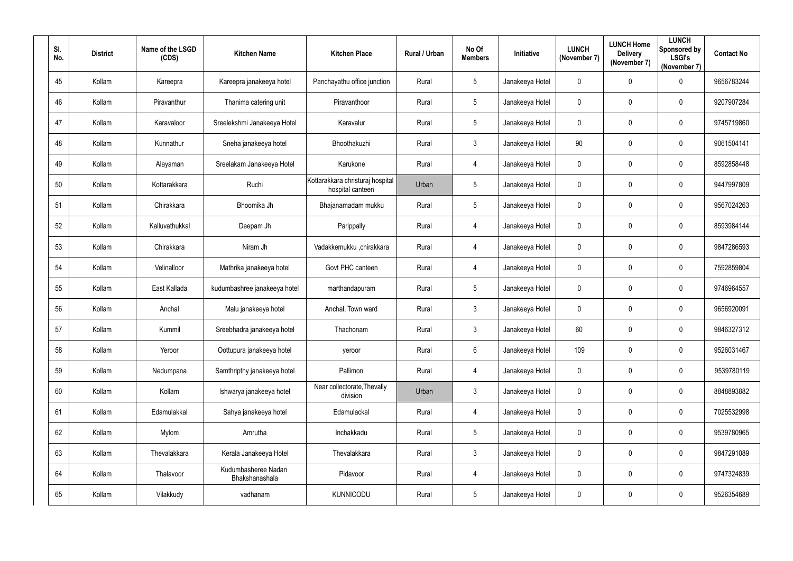| SI.<br>No. | <b>District</b> | Name of the LSGD<br>(CDS) | <b>Kitchen Name</b>                   | <b>Kitchen Place</b>                                 | Rural / Urban | No Of<br><b>Members</b> | Initiative      | <b>LUNCH</b><br>(November 7) | <b>LUNCH Home</b><br><b>Delivery</b><br>(November 7) | <b>LUNCH</b><br>Sponsored by<br><b>LSGI's</b><br>(November 7) | <b>Contact No</b> |
|------------|-----------------|---------------------------|---------------------------------------|------------------------------------------------------|---------------|-------------------------|-----------------|------------------------------|------------------------------------------------------|---------------------------------------------------------------|-------------------|
| 45         | Kollam          | Kareepra                  | Kareepra janakeeya hotel              | Panchayathu office junction                          | Rural         | $5\overline{)}$         | Janakeeya Hotel | $\mathbf 0$                  | $\mathbf 0$                                          | $\mathbf 0$                                                   | 9656783244        |
| 46         | Kollam          | Piravanthur               | Thanima catering unit                 | Piravanthoor                                         | Rural         | $5\overline{)}$         | Janakeeya Hotel | $\mathbf 0$                  | $\mathbf 0$                                          | $\overline{0}$                                                | 9207907284        |
| 47         | Kollam          | Karavaloor                | Sreelekshmi Janakeeya Hotel           | Karavalur                                            | Rural         | $5\phantom{.0}$         | Janakeeya Hotel | $\mathbf 0$                  | $\mathbf 0$                                          | $\boldsymbol{0}$                                              | 9745719860        |
| 48         | Kollam          | Kunnathur                 | Sneha janakeeya hotel                 | Bhoothakuzhi                                         | Rural         | 3 <sup>1</sup>          | Janakeeya Hotel | 90                           | $\overline{0}$                                       | $\mathbf 0$                                                   | 9061504141        |
| 49         | Kollam          | Alayaman                  | Sreelakam Janakeeya Hotel             | Karukone                                             | Rural         | 4                       | Janakeeya Hotel | $\mathbf 0$                  | 0                                                    | $\overline{0}$                                                | 8592858448        |
| 50         | Kollam          | Kottarakkara              | Ruchi                                 | Kottarakkara christuraj hospital<br>hospital canteen | Urban         | $5\phantom{.0}$         | Janakeeya Hotel | $\boldsymbol{0}$             | $\overline{0}$                                       | $\boldsymbol{0}$                                              | 9447997809        |
| 51         | Kollam          | Chirakkara                | Bhoomika Jh                           | Bhajanamadam mukku                                   | Rural         | $5\overline{)}$         | Janakeeya Hotel | $\mathbf 0$                  | 0                                                    | $\overline{0}$                                                | 9567024263        |
| 52         | Kollam          | Kalluvathukkal            | Deepam Jh                             | Parippally                                           | Rural         | $\overline{4}$          | Janakeeya Hotel | $\boldsymbol{0}$             | $\mathbf 0$                                          | $\overline{0}$                                                | 8593984144        |
| 53         | Kollam          | Chirakkara                | Niram Jh                              | Vadakkemukku ,chirakkara                             | Rural         | 4                       | Janakeeya Hotel | $\boldsymbol{0}$             | $\mathbf 0$                                          | $\overline{0}$                                                | 9847286593        |
| 54         | Kollam          | Velinalloor               | Mathrika janakeeya hotel              | Govt PHC canteen                                     | Rural         | $\overline{4}$          | Janakeeya Hotel | $\mathbf 0$                  | $\overline{0}$                                       | $\mathbf 0$                                                   | 7592859804        |
| 55         | Kollam          | East Kallada              | kudumbashree janakeeya hotel          | marthandapuram                                       | Rural         | $5\phantom{.0}$         | Janakeeya Hotel | $\boldsymbol{0}$             | $\overline{0}$                                       | $\overline{0}$                                                | 9746964557        |
| 56         | Kollam          | Anchal                    | Malu janakeeya hotel                  | Anchal, Town ward                                    | Rural         | $\mathbf{3}$            | Janakeeya Hotel | $\mathbf 0$                  | $\overline{0}$                                       | $\overline{0}$                                                | 9656920091        |
| 57         | Kollam          | Kummil                    | Sreebhadra janakeeya hotel            | Thachonam                                            | Rural         | $\mathbf{3}$            | Janakeeya Hotel | 60                           | $\mathbf 0$                                          | $\overline{0}$                                                | 9846327312        |
| 58         | Kollam          | Yeroor                    | Oottupura janakeeya hotel             | yeroor                                               | Rural         | $6\overline{6}$         | Janakeeya Hotel | 109                          | $\mathbf 0$                                          | $\mathbf 0$                                                   | 9526031467        |
| 59         | Kollam          | Nedumpana                 | Samthripthy janakeeya hotel           | Pallimon                                             | Rural         | $\overline{4}$          | Janakeeya Hotel | $\pmb{0}$                    | $\mathbf 0$                                          | $\mathbf 0$                                                   | 9539780119        |
| 60         | Kollam          | Kollam                    | Ishwarya janakeeya hotel              | Near collectorate, Thevally<br>division              | Urban         | 3 <sup>1</sup>          | Janakeeya Hotel | $\pmb{0}$                    | $\mathbf 0$                                          | $\pmb{0}$                                                     | 8848893882        |
| 61         | Kollam          | Edamulakkal               | Sahya janakeeya hotel                 | Edamulackal                                          | Rural         | $\overline{4}$          | Janakeeya Hotel | $\pmb{0}$                    | $\mathbf 0$                                          | $\boldsymbol{0}$                                              | 7025532998        |
| 62         | Kollam          | Mylom                     | Amrutha                               | Inchakkadu                                           | Rural         | $5\overline{)}$         | Janakeeya Hotel | $\pmb{0}$                    | $\mathbf 0$                                          | $\mathbf 0$                                                   | 9539780965        |
| 63         | Kollam          | Thevalakkara              | Kerala Janakeeya Hotel                | Thevalakkara                                         | Rural         | $3\phantom{.0}$         | Janakeeya Hotel | $\pmb{0}$                    | $\mathbf 0$                                          | $\pmb{0}$                                                     | 9847291089        |
| 64         | Kollam          | Thalavoor                 | Kudumbasheree Nadan<br>Bhakshanashala | Pidavoor                                             | Rural         | $\overline{4}$          | Janakeeya Hotel | $\boldsymbol{0}$             | $\mathbf 0$                                          | $\pmb{0}$                                                     | 9747324839        |
| 65         | Kollam          | Vilakkudy                 | vadhanam                              | <b>KUNNICODU</b>                                     | Rural         | $5\phantom{.0}$         | Janakeeya Hotel | $\pmb{0}$                    | $\mathbf 0$                                          | $\bm{0}$                                                      | 9526354689        |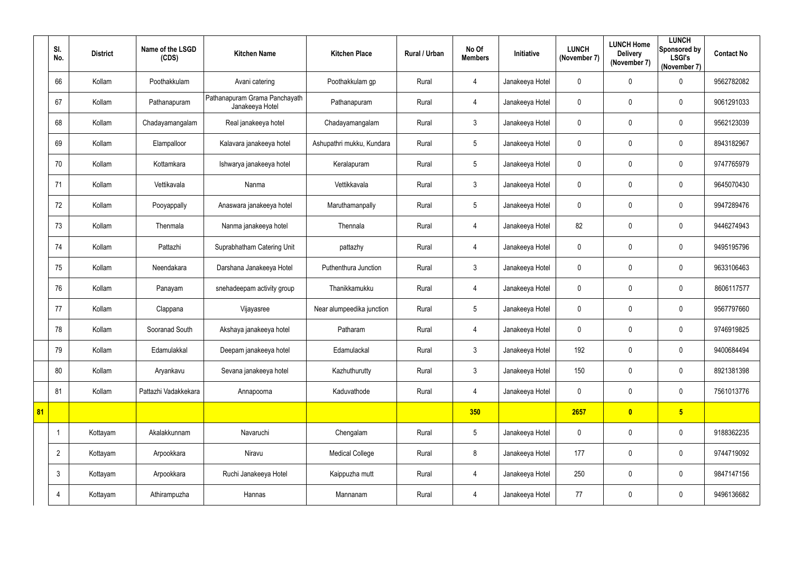|    | SI.<br>No.     | <b>District</b> | Name of the LSGD<br>(CDS) | <b>Kitchen Name</b>                              | <b>Kitchen Place</b>      | Rural / Urban | No Of<br><b>Members</b> | Initiative      | <b>LUNCH</b><br>(November 7) | <b>LUNCH Home</b><br><b>Delivery</b><br>(November 7) | <b>LUNCH</b><br>Sponsored by<br><b>LSGI's</b><br>(November 7) | <b>Contact No</b> |
|----|----------------|-----------------|---------------------------|--------------------------------------------------|---------------------------|---------------|-------------------------|-----------------|------------------------------|------------------------------------------------------|---------------------------------------------------------------|-------------------|
|    | 66             | Kollam          | Poothakkulam              | Avani catering                                   | Poothakkulam gp           | Rural         | 4                       | Janakeeya Hotel | 0                            | $\mathbf 0$                                          | $\overline{0}$                                                | 9562782082        |
|    | 67             | Kollam          | Pathanapuram              | Pathanapuram Grama Panchayath<br>Janakeeya Hotel | Pathanapuram              | Rural         | 4                       | Janakeeya Hotel | $\mathbf 0$                  | 0                                                    | $\mathbf 0$                                                   | 9061291033        |
|    | 68             | Kollam          | Chadayamangalam           | Real janakeeya hotel                             | Chadayamangalam           | Rural         | $\mathfrak{Z}$          | Janakeeya Hotel | $\mathbf 0$                  | $\mathbf 0$                                          | $\mathbf 0$                                                   | 9562123039        |
|    | 69             | Kollam          | Elampalloor               | Kalavara janakeeya hotel                         | Ashupathri mukku, Kundara | Rural         | $5\phantom{.0}$         | Janakeeya Hotel | 0                            | 0                                                    | $\mathbf 0$                                                   | 8943182967        |
|    | 70             | Kollam          | Kottamkara                | Ishwarya janakeeya hotel                         | Keralapuram               | Rural         | $5\overline{)}$         | Janakeeya Hotel | 0                            | $\boldsymbol{0}$                                     | $\mathbf 0$                                                   | 9747765979        |
|    | 71             | Kollam          | Vettikavala               | Nanma                                            | Vettikkavala              | Rural         | $\mathfrak{Z}$          | Janakeeya Hotel | 0                            | $\pmb{0}$                                            | $\overline{0}$                                                | 9645070430        |
|    | 72             | Kollam          | Pooyappally               | Anaswara janakeeya hotel                         | Maruthamanpally           | Rural         | $5\phantom{.0}$         | Janakeeya Hotel | 0                            | 0                                                    | $\mathbf 0$                                                   | 9947289476        |
|    | 73             | Kollam          | Thenmala                  | Nanma janakeeya hotel                            | Thennala                  | Rural         | 4                       | Janakeeya Hotel | 82                           | 0                                                    | $\mathbf 0$                                                   | 9446274943        |
|    | 74             | Kollam          | Pattazhi                  | Suprabhatham Catering Unit                       | pattazhy                  | Rural         | 4                       | Janakeeya Hotel | 0                            | 0                                                    | $\mathbf 0$                                                   | 9495195796        |
|    | 75             | Kollam          | Neendakara                | Darshana Janakeeya Hotel                         | Puthenthura Junction      | Rural         | $\mathfrak{Z}$          | Janakeeya Hotel | 0                            | $\boldsymbol{0}$                                     | $\mathbf 0$                                                   | 9633106463        |
|    | 76             | Kollam          | Panayam                   | snehadeepam activity group                       | Thanikkamukku             | Rural         | 4                       | Janakeeya Hotel | 0                            | 0                                                    | $\overline{0}$                                                | 8606117577        |
|    | 77             | Kollam          | Clappana                  | Vijayasree                                       | Near alumpeedika junction | Rural         | $5\phantom{.0}$         | Janakeeya Hotel | 0                            | 0                                                    | $\mathbf 0$                                                   | 9567797660        |
|    | 78             | Kollam          | Sooranad South            | Akshaya janakeeya hotel                          | Patharam                  | Rural         | 4                       | Janakeeya Hotel | 0                            | 0                                                    | $\mathbf 0$                                                   | 9746919825        |
|    | 79             | Kollam          | Edamulakkal               | Deepam janakeeya hotel                           | Edamulackal               | Rural         | $\mathfrak{Z}$          | Janakeeya Hotel | 192                          | $\pmb{0}$                                            | $\overline{0}$                                                | 9400684494        |
|    | 80             | Kollam          | Aryankavu                 | Sevana janakeeya hotel                           | Kazhuthurutty             | Rural         | $\mathfrak{Z}$          | Janakeeya Hotel | 150                          | $\pmb{0}$                                            | $\overline{0}$                                                | 8921381398        |
|    | 81             | Kollam          | Pattazhi Vadakkekara      | Annapoorna                                       | Kaduvathode               | Rural         | $\overline{4}$          | Janakeeya Hotel | $\pmb{0}$                    | $\pmb{0}$                                            | $\overline{0}$                                                | 7561013776        |
| 81 |                |                 |                           |                                                  |                           |               | 350                     |                 | 2657                         | $\bullet$                                            | 5 <sub>5</sub>                                                |                   |
|    | -1             | Kottayam        | Akalakkunnam              | Navaruchi                                        | Chengalam                 | Rural         | $5\phantom{.0}$         | Janakeeya Hotel | $\mathbf 0$                  | $\pmb{0}$                                            | $\overline{0}$                                                | 9188362235        |
|    | $\overline{2}$ | Kottayam        | Arpookkara                | Niravu                                           | <b>Medical College</b>    | Rural         | $8\phantom{.}$          | Janakeeya Hotel | 177                          | $\pmb{0}$                                            | $\overline{0}$                                                | 9744719092        |
|    | $\mathbf{3}$   | Kottayam        | Arpookkara                | Ruchi Janakeeya Hotel                            | Kaippuzha mutt            | Rural         | $\overline{4}$          | Janakeeya Hotel | 250                          | $\pmb{0}$                                            | $\overline{0}$                                                | 9847147156        |
|    | 4              | Kottayam        | Athirampuzha              | Hannas                                           | Mannanam                  | Rural         | $\overline{4}$          | Janakeeya Hotel | $77$                         | $\pmb{0}$                                            | $\overline{0}$                                                | 9496136682        |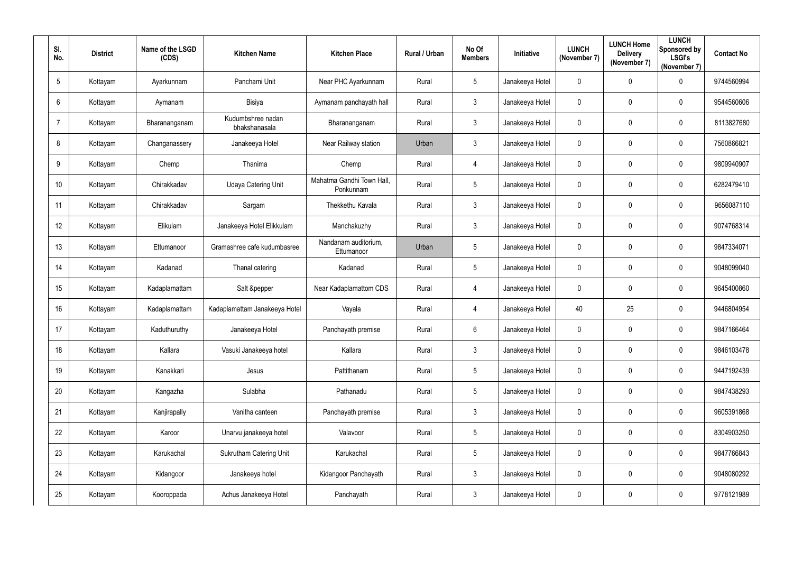| SI.            | No.             | <b>District</b> | Name of the LSGD<br>(CDS) | <b>Kitchen Name</b>                | <b>Kitchen Place</b>                   | Rural / Urban | No Of<br><b>Members</b> | Initiative      | <b>LUNCH</b><br>(November 7) | <b>LUNCH Home</b><br><b>Delivery</b><br>(November 7) | <b>LUNCH</b><br>Sponsored by<br><b>LSGI's</b><br>(November 7) | <b>Contact No</b> |
|----------------|-----------------|-----------------|---------------------------|------------------------------------|----------------------------------------|---------------|-------------------------|-----------------|------------------------------|------------------------------------------------------|---------------------------------------------------------------|-------------------|
|                | $5\phantom{.0}$ | Kottayam        | Ayarkunnam                | Panchami Unit                      | Near PHC Ayarkunnam                    | Rural         | $5\phantom{.0}$         | Janakeeya Hotel | $\mathbf 0$                  | $\mathbf 0$                                          | $\mathbf 0$                                                   | 9744560994        |
|                | 6               | Kottayam        | Aymanam                   | Bisiya                             | Aymanam panchayath hall                | Rural         | 3                       | Janakeeya Hotel | $\boldsymbol{0}$             | 0                                                    | $\overline{0}$                                                | 9544560606        |
| $\overline{7}$ |                 | Kottayam        | Bharananganam             | Kudumbshree nadan<br>bhakshanasala | Bharananganam                          | Rural         | $\mathbf{3}$            | Janakeeya Hotel | $\pmb{0}$                    | $\mathbf 0$                                          | $\boldsymbol{0}$                                              | 8113827680        |
|                | 8               | Kottayam        | Changanassery             | Janakeeya Hotel                    | Near Railway station                   | Urban         | $\mathfrak{Z}$          | Janakeeya Hotel | $\boldsymbol{0}$             | 0                                                    | $\mathbf 0$                                                   | 7560866821        |
|                | 9               | Kottayam        | Chemp                     | Thanima                            | Chemp                                  | Rural         | 4                       | Janakeeya Hotel | $\mathbf 0$                  | $\overline{0}$                                       | $\overline{0}$                                                | 9809940907        |
|                | 10 <sup>°</sup> | Kottayam        | Chirakkadav               | <b>Udaya Catering Unit</b>         | Mahatma Gandhi Town Hall,<br>Ponkunnam | Rural         | $5\overline{)}$         | Janakeeya Hotel | $\mathbf 0$                  | $\overline{0}$                                       | $\overline{0}$                                                | 6282479410        |
|                | 11              | Kottayam        | Chirakkadav               | Sargam                             | Thekkethu Kavala                       | Rural         | 3 <sup>1</sup>          | Janakeeya Hotel | $\mathbf 0$                  | $\mathbf 0$                                          | $\mathbf 0$                                                   | 9656087110        |
|                | 12              | Kottayam        | Elikulam                  | Janakeeya Hotel Elikkulam          | Manchakuzhy                            | Rural         | 3 <sup>5</sup>          | Janakeeya Hotel | $\mathbf 0$                  | $\mathbf 0$                                          | $\overline{0}$                                                | 9074768314        |
|                | 13              | Kottayam        | Ettumanoor                | Gramashree cafe kudumbasree        | Nandanam auditorium,<br>Ettumanoor     | Urban         | $5\phantom{.0}$         | Janakeeya Hotel | $\boldsymbol{0}$             | $\overline{0}$                                       | $\overline{0}$                                                | 9847334071        |
|                | 14              | Kottayam        | Kadanad                   | Thanal catering                    | Kadanad                                | Rural         | $5\phantom{.0}$         | Janakeeya Hotel | $\mathbf 0$                  | $\mathbf 0$                                          | $\overline{0}$                                                | 9048099040        |
|                | 15              | Kottayam        | Kadaplamattam             | Salt &pepper                       | Near Kadaplamattom CDS                 | Rural         | $\overline{4}$          | Janakeeya Hotel | $\mathbf 0$                  | $\overline{0}$                                       | $\boldsymbol{0}$                                              | 9645400860        |
|                | 16              | Kottayam        | Kadaplamattam             | Kadaplamattam Janakeeya Hotel      | Vayala                                 | Rural         | $\overline{4}$          | Janakeeya Hotel | 40                           | 25                                                   | $\overline{0}$                                                | 9446804954        |
|                | 17              | Kottayam        | Kaduthuruthy              | Janakeeya Hotel                    | Panchayath premise                     | Rural         | 6                       | Janakeeya Hotel | $\mathbf 0$                  | $\mathbf 0$                                          | 0                                                             | 9847166464        |
|                | 18              | Kottayam        | Kallara                   | Vasuki Janakeeya hotel             | Kallara                                | Rural         | $3\phantom{.0}$         | Janakeeya Hotel | $\mathbf 0$                  | $\mathbf 0$                                          | $\pmb{0}$                                                     | 9846103478        |
|                | 19              | Kottayam        | Kanakkari                 | Jesus                              | Pattithanam                            | Rural         | $5\overline{)}$         | Janakeeya Hotel | $\pmb{0}$                    | $\mathbf 0$                                          | $\mathbf 0$                                                   | 9447192439        |
|                | 20              | Kottayam        | Kangazha                  | Sulabha                            | Pathanadu                              | Rural         | $5\overline{)}$         | Janakeeya Hotel | $\pmb{0}$                    | $\mathbf 0$                                          | $\mathbf 0$                                                   | 9847438293        |
|                | 21              | Kottayam        | Kanjirapally              | Vanitha canteen                    | Panchayath premise                     | Rural         | 3 <sup>1</sup>          | Janakeeya Hotel | $\overline{0}$               | $\mathbf 0$                                          | $\mathbf 0$                                                   | 9605391868        |
|                | 22              | Kottayam        | Karoor                    | Unarvu janakeeya hotel             | Valavoor                               | Rural         | $5\overline{)}$         | Janakeeya Hotel | $\mathbf 0$                  | $\mathbf 0$                                          | $\mathbf 0$                                                   | 8304903250        |
|                | 23              | Kottayam        | Karukachal                | <b>Sukrutham Catering Unit</b>     | Karukachal                             | Rural         | $5\overline{)}$         | Janakeeya Hotel | $\pmb{0}$                    | $\mathbf 0$                                          | $\pmb{0}$                                                     | 9847766843        |
|                | 24              | Kottayam        | Kidangoor                 | Janakeeya hotel                    | Kidangoor Panchayath                   | Rural         | 3 <sup>1</sup>          | Janakeeya Hotel | $\boldsymbol{0}$             | $\mathbf 0$                                          | $\mathbf 0$                                                   | 9048080292        |
|                | 25              | Kottayam        | Kooroppada                | Achus Janakeeya Hotel              | Panchayath                             | Rural         | $3\overline{3}$         | Janakeeya Hotel | $\boldsymbol{0}$             | $\mathbf 0$                                          | $\bm{0}$                                                      | 9778121989        |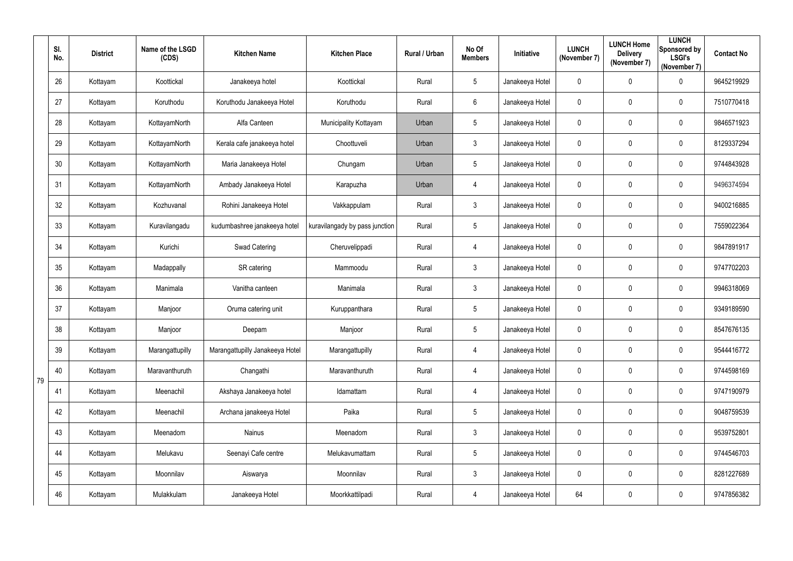|    | SI.<br>No. | <b>District</b> | Name of the LSGD<br>(CDS) | <b>Kitchen Name</b>             | <b>Kitchen Place</b>           | Rural / Urban | No Of<br><b>Members</b> | Initiative      | <b>LUNCH</b><br>(November 7) | <b>LUNCH Home</b><br><b>Delivery</b><br>(November 7) | <b>LUNCH</b><br>Sponsored by<br><b>LSGI's</b><br>(November 7) | <b>Contact No</b> |
|----|------------|-----------------|---------------------------|---------------------------------|--------------------------------|---------------|-------------------------|-----------------|------------------------------|------------------------------------------------------|---------------------------------------------------------------|-------------------|
|    | 26         | Kottayam        | Koottickal                | Janakeeya hotel                 | Koottickal                     | Rural         | $5\phantom{.0}$         | Janakeeya Hotel | $\boldsymbol{0}$             | 0                                                    | $\mathbf 0$                                                   | 9645219929        |
|    | 27         | Kottayam        | Koruthodu                 | Koruthodu Janakeeya Hotel       | Koruthodu                      | Rural         | $6\overline{6}$         | Janakeeya Hotel | $\mathbf 0$                  | 0                                                    | $\mathbf 0$                                                   | 7510770418        |
|    | 28         | Kottayam        | KottayamNorth             | Alfa Canteen                    | Municipality Kottayam          | Urban         | $5\phantom{.0}$         | Janakeeya Hotel | $\mathbf 0$                  | $\mathbf 0$                                          | $\overline{0}$                                                | 9846571923        |
|    | 29         | Kottayam        | KottayamNorth             | Kerala cafe janakeeya hotel     | Choottuveli                    | Urban         | $\mathbf{3}$            | Janakeeya Hotel | $\boldsymbol{0}$             | 0                                                    | $\mathbf 0$                                                   | 8129337294        |
|    | 30         | Kottayam        | KottayamNorth             | Maria Janakeeya Hotel           | Chungam                        | Urban         | $5\overline{)}$         | Janakeeya Hotel | $\mathbf 0$                  | 0                                                    | $\overline{0}$                                                | 9744843928        |
|    | 31         | Kottayam        | KottayamNorth             | Ambady Janakeeya Hotel          | Karapuzha                      | Urban         | 4                       | Janakeeya Hotel | $\overline{0}$               | $\mathbf 0$                                          | $\boldsymbol{0}$                                              | 9496374594        |
|    | 32         | Kottayam        | Kozhuvanal                | Rohini Janakeeya Hotel          | Vakkappulam                    | Rural         | 3                       | Janakeeya Hotel | $\mathbf 0$                  | 0                                                    | $\mathbf 0$                                                   | 9400216885        |
|    | 33         | Kottayam        | Kuravilangadu             | kudumbashree janakeeya hotel    | kuravilangady by pass junction | Rural         | $5\overline{)}$         | Janakeeya Hotel | $\mathbf 0$                  | 0                                                    | $\mathbf 0$                                                   | 7559022364        |
|    | 34         | Kottayam        | Kurichi                   | <b>Swad Catering</b>            | Cheruvelippadi                 | Rural         | $\overline{4}$          | Janakeeya Hotel | $\boldsymbol{0}$             | 0                                                    | $\overline{0}$                                                | 9847891917        |
|    | 35         | Kottayam        | Madappally                | SR catering                     | Mammoodu                       | Rural         | 3                       | Janakeeya Hotel | $\mathbf 0$                  | 0                                                    | $\mathbf 0$                                                   | 9747702203        |
|    | 36         | Kottayam        | Manimala                  | Vanitha canteen                 | Manimala                       | Rural         | $\mathbf{3}$            | Janakeeya Hotel | $\boldsymbol{0}$             | 0                                                    | $\boldsymbol{0}$                                              | 9946318069        |
|    | 37         | Kottayam        | Manjoor                   | Oruma catering unit             | Kuruppanthara                  | Rural         | $5\overline{)}$         | Janakeeya Hotel | $\overline{0}$               | 0                                                    | $\overline{0}$                                                | 9349189590        |
|    | 38         | Kottayam        | Manjoor                   | Deepam                          | Manjoor                        | Rural         | 5                       | Janakeeya Hotel | $\mathbf 0$                  | 0                                                    | 0                                                             | 8547676135        |
|    | 39         | Kottayam        | Marangattupilly           | Marangattupilly Janakeeya Hotel | Marangattupilly                | Rural         | $\overline{4}$          | Janakeeya Hotel | $\mathbf 0$                  | $\mathbf 0$                                          | $\pmb{0}$                                                     | 9544416772        |
| 79 | 40         | Kottayam        | Maravanthuruth            | Changathi                       | Maravanthuruth                 | Rural         | $\overline{4}$          | Janakeeya Hotel | $\bm{0}$                     | 0                                                    | $\pmb{0}$                                                     | 9744598169        |
|    | 41         | Kottayam        | Meenachil                 | Akshaya Janakeeya hotel         | Idamattam                      | Rural         | $\overline{4}$          | Janakeeya Hotel | $\pmb{0}$                    | $\pmb{0}$                                            | $\pmb{0}$                                                     | 9747190979        |
|    | 42         | Kottayam        | Meenachil                 | Archana janakeeya Hotel         | Paika                          | Rural         | $5\phantom{.0}$         | Janakeeya Hotel | $\bm{0}$                     | $\mathbf 0$                                          | $\pmb{0}$                                                     | 9048759539        |
|    | 43         | Kottayam        | Meenadom                  | Nainus                          | Meenadom                       | Rural         | 3 <sup>1</sup>          | Janakeeya Hotel | $\bm{0}$                     | $\mathbf 0$                                          | $\mathbf 0$                                                   | 9539752801        |
|    | 44         | Kottayam        | Melukavu                  | Seenayi Cafe centre             | Melukavumattam                 | Rural         | $5\phantom{.0}$         | Janakeeya Hotel | $\pmb{0}$                    | $\pmb{0}$                                            | $\pmb{0}$                                                     | 9744546703        |
|    | 45         | Kottayam        | Moonnilav                 | Aiswarya                        | Moonnilav                      | Rural         | $\mathbf{3}$            | Janakeeya Hotel | $\pmb{0}$                    | 0                                                    | $\mathbf 0$                                                   | 8281227689        |
|    | 46         | Kottayam        | Mulakkulam                | Janakeeya Hotel                 | Moorkkattilpadi                | Rural         | $\overline{4}$          | Janakeeya Hotel | 64                           | $\mathbf 0$                                          | $\bm{0}$                                                      | 9747856382        |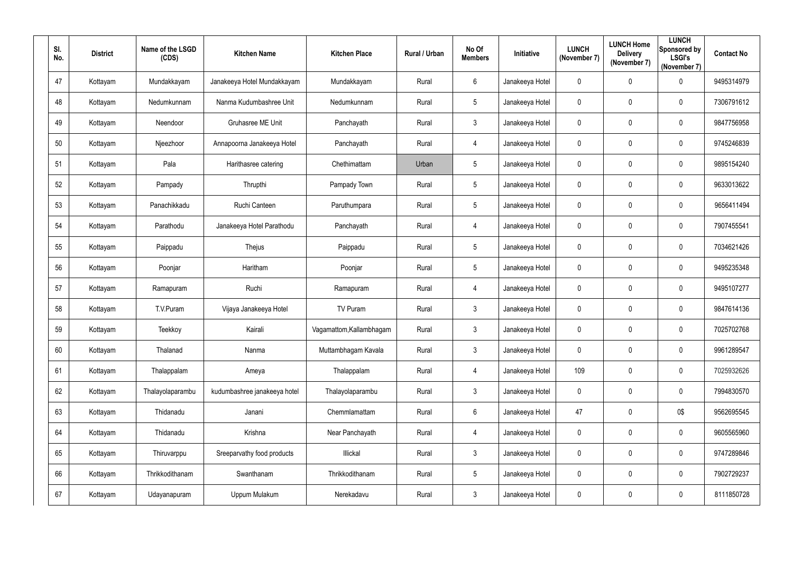| SI.<br>No. | <b>District</b> | Name of the LSGD<br>(CDS) | <b>Kitchen Name</b>          | <b>Kitchen Place</b>     | Rural / Urban | No Of<br><b>Members</b> | Initiative      | <b>LUNCH</b><br>(November 7) | <b>LUNCH Home</b><br><b>Delivery</b><br>(November 7) | <b>LUNCH</b><br>Sponsored by<br><b>LSGI's</b><br>(November 7) | <b>Contact No</b> |
|------------|-----------------|---------------------------|------------------------------|--------------------------|---------------|-------------------------|-----------------|------------------------------|------------------------------------------------------|---------------------------------------------------------------|-------------------|
| 47         | Kottayam        | Mundakkayam               | Janakeeya Hotel Mundakkayam  | Mundakkayam              | Rural         | $6\overline{6}$         | Janakeeya Hotel | $\mathbf 0$                  | $\mathbf 0$                                          | $\mathbf 0$                                                   | 9495314979        |
| 48         | Kottayam        | Nedumkunnam               | Nanma Kudumbashree Unit      | Nedumkunnam              | Rural         | $5\overline{)}$         | Janakeeya Hotel | $\mathbf 0$                  | $\mathbf 0$                                          | $\mathbf 0$                                                   | 7306791612        |
| 49         | Kottayam        | Neendoor                  | Gruhasree ME Unit            | Panchayath               | Rural         | $\mathbf{3}$            | Janakeeya Hotel | $\mathbf 0$                  | $\overline{0}$                                       | $\boldsymbol{0}$                                              | 9847756958        |
| 50         | Kottayam        | Njeezhoor                 | Annapoorna Janakeeya Hotel   | Panchayath               | Rural         | $\overline{4}$          | Janakeeya Hotel | $\boldsymbol{0}$             | $\mathbf 0$                                          | $\mathbf 0$                                                   | 9745246839        |
| 51         | Kottayam        | Pala                      | Harithasree catering         | Chethimattam             | Urban         | $5\phantom{.0}$         | Janakeeya Hotel | $\boldsymbol{0}$             | $\overline{0}$                                       | $\overline{0}$                                                | 9895154240        |
| 52         | Kottayam        | Pampady                   | Thrupthi                     | Pampady Town             | Rural         | $5\overline{)}$         | Janakeeya Hotel | $\boldsymbol{0}$             | $\overline{0}$                                       | $\boldsymbol{0}$                                              | 9633013622        |
| 53         | Kottayam        | Panachikkadu              | Ruchi Canteen                | Paruthumpara             | Rural         | $5\overline{)}$         | Janakeeya Hotel | $\boldsymbol{0}$             | 0                                                    | $\mathbf 0$                                                   | 9656411494        |
| 54         | Kottayam        | Parathodu                 | Janakeeya Hotel Parathodu    | Panchayath               | Rural         | $\overline{4}$          | Janakeeya Hotel | $\pmb{0}$                    | $\overline{0}$                                       | $\mathbf 0$                                                   | 7907455541        |
| 55         | Kottayam        | Paippadu                  | Thejus                       | Paippadu                 | Rural         | $5\overline{)}$         | Janakeeya Hotel | $\boldsymbol{0}$             | $\overline{0}$                                       | $\overline{0}$                                                | 7034621426        |
| 56         | Kottayam        | Poonjar                   | Haritham                     | Poonjar                  | Rural         | $5\overline{)}$         | Janakeeya Hotel | $\mathbf 0$                  | $\mathbf 0$                                          | $\mathbf 0$                                                   | 9495235348        |
| 57         | Kottayam        | Ramapuram                 | Ruchi                        | Ramapuram                | Rural         | $\overline{4}$          | Janakeeya Hotel | $\boldsymbol{0}$             | $\mathbf 0$                                          | $\boldsymbol{0}$                                              | 9495107277        |
| 58         | Kottayam        | T.V.Puram                 | Vijaya Janakeeya Hotel       | TV Puram                 | Rural         | 3 <sup>1</sup>          | Janakeeya Hotel | $\mathbf 0$                  | $\mathbf 0$                                          | $\overline{0}$                                                | 9847614136        |
| 59         | Kottayam        | Teekkoy                   | Kairali                      | Vagamattom, Kallambhagam | Rural         | $\mathbf{3}$            | Janakeeya Hotel | $\mathbf 0$                  | $\mathbf 0$                                          | $\overline{0}$                                                | 7025702768        |
| 60         | Kottayam        | Thalanad                  | Nanma                        | Muttambhagam Kavala      | Rural         | 3 <sup>1</sup>          | Janakeeya Hotel | $\pmb{0}$                    | $\mathbf 0$                                          | $\mathbf 0$                                                   | 9961289547        |
| 61         | Kottayam        | Thalappalam               | Ameya                        | Thalappalam              | Rural         | $\overline{4}$          | Janakeeya Hotel | 109                          | $\mathbf 0$                                          | $\pmb{0}$                                                     | 7025932626        |
| 62         | Kottayam        | Thalayolaparambu          | kudumbashree janakeeya hotel | Thalayolaparambu         | Rural         | 3 <sup>1</sup>          | Janakeeya Hotel | $\pmb{0}$                    | $\pmb{0}$                                            | $\mathbf 0$                                                   | 7994830570        |
| 63         | Kottayam        | Thidanadu                 | Janani                       | Chemmlamattam            | Rural         | $6\overline{6}$         | Janakeeya Hotel | 47                           | $\mathbf 0$                                          | 0\$                                                           | 9562695545        |
| 64         | Kottayam        | Thidanadu                 | Krishna                      | Near Panchayath          | Rural         | $\overline{4}$          | Janakeeya Hotel | $\pmb{0}$                    | $\mathbf 0$                                          | $\mathbf 0$                                                   | 9605565960        |
| 65         | Kottayam        | Thiruvarppu               | Sreeparvathy food products   | Illickal                 | Rural         | $3\phantom{.0}$         | Janakeeya Hotel | $\pmb{0}$                    | $\mathbf 0$                                          | $\pmb{0}$                                                     | 9747289846        |
| 66         | Kottayam        | Thrikkodithanam           | Swanthanam                   | Thrikkodithanam          | Rural         | $5\overline{)}$         | Janakeeya Hotel | $\boldsymbol{0}$             | $\mathbf 0$                                          | $\pmb{0}$                                                     | 7902729237        |
| 67         | Kottayam        | Udayanapuram              | Uppum Mulakum                | Nerekadavu               | Rural         | $\mathfrak{Z}$          | Janakeeya Hotel | $\boldsymbol{0}$             | $\mathbf 0$                                          | $\bm{0}$                                                      | 8111850728        |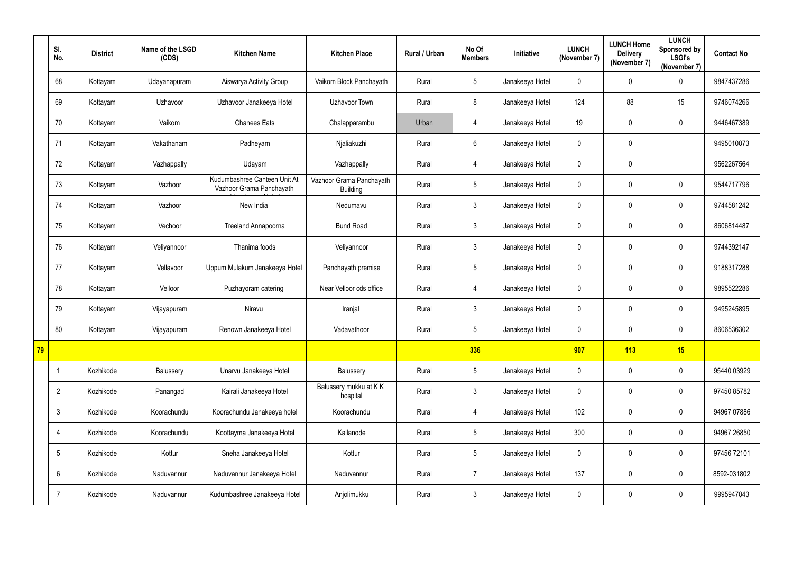|    | SI.<br>No.      | <b>District</b> | Name of the LSGD<br>(CDS) | <b>Kitchen Name</b>                                      | <b>Kitchen Place</b>                        | Rural / Urban | No Of<br><b>Members</b> | Initiative      | <b>LUNCH</b><br>(November 7) | <b>LUNCH Home</b><br><b>Delivery</b><br>(November 7) | <b>LUNCH</b><br>Sponsored by<br><b>LSGI's</b><br>(November 7) | <b>Contact No</b> |
|----|-----------------|-----------------|---------------------------|----------------------------------------------------------|---------------------------------------------|---------------|-------------------------|-----------------|------------------------------|------------------------------------------------------|---------------------------------------------------------------|-------------------|
|    | 68              | Kottayam        | Udayanapuram              | Aiswarya Activity Group                                  | Vaikom Block Panchayath                     | Rural         | 5                       | Janakeeya Hotel | $\mathbf 0$                  | 0                                                    | $\mathbf 0$                                                   | 9847437286        |
|    | 69              | Kottayam        | Uzhavoor                  | Uzhavoor Janakeeya Hotel                                 | Uzhavoor Town                               | Rural         | 8                       | Janakeeya Hotel | 124                          | 88                                                   | 15                                                            | 9746074266        |
|    | 70              | Kottayam        | Vaikom                    | <b>Chanees Eats</b>                                      | Chalapparambu                               | Urban         | $\overline{4}$          | Janakeeya Hotel | 19                           | 0                                                    | $\mathbf 0$                                                   | 9446467389        |
|    | 71              | Kottayam        | Vakathanam                | Padheyam                                                 | Njaliakuzhi                                 | Rural         | 6                       | Janakeeya Hotel | $\overline{0}$               | 0                                                    |                                                               | 9495010073        |
|    | 72              | Kottayam        | Vazhappally               | Udayam                                                   | Vazhappally                                 | Rural         | $\overline{4}$          | Janakeeya Hotel | $\mathbf 0$                  | 0                                                    |                                                               | 9562267564        |
|    | 73              | Kottayam        | Vazhoor                   | Kudumbashree Canteen Unit At<br>Vazhoor Grama Panchayath | Vazhoor Grama Panchayath<br><b>Building</b> | Rural         | 5                       | Janakeeya Hotel | $\mathbf 0$                  | 0                                                    | $\boldsymbol{0}$                                              | 9544717796        |
|    | 74              | Kottayam        | Vazhoor                   | New India                                                | Nedumavu                                    | Rural         | $\mathfrak{Z}$          | Janakeeya Hotel | $\mathbf 0$                  | 0                                                    | $\mathbf 0$                                                   | 9744581242        |
|    | 75              | Kottayam        | Vechoor                   | <b>Treeland Annapoorna</b>                               | <b>Bund Road</b>                            | Rural         | $\mathfrak{Z}$          | Janakeeya Hotel | $\mathbf 0$                  | 0                                                    | $\mathbf 0$                                                   | 8606814487        |
|    | 76              | Kottayam        | Veliyannoor               | Thanima foods                                            | Veliyannoor                                 | Rural         | $\mathfrak{Z}$          | Janakeeya Hotel | $\mathbf 0$                  | 0                                                    | $\mathbf 0$                                                   | 9744392147        |
|    | 77              | Kottayam        | Vellavoor                 | Uppum Mulakum Janakeeya Hotel                            | Panchayath premise                          | Rural         | 5                       | Janakeeya Hotel | $\mathbf 0$                  | 0                                                    | $\mathbf 0$                                                   | 9188317288        |
|    | 78              | Kottayam        | Velloor                   | Puzhayoram catering                                      | Near Velloor cds office                     | Rural         | $\overline{4}$          | Janakeeya Hotel | $\mathbf 0$                  | 0                                                    | $\mathbf 0$                                                   | 9895522286        |
|    | 79              | Kottayam        | Vijayapuram               | Niravu                                                   | Iranjal                                     | Rural         | 3 <sup>1</sup>          | Janakeeya Hotel | $\mathbf 0$                  | 0                                                    | $\mathbf 0$                                                   | 9495245895        |
|    | 80              | Kottayam        | Vijayapuram               | Renown Janakeeya Hotel                                   | Vadavathoor                                 | Rural         | 5                       | Janakeeya Hotel | $\mathbf 0$                  | 0                                                    | 0                                                             | 8606536302        |
| 79 |                 |                 |                           |                                                          |                                             |               | 336                     |                 | 907                          | 113                                                  | 15                                                            |                   |
|    | $\mathbf 1$     | Kozhikode       | Balussery                 | Unarvu Janakeeya Hotel                                   | Balussery                                   | Rural         | 5                       | Janakeeya Hotel | $\mathbf 0$                  | 0                                                    | $\mathbf 0$                                                   | 95440 03929       |
|    | $\overline{2}$  | Kozhikode       | Panangad                  | Kairali Janakeeya Hotel                                  | Balussery mukku at KK<br>hospital           | Rural         | $\mathfrak{Z}$          | Janakeeya Hotel | $\mathbf 0$                  | 0                                                    | $\mathbf 0$                                                   | 97450 85782       |
|    | $\mathbf{3}$    | Kozhikode       | Koorachundu               | Koorachundu Janakeeya hotel                              | Koorachundu                                 | Rural         | $\overline{4}$          | Janakeeya Hotel | 102                          | 0                                                    | $\mathbf 0$                                                   | 94967 07886       |
|    | 4               | Kozhikode       | Koorachundu               | Koottayma Janakeeya Hotel                                | Kallanode                                   | Rural         | $5\overline{)}$         | Janakeeya Hotel | 300                          | 0                                                    | $\mathbf 0$                                                   | 94967 26850       |
|    | $5\phantom{.0}$ | Kozhikode       | Kottur                    | Sneha Janakeeya Hotel                                    | Kottur                                      | Rural         | 5                       | Janakeeya Hotel | $\overline{0}$               | 0                                                    | $\overline{0}$                                                | 97456 72101       |
|    | $6\phantom{.}$  | Kozhikode       | Naduvannur                | Naduvannur Janakeeya Hotel                               | Naduvannur                                  | Rural         | $\overline{7}$          | Janakeeya Hotel | 137                          | 0                                                    | $\overline{0}$                                                | 8592-031802       |
|    |                 | Kozhikode       | Naduvannur                | Kudumbashree Janakeeya Hotel                             | Anjolimukku                                 | Rural         | $\mathfrak{S}$          | Janakeeya Hotel | $\mathbf 0$                  | 0                                                    | $\overline{0}$                                                | 9995947043        |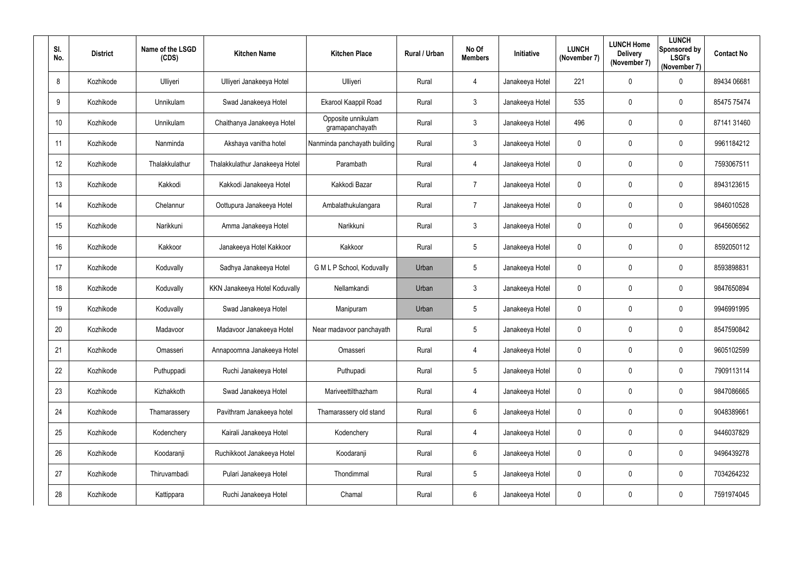| SI.<br>No. | <b>District</b> | Name of the LSGD<br>(CDS) | <b>Kitchen Name</b>            | <b>Kitchen Place</b>                  | Rural / Urban | No Of<br><b>Members</b> | Initiative      | <b>LUNCH</b><br>(November 7) | <b>LUNCH Home</b><br><b>Delivery</b><br>(November 7) | <b>LUNCH</b><br>Sponsored by<br><b>LSGI's</b><br>(November 7) | <b>Contact No</b> |
|------------|-----------------|---------------------------|--------------------------------|---------------------------------------|---------------|-------------------------|-----------------|------------------------------|------------------------------------------------------|---------------------------------------------------------------|-------------------|
| 8          | Kozhikode       | Ulliyeri                  | Ulliyeri Janakeeya Hotel       | Ulliyeri                              | Rural         | 4                       | Janakeeya Hotel | 221                          | 0                                                    | $\mathbf 0$                                                   | 89434 06681       |
| 9          | Kozhikode       | Unnikulam                 | Swad Janakeeya Hotel           | Ekarool Kaappil Road                  | Rural         | $\mathbf{3}$            | Janakeeya Hotel | 535                          | 0                                                    | $\overline{0}$                                                | 85475 75474       |
| 10         | Kozhikode       | Unnikulam                 | Chaithanya Janakeeya Hotel     | Opposite unnikulam<br>gramapanchayath | Rural         | $\mathbf{3}$            | Janakeeya Hotel | 496                          | 0                                                    | $\mathbf 0$                                                   | 87141 31460       |
| 11         | Kozhikode       | Nanminda                  | Akshaya vanitha hotel          | Nanminda panchayath building          | Rural         | $\mathfrak{Z}$          | Janakeeya Hotel | $\boldsymbol{0}$             | 0                                                    | $\mathbf 0$                                                   | 9961184212        |
| 12         | Kozhikode       | Thalakkulathur            | Thalakkulathur Janakeeya Hotel | Parambath                             | Rural         | 4                       | Janakeeya Hotel | $\mathbf 0$                  | 0                                                    | $\mathbf 0$                                                   | 7593067511        |
| 13         | Kozhikode       | Kakkodi                   | Kakkodi Janakeeya Hotel        | Kakkodi Bazar                         | Rural         | $\overline{7}$          | Janakeeya Hotel | $\overline{0}$               | 0                                                    | $\mathbf 0$                                                   | 8943123615        |
| 14         | Kozhikode       | Chelannur                 | Oottupura Janakeeya Hotel      | Ambalathukulangara                    | Rural         | $\overline{7}$          | Janakeeya Hotel | $\mathbf 0$                  | 0                                                    | $\mathbf 0$                                                   | 9846010528        |
| 15         | Kozhikode       | Narikkuni                 | Amma Janakeeya Hotel           | Narikkuni                             | Rural         | $\mathbf{3}$            | Janakeeya Hotel | $\mathbf 0$                  | 0                                                    | $\overline{0}$                                                | 9645606562        |
| 16         | Kozhikode       | Kakkoor                   | Janakeeya Hotel Kakkoor        | Kakkoor                               | Rural         | $5\overline{)}$         | Janakeeya Hotel | $\boldsymbol{0}$             | 0                                                    | $\mathbf 0$                                                   | 8592050112        |
| 17         | Kozhikode       | Koduvally                 | Sadhya Janakeeya Hotel         | G M L P School, Koduvally             | Urban         | $5\overline{)}$         | Janakeeya Hotel | $\mathbf 0$                  | 0                                                    | $\mathbf 0$                                                   | 8593898831        |
| 18         | Kozhikode       | Koduvally                 | KKN Janakeeya Hotel Koduvally  | Nellamkandi                           | Urban         | $\mathbf{3}$            | Janakeeya Hotel | $\overline{0}$               | 0                                                    | $\overline{0}$                                                | 9847650894        |
| 19         | Kozhikode       | Koduvally                 | Swad Janakeeya Hotel           | Manipuram                             | Urban         | $5\phantom{.0}$         | Janakeeya Hotel | $\overline{0}$               | 0                                                    | $\mathbf 0$                                                   | 9946991995        |
| 20         | Kozhikode       | Madavoor                  | Madavoor Janakeeya Hotel       | Near madavoor panchayath              | Rural         | 5                       | Janakeeya Hotel | $\mathbf 0$                  |                                                      | $\mathbf 0$                                                   | 8547590842        |
| 21         | Kozhikode       | Omasseri                  | Annapoornna Janakeeya Hotel    | Omasseri                              | Rural         | $\overline{4}$          | Janakeeya Hotel | $\mathbf 0$                  | 0                                                    | $\overline{0}$                                                | 9605102599        |
| 22         | Kozhikode       | Puthuppadi                | Ruchi Janakeeya Hotel          | Puthupadi                             | Rural         | $5\phantom{.0}$         | Janakeeya Hotel | $\mathbf 0$                  | 0                                                    | $\overline{0}$                                                | 7909113114        |
| 23         | Kozhikode       | Kizhakkoth                | Swad Janakeeya Hotel           | Mariveettilthazham                    | Rural         | $\overline{4}$          | Janakeeya Hotel | $\mathbf 0$                  | 0                                                    | $\overline{0}$                                                | 9847086665        |
| 24         | Kozhikode       | Thamarassery              | Pavithram Janakeeya hotel      | Thamarassery old stand                | Rural         | $6\phantom{.}6$         | Janakeeya Hotel | $\mathbf 0$                  | 0                                                    | $\overline{0}$                                                | 9048389661        |
| 25         | Kozhikode       | Kodenchery                | Kairali Janakeeya Hotel        | Kodenchery                            | Rural         | $\overline{4}$          | Janakeeya Hotel | $\mathbf 0$                  | 0                                                    | $\overline{0}$                                                | 9446037829        |
| 26         | Kozhikode       | Koodaranji                | Ruchikkoot Janakeeya Hotel     | Koodaranji                            | Rural         | $6\phantom{.}6$         | Janakeeya Hotel | $\mathbf 0$                  | 0                                                    | $\overline{0}$                                                | 9496439278        |
| 27         | Kozhikode       | Thiruvambadi              | Pulari Janakeeya Hotel         | Thondimmal                            | Rural         | $5\phantom{.0}$         | Janakeeya Hotel | $\mathbf 0$                  | 0                                                    | $\overline{0}$                                                | 7034264232        |
| 28         | Kozhikode       | Kattippara                | Ruchi Janakeeya Hotel          | Chamal                                | Rural         | $6\overline{6}$         | Janakeeya Hotel | $\pmb{0}$                    | 0                                                    | $\overline{0}$                                                | 7591974045        |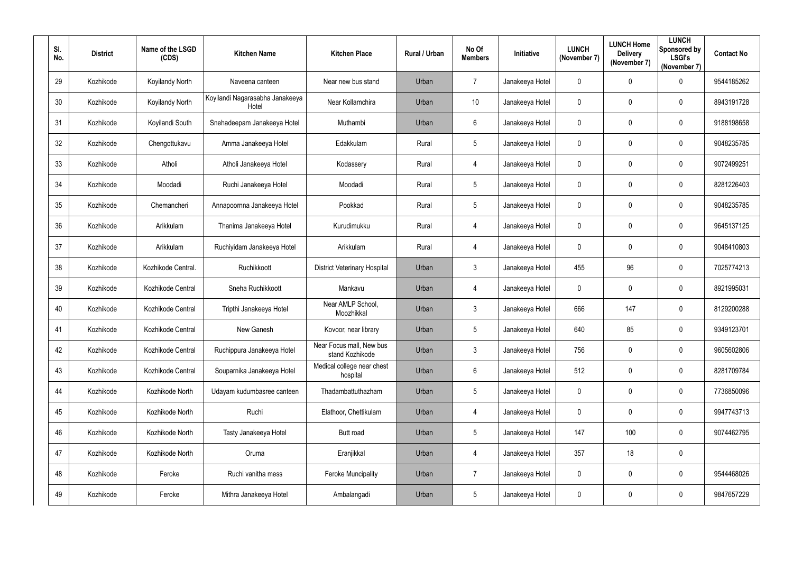| SI.<br>No. | <b>District</b> | Name of the LSGD<br>(CDS) | <b>Kitchen Name</b>                      | <b>Kitchen Place</b>                        | Rural / Urban | No Of<br><b>Members</b> | Initiative      | <b>LUNCH</b><br>(November 7) | <b>LUNCH Home</b><br><b>Delivery</b><br>(November 7) | <b>LUNCH</b><br>Sponsored by<br><b>LSGI's</b><br>(November 7) | <b>Contact No</b> |
|------------|-----------------|---------------------------|------------------------------------------|---------------------------------------------|---------------|-------------------------|-----------------|------------------------------|------------------------------------------------------|---------------------------------------------------------------|-------------------|
| 29         | Kozhikode       | Koyilandy North           | Naveena canteen                          | Near new bus stand                          | Urban         | $\overline{7}$          | Janakeeya Hotel | $\overline{0}$               | 0                                                    | $\mathbf 0$                                                   | 9544185262        |
| 30         | Kozhikode       | Koyilandy North           | Koyilandi Nagarasabha Janakeeya<br>Hotel | Near Kollamchira                            | Urban         | 10                      | Janakeeya Hotel | $\boldsymbol{0}$             | 0                                                    | $\mathbf 0$                                                   | 8943191728        |
| 31         | Kozhikode       | Koyilandi South           | Snehadeepam Janakeeya Hotel              | Muthambi                                    | Urban         | $6^{\circ}$             | Janakeeya Hotel | $\overline{0}$               | 0                                                    | $\mathbf 0$                                                   | 9188198658        |
| 32         | Kozhikode       | Chengottukavu             | Amma Janakeeya Hotel                     | Edakkulam                                   | Rural         | $5\overline{)}$         | Janakeeya Hotel | $\boldsymbol{0}$             | 0                                                    | $\mathbf 0$                                                   | 9048235785        |
| 33         | Kozhikode       | Atholi                    | Atholi Janakeeya Hotel                   | Kodassery                                   | Rural         | $\overline{4}$          | Janakeeya Hotel | $\boldsymbol{0}$             | 0                                                    | $\mathbf 0$                                                   | 9072499251        |
| 34         | Kozhikode       | Moodadi                   | Ruchi Janakeeya Hotel                    | Moodadi                                     | Rural         | $5\phantom{.0}$         | Janakeeya Hotel | $\overline{0}$               | 0                                                    | $\overline{0}$                                                | 8281226403        |
| 35         | Kozhikode       | Chemancheri               | Annapoornna Janakeeya Hotel              | Pookkad                                     | Rural         | $5\overline{)}$         | Janakeeya Hotel | $\boldsymbol{0}$             | 0                                                    | $\mathbf 0$                                                   | 9048235785        |
| 36         | Kozhikode       | Arikkulam                 | Thanima Janakeeya Hotel                  | Kurudimukku                                 | Rural         | $\overline{4}$          | Janakeeya Hotel | $\overline{0}$               | 0                                                    | $\mathbf 0$                                                   | 9645137125        |
| 37         | Kozhikode       | Arikkulam                 | Ruchiyidam Janakeeya Hotel               | Arikkulam                                   | Rural         | $\overline{4}$          | Janakeeya Hotel | $\boldsymbol{0}$             | 0                                                    | $\mathbf 0$                                                   | 9048410803        |
| 38         | Kozhikode       | Kozhikode Central.        | Ruchikkoott                              | <b>District Veterinary Hospital</b>         | Urban         | $\mathbf{3}$            | Janakeeya Hotel | 455                          | 96                                                   | $\mathbf 0$                                                   | 7025774213        |
| 39         | Kozhikode       | Kozhikode Central         | Sneha Ruchikkoott                        | Mankavu                                     | Urban         | $\overline{4}$          | Janakeeya Hotel | $\boldsymbol{0}$             | 0                                                    | $\overline{0}$                                                | 8921995031        |
| 40         | Kozhikode       | Kozhikode Central         | Tripthi Janakeeya Hotel                  | Near AMLP School,<br>Moozhikkal             | Urban         | $\mathbf{3}$            | Janakeeya Hotel | 666                          | 147                                                  | $\mathbf 0$                                                   | 8129200288        |
| 41         | Kozhikode       | Kozhikode Central         | New Ganesh                               | Kovoor, near library                        | Urban         | 5                       | Janakeeya Hotel | 640                          | 85                                                   | $\mathbf 0$                                                   | 9349123701        |
| 42         | Kozhikode       | Kozhikode Central         | Ruchippura Janakeeya Hotel               | Near Focus mall, New bus<br>stand Kozhikode | Urban         | $\mathbf{3}$            | Janakeeya Hotel | 756                          | 0                                                    | $\mathbf 0$                                                   | 9605602806        |
| 43         | Kozhikode       | Kozhikode Central         | Souparnika Janakeeya Hotel               | Medical college near chest<br>hospital      | Urban         | $6\phantom{.0}$         | Janakeeya Hotel | 512                          | 0                                                    | $\overline{0}$                                                | 8281709784        |
| 44         | Kozhikode       | Kozhikode North           | Udayam kudumbasree canteen               | Thadambattuthazham                          | Urban         | $5\phantom{.0}$         | Janakeeya Hotel | $\pmb{0}$                    | 0                                                    | $\mathbf 0$                                                   | 7736850096        |
| 45         | Kozhikode       | Kozhikode North           | Ruchi                                    | Elathoor, Chettikulam                       | Urban         | 4                       | Janakeeya Hotel | $\pmb{0}$                    | 0                                                    | $\mathbf 0$                                                   | 9947743713        |
| 46         | Kozhikode       | Kozhikode North           | Tasty Janakeeya Hotel                    | Butt road                                   | Urban         | $5\phantom{.0}$         | Janakeeya Hotel | 147                          | 100                                                  | $\overline{0}$                                                | 9074462795        |
| 47         | Kozhikode       | Kozhikode North           | Oruma                                    | Eranjikkal                                  | Urban         | 4                       | Janakeeya Hotel | 357                          | 18                                                   | $\mathbf 0$                                                   |                   |
| 48         | Kozhikode       | Feroke                    | Ruchi vanitha mess                       | <b>Feroke Muncipality</b>                   | Urban         | $\overline{7}$          | Janakeeya Hotel | $\pmb{0}$                    | 0                                                    | $\mathbf 0$                                                   | 9544468026        |
| 49         | Kozhikode       | Feroke                    | Mithra Janakeeya Hotel                   | Ambalangadi                                 | Urban         | $5\phantom{.0}$         | Janakeeya Hotel | $\boldsymbol{0}$             | 0                                                    | $\overline{0}$                                                | 9847657229        |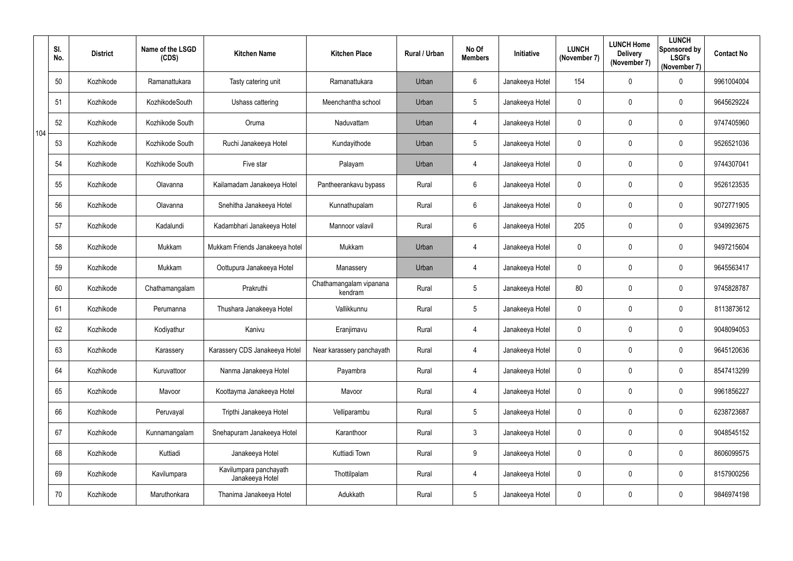|     | SI.<br>No. | <b>District</b> | Name of the LSGD<br>(CDS) | <b>Kitchen Name</b>                       | <b>Kitchen Place</b>               | Rural / Urban | No Of<br><b>Members</b> | Initiative      | <b>LUNCH</b><br>(November 7) | <b>LUNCH Home</b><br><b>Delivery</b><br>(November 7) | <b>LUNCH</b><br>Sponsored by<br><b>LSGI's</b><br>(November 7) | <b>Contact No</b> |
|-----|------------|-----------------|---------------------------|-------------------------------------------|------------------------------------|---------------|-------------------------|-----------------|------------------------------|------------------------------------------------------|---------------------------------------------------------------|-------------------|
|     | 50         | Kozhikode       | Ramanattukara             | Tasty catering unit                       | Ramanattukara                      | Urban         | $6\phantom{.}$          | Janakeeya Hotel | 154                          | 0                                                    | $\mathbf 0$                                                   | 9961004004        |
|     | 51         | Kozhikode       | KozhikodeSouth            | Ushass cattering                          | Meenchantha school                 | Urban         | $5\phantom{.0}$         | Janakeeya Hotel | 0                            | 0                                                    | $\mathbf 0$                                                   | 9645629224        |
| 104 | 52         | Kozhikode       | Kozhikode South           | Oruma                                     | Naduvattam                         | Urban         | 4                       | Janakeeya Hotel | $\mathbf 0$                  | 0                                                    | $\mathbf 0$                                                   | 9747405960        |
|     | 53         | Kozhikode       | Kozhikode South           | Ruchi Janakeeya Hotel                     | Kundayithode                       | Urban         | $5\phantom{.0}$         | Janakeeya Hotel | 0                            | 0                                                    | $\mathbf 0$                                                   | 9526521036        |
|     | 54         | Kozhikode       | Kozhikode South           | Five star                                 | Palayam                            | Urban         | 4                       | Janakeeya Hotel | 0                            | 0                                                    | $\mathbf 0$                                                   | 9744307041        |
|     | 55         | Kozhikode       | Olavanna                  | Kailamadam Janakeeya Hotel                | Pantheerankavu bypass              | Rural         | $6\phantom{.}$          | Janakeeya Hotel | $\mathbf 0$                  | $\boldsymbol{0}$                                     | $\overline{0}$                                                | 9526123535        |
|     | 56         | Kozhikode       | Olavanna                  | Snehitha Janakeeya Hotel                  | Kunnathupalam                      | Rural         | $6\phantom{.}$          | Janakeeya Hotel | $\mathbf 0$                  | 0                                                    | $\mathbf 0$                                                   | 9072771905        |
|     | 57         | Kozhikode       | Kadalundi                 | Kadambhari Janakeeya Hotel                | Mannoor valavil                    | Rural         | $6\phantom{.}$          | Janakeeya Hotel | 205                          | 0                                                    | $\mathbf 0$                                                   | 9349923675        |
|     | 58         | Kozhikode       | Mukkam                    | Mukkam Friends Janakeeya hotel            | Mukkam                             | Urban         | 4                       | Janakeeya Hotel | $\mathbf 0$                  | $\boldsymbol{0}$                                     | $\mathbf 0$                                                   | 9497215604        |
|     | 59         | Kozhikode       | Mukkam                    | Oottupura Janakeeya Hotel                 | Manassery                          | Urban         | 4                       | Janakeeya Hotel | 0                            | 0                                                    | $\mathbf 0$                                                   | 9645563417        |
|     | 60         | Kozhikode       | Chathamangalam            | Prakruthi                                 | Chathamangalam vipanana<br>kendram | Rural         | $5\phantom{.0}$         | Janakeeya Hotel | 80                           | 0                                                    | $\overline{0}$                                                | 9745828787        |
|     | 61         | Kozhikode       | Perumanna                 | Thushara Janakeeya Hotel                  | Vallikkunnu                        | Rural         | $5\phantom{.0}$         | Janakeeya Hotel | $\mathbf 0$                  | 0                                                    | $\mathbf 0$                                                   | 8113873612        |
|     | 62         | Kozhikode       | Kodiyathur                | Kanivu                                    | Eranjimavu                         | Rural         | 4                       | Janakeeya Hotel | 0                            | 0                                                    | $\mathbf 0$                                                   | 9048094053        |
|     | 63         | Kozhikode       | Karassery                 | Karassery CDS Janakeeya Hotel             | Near karassery panchayath          | Rural         | $\overline{4}$          | Janakeeya Hotel | $\mathbf 0$                  | 0                                                    | $\overline{0}$                                                | 9645120636        |
|     | 64         | Kozhikode       | Kuruvattoor               | Nanma Janakeeya Hotel                     | Payambra                           | Rural         | $\overline{4}$          | Janakeeya Hotel | $\mathbf 0$                  | 0                                                    | $\overline{0}$                                                | 8547413299        |
|     | 65         | Kozhikode       | Mavoor                    | Koottayma Janakeeya Hotel                 | Mavoor                             | Rural         | $\overline{4}$          | Janakeeya Hotel | 0                            | $\pmb{0}$                                            | $\overline{0}$                                                | 9961856227        |
|     | 66         | Kozhikode       | Peruvayal                 | Tripthi Janakeeya Hotel                   | Velliparambu                       | Rural         | $5\phantom{.0}$         | Janakeeya Hotel | $\mathbf 0$                  | $\pmb{0}$                                            | $\overline{0}$                                                | 6238723687        |
|     | 67         | Kozhikode       | Kunnamangalam             | Snehapuram Janakeeya Hotel                | Karanthoor                         | Rural         | $\mathfrak{Z}$          | Janakeeya Hotel | $\mathbf 0$                  | 0                                                    | $\overline{0}$                                                | 9048545152        |
|     | 68         | Kozhikode       | Kuttiadi                  | Janakeeya Hotel                           | Kuttiadi Town                      | Rural         | 9                       | Janakeeya Hotel | $\mathbf 0$                  | $\pmb{0}$                                            | $\overline{0}$                                                | 8606099575        |
|     | 69         | Kozhikode       | Kavilumpara               | Kavilumpara panchayath<br>Janakeeya Hotel | Thottilpalam                       | Rural         | $\overline{4}$          | Janakeeya Hotel | $\mathbf 0$                  | 0                                                    | $\overline{0}$                                                | 8157900256        |
|     | 70         | Kozhikode       | Maruthonkara              | Thanima Janakeeya Hotel                   | Adukkath                           | Rural         | $5\phantom{.0}$         | Janakeeya Hotel | 0                            | 0                                                    | $\overline{0}$                                                | 9846974198        |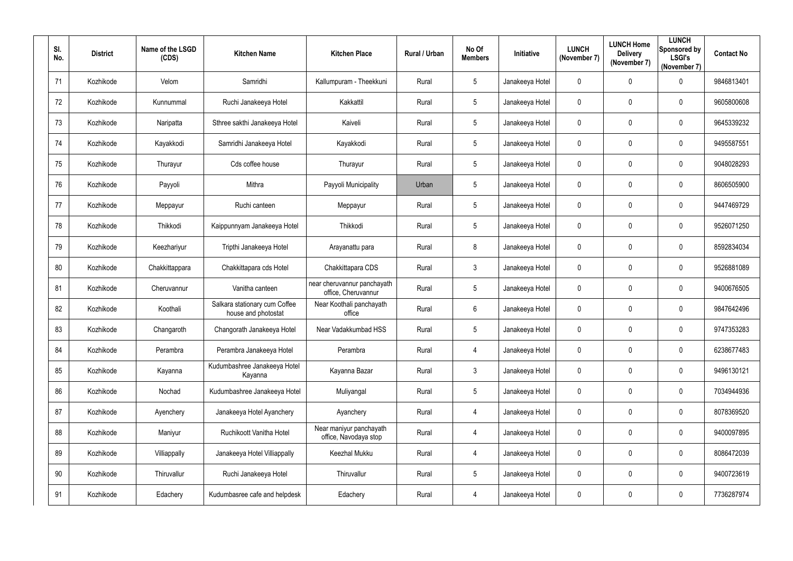| SI.<br>No. | <b>District</b> | Name of the LSGD<br>(CDS) | <b>Kitchen Name</b>                                  | <b>Kitchen Place</b>                               | Rural / Urban | No Of<br><b>Members</b> | Initiative      | <b>LUNCH</b><br>(November 7) | <b>LUNCH Home</b><br><b>Delivery</b><br>(November 7) | <b>LUNCH</b><br>Sponsored by<br><b>LSGI's</b><br>(November 7) | <b>Contact No</b> |
|------------|-----------------|---------------------------|------------------------------------------------------|----------------------------------------------------|---------------|-------------------------|-----------------|------------------------------|------------------------------------------------------|---------------------------------------------------------------|-------------------|
| 71         | Kozhikode       | Velom                     | Samridhi                                             | Kallumpuram - Theekkuni                            | Rural         | $5\phantom{.0}$         | Janakeeya Hotel | $\mathbf 0$                  | $\mathbf 0$                                          | $\mathbf 0$                                                   | 9846813401        |
| 72         | Kozhikode       | Kunnummal                 | Ruchi Janakeeya Hotel                                | Kakkattil                                          | Rural         | $5\overline{)}$         | Janakeeya Hotel | $\mathbf 0$                  | $\mathbf 0$                                          | $\overline{0}$                                                | 9605800608        |
| 73         | Kozhikode       | Naripatta                 | Sthree sakthi Janakeeya Hotel                        | Kaiveli                                            | Rural         | $5\phantom{.0}$         | Janakeeya Hotel | $\mathbf 0$                  | $\mathbf 0$                                          | $\overline{0}$                                                | 9645339232        |
| 74         | Kozhikode       | Kayakkodi                 | Samridhi Janakeeya Hotel                             | Kayakkodi                                          | Rural         | $5\overline{)}$         | Janakeeya Hotel | $\pmb{0}$                    | $\mathbf 0$                                          | $\mathbf 0$                                                   | 9495587551        |
| 75         | Kozhikode       | Thurayur                  | Cds coffee house                                     | Thurayur                                           | Rural         | $5\overline{)}$         | Janakeeya Hotel | $\mathbf 0$                  | 0                                                    | $\overline{0}$                                                | 9048028293        |
| 76         | Kozhikode       | Payyoli                   | Mithra                                               | Payyoli Municipality                               | Urban         | $5\phantom{.0}$         | Janakeeya Hotel | $\mathbf 0$                  | $\overline{0}$                                       | $\boldsymbol{0}$                                              | 8606505900        |
| 77         | Kozhikode       | Meppayur                  | Ruchi canteen                                        | Meppayur                                           | Rural         | $5\phantom{.0}$         | Janakeeya Hotel | $\mathbf 0$                  | $\mathbf 0$                                          | $\overline{0}$                                                | 9447469729        |
| 78         | Kozhikode       | Thikkodi                  | Kaippunnyam Janakeeya Hotel                          | Thikkodi                                           | Rural         | $5\phantom{.0}$         | Janakeeya Hotel | $\mathbf 0$                  | $\mathbf 0$                                          | $\overline{0}$                                                | 9526071250        |
| 79         | Kozhikode       | Keezhariyur               | Tripthi Janakeeya Hotel                              | Arayanattu para                                    | Rural         | 8                       | Janakeeya Hotel | $\boldsymbol{0}$             | $\mathbf 0$                                          | $\overline{0}$                                                | 8592834034        |
| 80         | Kozhikode       | Chakkittappara            | Chakkittapara cds Hotel                              | Chakkittapara CDS                                  | Rural         | $\mathfrak{Z}$          | Janakeeya Hotel | $\mathbf 0$                  | $\mathbf 0$                                          | $\mathbf 0$                                                   | 9526881089        |
| 81         | Kozhikode       | Cheruvannur               | Vanitha canteen                                      | near cheruvannur panchayath<br>office, Cheruvannur | Rural         | $5\overline{)}$         | Janakeeya Hotel | $\boldsymbol{0}$             | $\mathbf 0$                                          | $\overline{0}$                                                | 9400676505        |
| 82         | Kozhikode       | Koothali                  | Salkara stationary cum Coffee<br>house and photostat | Near Koothali panchayath<br>office                 | Rural         | $6\phantom{.}6$         | Janakeeya Hotel | $\mathbf 0$                  | $\overline{0}$                                       | $\overline{0}$                                                | 9847642496        |
| 83         | Kozhikode       | Changaroth                | Changorath Janakeeya Hotel                           | Near Vadakkumbad HSS                               | Rural         | 5                       | Janakeeya Hotel | $\mathbf 0$                  | $\mathbf 0$                                          | $\overline{0}$                                                | 9747353283        |
| 84         | Kozhikode       | Perambra                  | Perambra Janakeeya Hotel                             | Perambra                                           | Rural         | $\overline{4}$          | Janakeeya Hotel | $\pmb{0}$                    | $\mathbf 0$                                          | $\mathbf 0$                                                   | 6238677483        |
| 85         | Kozhikode       | Kayanna                   | Kudumbashree Janakeeya Hotel<br>Kayanna              | Kayanna Bazar                                      | Rural         | $3\overline{3}$         | Janakeeya Hotel | $\pmb{0}$                    | $\mathbf 0$                                          | $\mathbf 0$                                                   | 9496130121        |
| 86         | Kozhikode       | Nochad                    | Kudumbashree Janakeeya Hotel                         | Muliyangal                                         | Rural         | $5\overline{)}$         | Janakeeya Hotel | $\pmb{0}$                    | $\mathbf 0$                                          | $\mathbf 0$                                                   | 7034944936        |
| 87         | Kozhikode       | Ayenchery                 | Janakeeya Hotel Ayanchery                            | Ayanchery                                          | Rural         | $\overline{4}$          | Janakeeya Hotel | $\pmb{0}$                    | $\mathbf 0$                                          | $\mathbf 0$                                                   | 8078369520        |
| 88         | Kozhikode       | Maniyur                   | Ruchikoott Vanitha Hotel                             | Near maniyur panchayath<br>office, Navodaya stop   | Rural         | $\overline{4}$          | Janakeeya Hotel | $\mathbf 0$                  | $\mathbf 0$                                          | $\mathbf 0$                                                   | 9400097895        |
| 89         | Kozhikode       | Villiappally              | Janakeeya Hotel Villiappally                         | Keezhal Mukku                                      | Rural         | $\overline{4}$          | Janakeeya Hotel | $\mathbf 0$                  | $\mathbf 0$                                          | $\pmb{0}$                                                     | 8086472039        |
| $90\,$     | Kozhikode       | Thiruvallur               | Ruchi Janakeeya Hotel                                | Thiruvallur                                        | Rural         | $5\overline{)}$         | Janakeeya Hotel | $\mathbf 0$                  | $\mathbf 0$                                          | $\pmb{0}$                                                     | 9400723619        |
| 91         | Kozhikode       | Edachery                  | Kudumbasree cafe and helpdesk                        | Edachery                                           | Rural         | 4                       | Janakeeya Hotel | $\boldsymbol{0}$             | $\mathbf 0$                                          | $\bm{0}$                                                      | 7736287974        |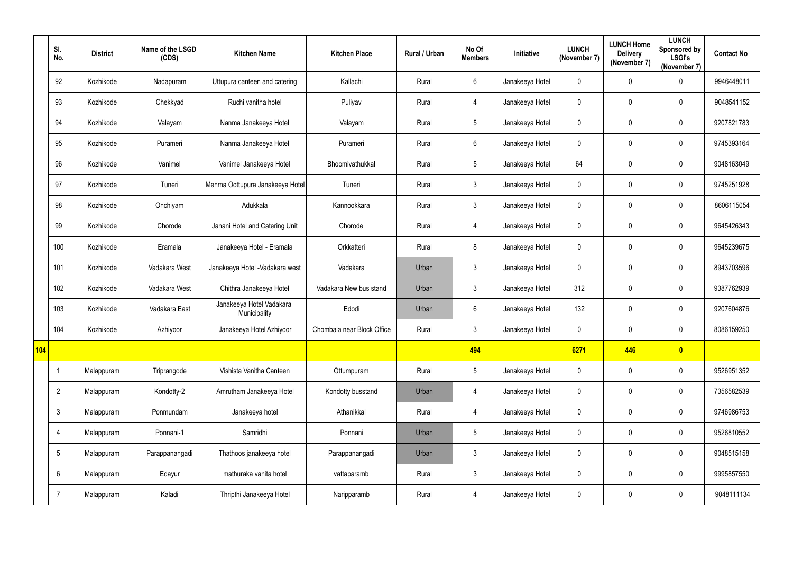|     | SI.<br>No.      | <b>District</b> | Name of the LSGD<br>(CDS) | <b>Kitchen Name</b>                      | <b>Kitchen Place</b>       | Rural / Urban | No Of<br><b>Members</b> | Initiative      | <b>LUNCH</b><br>(November 7) | <b>LUNCH Home</b><br><b>Delivery</b><br>(November 7) | <b>LUNCH</b><br>Sponsored by<br><b>LSGI's</b><br>(November 7) | <b>Contact No</b> |
|-----|-----------------|-----------------|---------------------------|------------------------------------------|----------------------------|---------------|-------------------------|-----------------|------------------------------|------------------------------------------------------|---------------------------------------------------------------|-------------------|
|     | 92              | Kozhikode       | Nadapuram                 | Uttupura canteen and catering            | Kallachi                   | Rural         | $6\phantom{.}$          | Janakeeya Hotel | $\mathbf 0$                  | 0                                                    | $\overline{0}$                                                | 9946448011        |
|     | 93              | Kozhikode       | Chekkyad                  | Ruchi vanitha hotel                      | Puliyav                    | Rural         | $\overline{4}$          | Janakeeya Hotel | $\mathbf 0$                  | 0                                                    | $\overline{0}$                                                | 9048541152        |
|     | 94              | Kozhikode       | Valayam                   | Nanma Janakeeya Hotel                    | Valayam                    | Rural         | $5\phantom{.0}$         | Janakeeya Hotel | $\mathbf 0$                  | 0                                                    | $\overline{0}$                                                | 9207821783        |
|     | 95              | Kozhikode       | Purameri                  | Nanma Janakeeya Hotel                    | Purameri                   | Rural         | $6\phantom{.0}$         | Janakeeya Hotel | $\mathbf 0$                  | 0                                                    | $\overline{0}$                                                | 9745393164        |
|     | 96              | Kozhikode       | Vanimel                   | Vanimel Janakeeya Hotel                  | Bhoomivathukkal            | Rural         | 5                       | Janakeeya Hotel | 64                           | 0                                                    | $\overline{0}$                                                | 9048163049        |
|     | 97              | Kozhikode       | Tuneri                    | Menma Oottupura Janakeeya Hotel          | Tuneri                     | Rural         | $\mathfrak{Z}$          | Janakeeya Hotel | $\mathbf 0$                  | $\pmb{0}$                                            | $\overline{0}$                                                | 9745251928        |
|     | 98              | Kozhikode       | Onchiyam                  | Adukkala                                 | Kannookkara                | Rural         | $\mathfrak{Z}$          | Janakeeya Hotel | $\mathbf 0$                  | 0                                                    | $\overline{0}$                                                | 8606115054        |
|     | 99              | Kozhikode       | Chorode                   | Janani Hotel and Catering Unit           | Chorode                    | Rural         | $\overline{4}$          | Janakeeya Hotel | $\mathbf 0$                  | 0                                                    | $\mathbf 0$                                                   | 9645426343        |
|     | 100             | Kozhikode       | Eramala                   | Janakeeya Hotel - Eramala                | Orkkatteri                 | Rural         | 8                       | Janakeeya Hotel | $\mathbf 0$                  | 0                                                    | $\overline{0}$                                                | 9645239675        |
|     | 101             | Kozhikode       | Vadakara West             | Janakeeya Hotel - Vadakara west          | Vadakara                   | Urban         | $\mathfrak{Z}$          | Janakeeya Hotel | $\mathbf 0$                  | 0                                                    | $\overline{0}$                                                | 8943703596        |
|     | 102             | Kozhikode       | Vadakara West             | Chithra Janakeeya Hotel                  | Vadakara New bus stand     | Urban         | $\mathfrak{Z}$          | Janakeeya Hotel | 312                          | 0                                                    | $\overline{0}$                                                | 9387762939        |
|     | 103             | Kozhikode       | Vadakara East             | Janakeeya Hotel Vadakara<br>Municipality | Edodi                      | Urban         | $6\phantom{.0}$         | Janakeeya Hotel | 132                          | 0                                                    | $\overline{0}$                                                | 9207604876        |
|     | 104             | Kozhikode       | Azhiyoor                  | Janakeeya Hotel Azhiyoor                 | Chombala near Block Office | Rural         | 3                       | Janakeeya Hotel | $\mathbf 0$                  | 0                                                    | $\mathbf 0$                                                   | 8086159250        |
| 104 |                 |                 |                           |                                          |                            |               | 494                     |                 | 6271                         | 446                                                  | $\bullet$                                                     |                   |
|     |                 | Malappuram      | Triprangode               | Vishista Vanitha Canteen                 | Ottumpuram                 | Rural         | $5\phantom{.0}$         | Janakeeya Hotel | $\mathbf 0$                  | 0                                                    | $\mathbf 0$                                                   | 9526951352        |
|     | $\overline{2}$  | Malappuram      | Kondotty-2                | Amrutham Janakeeya Hotel                 | Kondotty busstand          | Urban         | $\overline{4}$          | Janakeeya Hotel | $\mathbf 0$                  | $\pmb{0}$                                            | $\mathbf 0$                                                   | 7356582539        |
|     | $\mathbf{3}$    | Malappuram      | Ponmundam                 | Janakeeya hotel                          | Athanikkal                 | Rural         | $\overline{4}$          | Janakeeya Hotel | $\mathbf 0$                  | 0                                                    | $\mathbf 0$                                                   | 9746986753        |
|     | 4               | Malappuram      | Ponnani-1                 | Samridhi                                 | Ponnani                    | Urban         | $5\phantom{.0}$         | Janakeeya Hotel | $\mathbf 0$                  | $\pmb{0}$                                            | $\mathbf 0$                                                   | 9526810552        |
|     | $5\phantom{.0}$ | Malappuram      | Parappanangadi            | Thathoos janakeeya hotel                 | Parappanangadi             | Urban         | $\mathfrak{Z}$          | Janakeeya Hotel | $\mathbf 0$                  | 0                                                    | $\mathbf 0$                                                   | 9048515158        |
|     | $6\phantom{.}6$ | Malappuram      | Edayur                    | mathuraka vanita hotel                   | vattaparamb                | Rural         | $\mathfrak{S}$          | Janakeeya Hotel | $\mathbf 0$                  | 0                                                    | $\mathbf 0$                                                   | 9995857550        |
|     | $\overline{7}$  | Malappuram      | Kaladi                    | Thripthi Janakeeya Hotel                 | Naripparamb                | Rural         | $\overline{4}$          | Janakeeya Hotel | $\pmb{0}$                    | 0                                                    | $\mathbf 0$                                                   | 9048111134        |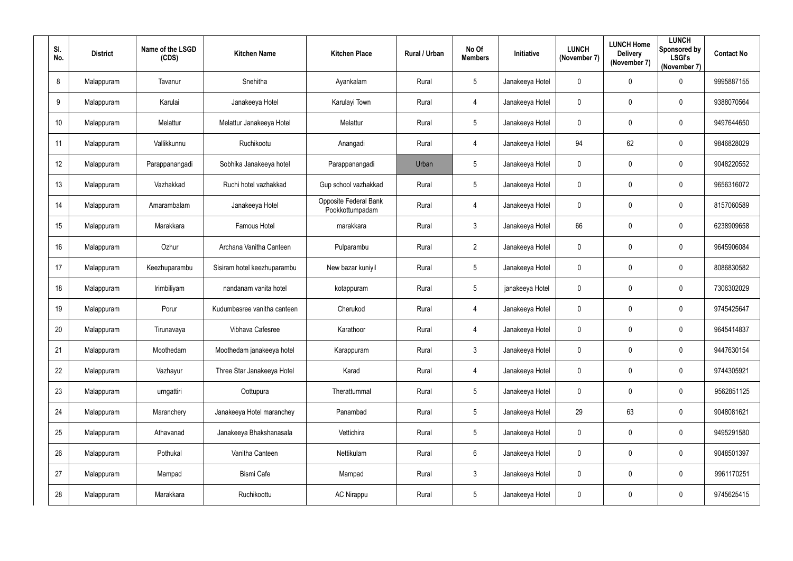| SI.<br>No.      | <b>District</b> | Name of the LSGD<br>(CDS) | <b>Kitchen Name</b>         | <b>Kitchen Place</b>                     | Rural / Urban | No Of<br><b>Members</b> | Initiative      | <b>LUNCH</b><br>(November 7) | <b>LUNCH Home</b><br><b>Delivery</b><br>(November 7) | <b>LUNCH</b><br>Sponsored by<br><b>LSGI's</b><br>(November 7) | <b>Contact No</b> |
|-----------------|-----------------|---------------------------|-----------------------------|------------------------------------------|---------------|-------------------------|-----------------|------------------------------|------------------------------------------------------|---------------------------------------------------------------|-------------------|
| 8               | Malappuram      | Tavanur                   | Snehitha                    | Ayankalam                                | Rural         | $5\phantom{.0}$         | Janakeeya Hotel | $\mathbf 0$                  | $\mathbf 0$                                          | $\mathbf 0$                                                   | 9995887155        |
| 9               | Malappuram      | Karulai                   | Janakeeya Hotel             | Karulayi Town                            | Rural         | 4                       | Janakeeya Hotel | $\mathbf 0$                  | 0                                                    | $\overline{0}$                                                | 9388070564        |
| 10 <sup>°</sup> | Malappuram      | Melattur                  | Melattur Janakeeya Hotel    | Melattur                                 | Rural         | $5\phantom{.0}$         | Janakeeya Hotel | $\mathbf 0$                  | $\mathbf 0$                                          | $\overline{0}$                                                | 9497644650        |
| 11              | Malappuram      | Vallikkunnu               | Ruchikootu                  | Anangadi                                 | Rural         | $\overline{4}$          | Janakeeya Hotel | 94                           | 62                                                   | $\mathbf 0$                                                   | 9846828029        |
| 12              | Malappuram      | Parappanangadi            | Sobhika Janakeeya hotel     | Parappanangadi                           | Urban         | $5\phantom{.0}$         | Janakeeya Hotel | $\mathbf 0$                  | $\mathbf 0$                                          | $\overline{0}$                                                | 9048220552        |
| 13              | Malappuram      | Vazhakkad                 | Ruchi hotel vazhakkad       | Gup school vazhakkad                     | Rural         | $5\phantom{.0}$         | Janakeeya Hotel | $\mathbf 0$                  | $\overline{0}$                                       | $\boldsymbol{0}$                                              | 9656316072        |
| 14              | Malappuram      | Amarambalam               | Janakeeya Hotel             | Opposite Federal Bank<br>Pookkottumpadam | Rural         | 4                       | Janakeeya Hotel | $\mathbf 0$                  | $\mathbf 0$                                          | $\overline{0}$                                                | 8157060589        |
| 15              | Malappuram      | Marakkara                 | Famous Hotel                | marakkara                                | Rural         | $\mathbf{3}$            | Janakeeya Hotel | 66                           | $\mathbf 0$                                          | $\overline{0}$                                                | 6238909658        |
| 16              | Malappuram      | Ozhur                     | Archana Vanitha Canteen     | Pulparambu                               | Rural         | $2^{\circ}$             | Janakeeya Hotel | $\boldsymbol{0}$             | $\mathbf 0$                                          | $\overline{0}$                                                | 9645906084        |
| 17              | Malappuram      | Keezhuparambu             | Sisiram hotel keezhuparambu | New bazar kuniyil                        | Rural         | $5\phantom{.0}$         | Janakeeya Hotel | $\mathbf 0$                  | $\mathbf 0$                                          | $\mathbf 0$                                                   | 8086830582        |
| 18              | Malappuram      | Irimbiliyam               | nandanam vanita hotel       | kotappuram                               | Rural         | $5\phantom{.0}$         | janakeeya Hotel | $\boldsymbol{0}$             | $\boldsymbol{0}$                                     | $\overline{0}$                                                | 7306302029        |
| 19              | Malappuram      | Porur                     | Kudumbasree vanitha canteen | Cherukod                                 | Rural         | 4                       | Janakeeya Hotel | $\mathbf 0$                  | $\overline{0}$                                       | $\overline{0}$                                                | 9745425647        |
| 20              | Malappuram      | Tirunavaya                | Vibhava Cafesree            | Karathoor                                | Rural         | 4                       | Janakeeya Hotel | $\mathbf 0$                  | $\mathbf 0$                                          | $\overline{0}$                                                | 9645414837        |
| 21              | Malappuram      | Moothedam                 | Moothedam janakeeya hotel   | Karappuram                               | Rural         | 3 <sup>1</sup>          | Janakeeya Hotel | $\pmb{0}$                    | $\mathbf 0$                                          | $\pmb{0}$                                                     | 9447630154        |
| 22              | Malappuram      | Vazhayur                  | Three Star Janakeeya Hotel  | Karad                                    | Rural         | $\overline{4}$          | Janakeeya Hotel | $\pmb{0}$                    | $\pmb{0}$                                            | $\pmb{0}$                                                     | 9744305921        |
| 23              | Malappuram      | urngattiri                | Oottupura                   | Therattummal                             | Rural         | $5\phantom{.0}$         | Janakeeya Hotel | $\pmb{0}$                    | $\mathbf 0$                                          | $\pmb{0}$                                                     | 9562851125        |
| 24              | Malappuram      | Maranchery                | Janakeeya Hotel maranchey   | Panambad                                 | Rural         | $5\phantom{.0}$         | Janakeeya Hotel | 29                           | 63                                                   | $\boldsymbol{0}$                                              | 9048081621        |
| 25              | Malappuram      | Athavanad                 | Janakeeya Bhakshanasala     | Vettichira                               | Rural         | $5\overline{)}$         | Janakeeya Hotel | $\pmb{0}$                    | $\mathbf 0$                                          | $\mathbf 0$                                                   | 9495291580        |
| 26              | Malappuram      | Pothukal                  | Vanitha Canteen             | Nettikulam                               | Rural         | $6\overline{6}$         | Janakeeya Hotel | $\pmb{0}$                    | $\mathbf 0$                                          | $\pmb{0}$                                                     | 9048501397        |
| 27              | Malappuram      | Mampad                    | <b>Bismi Cafe</b>           | Mampad                                   | Rural         | $3\phantom{.0}$         | Janakeeya Hotel | $\boldsymbol{0}$             | $\mathbf 0$                                          | $\pmb{0}$                                                     | 9961170251        |
| 28              | Malappuram      | Marakkara                 | Ruchikoottu                 | <b>AC Nirappu</b>                        | Rural         | $5\phantom{.0}$         | Janakeeya Hotel | $\pmb{0}$                    | $\boldsymbol{0}$                                     | $\pmb{0}$                                                     | 9745625415        |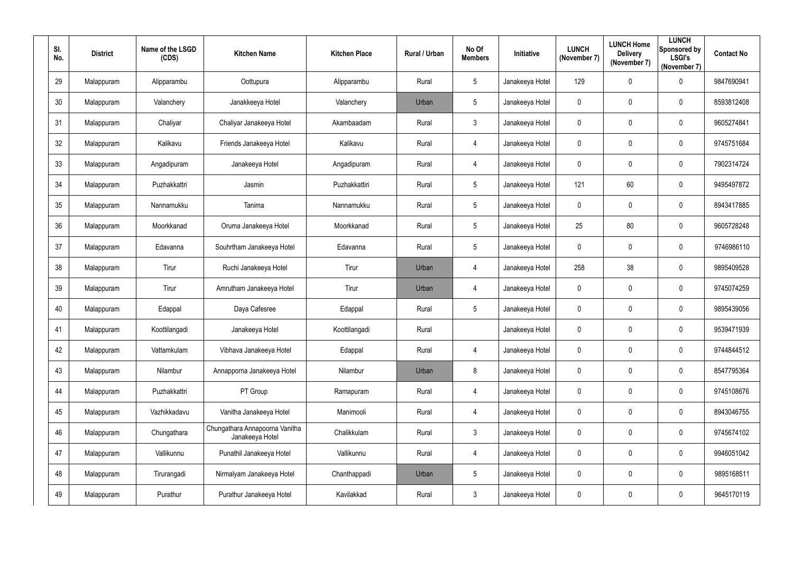| SI.<br>No. | <b>District</b> | Name of the LSGD<br>(CDS) | <b>Kitchen Name</b>                               | <b>Kitchen Place</b> | Rural / Urban | No Of<br><b>Members</b> | Initiative      | <b>LUNCH</b><br>(November 7) | <b>LUNCH Home</b><br><b>Delivery</b><br>(November 7) | <b>LUNCH</b><br>Sponsored by<br><b>LSGI's</b><br>(November 7) | <b>Contact No</b> |
|------------|-----------------|---------------------------|---------------------------------------------------|----------------------|---------------|-------------------------|-----------------|------------------------------|------------------------------------------------------|---------------------------------------------------------------|-------------------|
| 29         | Malappuram      | Alipparambu               | Oottupura                                         | Alipparambu          | Rural         | $5\phantom{.0}$         | Janakeeya Hotel | 129                          | $\mathbf 0$                                          | $\mathbf 0$                                                   | 9847690941        |
| 30         | Malappuram      | Valanchery                | Janakkeeya Hotel                                  | Valanchery           | Urban         | 5 <sup>5</sup>          | Janakeeya Hotel | $\mathbf 0$                  | 0                                                    | $\overline{0}$                                                | 8593812408        |
| 31         | Malappuram      | Chaliyar                  | Chaliyar Janakeeya Hotel                          | Akambaadam           | Rural         | $\mathbf{3}$            | Janakeeya Hotel | $\mathbf 0$                  | $\overline{0}$                                       | $\boldsymbol{0}$                                              | 9605274841        |
| 32         | Malappuram      | Kalikavu                  | Friends Janakeeya Hotel                           | Kalikavu             | Rural         | $\overline{4}$          | Janakeeya Hotel | $\pmb{0}$                    | $\pmb{0}$                                            | $\mathbf 0$                                                   | 9745751684        |
| 33         | Malappuram      | Angadipuram               | Janakeeya Hotel                                   | Angadipuram          | Rural         | 4                       | Janakeeya Hotel | $\mathbf 0$                  | $\mathbf 0$                                          | $\overline{0}$                                                | 7902314724        |
| 34         | Malappuram      | Puzhakkattri              | Jasmin                                            | Puzhakkattiri        | Rural         | $5\phantom{.0}$         | Janakeeya Hotel | 121                          | 60                                                   | $\boldsymbol{0}$                                              | 9495497872        |
| 35         | Malappuram      | Nannamukku                | Tanima                                            | Nannamukku           | Rural         | $5\overline{)}$         | Janakeeya Hotel | $\mathbf 0$                  | $\mathbf 0$                                          | $\overline{0}$                                                | 8943417885        |
| 36         | Malappuram      | Moorkkanad                | Oruma Janakeeya Hotel                             | Moorkkanad           | Rural         | $5\phantom{.0}$         | Janakeeya Hotel | 25                           | 80                                                   | $\mathbf 0$                                                   | 9605728248        |
| 37         | Malappuram      | Edavanna                  | Souhrtham Janakeeya Hotel                         | Edavanna             | Rural         | $5\phantom{.0}$         | Janakeeya Hotel | $\mathbf 0$                  | $\mathbf 0$                                          | $\overline{0}$                                                | 9746986110        |
| 38         | Malappuram      | Tirur                     | Ruchi Janakeeya Hotel                             | Tirur                | Urban         | 4                       | Janakeeya Hotel | 258                          | 38                                                   | $\mathbf 0$                                                   | 9895409528        |
| 39         | Malappuram      | Tirur                     | Amrutham Janakeeya Hotel                          | Tirur                | Urban         | 4                       | Janakeeya Hotel | $\boldsymbol{0}$             | $\overline{0}$                                       | $\overline{0}$                                                | 9745074259        |
| 40         | Malappuram      | Edappal                   | Daya Cafesree                                     | Edappal              | Rural         | $5\overline{)}$         | Janakeeya Hotel | $\mathbf 0$                  | $\overline{0}$                                       | $\overline{0}$                                                | 9895439056        |
| 41         | Malappuram      | Koottilangadi             | Janakeeya Hotel                                   | Koottilangadi        | Rural         |                         | Janakeeya Hotel | $\mathbf 0$                  | 0                                                    | $\overline{0}$                                                | 9539471939        |
| 42         | Malappuram      | Vattamkulam               | Vibhava Janakeeya Hotel                           | Edappal              | Rural         | $\overline{4}$          | Janakeeya Hotel | $\pmb{0}$                    | $\mathbf 0$                                          | $\mathbf 0$                                                   | 9744844512        |
| 43         | Malappuram      | Nilambur                  | Annapporna Janakeeya Hotel                        | Nilambur             | Urban         | 8                       | Janakeeya Hotel | $\pmb{0}$                    | $\mathbf 0$                                          | $\mathbf 0$                                                   | 8547795364        |
| 44         | Malappuram      | Puzhakkattri              | PT Group                                          | Ramapuram            | Rural         | $\overline{4}$          | Janakeeya Hotel | $\pmb{0}$                    | $\mathbf 0$                                          | $\pmb{0}$                                                     | 9745108676        |
| 45         | Malappuram      | Vazhikkadavu              | Vanitha Janakeeya Hotel                           | Manimooli            | Rural         | $\overline{4}$          | Janakeeya Hotel | $\pmb{0}$                    | $\mathbf 0$                                          | $\boldsymbol{0}$                                              | 8943046755        |
| 46         | Malappuram      | Chungathara               | Chungathara Annapoorna Vanitha<br>Janakeeya Hotel | Chalikkulam          | Rural         | $3\phantom{.0}$         | Janakeeya Hotel | $\pmb{0}$                    | $\pmb{0}$                                            | $\mathbf 0$                                                   | 9745674102        |
| 47         | Malappuram      | Vallikunnu                | Punathil Janakeeya Hotel                          | Vallikunnu           | Rural         | $\overline{4}$          | Janakeeya Hotel | $\mathbf 0$                  | $\mathbf 0$                                          | $\pmb{0}$                                                     | 9946051042        |
| 48         | Malappuram      | Tirurangadi               | Nirmalyam Janakeeya Hotel                         | Chanthappadi         | Urban         | 5 <sub>5</sub>          | Janakeeya Hotel | $\mathbf 0$                  | $\mathbf 0$                                          | $\pmb{0}$                                                     | 9895168511        |
| 49         | Malappuram      | Purathur                  | Purathur Janakeeya Hotel                          | Kavilakkad           | Rural         | $\mathfrak{Z}$          | Janakeeya Hotel | $\boldsymbol{0}$             | $\boldsymbol{0}$                                     | $\pmb{0}$                                                     | 9645170119        |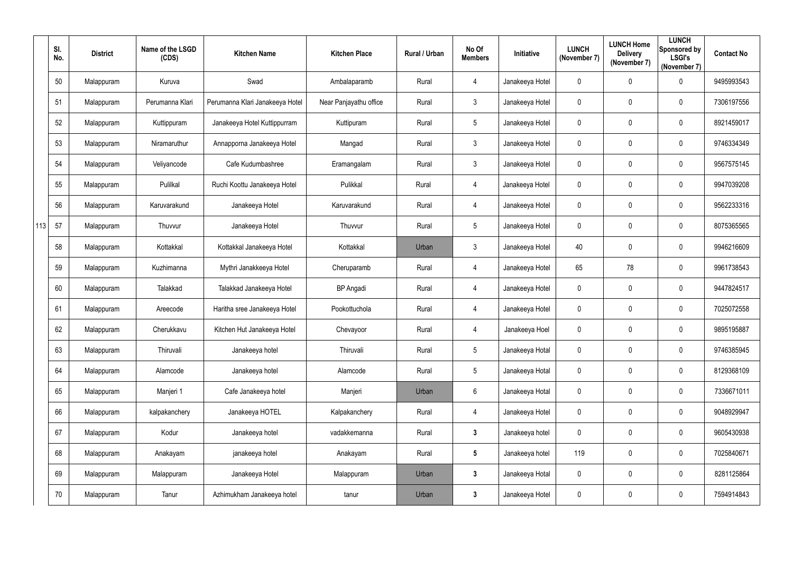|     | SI.<br>No. | <b>District</b> | Name of the LSGD<br>(CDS) | <b>Kitchen Name</b>             | <b>Kitchen Place</b>   | Rural / Urban | No Of<br><b>Members</b> | Initiative      | <b>LUNCH</b><br>(November 7) | <b>LUNCH Home</b><br><b>Delivery</b><br>(November 7) | <b>LUNCH</b><br>Sponsored by<br><b>LSGI's</b><br>(November 7) | <b>Contact No</b> |
|-----|------------|-----------------|---------------------------|---------------------------------|------------------------|---------------|-------------------------|-----------------|------------------------------|------------------------------------------------------|---------------------------------------------------------------|-------------------|
|     | 50         | Malappuram      | Kuruva                    | Swad                            | Ambalaparamb           | Rural         | $\overline{4}$          | Janakeeya Hotel | $\mathbf 0$                  | $\pmb{0}$                                            | $\overline{0}$                                                | 9495993543        |
|     | 51         | Malappuram      | Perumanna Klari           | Perumanna Klari Janakeeya Hotel | Near Panjayathu office | Rural         | $\mathfrak{Z}$          | Janakeeya Hotel | $\mathbf 0$                  | 0                                                    | $\overline{0}$                                                | 7306197556        |
|     | 52         | Malappuram      | Kuttippuram               | Janakeeya Hotel Kuttippurram    | Kuttipuram             | Rural         | 5                       | Janakeeya Hotel | $\mathbf 0$                  | 0                                                    | $\mathbf 0$                                                   | 8921459017        |
|     | 53         | Malappuram      | Niramaruthur              | Annapporna Janakeeya Hotel      | Mangad                 | Rural         | $\mathfrak{Z}$          | Janakeeya Hotel | $\mathbf 0$                  | $\pmb{0}$                                            | $\overline{0}$                                                | 9746334349        |
|     | 54         | Malappuram      | Veliyancode               | Cafe Kudumbashree               | Eramangalam            | Rural         | $\mathfrak{Z}$          | Janakeeya Hotel | $\mathbf 0$                  | 0                                                    | $\overline{0}$                                                | 9567575145        |
|     | 55         | Malappuram      | Pulilkal                  | Ruchi Koottu Janakeeya Hotel    | Pulikkal               | Rural         | $\overline{4}$          | Janakeeya Hotel | $\mathbf 0$                  | 0                                                    | $\overline{0}$                                                | 9947039208        |
|     | 56         | Malappuram      | Karuvarakund              | Janakeeya Hotel                 | Karuvarakund           | Rural         | $\overline{4}$          | Janakeeya Hotel | $\mathbf 0$                  | 0                                                    | $\overline{0}$                                                | 9562233316        |
| 113 | 57         | Malappuram      | Thuvvur                   | Janakeeya Hotel                 | Thuvvur                | Rural         | 5                       | Janakeeya Hotel | $\mathbf 0$                  | 0                                                    | $\overline{0}$                                                | 8075365565        |
|     | 58         | Malappuram      | Kottakkal                 | Kottakkal Janakeeya Hotel       | Kottakkal              | Urban         | $\mathfrak{Z}$          | Janakeeya Hotel | 40                           | 0                                                    | $\mathbf 0$                                                   | 9946216609        |
|     | 59         | Malappuram      | Kuzhimanna                | Mythri Janakkeeya Hotel         | Cheruparamb            | Rural         | $\overline{4}$          | Janakeeya Hotel | 65                           | 78                                                   | $\overline{0}$                                                | 9961738543        |
|     | 60         | Malappuram      | Talakkad                  | Talakkad Janakeeya Hotel        | <b>BP</b> Angadi       | Rural         | $\overline{4}$          | Janakeeya Hotel | $\mathbf 0$                  | 0                                                    | $\overline{0}$                                                | 9447824517        |
|     | 61         | Malappuram      | Areecode                  | Haritha sree Janakeeya Hotel    | Pookottuchola          | Rural         | $\overline{4}$          | Janakeeya Hotel | $\mathbf 0$                  | 0                                                    | $\overline{0}$                                                | 7025072558        |
|     | 62         | Malappuram      | Cherukkavu                | Kitchen Hut Janakeeya Hotel     | Chevayoor              | Rural         | $\overline{4}$          | Janakeeya Hoel  | $\mathbf 0$                  | $\mathbf 0$                                          | $\mathbf 0$                                                   | 9895195887        |
|     | 63         | Malappuram      | Thiruvali                 | Janakeeya hotel                 | Thiruvali              | Rural         | $5\overline{)}$         | Janakeeya Hotal | $\mathbf 0$                  | 0                                                    | $\mathbf 0$                                                   | 9746385945        |
|     | 64         | Malappuram      | Alamcode                  | Janakeeya hotel                 | Alamcode               | Rural         | $5\phantom{.0}$         | Janakeeya Hotal | $\mathbf 0$                  | 0                                                    | $\overline{0}$                                                | 8129368109        |
|     | 65         | Malappuram      | Manjeri 1                 | Cafe Janakeeya hotel            | Manjeri                | Urban         | $6\phantom{.0}$         | Janakeeya Hotal | $\mathbf 0$                  | 0                                                    | $\mathbf 0$                                                   | 7336671011        |
|     | 66         | Malappuram      | kalpakanchery             | Janakeeya HOTEL                 | Kalpakanchery          | Rural         | $\overline{4}$          | Janakeeya Hotel | $\mathbf 0$                  | 0                                                    | $\mathbf 0$                                                   | 9048929947        |
|     | 67         | Malappuram      | Kodur                     | Janakeeya hotel                 | vadakkemanna           | Rural         | $\mathbf{3}$            | Janakeeya hotel | $\mathbf 0$                  | 0                                                    | $\mathbf 0$                                                   | 9605430938        |
|     | 68         | Malappuram      | Anakayam                  | janakeeya hotel                 | Anakayam               | Rural         | $5\phantom{.0}$         | Janakeeya hotel | 119                          | $\pmb{0}$                                            | $\mathbf 0$                                                   | 7025840671        |
|     | 69         | Malappuram      | Malappuram                | Janakeeya Hotel                 | Malappuram             | Urban         | $\mathbf{3}$            | Janakeeya Hotal | $\mathbf 0$                  | 0                                                    | $\mathbf 0$                                                   | 8281125864        |
|     | 70         | Malappuram      | Tanur                     | Azhimukham Janakeeya hotel      | tanur                  | Urban         | $\mathbf{3}$            | Janakeeya Hotel | $\mathbf 0$                  | 0                                                    | $\overline{0}$                                                | 7594914843        |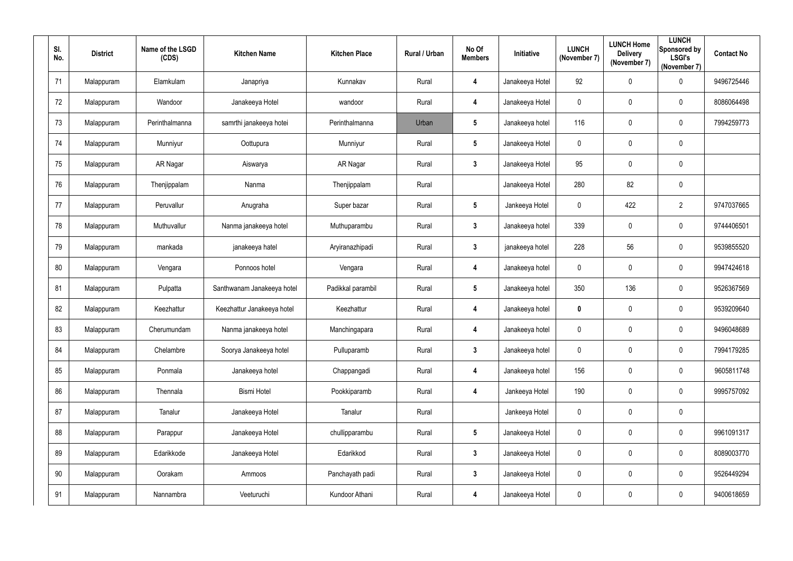| SI.<br>No. | <b>District</b> | Name of the LSGD<br>(CDS) | <b>Kitchen Name</b>        | <b>Kitchen Place</b> | Rural / Urban | No Of<br><b>Members</b> | Initiative      | <b>LUNCH</b><br>(November 7) | <b>LUNCH Home</b><br><b>Delivery</b><br>(November 7) | <b>LUNCH</b><br>Sponsored by<br><b>LSGI's</b><br>(November 7) | <b>Contact No</b> |
|------------|-----------------|---------------------------|----------------------------|----------------------|---------------|-------------------------|-----------------|------------------------------|------------------------------------------------------|---------------------------------------------------------------|-------------------|
| 71         | Malappuram      | Elamkulam                 | Janapriya                  | Kunnakav             | Rural         | 4                       | Janakeeya Hotel | 92                           | 0                                                    | $\mathbf 0$                                                   | 9496725446        |
| 72         | Malappuram      | Wandoor                   | Janakeeya Hotel            | wandoor              | Rural         | $\overline{\mathbf{4}}$ | Janakeeya Hotel | $\overline{0}$               | 0                                                    | $\mathbf 0$                                                   | 8086064498        |
| 73         | Malappuram      | Perinthalmanna            | samrthi janakeeya hotei    | Perinthalmanna       | Urban         | $5\phantom{.0}$         | Janakeeya hotel | 116                          | 0                                                    | $\mathbf 0$                                                   | 7994259773        |
| 74         | Malappuram      | Munniyur                  | Oottupura                  | Munniyur             | Rural         | $5\phantom{.0}$         | Janakeeya Hotel | $\pmb{0}$                    | 0                                                    | $\overline{0}$                                                |                   |
| 75         | Malappuram      | AR Nagar                  | Aiswarya                   | AR Nagar             | Rural         | $3\phantom{a}$          | Janakeeya Hotel | 95                           | 0                                                    | $\mathbf 0$                                                   |                   |
| 76         | Malappuram      | Thenjippalam              | Nanma                      | Thenjippalam         | Rural         |                         | Janakeeya Hotel | 280                          | 82                                                   | $\mathbf 0$                                                   |                   |
| 77         | Malappuram      | Peruvallur                | Anugraha                   | Super bazar          | Rural         | $5\phantom{.0}$         | Jankeeya Hotel  | $\boldsymbol{0}$             | 422                                                  | $\overline{2}$                                                | 9747037665        |
| 78         | Malappuram      | Muthuvallur               | Nanma janakeeya hotel      | Muthuparambu         | Rural         | $3\phantom{a}$          | Janakeeya hotel | 339                          | 0                                                    | $\overline{0}$                                                | 9744406501        |
| 79         | Malappuram      | mankada                   | janakeeya hatel            | Aryiranazhipadi      | Rural         | $3\phantom{a}$          | janakeeya hotel | 228                          | 56                                                   | $\mathbf 0$                                                   | 9539855520        |
| 80         | Malappuram      | Vengara                   | Ponnoos hotel              | Vengara              | Rural         | $\overline{\mathbf{4}}$ | Janakeeya hotel | $\overline{0}$               | 0                                                    | $\mathbf 0$                                                   | 9947424618        |
| 81         | Malappuram      | Pulpatta                  | Santhwanam Janakeeya hotel | Padikkal parambil    | Rural         | $5\phantom{.0}$         | Janakeeya hotel | 350                          | 136                                                  | $\overline{0}$                                                | 9526367569        |
| 82         | Malappuram      | Keezhattur                | Keezhattur Janakeeya hotel | Keezhattur           | Rural         | $\overline{\mathbf{4}}$ | Janakeeya hotel | $\mathbf 0$                  | 0                                                    | $\mathbf 0$                                                   | 9539209640        |
| 83         | Malappuram      | Cherumundam               | Nanma janakeeya hotel      | Manchingapara        | Rural         | 4                       | Janakeeya hotel | $\mathbf 0$                  | 0                                                    | $\mathbf 0$                                                   | 9496048689        |
| 84         | Malappuram      | Chelambre                 | Soorya Janakeeya hotel     | Pulluparamb          | Rural         | $3\phantom{a}$          | Janakeeya hotel | $\mathbf 0$                  | $\pmb{0}$                                            | $\overline{0}$                                                | 7994179285        |
| 85         | Malappuram      | Ponmala                   | Janakeeya hotel            | Chappangadi          | Rural         | $\overline{\mathbf{4}}$ | Janakeeya hotel | 156                          | 0                                                    | $\overline{0}$                                                | 9605811748        |
| 86         | Malappuram      | Thennala                  | <b>Bismi Hotel</b>         | Pookkiparamb         | Rural         | $\overline{\mathbf{4}}$ | Jankeeya Hotel  | 190                          | $\mathbf 0$                                          | $\overline{0}$                                                | 9995757092        |
| 87         | Malappuram      | Tanalur                   | Janakeeya Hotel            | Tanalur              | Rural         |                         | Jankeeya Hotel  | $\mathbf 0$                  | 0                                                    | $\overline{0}$                                                |                   |
| 88         | Malappuram      | Parappur                  | Janakeeya Hotel            | chullipparambu       | Rural         | $5\phantom{.0}$         | Janakeeya Hotel | $\mathbf 0$                  | 0                                                    | $\overline{0}$                                                | 9961091317        |
| 89         | Malappuram      | Edarikkode                | Janakeeya Hotel            | Edarikkod            | Rural         | $\mathbf{3}$            | Janakeeya Hotel | $\mathbf 0$                  | $\mathbf 0$                                          | $\overline{0}$                                                | 8089003770        |
| 90         | Malappuram      | Oorakam                   | Ammoos                     | Panchayath padi      | Rural         | $3\phantom{a}$          | Janakeeya Hotel | $\mathbf 0$                  | 0                                                    | $\overline{0}$                                                | 9526449294        |
| 91         | Malappuram      | Nannambra                 | Veeturuchi                 | Kundoor Athani       | Rural         | $\overline{\mathbf{4}}$ | Janakeeya Hotel | $\boldsymbol{0}$             | 0                                                    | $\overline{0}$                                                | 9400618659        |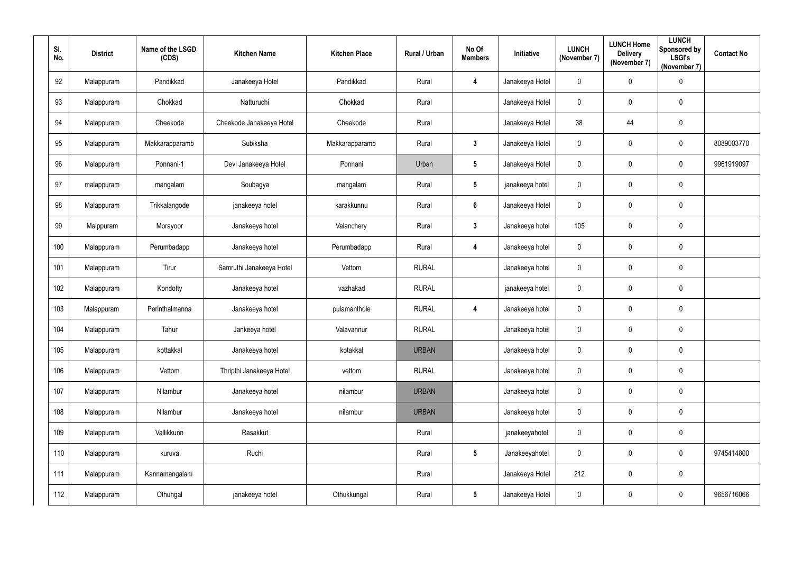| SI.<br>No. | <b>District</b> | Name of the LSGD<br>(CDS) | <b>Kitchen Name</b>      | <b>Kitchen Place</b> | Rural / Urban | No Of<br><b>Members</b> | Initiative      | <b>LUNCH</b><br>(November 7) | <b>LUNCH Home</b><br><b>Delivery</b><br>(November 7) | <b>LUNCH</b><br>Sponsored by<br><b>LSGI's</b><br>(November 7) | <b>Contact No</b> |
|------------|-----------------|---------------------------|--------------------------|----------------------|---------------|-------------------------|-----------------|------------------------------|------------------------------------------------------|---------------------------------------------------------------|-------------------|
| 92         | Malappuram      | Pandikkad                 | Janakeeya Hotel          | Pandikkad            | Rural         | 4                       | Janakeeya Hotel | $\boldsymbol{0}$             | $\mathbf 0$                                          | $\pmb{0}$                                                     |                   |
| 93         | Malappuram      | Chokkad                   | Natturuchi               | Chokkad              | Rural         |                         | Janakeeya Hotel | $\mathbf 0$                  | $\mathbf 0$                                          | $\pmb{0}$                                                     |                   |
| 94         | Malappuram      | Cheekode                  | Cheekode Janakeeya Hotel | Cheekode             | Rural         |                         | Janakeeya Hotel | 38                           | 44                                                   | $\pmb{0}$                                                     |                   |
| 95         | Malappuram      | Makkarapparamb            | Subiksha                 | Makkarapparamb       | Rural         | 3 <sup>1</sup>          | Janakeeya Hotel | $\boldsymbol{0}$             | $\mathbf 0$                                          | $\pmb{0}$                                                     | 8089003770        |
| 96         | Malappuram      | Ponnani-1                 | Devi Janakeeya Hotel     | Ponnani              | Urban         | $5\phantom{.0}$         | Janakeeya Hotel | $\mathbf 0$                  | $\boldsymbol{0}$                                     | $\mathbf 0$                                                   | 9961919097        |
| 97         | malappuram      | mangalam                  | Soubagya                 | mangalam             | Rural         | $5\overline{)}$         | janakeeya hotel | $\overline{0}$               | $\pmb{0}$                                            | $\pmb{0}$                                                     |                   |
| 98         | Malappuram      | Trikkalangode             | janakeeya hotel          | karakkunnu           | Rural         | $6\phantom{1}$          | Janakeeya Hotel | $\mathbf 0$                  | $\boldsymbol{0}$                                     | $\pmb{0}$                                                     |                   |
| 99         | Malppuram       | Morayoor                  | Janakeeya hotel          | Valanchery           | Rural         | $3\phantom{a}$          | Janakeeya hotel | 105                          | $\mathbf 0$                                          | $\pmb{0}$                                                     |                   |
| 100        | Malappuram      | Perumbadapp               | Janakeeya hotel          | Perumbadapp          | Rural         | $\overline{\mathbf{4}}$ | Janakeeya hotel | $\overline{0}$               | $\mathbf 0$                                          | $\mathbf 0$                                                   |                   |
| 101        | Malappuram      | Tirur                     | Samruthi Janakeeya Hotel | Vettom               | <b>RURAL</b>  |                         | Janakeeya hotel | $\mathbf 0$                  | $\mathbf 0$                                          | $\pmb{0}$                                                     |                   |
| 102        | Malappuram      | Kondotty                  | Janakeeya hotel          | vazhakad             | <b>RURAL</b>  |                         | janakeeya hotel | $\overline{0}$               | $\mathbf 0$                                          | $\pmb{0}$                                                     |                   |
| 103        | Malappuram      | Perinthalmanna            | Janakeeya hotel          | pulamanthole         | <b>RURAL</b>  | $\overline{\mathbf{4}}$ | Janakeeya hotel | $\mathbf 0$                  | $\boldsymbol{0}$                                     | $\mathbf 0$                                                   |                   |
| 104        | Malappuram      | Tanur                     | Jankeeya hotel           | Valavannur           | <b>RURAL</b>  |                         | Janakeeya hotel | $\mathbf 0$                  | $\mathbf 0$                                          | $\mathbf 0$                                                   |                   |
| 105        | Malappuram      | kottakkal                 | Janakeeya hotel          | kotakkal             | <b>URBAN</b>  |                         | Janakeeya hotel | $\mathbf 0$                  | $\overline{0}$                                       | $\pmb{0}$                                                     |                   |
| 106        | Malappuram      | Vettom                    | Thripthi Janakeeya Hotel | vettom               | <b>RURAL</b>  |                         | Janakeeya hotel | $\pmb{0}$                    | $\pmb{0}$                                            | $\pmb{0}$                                                     |                   |
| 107        | Malappuram      | Nilambur                  | Janakeeya hotel          | nilambur             | <b>URBAN</b>  |                         | Janakeeya hotel | $\pmb{0}$                    | $\pmb{0}$                                            | $\pmb{0}$                                                     |                   |
| 108        | Malappuram      | Nilambur                  | Janakeeya hotel          | nilambur             | <b>URBAN</b>  |                         | Janakeeya hotel | $\pmb{0}$                    | $\pmb{0}$                                            | $\pmb{0}$                                                     |                   |
| 109        | Malappuram      | Vallikkunn                | Rasakkut                 |                      | Rural         |                         | janakeeyahotel  | $\pmb{0}$                    | $\pmb{0}$                                            | $\pmb{0}$                                                     |                   |
| 110        | Malappuram      | kuruva                    | Ruchi                    |                      | Rural         | $5\overline{)}$         | Janakeeyahotel  | $\pmb{0}$                    | $\pmb{0}$                                            | $\pmb{0}$                                                     | 9745414800        |
| 111        | Malappuram      | Kannamangalam             |                          |                      | Rural         |                         | Janakeeya Hotel | 212                          | $\pmb{0}$                                            | $\pmb{0}$                                                     |                   |
| 112        | Malappuram      | Othungal                  | janakeeya hotel          | Othukkungal          | Rural         | $5\overline{)}$         | Janakeeya Hotel | $\pmb{0}$                    | $\pmb{0}$                                            | $\pmb{0}$                                                     | 9656716066        |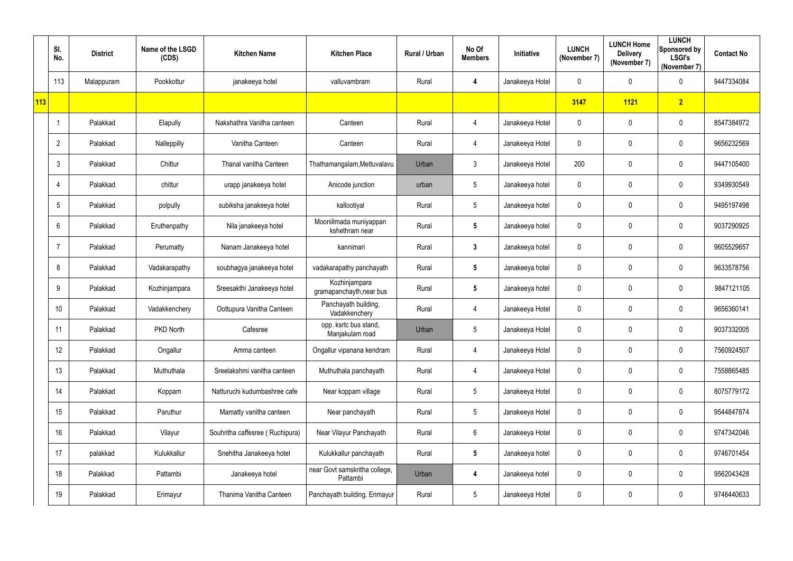|     | SI.<br>No.      | <b>District</b> | Name of the LSGD<br>(CDS) | <b>Kitchen Name</b>             | <b>Kitchen Place</b>                      | Rural / Urban | No Of<br><b>Members</b> | Initiative      | <b>LUNCH</b><br>(November 7) | <b>LUNCH Home</b><br><b>Delivery</b><br>(November 7) | <b>LUNCH</b><br>Sponsored by<br><b>LSGI's</b><br>(November 7) | <b>Contact No</b> |
|-----|-----------------|-----------------|---------------------------|---------------------------------|-------------------------------------------|---------------|-------------------------|-----------------|------------------------------|------------------------------------------------------|---------------------------------------------------------------|-------------------|
|     | 113             | Malappuram      | Pookkottur                | janakeeya hotel                 | valluvambram                              | Rural         | 4                       | Janakeeya Hotel | 0                            | $\mathbf 0$                                          | $\overline{0}$                                                | 9447334084        |
| 113 |                 |                 |                           |                                 |                                           |               |                         |                 | 3147                         | 1121                                                 | 2                                                             |                   |
|     |                 | Palakkad        | Elapully                  | Nakshathra Vanitha canteen      | Canteen                                   | Rural         | 4                       | Janakeeya Hotel | $\mathbf 0$                  | $\mathbf 0$                                          | $\mathbf 0$                                                   | 8547384972        |
|     | $\overline{2}$  | Palakkad        | Nalleppilly               | Vanitha Canteen                 | Canteen                                   | Rural         | 4                       | Janakeeya Hotel | 0                            | $\mathbf 0$                                          | $\overline{0}$                                                | 9656232569        |
|     | $\mathbf{3}$    | Palakkad        | Chittur                   | Thanal vanitha Canteen          | Thathamangalam, Mettuvalavu               | Urban         | $\mathfrak{Z}$          | Janakeeya Hotel | 200                          | $\boldsymbol{0}$                                     | $\mathbf 0$                                                   | 9447105400        |
|     | 4               | Palakkad        | chittur                   | urapp janakeeya hotel           | Anicode junction                          | urban         | $5\phantom{.0}$         | Janakeeya hotel | 0                            | $\pmb{0}$                                            | $\mathbf 0$                                                   | 9349930549        |
|     | 5               | Palakkad        | polpully                  | subiksha janakeeya hotel        | kallootiyal                               | Rural         | $5\phantom{.0}$         | Janakeeya hotel | 0                            | 0                                                    | $\overline{0}$                                                | 9495197498        |
|     | $6\phantom{1}$  | Palakkad        | Eruthenpathy              | Nila janakeeya hotel            | Mooniilmada muniyappan<br>kshethram near  | Rural         | $5\phantom{.0}$         | Janakeeya hotel | 0                            | 0                                                    | $\mathbf 0$                                                   | 9037290925        |
|     | -7              | Palakkad        | Perumatty                 | Nanam Janakeeya hotel           | kannimari                                 | Rural         | $\mathbf{3}$            | Janakeeya hotel | 0                            | 0                                                    | $\mathbf 0$                                                   | 9605529657        |
|     | 8               | Palakkad        | Vadakarapathy             | soubhagya janakeeya hotel       | vadakarapathy panchayath                  | Rural         | $5\phantom{.0}$         | Janakeeya hotel | 0                            | $\boldsymbol{0}$                                     | $\mathbf 0$                                                   | 9633578756        |
|     | 9               | Palakkad        | Kozhinjampara             | Sreesakthi Janakeeya hotel      | Kozhinjampara<br>gramapanchayth, near bus | Rural         | $5\phantom{.0}$         | Janakeeya hotel | 0                            | 0                                                    | $\mathbf 0$                                                   | 9847121105        |
|     | 10 <sup>°</sup> | Palakkad        | Vadakkenchery             | Oottupura Vanitha Canteen       | Panchayath building,<br>Vadakkenchery     | Rural         | 4                       | Janakeeya Hotel | 0                            | 0                                                    | $\mathbf 0$                                                   | 9656360141        |
|     | 11              | Palakkad        | PKD North                 | Cafesree                        | opp. ksrtc bus stand,<br>Manjakulam road  | Urban         | 5                       | Janakeeya Hotel | 0                            | 0                                                    | $\mathbf 0$                                                   | 9037332005        |
|     | 12              | Palakkad        | Ongallur                  | Amma canteen                    | Ongallur vipanana kendram                 | Rural         | $\overline{4}$          | Janakeeya Hotel | $\mathbf 0$                  | 0                                                    | $\overline{0}$                                                | 7560924507        |
|     | 13              | Palakkad        | Muthuthala                | Sreelakshmi vanitha canteen     | Muthuthala panchayath                     | Rural         | $\overline{4}$          | Janakeeya Hotel | 0                            | 0                                                    | $\overline{0}$                                                | 7558865485        |
|     | 14              | Palakkad        | Koppam                    | Natturuchi kudumbashree cafe    | Near koppam village                       | Rural         | $5\phantom{.0}$         | Janakeeya Hotel | $\mathbf 0$                  | $\pmb{0}$                                            | $\mathbf 0$                                                   | 8075779172        |
|     | 15              | Palakkad        | Paruthur                  | Mamatty vanitha canteen         | Near panchayath                           | Rural         | $5\phantom{.0}$         | Janakeeya Hotel | $\mathbf 0$                  | 0                                                    | $\overline{0}$                                                | 9544847874        |
|     | 16              | Palakkad        | Vilayur                   | Souhritha caffesree (Ruchipura) | Near Vilayur Panchayath                   | Rural         | $6\phantom{.0}$         | Janakeeya Hotel | $\mathbf 0$                  | $\pmb{0}$                                            | $\overline{0}$                                                | 9747342046        |
|     | 17              | palakkad        | Kulukkallur               | Snehitha Janakeeya hotel        | Kulukkallur panchayath                    | Rural         | $5\phantom{.0}$         | Janakeeya hotel | $\mathbf 0$                  | $\pmb{0}$                                            | $\overline{0}$                                                | 9746701454        |
|     | 18              | Palakkad        | Pattambi                  | Janakeeya hotel                 | near Govt samskritha college,<br>Pattambi | Urban         | 4                       | Janakeeya hotel | $\mathbf 0$                  | $\boldsymbol{0}$                                     | $\overline{0}$                                                | 9562043428        |
|     | 19              | Palakkad        | Erimayur                  | Thanima Vanitha Canteen         | Panchayath building, Erimayur             | Rural         | $\sqrt{5}$              | Janakeeya Hotel | 0                            | $\boldsymbol{0}$                                     | $\overline{0}$                                                | 9746440633        |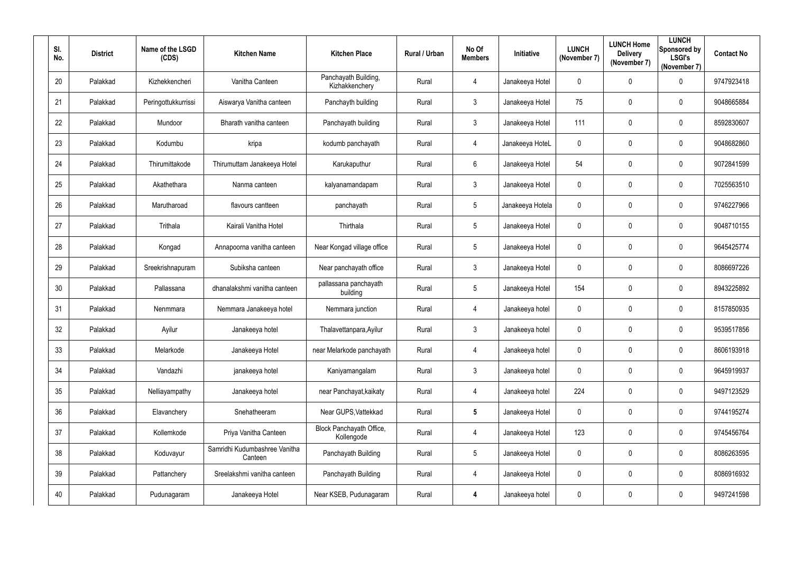| SI.<br>No. | <b>District</b> | Name of the LSGD<br>(CDS) | <b>Kitchen Name</b>                      | <b>Kitchen Place</b>                   | Rural / Urban | No Of<br><b>Members</b> | Initiative       | <b>LUNCH</b><br>(November 7) | <b>LUNCH Home</b><br><b>Delivery</b><br>(November 7) | <b>LUNCH</b><br>Sponsored by<br><b>LSGI's</b><br>(November 7) | <b>Contact No</b> |
|------------|-----------------|---------------------------|------------------------------------------|----------------------------------------|---------------|-------------------------|------------------|------------------------------|------------------------------------------------------|---------------------------------------------------------------|-------------------|
| 20         | Palakkad        | Kizhekkencheri            | Vanitha Canteen                          | Panchayath Building,<br>Kizhakkenchery | Rural         | $\overline{4}$          | Janakeeya Hotel  | $\mathbf 0$                  | $\mathbf 0$                                          | $\mathbf 0$                                                   | 9747923418        |
| 21         | Palakkad        | Peringottukkurrissi       | Aiswarya Vanitha canteen                 | Panchayth building                     | Rural         | $3\phantom{.0}$         | Janakeeya Hotel  | 75                           | $\mathbf 0$                                          | $\mathbf 0$                                                   | 9048665884        |
| 22         | Palakkad        | Mundoor                   | Bharath vanitha canteen                  | Panchayath building                    | Rural         | $\mathbf{3}$            | Janakeeya Hotel  | 111                          | $\mathbf 0$                                          | $\overline{0}$                                                | 8592830607        |
| 23         | Palakkad        | Kodumbu                   | kripa                                    | kodumb panchayath                      | Rural         | 4                       | Janakeeya HoteL  | $\mathbf 0$                  | $\mathbf 0$                                          | $\mathbf 0$                                                   | 9048682860        |
| 24         | Palakkad        | Thirumittakode            | Thirumuttam Janakeeya Hotel              | Karukaputhur                           | Rural         | $6^{\circ}$             | Janakeeya Hotel  | 54                           | $\mathbf 0$                                          | $\overline{0}$                                                | 9072841599        |
| 25         | Palakkad        | Akathethara               | Nanma canteen                            | kalyanamandapam                        | Rural         | $\mathbf{3}$            | Janakeeya Hotel  | $\mathbf 0$                  | $\overline{0}$                                       | $\overline{0}$                                                | 7025563510        |
| 26         | Palakkad        | Marutharoad               | flavours cantteen                        | panchayath                             | Rural         | $5\overline{)}$         | Janakeeya Hotela | $\mathbf 0$                  | 0                                                    | $\overline{0}$                                                | 9746227966        |
| 27         | Palakkad        | Trithala                  | Kairali Vanitha Hotel                    | Thirthala                              | Rural         | $5\phantom{.0}$         | Janakeeya Hotel  | $\mathbf 0$                  | $\mathbf 0$                                          | $\mathbf 0$                                                   | 9048710155        |
| 28         | Palakkad        | Kongad                    | Annapoorna vanitha canteen               | Near Kongad village office             | Rural         | $5\overline{)}$         | Janakeeya Hotel  | $\boldsymbol{0}$             | $\mathbf 0$                                          | $\overline{0}$                                                | 9645425774        |
| 29         | Palakkad        | Sreekrishnapuram          | Subiksha canteen                         | Near panchayath office                 | Rural         | $\mathbf{3}$            | Janakeeya Hotel  | $\mathbf 0$                  | $\mathbf 0$                                          | $\mathbf 0$                                                   | 8086697226        |
| 30         | Palakkad        | Pallassana                | dhanalakshmi vanitha canteen             | pallassana panchayath<br>building      | Rural         | $5\overline{)}$         | Janakeeya Hotel  | 154                          | $\mathbf 0$                                          | $\overline{0}$                                                | 8943225892        |
| 31         | Palakkad        | Nenmmara                  | Nemmara Janakeeya hotel                  | Nemmara junction                       | Rural         | $\overline{4}$          | Janakeeya hotel  | $\mathbf 0$                  | $\mathbf 0$                                          | $\overline{0}$                                                | 8157850935        |
| 32         | Palakkad        | Ayilur                    | Janakeeya hotel                          | Thalavettanpara, Ayilur                | Rural         | $\mathbf{3}$            | Janakeeya hotel  | $\mathbf 0$                  | $\mathbf 0$                                          | $\overline{0}$                                                | 9539517856        |
| 33         | Palakkad        | Melarkode                 | Janakeeya Hotel                          | near Melarkode panchayath              | Rural         | $\overline{4}$          | Janakeeya hotel  | $\pmb{0}$                    | $\mathbf 0$                                          | $\mathbf 0$                                                   | 8606193918        |
| 34         | Palakkad        | Vandazhi                  | janakeeya hotel                          | Kaniyamangalam                         | Rural         | $\mathfrak{Z}$          | Janakeeya hotel  | $\boldsymbol{0}$             | $\mathbf 0$                                          | $\mathbf 0$                                                   | 9645919937        |
| 35         | Palakkad        | Nelliayampathy            | Janakeeya hotel                          | near Panchayat, kaikaty                | Rural         | $\overline{4}$          | Janakeeya hotel  | 224                          | $\mathbf 0$                                          | $\mathbf 0$                                                   | 9497123529        |
| 36         | Palakkad        | Elavanchery               | Snehatheeram                             | Near GUPS, Vattekkad                   | Rural         | $5\phantom{.0}$         | Janakeeya Hotel  | $\boldsymbol{0}$             | $\mathbf 0$                                          | $\mathbf 0$                                                   | 9744195274        |
| 37         | Palakkad        | Kollemkode                | Priya Vanitha Canteen                    | Block Panchayath Office,<br>Kollengode | Rural         | $\overline{4}$          | Janakeeya Hotel  | 123                          | $\mathbf 0$                                          | $\mathbf 0$                                                   | 9745456764        |
| 38         | Palakkad        | Koduvayur                 | Samridhi Kudumbashree Vanitha<br>Canteen | Panchayath Building                    | Rural         | $5\phantom{.0}$         | Janakeeya Hotel  | $\mathbf 0$                  | $\mathbf 0$                                          | $\mathbf 0$                                                   | 8086263595        |
| 39         | Palakkad        | Pattanchery               | Sreelakshmi vanitha canteen              | Panchayath Building                    | Rural         | $\overline{4}$          | Janakeeya Hotel  | $\boldsymbol{0}$             | $\mathbf 0$                                          | $\mathbf 0$                                                   | 8086916932        |
| 40         | Palakkad        | Pudunagaram               | Janakeeya Hotel                          | Near KSEB, Pudunagaram                 | Rural         | 4                       | Janakeeya hotel  | $\boldsymbol{0}$             | $\mathbf 0$                                          | $\bm{0}$                                                      | 9497241598        |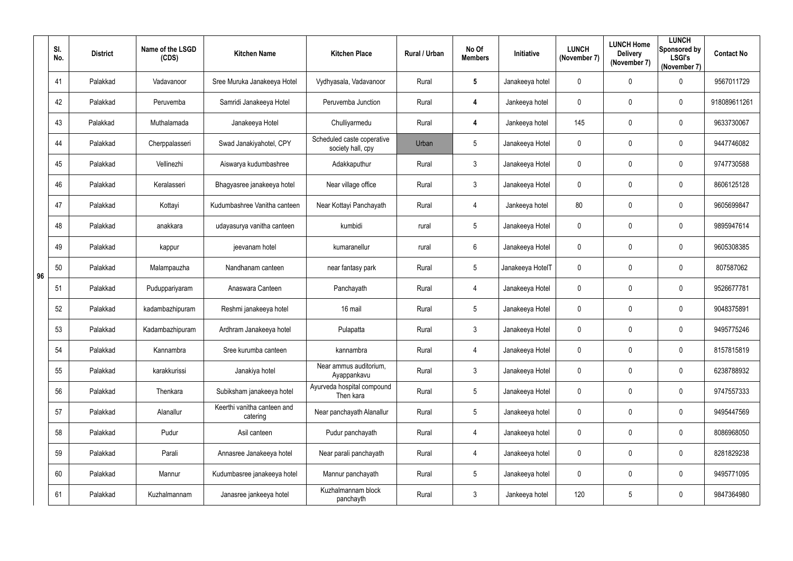|    | SI.<br>No. | <b>District</b> | Name of the LSGD<br>(CDS) | <b>Kitchen Name</b>                     | <b>Kitchen Place</b>                            | Rural / Urban | No Of<br><b>Members</b> | Initiative       | <b>LUNCH</b><br>(November 7) | <b>LUNCH Home</b><br><b>Delivery</b><br>(November 7) | <b>LUNCH</b><br>Sponsored by<br><b>LSGI's</b><br>(November 7) | <b>Contact No</b> |
|----|------------|-----------------|---------------------------|-----------------------------------------|-------------------------------------------------|---------------|-------------------------|------------------|------------------------------|------------------------------------------------------|---------------------------------------------------------------|-------------------|
|    | 41         | Palakkad        | Vadavanoor                | Sree Muruka Janakeeya Hotel             | Vydhyasala, Vadavanoor                          | Rural         | $5\phantom{.0}$         | Janakeeya hotel  | $\boldsymbol{0}$             | 0                                                    | $\mathbf 0$                                                   | 9567011729        |
|    | 42         | Palakkad        | Peruvemba                 | Samridi Janakeeya Hotel                 | Peruvemba Junction                              | Rural         | $\overline{\mathbf{4}}$ | Jankeeya hotel   | $\mathbf 0$                  | 0                                                    | $\mathbf 0$                                                   | 918089611261      |
|    | 43         | Palakkad        | Muthalamada               | Janakeeya Hotel                         | Chulliyarmedu                                   | Rural         | 4                       | Jankeeya hotel   | 145                          | $\mathbf 0$                                          | $\overline{0}$                                                | 9633730067        |
|    | 44         | Palakkad        | Cherppalasseri            | Swad Janakiyahotel, CPY                 | Scheduled caste coperative<br>society hall, cpy | Urban         | $5\phantom{.0}$         | Janakeeya Hotel  | $\boldsymbol{0}$             | 0                                                    | $\mathbf 0$                                                   | 9447746082        |
|    | 45         | Palakkad        | Vellinezhi                | Aiswarya kudumbashree                   | Adakkaputhur                                    | Rural         | $\mathbf{3}$            | Janakeeya Hotel  | $\mathbf 0$                  | 0                                                    | $\overline{0}$                                                | 9747730588        |
|    | 46         | Palakkad        | Keralasseri               | Bhagyasree janakeeya hotel              | Near village office                             | Rural         | $\mathbf{3}$            | Janakeeya Hotel  | $\overline{0}$               | $\mathbf 0$                                          | $\overline{0}$                                                | 8606125128        |
|    | 47         | Palakkad        | Kottayi                   | Kudumbashree Vanitha canteen            | Near Kottayi Panchayath                         | Rural         | $\overline{4}$          | Jankeeya hotel   | 80                           | 0                                                    | $\mathbf 0$                                                   | 9605699847        |
|    | 48         | Palakkad        | anakkara                  | udayasurya vanitha canteen              | kumbidi                                         | rural         | $5\overline{)}$         | Janakeeya Hotel  | $\mathbf 0$                  | 0                                                    | $\mathbf 0$                                                   | 9895947614        |
|    | 49         | Palakkad        | kappur                    | jeevanam hotel                          | kumaranellur                                    | rural         | $6^{\circ}$             | Janakeeya Hotel  | $\overline{0}$               | 0                                                    | $\overline{0}$                                                | 9605308385        |
| 96 | 50         | Palakkad        | Malampauzha               | Nandhanam canteen                       | near fantasy park                               | Rural         | $5\overline{)}$         | Janakeeya HotelT | $\mathbf 0$                  | 0                                                    | $\mathbf 0$                                                   | 807587062         |
|    | 51         | Palakkad        | Puduppariyaram            | Anaswara Canteen                        | Panchayath                                      | Rural         | 4                       | Janakeeya Hotel  | $\boldsymbol{0}$             | 0                                                    | $\overline{0}$                                                | 9526677781        |
|    | 52         | Palakkad        | kadambazhipuram           | Reshmi janakeeya hotel                  | 16 mail                                         | Rural         | $5\overline{)}$         | Janakeeya Hotel  | $\overline{0}$               | 0                                                    | $\overline{0}$                                                | 9048375891        |
|    | 53         | Palakkad        | Kadambazhipuram           | Ardhram Janakeeya hotel                 | Pulapatta                                       | Rural         | $\mathfrak{Z}$          | Janakeeya Hotel  | $\mathbf 0$                  | 0                                                    | 0                                                             | 9495775246        |
|    | 54         | Palakkad        | Kannambra                 | Sree kurumba canteen                    | kannambra                                       | Rural         | $\overline{4}$          | Janakeeya Hotel  | $\mathbf 0$                  | $\mathbf 0$                                          | $\pmb{0}$                                                     | 8157815819        |
|    | 55         | Palakkad        | karakkurissi              | Janakiya hotel                          | Near ammus auditorium,<br>Ayappankavu           | Rural         | $3\phantom{.0}$         | Janakeeya Hotel  | $\bm{0}$                     | 0                                                    | $\mathbf 0$                                                   | 6238788932        |
|    | 56         | Palakkad        | Thenkara                  | Subiksham janakeeya hotel               | Ayurveda hospital compound<br>Then kara         | Rural         | $5\phantom{.0}$         | Janakeeya Hotel  | $\pmb{0}$                    | $\pmb{0}$                                            | $\mathbf 0$                                                   | 9747557333        |
|    | 57         | Palakkad        | Alanallur                 | Keerthi vanitha canteen and<br>catering | Near panchayath Alanallur                       | Rural         | $5\phantom{.0}$         | Janakeeya hotel  | $\bm{0}$                     | $\mathbf 0$                                          | $\mathbf 0$                                                   | 9495447569        |
|    | 58         | Palakkad        | Pudur                     | Asil canteen                            | Pudur panchayath                                | Rural         | $\overline{4}$          | Janakeeya hotel  | $\overline{0}$               | 0                                                    | $\mathbf 0$                                                   | 8086968050        |
|    | 59         | Palakkad        | Parali                    | Annasree Janakeeya hotel                | Near parali panchayath                          | Rural         | 4                       | Janakeeya hotel  | $\mathbf 0$                  | $\mathbf 0$                                          | $\pmb{0}$                                                     | 8281829238        |
|    | 60         | Palakkad        | Mannur                    | Kudumbasree janakeeya hotel             | Mannur panchayath                               | Rural         | $5\phantom{.0}$         | Janakeeya hotel  | $\bm{0}$                     | 0                                                    | $\mathbf 0$                                                   | 9495771095        |
|    | 61         | Palakkad        | Kuzhalmannam              | Janasree jankeeya hotel                 | Kuzhalmannam block<br>panchayth                 | Rural         | $\mathfrak{Z}$          | Jankeeya hotel   | 120                          | $\sqrt{5}$                                           | $\bm{0}$                                                      | 9847364980        |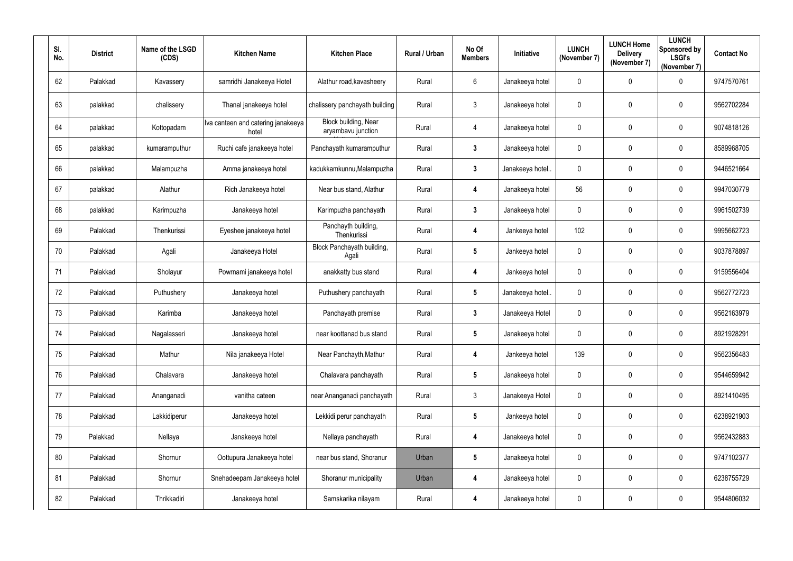| SI.<br>No. | <b>District</b> | Name of the LSGD<br>(CDS) | <b>Kitchen Name</b>                         | <b>Kitchen Place</b>                       | Rural / Urban | No Of<br><b>Members</b> | Initiative       | <b>LUNCH</b><br>(November 7) | <b>LUNCH Home</b><br><b>Delivery</b><br>(November 7) | <b>LUNCH</b><br>Sponsored by<br><b>LSGI's</b><br>(November 7) | <b>Contact No</b> |
|------------|-----------------|---------------------------|---------------------------------------------|--------------------------------------------|---------------|-------------------------|------------------|------------------------------|------------------------------------------------------|---------------------------------------------------------------|-------------------|
| 62         | Palakkad        | Kavassery                 | samridhi Janakeeya Hotel                    | Alathur road, kavasheery                   | Rural         | $6\phantom{.}6$         | Janakeeya hotel  | $\mathbf 0$                  | $\mathbf 0$                                          | $\mathbf 0$                                                   | 9747570761        |
| 63         | palakkad        | chalissery                | Thanal janakeeya hotel                      | chalissery panchayath building             | Rural         | $\mathfrak{Z}$          | Janakeeya hotel  | $\bm{0}$                     | $\mathbf 0$                                          | $\overline{0}$                                                | 9562702284        |
| 64         | palakkad        | Kottopadam                | Iva canteen and catering janakeeya<br>hotel | Block building, Near<br>aryambavu junction | Rural         | 4                       | Janakeeya hotel  | $\boldsymbol{0}$             | $\overline{0}$                                       | $\overline{0}$                                                | 9074818126        |
| 65         | palakkad        | kumaramputhur             | Ruchi cafe janakeeya hotel                  | Panchayath kumaramputhur                   | Rural         | $\mathbf{3}$            | Janakeeya hotel  | $\mathbf 0$                  | $\mathbf 0$                                          | $\overline{0}$                                                | 8589968705        |
| 66         | palakkad        | Malampuzha                | Amma janakeeya hotel                        | kadukkamkunnu, Malampuzha                  | Rural         | $\mathbf{3}$            | Janakeeya hotel. | $\mathbf 0$                  | $\overline{0}$                                       | $\overline{0}$                                                | 9446521664        |
| 67         | palakkad        | Alathur                   | Rich Janakeeya hotel                        | Near bus stand, Alathur                    | Rural         | 4                       | Janakeeya hotel  | 56                           | $\overline{0}$                                       | $\overline{0}$                                                | 9947030779        |
| 68         | palakkad        | Karimpuzha                | Janakeeya hotel                             | Karimpuzha panchayath                      | Rural         | $\mathbf{3}$            | Janakeeya hotel  | $\mathbf 0$                  | $\mathbf 0$                                          | $\mathbf 0$                                                   | 9961502739        |
| 69         | Palakkad        | Thenkurissi               | Eyeshee janakeeya hotel                     | Panchayth building,<br>Thenkurissi         | Rural         | 4                       | Jankeeya hotel   | 102                          | $\mathbf 0$                                          | $\overline{0}$                                                | 9995662723        |
| 70         | Palakkad        | Agali                     | Janakeeya Hotel                             | Block Panchayath building,<br>Agali        | Rural         | $5\phantom{.0}$         | Jankeeya hotel   | $\mathbf 0$                  | $\mathbf 0$                                          | $\overline{0}$                                                | 9037878897        |
| 71         | Palakkad        | Sholayur                  | Powrnami janakeeya hotel                    | anakkatty bus stand                        | Rural         | 4                       | Jankeeya hotel   | $\mathbf 0$                  | $\overline{0}$                                       | $\overline{0}$                                                | 9159556404        |
| 72         | Palakkad        | Puthushery                | Janakeeya hotel                             | Puthushery panchayath                      | Rural         | $5\phantom{.0}$         | Janakeeya hotel. | $\mathbf 0$                  | $\overline{0}$                                       | $\overline{0}$                                                | 9562772723        |
| 73         | Palakkad        | Karimba                   | Janakeeya hotel                             | Panchayath premise                         | Rural         | $\mathbf{3}$            | Janakeeya Hotel  | $\mathbf 0$                  | $\mathbf 0$                                          | $\overline{0}$                                                | 9562163979        |
| 74         | Palakkad        | Nagalasseri               | Janakeeya hotel                             | near koottanad bus stand                   | Rural         | $5\overline{)}$         | Janakeeya hotel  | $\mathbf 0$                  | $\mathbf 0$                                          | $\boldsymbol{0}$                                              | 8921928291        |
| 75         | Palakkad        | Mathur                    | Nila janakeeya Hotel                        | Near Panchayth, Mathur                     | Rural         | 4                       | Jankeeya hotel   | 139                          | $\mathbf 0$                                          | $\mathbf 0$                                                   | 9562356483        |
| 76         | Palakkad        | Chalavara                 | Janakeeya hotel                             | Chalavara panchayath                       | Rural         | $5\phantom{.0}$         | Janakeeya hotel  | $\mathbf 0$                  | $\mathbf 0$                                          | $\mathbf 0$                                                   | 9544659942        |
| 77         | Palakkad        | Ananganadi                | vanitha cateen                              | near Ananganadi panchayath                 | Rural         | $\mathfrak{Z}$          | Janakeeya Hotel  | $\boldsymbol{0}$             | $\mathbf 0$                                          | $\mathbf 0$                                                   | 8921410495        |
| 78         | Palakkad        | Lakkidiperur              | Janakeeya hotel                             | Lekkidi perur panchayath                   | Rural         | $5\phantom{.0}$         | Jankeeya hotel   | $\mathbf 0$                  | $\mathbf 0$                                          | $\overline{0}$                                                | 6238921903        |
| 79         | Palakkad        | Nellaya                   | Janakeeya hotel                             | Nellaya panchayath                         | Rural         | 4                       | Janakeeya hotel  | $\mathbf 0$                  | $\mathbf 0$                                          | $\mathbf 0$                                                   | 9562432883        |
| 80         | Palakkad        | Shornur                   | Oottupura Janakeeya hotel                   | near bus stand, Shoranur                   | Urban         | $5\phantom{.0}$         | Janakeeya hotel  | $\mathbf 0$                  | $\mathbf 0$                                          | $\mathbf 0$                                                   | 9747102377        |
| 81         | Palakkad        | Shornur                   | Snehadeepam Janakeeya hotel                 | Shoranur municipality                      | Urban         | 4                       | Janakeeya hotel  | $\pmb{0}$                    | $\mathbf 0$                                          | $\mathbf 0$                                                   | 6238755729        |
| 82         | Palakkad        | Thrikkadiri               | Janakeeya hotel                             | Samskarika nilayam                         | Rural         | 4                       | Janakeeya hotel  | $\boldsymbol{0}$             | $\mathbf 0$                                          | $\boldsymbol{0}$                                              | 9544806032        |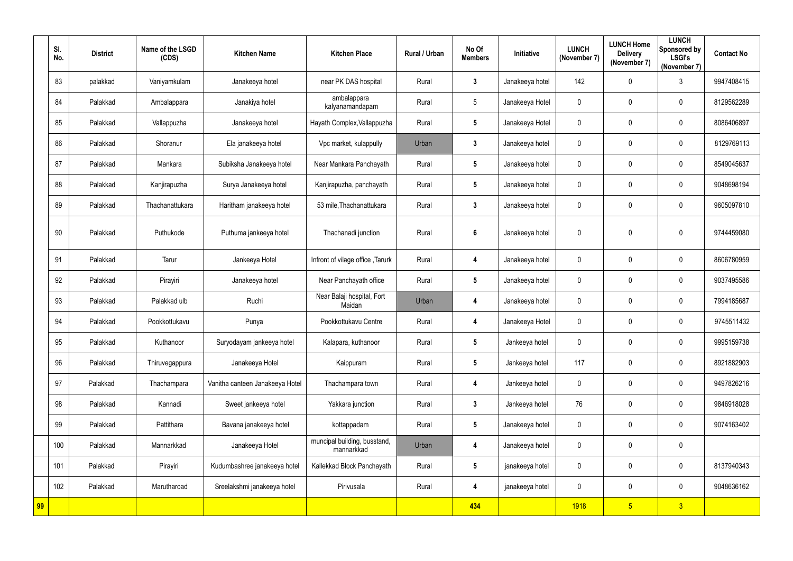|    | SI.<br>No. | <b>District</b> | Name of the LSGD<br>(CDS) | <b>Kitchen Name</b>             | <b>Kitchen Place</b>                       | <b>Rural / Urban</b> | No Of<br><b>Members</b> | Initiative      | <b>LUNCH</b><br>(November 7) | <b>LUNCH Home</b><br><b>Delivery</b><br>(November 7) | <b>LUNCH</b><br>Sponsored by<br><b>LSGI's</b><br>(November 7) | <b>Contact No</b> |
|----|------------|-----------------|---------------------------|---------------------------------|--------------------------------------------|----------------------|-------------------------|-----------------|------------------------------|------------------------------------------------------|---------------------------------------------------------------|-------------------|
|    | 83         | palakkad        | Vaniyamkulam              | Janakeeya hotel                 | near PK DAS hospital                       | Rural                | $\mathbf{3}$            | Janakeeya hotel | 142                          | 0                                                    | $\mathbf{3}$                                                  | 9947408415        |
|    | 84         | Palakkad        | Ambalappara               | Janakiya hotel                  | ambalappara<br>kalyanamandapam             | Rural                | 5                       | Janakeeya Hotel | 0                            | 0                                                    | $\mathbf 0$                                                   | 8129562289        |
|    | 85         | Palakkad        | Vallappuzha               | Janakeeya hotel                 | Hayath Complex, Vallappuzha                | Rural                | $5\phantom{.0}$         | Janakeeya Hotel | 0                            | 0                                                    | $\mathbf 0$                                                   | 8086406897        |
|    | 86         | Palakkad        | Shoranur                  | Ela janakeeya hotel             | Vpc market, kulappully                     | Urban                | $\mathbf{3}$            | Janakeeya hotel | 0                            | 0                                                    | $\mathbf 0$                                                   | 8129769113        |
|    | 87         | Palakkad        | Mankara                   | Subiksha Janakeeya hotel        | Near Mankara Panchayath                    | Rural                | $5\phantom{.0}$         | Janakeeya hotel | 0                            | 0                                                    | $\mathbf 0$                                                   | 8549045637        |
|    | 88         | Palakkad        | Kanjirapuzha              | Surya Janakeeya hotel           | Kanjirapuzha, panchayath                   | Rural                | $5\phantom{.0}$         | Janakeeya hotel | 0                            | $\pmb{0}$                                            | $\mathbf 0$                                                   | 9048698194        |
|    | 89         | Palakkad        | Thachanattukara           | Haritham janakeeya hotel        | 53 mile, Thachanattukara                   | Rural                | $\mathbf{3}$            | Janakeeya hotel | 0                            | 0                                                    | $\mathbf 0$                                                   | 9605097810        |
|    | 90         | Palakkad        | Puthukode                 | Puthuma jankeeya hotel          | Thachanadi junction                        | Rural                | $6\phantom{a}$          | Janakeeya hotel | 0                            | 0                                                    | $\mathbf 0$                                                   | 9744459080        |
|    | 91         | Palakkad        | Tarur                     | Jankeeya Hotel                  | Infront of vilage office, Tarurk           | Rural                | 4                       | Janakeeya hotel | 0                            | 0                                                    | $\mathbf 0$                                                   | 8606780959        |
|    | 92         | Palakkad        | Pirayiri                  | Janakeeya hotel                 | Near Panchayath office                     | Rural                | $5\phantom{.0}$         | Janakeeya hotel | 0                            | 0                                                    | $\mathbf 0$                                                   | 9037495586        |
|    | 93         | Palakkad        | Palakkad ulb              | Ruchi                           | Near Balaji hospital, Fort<br>Maidan       | Urban                | 4                       | Janakeeya hotel | 0                            | 0                                                    | $\mathbf 0$                                                   | 7994185687        |
|    | 94         | Palakkad        | Pookkottukavu             | Punya                           | Pookkottukavu Centre                       | Rural                | 4                       | Janakeeya Hotel | 0                            | 0                                                    | $\mathbf 0$                                                   | 9745511432        |
|    | 95         | Palakkad        | Kuthanoor                 | Suryodayam jankeeya hotel       | Kalapara, kuthanoor                        | Rural                | $5\phantom{.0}$         | Jankeeya hotel  | 0                            | 0                                                    | $\mathbf 0$                                                   | 9995159738        |
|    | 96         | Palakkad        | Thiruvegappura            | Janakeeya Hotel                 | Kaippuram                                  | Rural                | $5\phantom{.0}$         | Jankeeya hotel  | 117                          | 0                                                    | $\mathbf 0$                                                   | 8921882903        |
|    | 97         | Palakkad        | Thachampara               | Vanitha canteen Janakeeya Hotel | Thachampara town                           | Rural                | 4                       | Jankeeya hotel  | 0                            | 0                                                    | $\mathbf 0$                                                   | 9497826216        |
|    | 98         | Palakkad        | Kannadi                   | Sweet jankeeya hotel            | Yakkara junction                           | Rural                | $\mathbf{3}$            | Jankeeya hotel  | 76                           | 0                                                    | $\mathbf 0$                                                   | 9846918028        |
|    | 99         | Palakkad        | Pattithara                | Bavana janakeeya hotel          | kottappadam                                | Rural                | $5\phantom{.0}$         | Janakeeya hotel | 0                            | $\pmb{0}$                                            | $\mathbf 0$                                                   | 9074163402        |
|    | 100        | Palakkad        | Mannarkkad                | Janakeeya Hotel                 | muncipal building, busstand,<br>mannarkkad | Urban                | 4                       | Janakeeya hotel | 0                            | $\pmb{0}$                                            | $\mathbf 0$                                                   |                   |
|    | 101        | Palakkad        | Pirayiri                  | Kudumbashree janakeeya hotel    | Kallekkad Block Panchayath                 | Rural                | $5\phantom{.0}$         | janakeeya hotel | 0                            | 0                                                    | $\overline{0}$                                                | 8137940343        |
|    | 102        | Palakkad        | Marutharoad               | Sreelakshmi janakeeya hotel     | Pirivusala                                 | Rural                | 4                       | janakeeya hotel | 0                            | 0                                                    | $\overline{0}$                                                | 9048636162        |
| 99 |            |                 |                           |                                 |                                            |                      | 434                     |                 | <b>1918</b>                  | $5\phantom{.0}$                                      | 3 <sup>°</sup>                                                |                   |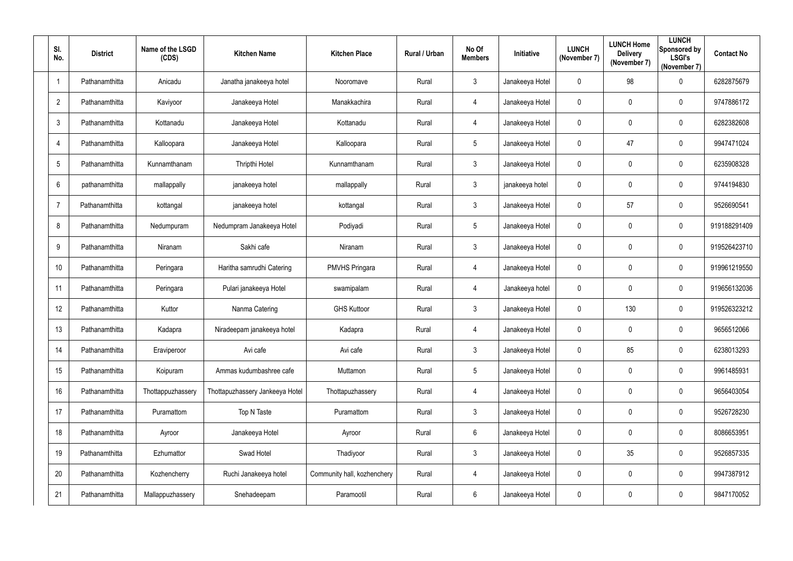| SI.<br>No.               | <b>District</b> | Name of the LSGD<br>(CDS) | <b>Kitchen Name</b>             | <b>Kitchen Place</b>        | Rural / Urban | No Of<br><b>Members</b> | Initiative      | <b>LUNCH</b><br>(November 7) | <b>LUNCH Home</b><br><b>Delivery</b><br>(November 7) | <b>LUNCH</b><br>Sponsored by<br><b>LSGI's</b><br>(November 7) | <b>Contact No</b> |
|--------------------------|-----------------|---------------------------|---------------------------------|-----------------------------|---------------|-------------------------|-----------------|------------------------------|------------------------------------------------------|---------------------------------------------------------------|-------------------|
| $\overline{\phantom{a}}$ | Pathanamthitta  | Anicadu                   | Janatha janakeeya hotel         | Nooromave                   | Rural         | $3\overline{3}$         | Janakeeya Hotel | $\overline{0}$               | 98                                                   | $\mathbf 0$                                                   | 6282875679        |
| $\overline{2}$           | Pathanamthitta  | Kaviyoor                  | Janakeeya Hotel                 | Manakkachira                | Rural         | $\overline{4}$          | Janakeeya Hotel | $\boldsymbol{0}$             | 0                                                    | $\mathbf 0$                                                   | 9747886172        |
| $\mathbf{3}$             | Pathanamthitta  | Kottanadu                 | Janakeeya Hotel                 | Kottanadu                   | Rural         | $\overline{4}$          | Janakeeya Hotel | $\overline{0}$               | 0                                                    | $\mathbf 0$                                                   | 6282382608        |
| 4                        | Pathanamthitta  | Kalloopara                | Janakeeya Hotel                 | Kalloopara                  | Rural         | $5\overline{)}$         | Janakeeya Hotel | $\boldsymbol{0}$             | 47                                                   | $\mathbf 0$                                                   | 9947471024        |
| $5\phantom{.0}$          | Pathanamthitta  | Kunnamthanam              | Thripthi Hotel                  | Kunnamthanam                | Rural         | $3\phantom{.0}$         | Janakeeya Hotel | $\overline{0}$               | 0                                                    | $\mathbf 0$                                                   | 6235908328        |
| $6\phantom{.}6$          | pathanamthitta  | mallappally               | janakeeya hotel                 | mallappally                 | Rural         | $\mathbf{3}$            | janakeeya hotel | $\bm{0}$                     | 0                                                    | $\mathbf 0$                                                   | 9744194830        |
| $\overline{7}$           | Pathanamthitta  | kottangal                 | janakeeya hotel                 | kottangal                   | Rural         | $\mathbf{3}$            | Janakeeya Hotel | $\boldsymbol{0}$             | 57                                                   | $\mathbf 0$                                                   | 9526690541        |
| 8                        | Pathanamthitta  | Nedumpuram                | Nedumpram Janakeeya Hotel       | Podiyadi                    | Rural         | $5\phantom{.0}$         | Janakeeya Hotel | $\overline{0}$               | 0                                                    | $\mathbf 0$                                                   | 919188291409      |
| 9                        | Pathanamthitta  | Niranam                   | Sakhi cafe                      | Niranam                     | Rural         | $\mathbf{3}$            | Janakeeya Hotel | $\overline{0}$               | 0                                                    | $\mathbf 0$                                                   | 919526423710      |
| 10                       | Pathanamthitta  | Peringara                 | Haritha samrudhi Catering       | <b>PMVHS Pringara</b>       | Rural         | $\overline{4}$          | Janakeeya Hotel | $\overline{0}$               | 0                                                    | $\mathbf 0$                                                   | 919961219550      |
| 11                       | Pathanamthitta  | Peringara                 | Pulari janakeeya Hotel          | swamipalam                  | Rural         | $\overline{4}$          | Janakeeya hotel | $\boldsymbol{0}$             | 0                                                    | $\mathbf 0$                                                   | 919656132036      |
| 12                       | Pathanamthitta  | Kuttor                    | Nanma Catering                  | <b>GHS Kuttoor</b>          | Rural         | $\mathbf{3}$            | Janakeeya Hotel | $\overline{0}$               | 130                                                  | $\mathbf 0$                                                   | 919526323212      |
| 13                       | Pathanamthitta  | Kadapra                   | Niradeepam janakeeya hotel      | Kadapra                     | Rural         | 4                       | Janakeeya Hotel | $\mathbf 0$                  | 0                                                    | $\mathbf 0$                                                   | 9656512066        |
| 14                       | Pathanamthitta  | Eraviperoor               | Avi cafe                        | Avi cafe                    | Rural         | $3\overline{3}$         | Janakeeya Hotel | $\mathbf 0$                  | 85                                                   | $\mathbf 0$                                                   | 6238013293        |
| 15                       | Pathanamthitta  | Koipuram                  | Ammas kudumbashree cafe         | Muttamon                    | Rural         | $5\phantom{.0}$         | Janakeeya Hotel | $\pmb{0}$                    | 0                                                    | $\overline{0}$                                                | 9961485931        |
| 16                       | Pathanamthitta  | Thottappuzhassery         | Thottapuzhassery Jankeeya Hotel | Thottapuzhassery            | Rural         | $\overline{4}$          | Janakeeya Hotel | $\pmb{0}$                    | 0                                                    | $\mathbf 0$                                                   | 9656403054        |
| 17                       | Pathanamthitta  | Puramattom                | Top N Taste                     | Puramattom                  | Rural         | $\mathbf{3}$            | Janakeeya Hotel | $\pmb{0}$                    | 0                                                    | $\mathbf 0$                                                   | 9526728230        |
| 18                       | Pathanamthitta  | Ayroor                    | Janakeeya Hotel                 | Ayroor                      | Rural         | $6\overline{6}$         | Janakeeya Hotel | $\overline{0}$               | 0                                                    | $\overline{0}$                                                | 8086653951        |
| 19                       | Pathanamthitta  | Ezhumattor                | Swad Hotel                      | Thadiyoor                   | Rural         | $3\overline{3}$         | Janakeeya Hotel | $\mathbf 0$                  | 35                                                   | $\mathbf 0$                                                   | 9526857335        |
| 20                       | Pathanamthitta  | Kozhencherry              | Ruchi Janakeeya hotel           | Community hall, kozhenchery | Rural         | $\overline{4}$          | Janakeeya Hotel | $\pmb{0}$                    | 0                                                    | $\mathbf 0$                                                   | 9947387912        |
| 21                       | Pathanamthitta  | Mallappuzhassery          | Snehadeepam                     | Paramootil                  | Rural         | $6\phantom{.0}$         | Janakeeya Hotel | $\bm{0}$                     | 0                                                    | $\overline{0}$                                                | 9847170052        |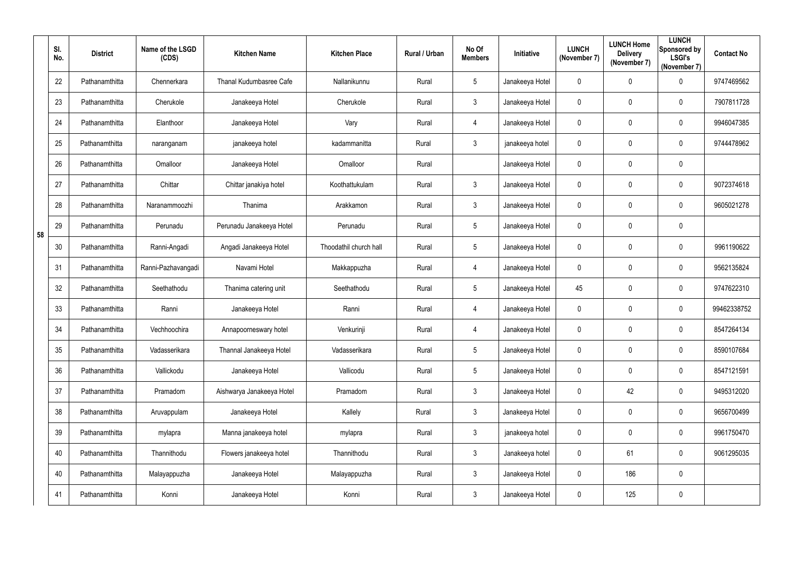|    | SI.<br>No. | <b>District</b> | Name of the LSGD<br>(CDS) | <b>Kitchen Name</b>       | <b>Kitchen Place</b>   | Rural / Urban | No Of<br><b>Members</b> | Initiative      | <b>LUNCH</b><br>(November 7) | <b>LUNCH Home</b><br><b>Delivery</b><br>(November 7) | <b>LUNCH</b><br>Sponsored by<br><b>LSGI's</b><br>(November 7) | <b>Contact No</b> |
|----|------------|-----------------|---------------------------|---------------------------|------------------------|---------------|-------------------------|-----------------|------------------------------|------------------------------------------------------|---------------------------------------------------------------|-------------------|
|    | 22         | Pathanamthitta  | Chennerkara               | Thanal Kudumbasree Cafe   | Nallanikunnu           | Rural         | $5\overline{)}$         | Janakeeya Hotel | $\overline{0}$               | 0                                                    | $\overline{0}$                                                | 9747469562        |
|    | 23         | Pathanamthitta  | Cherukole                 | Janakeeya Hotel           | Cherukole              | Rural         | $3\overline{3}$         | Janakeeya Hotel | $\overline{0}$               | 0                                                    | $\mathbf 0$                                                   | 7907811728        |
|    | 24         | Pathanamthitta  | Elanthoor                 | Janakeeya Hotel           | Vary                   | Rural         | 4                       | Janakeeya Hotel | $\overline{0}$               | 0                                                    | $\overline{0}$                                                | 9946047385        |
|    | 25         | Pathanamthitta  | naranganam                | janakeeya hotel           | kadammanitta           | Rural         | $\mathfrak{Z}$          | janakeeya hotel | $\boldsymbol{0}$             | 0                                                    | $\mathbf 0$                                                   | 9744478962        |
|    | 26         | Pathanamthitta  | Omalloor                  | Janakeeya Hotel           | Omalloor               | Rural         |                         | Janakeeya Hotel | $\mathbf 0$                  | 0                                                    | $\mathbf 0$                                                   |                   |
|    | 27         | Pathanamthitta  | Chittar                   | Chittar janakiya hotel    | Koothattukulam         | Rural         | $\mathbf{3}$            | Janakeeya Hotel | $\overline{0}$               | 0                                                    | $\overline{0}$                                                | 9072374618        |
|    | 28         | Pathanamthitta  | Naranammoozhi             | Thanima                   | Arakkamon              | Rural         | $\mathbf{3}$            | Janakeeya Hotel | $\mathbf 0$                  | 0                                                    | $\mathbf 0$                                                   | 9605021278        |
| 58 | 29         | Pathanamthitta  | Perunadu                  | Perunadu Janakeeya Hotel  | Perunadu               | Rural         | $5\overline{)}$         | Janakeeya Hotel | $\mathbf 0$                  | 0                                                    | $\mathbf 0$                                                   |                   |
|    | 30         | Pathanamthitta  | Ranni-Angadi              | Angadi Janakeeya Hotel    | Thoodathil church hall | Rural         | $5\overline{)}$         | Janakeeya Hotel | $\overline{0}$               | 0                                                    | $\overline{0}$                                                | 9961190622        |
|    | 31         | Pathanamthitta  | Ranni-Pazhavangadi        | Navami Hotel              | Makkappuzha            | Rural         | 4                       | Janakeeya Hotel | $\boldsymbol{0}$             | 0                                                    | $\mathbf 0$                                                   | 9562135824        |
|    | 32         | Pathanamthitta  | Seethathodu               | Thanima catering unit     | Seethathodu            | Rural         | $5\overline{)}$         | Janakeeya Hotel | 45                           | 0                                                    | $\overline{0}$                                                | 9747622310        |
|    | 33         | Pathanamthitta  | Ranni                     | Janakeeya Hotel           | Ranni                  | Rural         | 4                       | Janakeeya Hotel | $\overline{0}$               | 0                                                    | $\mathbf 0$                                                   | 99462338752       |
|    | 34         | Pathanamthitta  | Vechhoochira              | Annapoorneswary hotel     | Venkurinji             | Rural         | 4                       | Janakeeya Hotel | $\mathbf 0$                  | 0                                                    | $\mathbf 0$                                                   | 8547264134        |
|    | 35         | Pathanamthitta  | Vadasserikara             | Thannal Janakeeya Hotel   | Vadasserikara          | Rural         | $5\phantom{.0}$         | Janakeeya Hotel | $\mathbf 0$                  | 0                                                    | $\overline{0}$                                                | 8590107684        |
|    | 36         | Pathanamthitta  | Vallickodu                | Janakeeya Hotel           | Vallicodu              | Rural         | $5\phantom{.0}$         | Janakeeya Hotel | $\mathbf 0$                  | 0                                                    | $\overline{0}$                                                | 8547121591        |
|    | 37         | Pathanamthitta  | Pramadom                  | Aishwarya Janakeeya Hotel | Pramadom               | Rural         | $\mathbf{3}$            | Janakeeya Hotel | $\mathbf 0$                  | 42                                                   | $\overline{0}$                                                | 9495312020        |
|    | 38         | Pathanamthitta  | Aruvappulam               | Janakeeya Hotel           | Kallely                | Rural         | $3\phantom{.0}$         | Janakeeya Hotel | $\mathbf 0$                  | 0                                                    | $\overline{0}$                                                | 9656700499        |
|    | 39         | Pathanamthitta  | mylapra                   | Manna janakeeya hotel     | mylapra                | Rural         | $3\phantom{.0}$         | janakeeya hotel | $\mathbf 0$                  | 0                                                    | $\overline{0}$                                                | 9961750470        |
|    | 40         | Pathanamthitta  | Thannithodu               | Flowers janakeeya hotel   | Thannithodu            | Rural         | $3\phantom{.0}$         | Janakeeya hotel | $\mathbf 0$                  | 61                                                   | $\overline{0}$                                                | 9061295035        |
|    | 40         | Pathanamthitta  | Malayappuzha              | Janakeeya Hotel           | Malayappuzha           | Rural         | $3\phantom{.0}$         | Janakeeya Hotel | $\mathbf 0$                  | 186                                                  | $\overline{0}$                                                |                   |
|    | 41         | Pathanamthitta  | Konni                     | Janakeeya Hotel           | Konni                  | Rural         | 3 <sup>1</sup>          | Janakeeya Hotel | $\bm{0}$                     | 125                                                  | $\mathbf 0$                                                   |                   |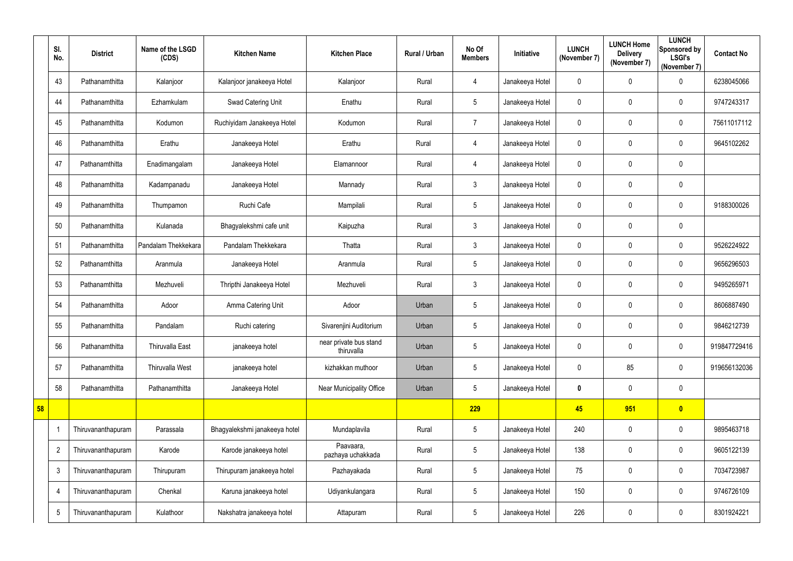|    | SI.<br>No.     | <b>District</b>    | Name of the LSGD<br>(CDS) | <b>Kitchen Name</b>           | <b>Kitchen Place</b>                 | Rural / Urban | No Of<br><b>Members</b> | Initiative      | <b>LUNCH</b><br>(November 7) | <b>LUNCH Home</b><br><b>Delivery</b><br>(November 7) | <b>LUNCH</b><br>Sponsored by<br><b>LSGI's</b><br>(November 7) | <b>Contact No</b> |
|----|----------------|--------------------|---------------------------|-------------------------------|--------------------------------------|---------------|-------------------------|-----------------|------------------------------|------------------------------------------------------|---------------------------------------------------------------|-------------------|
|    | 43             | Pathanamthitta     | Kalanjoor                 | Kalanjoor janakeeya Hotel     | Kalanjoor                            | Rural         | 4                       | Janakeeya Hotel | $\mathbf 0$                  | 0                                                    | $\mathbf 0$                                                   | 6238045066        |
|    | 44             | Pathanamthitta     | Ezhamkulam                | Swad Catering Unit            | Enathu                               | Rural         | 5                       | Janakeeya Hotel | $\mathbf 0$                  | 0                                                    | $\mathbf 0$                                                   | 9747243317        |
|    | 45             | Pathanamthitta     | Kodumon                   | Ruchiyidam Janakeeya Hotel    | Kodumon                              | Rural         | $\overline{7}$          | Janakeeya Hotel | $\mathbf 0$                  | 0                                                    | $\mathbf 0$                                                   | 75611017112       |
|    | 46             | Pathanamthitta     | Erathu                    | Janakeeya Hotel               | Erathu                               | Rural         | $\overline{4}$          | Janakeeya Hotel | $\overline{0}$               | 0                                                    | $\mathbf 0$                                                   | 9645102262        |
|    | 47             | Pathanamthitta     | Enadimangalam             | Janakeeya Hotel               | Elamannoor                           | Rural         | 4                       | Janakeeya Hotel | $\mathbf 0$                  | $\mathbf 0$                                          | $\mathbf 0$                                                   |                   |
|    | 48             | Pathanamthitta     | Kadampanadu               | Janakeeya Hotel               | Mannady                              | Rural         | $\mathfrak{Z}$          | Janakeeya Hotel | $\mathbf 0$                  | 0                                                    | $\mathbf 0$                                                   |                   |
|    | 49             | Pathanamthitta     | Thumpamon                 | Ruchi Cafe                    | Mampilali                            | Rural         | 5                       | Janakeeya Hotel | $\mathbf 0$                  | 0                                                    | $\mathbf 0$                                                   | 9188300026        |
|    | 50             | Pathanamthitta     | Kulanada                  | Bhagyalekshmi cafe unit       | Kaipuzha                             | Rural         | $3\overline{3}$         | Janakeeya Hotel | $\mathbf 0$                  | 0                                                    | $\mathbf 0$                                                   |                   |
|    | 51             | Pathanamthitta     | Pandalam Thekkekara       | Pandalam Thekkekara           | Thatta                               | Rural         | $3\overline{3}$         | Janakeeya Hotel | $\mathbf 0$                  | 0                                                    | $\mathbf 0$                                                   | 9526224922        |
|    | 52             | Pathanamthitta     | Aranmula                  | Janakeeya Hotel               | Aranmula                             | Rural         | 5                       | Janakeeya Hotel | $\mathbf 0$                  | 0                                                    | $\mathbf 0$                                                   | 9656296503        |
|    | 53             | Pathanamthitta     | Mezhuveli                 | Thripthi Janakeeya Hotel      | Mezhuveli                            | Rural         | $\mathfrak{Z}$          | Janakeeya Hotel | $\mathbf 0$                  | 0                                                    | $\mathbf 0$                                                   | 9495265971        |
|    | 54             | Pathanamthitta     | Adoor                     | Amma Catering Unit            | Adoor                                | Urban         | 5                       | Janakeeya Hotel | $\mathbf 0$                  | 0                                                    | $\mathbf 0$                                                   | 8606887490        |
|    | 55             | Pathanamthitta     | Pandalam                  | Ruchi catering                | Sivarenjini Auditorium               | Urban         | 5                       | Janakeeya Hotel | $\mathbf 0$                  | 0                                                    | $\mathbf 0$                                                   | 9846212739        |
|    | 56             | Pathanamthitta     | Thiruvalla East           | janakeeya hotel               | near private bus stand<br>thiruvalla | Urban         | 5                       | Janakeeya Hotel | $\mathbf 0$                  | 0                                                    | $\mathbf 0$                                                   | 919847729416      |
|    | 57             | Pathanamthitta     | Thiruvalla West           | janakeeya hotel               | kizhakkan muthoor                    | Urban         | 5                       | Janakeeya Hotel | $\mathbf 0$                  | 85                                                   | $\mathbf 0$                                                   | 919656132036      |
|    | 58             | Pathanamthitta     | Pathanamthitta            | Janakeeya Hotel               | Near Municipality Office             | Urban         | 5                       | Janakeeya Hotel | $\bm{0}$                     | 0                                                    | $\mathbf 0$                                                   |                   |
| 58 |                |                    |                           |                               |                                      |               | 229                     |                 | 45                           | 951                                                  | $\bullet$                                                     |                   |
|    |                | Thiruvananthapuram | Parassala                 | Bhagyalekshmi janakeeya hotel | Mundaplavila                         | Rural         | 5                       | Janakeeya Hotel | 240                          | 0                                                    | $\mathbf 0$                                                   | 9895463718        |
|    | $\overline{2}$ | Thiruvananthapuram | Karode                    | Karode janakeeya hotel        | Paavaara,<br>pazhaya uchakkada       | Rural         | 5                       | Janakeeya Hotel | 138                          | 0                                                    | $\mathbf 0$                                                   | 9605122139        |
|    | $\mathbf{3}$   | Thiruvananthapuram | Thirupuram                | Thirupuram janakeeya hotel    | Pazhayakada                          | Rural         | 5                       | Janakeeya Hotel | 75                           | 0                                                    | $\mathbf 0$                                                   | 7034723987        |
|    | 4              | Thiruvananthapuram | Chenkal                   | Karuna janakeeya hotel        | Udiyankulangara                      | Rural         | 5                       | Janakeeya Hotel | 150                          | 0                                                    | $\mathbf 0$                                                   | 9746726109        |
|    | $\sqrt{5}$     | Thiruvananthapuram | Kulathoor                 | Nakshatra janakeeya hotel     | Attapuram                            | Rural         | 5                       | Janakeeya Hotel | 226                          | 0                                                    | $\mathbf 0$                                                   | 8301924221        |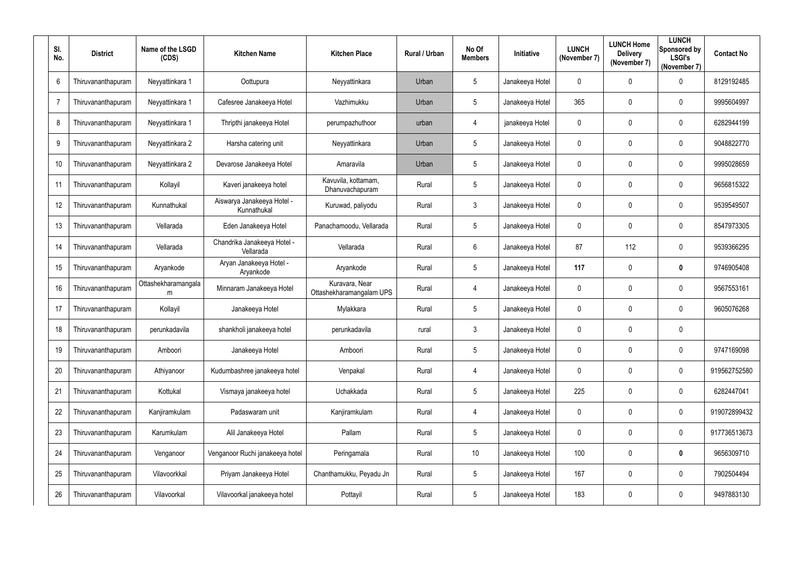| SI.<br>No.      | <b>District</b>    | Name of the LSGD<br>(CDS) | <b>Kitchen Name</b>                       | <b>Kitchen Place</b>                       | <b>Rural / Urban</b> | No Of<br><b>Members</b> | Initiative      | <b>LUNCH</b><br>(November 7) | <b>LUNCH Home</b><br><b>Delivery</b><br>(November 7) | <b>LUNCH</b><br>Sponsored by<br><b>LSGI's</b><br>(November 7) | <b>Contact No</b> |
|-----------------|--------------------|---------------------------|-------------------------------------------|--------------------------------------------|----------------------|-------------------------|-----------------|------------------------------|------------------------------------------------------|---------------------------------------------------------------|-------------------|
| $6\phantom{1}6$ | Thiruvananthapuram | Neyyattinkara 1           | Oottupura                                 | Neyyattinkara                              | Urban                | $5\overline{)}$         | Janakeeya Hotel | $\mathbf 0$                  | $\mathbf 0$                                          | $\mathbf 0$                                                   | 8129192485        |
| $\overline{7}$  | Thiruvananthapuram | Neyyattinkara 1           | Cafesree Janakeeya Hotel                  | Vazhimukku                                 | Urban                | $5\overline{)}$         | Janakeeya Hotel | 365                          | $\mathbf 0$                                          | $\mathbf 0$                                                   | 9995604997        |
| 8               | Thiruvananthapuram | Neyyattinkara 1           | Thripthi janakeeya Hotel                  | perumpazhuthoor                            | urban                | $\overline{4}$          | janakeeya Hotel | $\mathbf 0$                  | $\mathbf 0$                                          | $\mathbf 0$                                                   | 6282944199        |
| 9               | Thiruvananthapuram | Neyyattinkara 2           | Harsha catering unit                      | Neyyattinkara                              | Urban                | $5\overline{)}$         | Janakeeya Hotel | $\mathbf 0$                  | $\mathbf 0$                                          | $\mathbf 0$                                                   | 9048822770        |
| 10 <sup>°</sup> | Thiruvananthapuram | Neyyattinkara 2           | Devarose Janakeeya Hotel                  | Amaravila                                  | Urban                | $5\overline{)}$         | Janakeeya Hotel | $\mathbf 0$                  | $\mathbf 0$                                          | $\mathbf 0$                                                   | 9995028659        |
| 11              | Thiruvananthapuram | Kollayil                  | Kaveri janakeeya hotel                    | Kavuvila, kottamam,<br>Dhanuvachapuram     | Rural                | $5\phantom{.0}$         | Janakeeya Hotel | $\boldsymbol{0}$             | $\boldsymbol{0}$                                     | $\mathbf 0$                                                   | 9656815322        |
| 12              | Thiruvananthapuram | Kunnathukal               | Aiswarya Janakeeya Hotel -<br>Kunnathukal | Kuruwad, paliyodu                          | Rural                | $\mathbf{3}$            | Janakeeya Hotel | $\mathbf 0$                  | $\boldsymbol{0}$                                     | $\mathbf 0$                                                   | 9539549507        |
| 13              | Thiruvananthapuram | Vellarada                 | Eden Janakeeya Hotel                      | Panachamoodu, Vellarada                    | Rural                | $5\phantom{.0}$         | Janakeeya Hotel | $\mathbf 0$                  | $\mathbf 0$                                          | $\mathbf 0$                                                   | 8547973305        |
| 14              | Thiruvananthapuram | Vellarada                 | Chandrika Janakeeya Hotel -<br>Vellarada  | Vellarada                                  | Rural                | $6\overline{6}$         | Janakeeya Hotel | 87                           | 112                                                  | $\mathbf 0$                                                   | 9539366295        |
| 15              | Thiruvananthapuram | Aryankode                 | Aryan Janakeeya Hotel -<br>Aryankode      | Aryankode                                  | Rural                | $5\phantom{.0}$         | Janakeeya Hotel | 117                          | $\boldsymbol{0}$                                     | $\boldsymbol{0}$                                              | 9746905408        |
| 16              | Thiruvananthapuram | Ottashekharamangala<br>m  | Minnaram Janakeeya Hotel                  | Kuravara, Near<br>Ottashekharamangalam UPS | Rural                | 4                       | Janakeeya Hotel | $\mathbf 0$                  | $\mathbf 0$                                          | $\mathbf 0$                                                   | 9567553161        |
| 17              | Thiruvananthapuram | Kollayil                  | Janakeeya Hotel                           | Mylakkara                                  | Rural                | $5\overline{)}$         | Janakeeya Hotel | $\mathbf 0$                  | 0                                                    | $\mathbf 0$                                                   | 9605076268        |
| 18              | Thiruvananthapuram | perunkadavila             | shankholi janakeeya hotel                 | perunkadavila                              | rural                | 3                       | Janakeeya Hotel | $\mathbf{0}$                 | $\mathbf 0$                                          | $\overline{0}$                                                |                   |
| 19              | Thiruvananthapuram | Amboori                   | Janakeeya Hotel                           | Amboori                                    | Rural                | $5\phantom{.0}$         | Janakeeya Hotel | $\boldsymbol{0}$             | $\boldsymbol{0}$                                     | $\mathbf 0$                                                   | 9747169098        |
| 20              | Thiruvananthapuram | Athiyanoor                | Kudumbashree janakeeya hotel              | Venpakal                                   | Rural                | $\overline{4}$          | Janakeeya Hotel | $\boldsymbol{0}$             | $\boldsymbol{0}$                                     | $\boldsymbol{0}$                                              | 919562752580      |
| 21              | Thiruvananthapuram | Kottukal                  | Vismaya janakeeya hotel                   | Uchakkada                                  | Rural                | $5\,$                   | Janakeeya Hotel | 225                          | $\mathbf 0$                                          | $\mathbf 0$                                                   | 6282447041        |
| 22              | Thiruvananthapuram | Kanjiramkulam             | Padaswaram unit                           | Kanjiramkulam                              | Rural                | 4                       | Janakeeya Hotel | $\boldsymbol{0}$             | $\boldsymbol{0}$                                     | $\boldsymbol{0}$                                              | 919072899432      |
| 23              | Thiruvananthapuram | Karumkulam                | Alil Janakeeya Hotel                      | Pallam                                     | Rural                | $5\phantom{.0}$         | Janakeeya Hotel | $\boldsymbol{0}$             | $\boldsymbol{0}$                                     | $\mathbf 0$                                                   | 917736513673      |
| 24              | Thiruvananthapuram | Venganoor                 | Venganoor Ruchi janakeeya hotel           | Peringamala                                | Rural                | $10$                    | Janakeeya Hotel | 100                          | $\pmb{0}$                                            | $\boldsymbol{0}$                                              | 9656309710        |
| 25              | Thiruvananthapuram | Vilavoorkkal              | Priyam Janakeeya Hotel                    | Chanthamukku, Peyadu Jn                    | Rural                | $5\phantom{.0}$         | Janakeeya Hotel | 167                          | $\boldsymbol{0}$                                     | $\mathbf 0$                                                   | 7902504494        |
| 26              | Thiruvananthapuram | Vilavoorkal               | Vilavoorkal janakeeya hotel               | Pottayil                                   | Rural                | $\sqrt{5}$              | Janakeeya Hotel | 183                          | $\boldsymbol{0}$                                     | $\boldsymbol{0}$                                              | 9497883130        |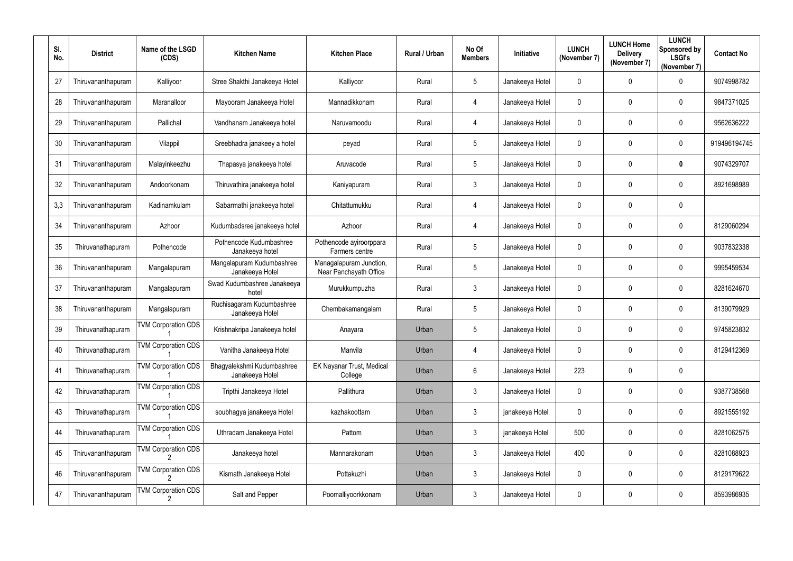| SI.<br>No. | <b>District</b>    | Name of the LSGD<br>(CDS)  | <b>Kitchen Name</b>                           | <b>Kitchen Place</b>                              | Rural / Urban | No Of<br><b>Members</b> | Initiative      | <b>LUNCH</b><br>(November 7) | <b>LUNCH Home</b><br><b>Delivery</b><br>(November 7) | <b>LUNCH</b><br>Sponsored by<br><b>LSGI's</b><br>(November 7) | <b>Contact No</b> |
|------------|--------------------|----------------------------|-----------------------------------------------|---------------------------------------------------|---------------|-------------------------|-----------------|------------------------------|------------------------------------------------------|---------------------------------------------------------------|-------------------|
| 27         | Thiruvananthapuram | Kalliyoor                  | Stree Shakthi Janakeeya Hotel                 | Kalliyoor                                         | Rural         | $5\phantom{.0}$         | Janakeeya Hotel | $\mathbf 0$                  | 0                                                    | $\overline{0}$                                                | 9074998782        |
| 28         | Thiruvananthapuram | Maranalloor                | Mayooram Janakeeya Hotel                      | Mannadikkonam                                     | Rural         | 4                       | Janakeeya Hotel | $\mathbf 0$                  | 0                                                    | $\mathbf 0$                                                   | 9847371025        |
| 29         | Thiruvananthapuram | Pallichal                  | Vandhanam Janakeeya hotel                     | Naruvamoodu                                       | Rural         | $\overline{4}$          | Janakeeya Hotel | $\mathbf 0$                  | $\mathbf 0$                                          | $\mathbf 0$                                                   | 9562636222        |
| 30         | Thiruvananthapuram | Vilappil                   | Sreebhadra janakeey a hotel                   | peyad                                             | Rural         | $5\phantom{.0}$         | Janakeeya Hotel | $\mathbf 0$                  | $\mathbf 0$                                          | $\mathbf 0$                                                   | 919496194745      |
| 31         | Thiruvananthapuram | Malayinkeezhu              | Thapasya janakeeya hotel                      | Aruvacode                                         | Rural         | $5\phantom{.0}$         | Janakeeya Hotel | $\mathbf 0$                  | 0                                                    | $\boldsymbol{0}$                                              | 9074329707        |
| 32         | Thiruvananthapuram | Andoorkonam                | Thiruvathira janakeeya hotel                  | Kaniyapuram                                       | Rural         | $\mathfrak{Z}$          | Janakeeya Hotel | $\boldsymbol{0}$             | $\mathbf 0$                                          | $\mathbf 0$                                                   | 8921698989        |
| 3,3        | Thiruvananthapuram | Kadinamkulam               | Sabarmathi janakeeya hotel                    | Chitattumukku                                     | Rural         | 4                       | Janakeeya Hotel | $\mathbf 0$                  | 0                                                    | $\mathbf 0$                                                   |                   |
| 34         | Thiruvananthapuram | Azhoor                     | Kudumbadsree janakeeya hotel                  | Azhoor                                            | Rural         | $\overline{4}$          | Janakeeya Hotel | $\mathbf 0$                  | $\mathbf 0$                                          | $\mathbf 0$                                                   | 8129060294        |
| 35         | Thiruvanathapuram  | Pothencode                 | Pothencode Kudumbashree<br>Janakeeya hotel    | Pothencode ayiroorppara<br>Farmers centre         | Rural         | $5\phantom{.0}$         | Janakeeya Hotel | $\mathbf 0$                  | $\mathbf 0$                                          | $\mathbf 0$                                                   | 9037832338        |
| 36         | Thiruvananthapuram | Mangalapuram               | Mangalapuram Kudumbashree<br>Janakeeya Hotel  | Managalapuram Junction,<br>Near Panchayath Office | Rural         | $5\overline{)}$         | Janakeeya Hotel | $\mathbf 0$                  | $\mathbf 0$                                          | $\overline{0}$                                                | 9995459534        |
| 37         | Thiruvananthapuram | Mangalapuram               | Swad Kudumbashree Janakeeya<br>hotel          | Murukkumpuzha                                     | Rural         | $\mathbf{3}$            | Janakeeya Hotel | $\mathbf 0$                  | $\mathbf 0$                                          | $\mathbf 0$                                                   | 8281624670        |
| 38         | Thiruvananthapuram | Mangalapuram               | Ruchisagaram Kudumbashree<br>Janakeeya Hotel  | Chembakamangalam                                  | Rural         | $5\phantom{.0}$         | Janakeeya Hotel | $\mathbf 0$                  | $\boldsymbol{0}$                                     | $\mathbf 0$                                                   | 8139079929        |
| 39         | Thiruvanathapuram  | <b>TVM Corporation CDS</b> | Krishnakripa Janakeeya hotel                  | Anayara                                           | Urban         | 5                       | Janakeeya Hotel | $\mathbf{0}$                 | 0                                                    | $\mathbf 0$                                                   | 9745823832        |
| 40         | Thiruvanathapuram  | <b>TVM Corporation CDS</b> | Vanitha Janakeeya Hotel                       | Manvila                                           | Urban         | 4                       | Janakeeya Hotel | $\mathbf 0$                  | 0                                                    | $\mathbf 0$                                                   | 8129412369        |
| 41         | Thiruvanathapuram  | <b>TVM Corporation CDS</b> | Bhagyalekshmi Kudumbashree<br>Janakeeya Hotel | EK Nayanar Trust, Medical<br>College              | Urban         | $6\overline{6}$         | Janakeeya Hotel | 223                          | $\pmb{0}$                                            | $\mathbf 0$                                                   |                   |
| 42         | Thiruvanathapuram  | <b>TVM Corporation CDS</b> | Tripthi Janakeeya Hotel                       | Pallithura                                        | Urban         | $\mathbf{3}$            | Janakeeya Hotel | $\pmb{0}$                    | $\boldsymbol{0}$                                     | $\boldsymbol{0}$                                              | 9387738568        |
| 43         | Thiruvanathapuram  | <b>TVM Corporation CDS</b> | soubhagya janakeeya Hotel                     | kazhakoottam                                      | Urban         | 3 <sup>5</sup>          | janakeeya Hotel | $\mathbf 0$                  | 0                                                    | $\mathbf 0$                                                   | 8921555192        |
| 44         | Thiruvanathapuram  | <b>TVM Corporation CDS</b> | Uthradam Janakeeya Hotel                      | Pattom                                            | Urban         | $\mathbf{3}$            | janakeeya Hotel | 500                          | $\boldsymbol{0}$                                     | $\mathbf 0$                                                   | 8281062575        |
| 45         | Thiruvananthapuram | <b>TVM Corporation CDS</b> | Janakeeya hotel                               | Mannarakonam                                      | Urban         | $\mathbf{3}$            | Janakeeya Hotel | 400                          | 0                                                    | $\mathbf 0$                                                   | 8281088923        |
| 46         | Thiruvananthapuram | <b>TVM Corporation CDS</b> | Kismath Janakeeya Hotel                       | Pottakuzhi                                        | Urban         | 3 <sup>5</sup>          | Janakeeya Hotel | $\mathbf 0$                  | 0                                                    | $\mathbf 0$                                                   | 8129179622        |
| 47         | Thiruvananthapuram | <b>TVM Corporation CDS</b> | Salt and Pepper                               | Poomalliyoorkkonam                                | Urban         | $\mathfrak{Z}$          | Janakeeya Hotel | $\boldsymbol{0}$             | 0                                                    | $\boldsymbol{0}$                                              | 8593986935        |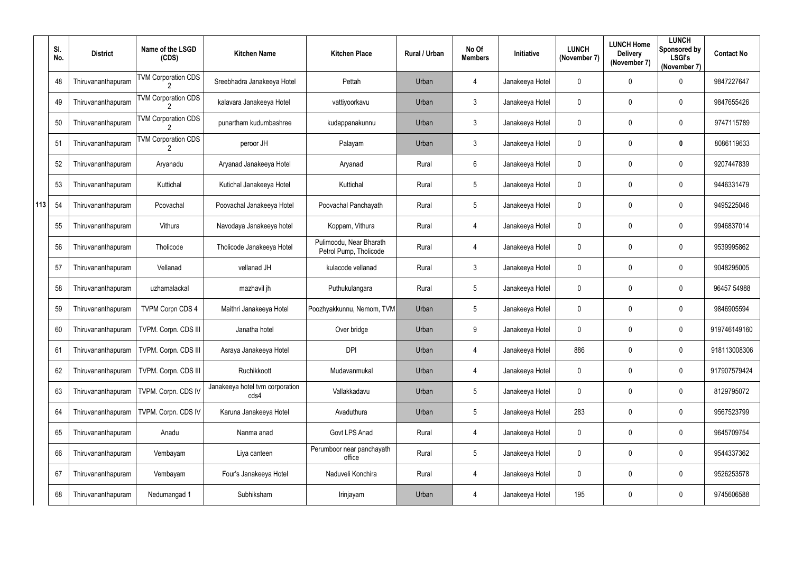|     | SI.<br>No. | <b>District</b>    | Name of the LSGD<br>(CDS)   | <b>Kitchen Name</b>                     | <b>Kitchen Place</b>                              | Rural / Urban | No Of<br><b>Members</b> | Initiative      | <b>LUNCH</b><br>(November 7) | <b>LUNCH Home</b><br><b>Delivery</b><br>(November 7) | <b>LUNCH</b><br>Sponsored by<br><b>LSGI's</b><br>(November 7) | <b>Contact No</b> |
|-----|------------|--------------------|-----------------------------|-----------------------------------------|---------------------------------------------------|---------------|-------------------------|-----------------|------------------------------|------------------------------------------------------|---------------------------------------------------------------|-------------------|
|     | 48         | Thiruvananthapuram | <b>TVM Corporation CDS</b>  | Sreebhadra Janakeeya Hotel              | Pettah                                            | Urban         | 4                       | Janakeeya Hotel | $\mathbf 0$                  | 0                                                    | $\mathbf 0$                                                   | 9847227647        |
|     | 49         | Thiruvananthapuram | <b>TVM Corporation CDS</b>  | kalavara Janakeeya Hotel                | vattiyoorkavu                                     | Urban         | $\mathfrak{Z}$          | Janakeeya Hotel | $\mathbf 0$                  | 0                                                    | $\overline{0}$                                                | 9847655426        |
|     | 50         | Thiruvananthapuram | <b>TVM Corporation CDS</b>  | punartham kudumbashree                  | kudappanakunnu                                    | Urban         | $\mathfrak{Z}$          | Janakeeya Hotel | $\mathbf 0$                  | 0                                                    | $\overline{0}$                                                | 9747115789        |
|     | 51         | Thiruvananthapuram | <b>TVM Corporation CDS</b>  | peroor JH                               | Palayam                                           | Urban         | $\mathfrak{Z}$          | Janakeeya Hotel | 0                            | 0                                                    | $\bf{0}$                                                      | 8086119633        |
|     | 52         | Thiruvananthapuram | Aryanadu                    | Aryanad Janakeeya Hotel                 | Aryanad                                           | Rural         | $6\phantom{.}$          | Janakeeya Hotel | $\mathbf 0$                  | 0                                                    | $\overline{0}$                                                | 9207447839        |
|     | 53         | Thiruvananthapuram | Kuttichal                   | Kutichal Janakeeya Hotel                | Kuttichal                                         | Rural         | 5                       | Janakeeya Hotel | $\mathbf 0$                  | 0                                                    | $\overline{0}$                                                | 9446331479        |
| 113 | 54         | Thiruvananthapuram | Poovachal                   | Poovachal Janakeeya Hotel               | Poovachal Panchayath                              | Rural         | 5                       | Janakeeya Hotel | $\mathbf 0$                  | 0                                                    | $\mathbf 0$                                                   | 9495225046        |
|     | 55         | Thiruvananthapuram | Vithura                     | Navodaya Janakeeya hotel                | Koppam, Vithura                                   | Rural         | $\overline{4}$          | Janakeeya Hotel | $\mathbf 0$                  | 0                                                    | $\overline{0}$                                                | 9946837014        |
|     | 56         | Thiruvananthapuram | Tholicode                   | Tholicode Janakeeya Hotel               | Pulimoodu, Near Bharath<br>Petrol Pump, Tholicode | Rural         | $\overline{4}$          | Janakeeya Hotel | $\mathbf 0$                  | 0                                                    | $\overline{0}$                                                | 9539995862        |
|     | 57         | Thiruvananthapuram | Vellanad                    | vellanad JH                             | kulacode vellanad                                 | Rural         | $\mathfrak{Z}$          | Janakeeya Hotel | $\mathbf 0$                  | 0                                                    | $\overline{0}$                                                | 9048295005        |
|     | 58         | Thiruvananthapuram | uzhamalackal                | mazhavil jh                             | Puthukulangara                                    | Rural         | 5                       | Janakeeya Hotel | $\mathbf 0$                  | 0                                                    | $\overline{0}$                                                | 96457 54988       |
|     | 59         | Thiruvananthapuram | <b>TVPM Corpn CDS 4</b>     | Maithri Janakeeya Hotel                 | Poozhyakkunnu, Nemom, TVM                         | Urban         | 5                       | Janakeeya Hotel | $\mathbf 0$                  | 0                                                    | $\overline{0}$                                                | 9846905594        |
|     | 60         | Thiruvananthapuram | <b>TVPM. Corpn. CDS III</b> | Janatha hotel                           | Over bridge                                       | Urban         | 9                       | Janakeeya Hotel | $\mathbf 0$                  | 0                                                    | $\mathbf 0$                                                   | 919746149160      |
|     | 61         | Thiruvananthapuram | TVPM. Corpn. CDS III        | Asraya Janakeeya Hotel                  | <b>DPI</b>                                        | Urban         | $\overline{4}$          | Janakeeya Hotel | 886                          | 0                                                    | $\overline{0}$                                                | 918113008306      |
|     | 62         | Thiruvananthapuram | TVPM. Corpn. CDS III        | Ruchikkoott                             | Mudavanmukal                                      | Urban         | 4                       | Janakeeya Hotel | $\mathbf 0$                  | 0                                                    | $\mathbf 0$                                                   | 917907579424      |
|     | 63         | Thiruvananthapuram | TVPM. Corpn. CDS IV         | Janakeeya hotel tvm corporation<br>cds4 | Vallakkadavu                                      | Urban         | $5\phantom{.0}$         | Janakeeya Hotel | $\mathbf 0$                  | $\pmb{0}$                                            | $\mathbf 0$                                                   | 8129795072        |
|     | 64         | Thiruvananthapuram | TVPM. Corpn. CDS IV         | Karuna Janakeeya Hotel                  | Avaduthura                                        | Urban         | $5\phantom{.0}$         | Janakeeya Hotel | 283                          | 0                                                    | $\overline{0}$                                                | 9567523799        |
|     | 65         | Thiruvananthapuram | Anadu                       | Nanma anad                              | Govt LPS Anad                                     | Rural         | $\overline{4}$          | Janakeeya Hotel | $\mathbf 0$                  | 0                                                    | $\overline{0}$                                                | 9645709754        |
|     | 66         | Thiruvananthapuram | Vembayam                    | Liya canteen                            | Perumboor near panchayath<br>office               | Rural         | $5\phantom{.0}$         | Janakeeya Hotel | $\mathbf 0$                  | $\pmb{0}$                                            | $\overline{0}$                                                | 9544337362        |
|     | 67         | Thiruvananthapuram | Vembayam                    | Four's Janakeeya Hotel                  | Naduveli Konchira                                 | Rural         | $\overline{4}$          | Janakeeya Hotel | $\mathbf 0$                  | 0                                                    | $\overline{0}$                                                | 9526253578        |
|     | 68         | Thiruvananthapuram | Nedumangad 1                | Subhiksham                              | Irinjayam                                         | Urban         | 4                       | Janakeeya Hotel | 195                          | 0                                                    | $\mathbf 0$                                                   | 9745606588        |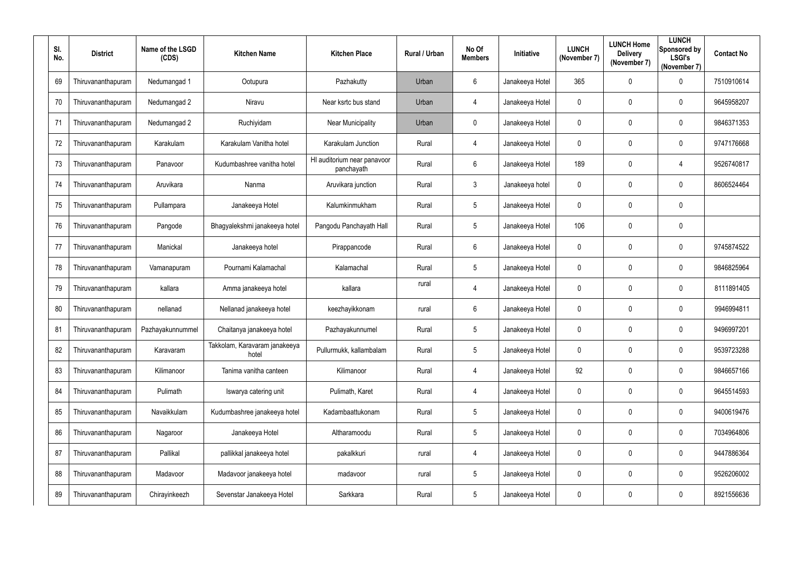| SI.<br>No. | <b>District</b>    | Name of the LSGD<br>(CDS) | <b>Kitchen Name</b>                    | <b>Kitchen Place</b>                      | Rural / Urban | No Of<br><b>Members</b> | Initiative      | <b>LUNCH</b><br>(November 7) | <b>LUNCH Home</b><br><b>Delivery</b><br>(November 7) | <b>LUNCH</b><br>Sponsored by<br><b>LSGI's</b><br>(November 7) | <b>Contact No</b> |
|------------|--------------------|---------------------------|----------------------------------------|-------------------------------------------|---------------|-------------------------|-----------------|------------------------------|------------------------------------------------------|---------------------------------------------------------------|-------------------|
| 69         | Thiruvananthapuram | Nedumangad 1              | Ootupura                               | Pazhakutty                                | Urban         | $6\overline{6}$         | Janakeeya Hotel | 365                          | $\mathbf 0$                                          | $\mathbf 0$                                                   | 7510910614        |
| 70         | Thiruvananthapuram | Nedumangad 2              | Niravu                                 | Near ksrtc bus stand                      | Urban         | 4                       | Janakeeya Hotel | $\mathbf 0$                  | $\mathbf 0$                                          | $\overline{0}$                                                | 9645958207        |
| 71         | Thiruvananthapuram | Nedumangad 2              | Ruchiyidam                             | <b>Near Municipality</b>                  | Urban         | $\mathbf 0$             | Janakeeya Hotel | $\mathbf 0$                  | $\mathbf 0$                                          | $\mathbf 0$                                                   | 9846371353        |
| 72         | Thiruvananthapuram | Karakulam                 | Karakulam Vanitha hotel                | Karakulam Junction                        | Rural         | $\overline{4}$          | Janakeeya Hotel | $\mathbf 0$                  | $\boldsymbol{0}$                                     | $\mathbf 0$                                                   | 9747176668        |
| 73         | Thiruvananthapuram | Panavoor                  | Kudumbashree vanitha hotel             | HI auditorium near panavoor<br>panchayath | Rural         | $6\overline{6}$         | Janakeeya Hotel | 189                          | $\boldsymbol{0}$                                     | $\overline{4}$                                                | 9526740817        |
| 74         | Thiruvananthapuram | Aruvikara                 | Nanma                                  | Aruvikara junction                        | Rural         | $\mathbf{3}$            | Janakeeya hotel | $\boldsymbol{0}$             | $\boldsymbol{0}$                                     | $\boldsymbol{0}$                                              | 8606524464        |
| 75         | Thiruvananthapuram | Pullampara                | Janakeeya Hotel                        | Kalumkinmukham                            | Rural         | $5\phantom{.0}$         | Janakeeya Hotel | $\mathbf 0$                  | $\boldsymbol{0}$                                     | $\mathbf 0$                                                   |                   |
| 76         | Thiruvananthapuram | Pangode                   | Bhagyalekshmi janakeeya hotel          | Pangodu Panchayath Hall                   | Rural         | $5\phantom{.0}$         | Janakeeya Hotel | 106                          | $\boldsymbol{0}$                                     | $\mathbf 0$                                                   |                   |
| 77         | Thiruvananthapuram | Manickal                  | Janakeeya hotel                        | Pirappancode                              | Rural         | $6\overline{6}$         | Janakeeya Hotel | $\mathbf 0$                  | $\mathbf 0$                                          | $\mathbf 0$                                                   | 9745874522        |
| 78         | Thiruvananthapuram | Vamanapuram               | Pournami Kalamachal                    | Kalamachal                                | Rural         | $5\phantom{.0}$         | Janakeeya Hotel | $\mathbf 0$                  | $\boldsymbol{0}$                                     | $\mathbf 0$                                                   | 9846825964        |
| 79         | Thiruvananthapuram | kallara                   | Amma janakeeya hotel                   | kallara                                   | rural         | $\overline{4}$          | Janakeeya Hotel | $\mathbf 0$                  | $\boldsymbol{0}$                                     | $\mathbf 0$                                                   | 8111891405        |
| 80         | Thiruvananthapuram | nellanad                  | Nellanad janakeeya hotel               | keezhayikkonam                            | rural         | 6                       | Janakeeya Hotel | $\mathbf 0$                  | $\boldsymbol{0}$                                     | $\mathbf 0$                                                   | 9946994811        |
| 81         | Thiruvananthapuram | Pazhayakunnummel          | Chaitanya janakeeya hotel              | Pazhayakunnumel                           | Rural         | $5\overline{)}$         | Janakeeya Hotel | $\mathbf{0}$                 | $\mathbf 0$                                          | $\overline{0}$                                                | 9496997201        |
| 82         | Thiruvananthapuram | Karavaram                 | Takkolam, Karavaram janakeeya<br>hotel | Pullurmukk, kallambalam                   | Rural         | $5\phantom{.0}$         | Janakeeya Hotel | $\boldsymbol{0}$             | $\boldsymbol{0}$                                     | $\mathbf 0$                                                   | 9539723288        |
| 83         | Thiruvananthapuram | Kilimanoor                | Tanima vanitha canteen                 | Kilimanoor                                | Rural         | $\overline{4}$          | Janakeeya Hotel | 92                           | $\boldsymbol{0}$                                     | $\mathbf 0$                                                   | 9846657166        |
| 84         | Thiruvananthapuram | Pulimath                  | Iswarya catering unit                  | Pulimath, Karet                           | Rural         | $\overline{4}$          | Janakeeya Hotel | $\pmb{0}$                    | $\mathbf 0$                                          | $\mathbf 0$                                                   | 9645514593        |
| 85         | Thiruvananthapuram | Navaikkulam               | Kudumbashree janakeeya hotel           | Kadambaattukonam                          | Rural         | $5\phantom{.0}$         | Janakeeya Hotel | $\boldsymbol{0}$             | $\overline{0}$                                       | $\boldsymbol{0}$                                              | 9400619476        |
| 86         | Thiruvananthapuram | Nagaroor                  | Janakeeya Hotel                        | Altharamoodu                              | Rural         | $5\overline{)}$         | Janakeeya Hotel | $\pmb{0}$                    | $\boldsymbol{0}$                                     | $\boldsymbol{0}$                                              | 7034964806        |
| 87         | Thiruvananthapuram | Pallikal                  | pallikkal janakeeya hotel              | pakalkkuri                                | rural         | $\overline{4}$          | Janakeeya Hotel | $\pmb{0}$                    | $\pmb{0}$                                            | $\mathbf 0$                                                   | 9447886364        |
| 88         | Thiruvananthapuram | Madavoor                  | Madavoor janakeeya hotel               | madavoor                                  | rural         | $5\phantom{.0}$         | Janakeeya Hotel | $\boldsymbol{0}$             | $\boldsymbol{0}$                                     | $\mathbf 0$                                                   | 9526206002        |
| 89         | Thiruvananthapuram | Chirayinkeezh             | Sevenstar Janakeeya Hotel              | Sarkkara                                  | Rural         | $5\overline{)}$         | Janakeeya Hotel | $\boldsymbol{0}$             | $\pmb{0}$                                            | $\boldsymbol{0}$                                              | 8921556636        |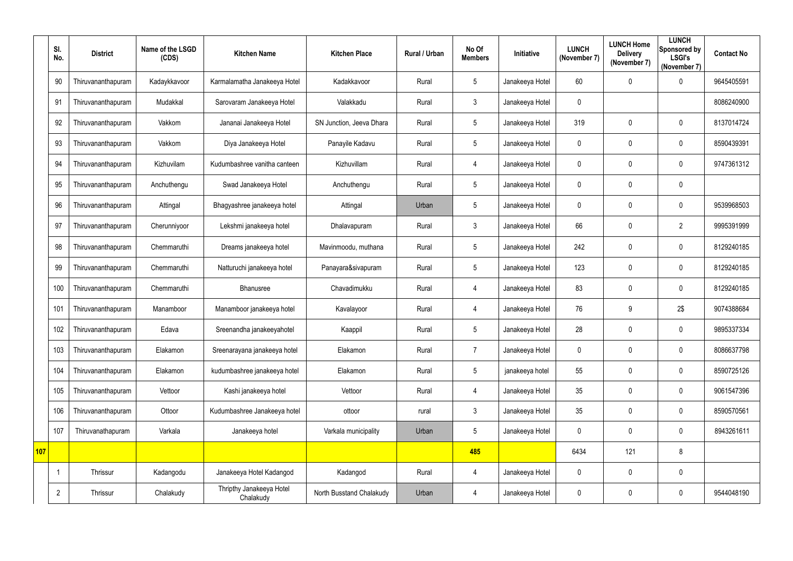|            | SI.<br>No.     | <b>District</b>    | Name of the LSGD<br>(CDS) | <b>Kitchen Name</b>                   | <b>Kitchen Place</b>     | Rural / Urban | No Of<br><b>Members</b> | Initiative      | <b>LUNCH</b><br>(November 7) | <b>LUNCH Home</b><br><b>Delivery</b><br>(November 7) | <b>LUNCH</b><br>Sponsored by<br><b>LSGI's</b><br>(November 7) | <b>Contact No</b> |
|------------|----------------|--------------------|---------------------------|---------------------------------------|--------------------------|---------------|-------------------------|-----------------|------------------------------|------------------------------------------------------|---------------------------------------------------------------|-------------------|
|            | 90             | Thiruvananthapuram | Kadaykkavoor              | Karmalamatha Janakeeya Hotel          | Kadakkavoor              | Rural         | $5\overline{)}$         | Janakeeya Hotel | 60                           | 0                                                    | $\overline{0}$                                                | 9645405591        |
|            | 91             | Thiruvananthapuram | Mudakkal                  | Sarovaram Janakeeya Hotel             | Valakkadu                | Rural         | 3                       | Janakeeya Hotel | $\boldsymbol{0}$             |                                                      |                                                               | 8086240900        |
|            | 92             | Thiruvananthapuram | Vakkom                    | Jananai Janakeeya Hotel               | SN Junction, Jeeva Dhara | Rural         | $5\overline{)}$         | Janakeeya Hotel | 319                          | $\mathbf 0$                                          | $\overline{0}$                                                | 8137014724        |
|            | 93             | Thiruvananthapuram | Vakkom                    | Diya Janakeeya Hotel                  | Panayile Kadavu          | Rural         | $5\overline{)}$         | Janakeeya Hotel | $\boldsymbol{0}$             | 0                                                    | $\overline{0}$                                                | 8590439391        |
|            | 94             | Thiruvananthapuram | Kizhuvilam                | Kudumbashree vanitha canteen          | Kizhuvillam              | Rural         | 4                       | Janakeeya Hotel | $\mathbf 0$                  | 0                                                    | $\overline{0}$                                                | 9747361312        |
|            | 95             | Thiruvananthapuram | Anchuthengu               | Swad Janakeeya Hotel                  | Anchuthengu              | Rural         | $5\overline{)}$         | Janakeeya Hotel | $\overline{0}$               | $\mathbf 0$                                          | $\boldsymbol{0}$                                              |                   |
|            | 96             | Thiruvananthapuram | Attingal                  | Bhagyashree janakeeya hotel           | Attingal                 | Urban         | $5\overline{)}$         | Janakeeya Hotel | $\mathbf 0$                  | 0                                                    | $\overline{0}$                                                | 9539968503        |
|            | 97             | Thiruvananthapuram | Cherunniyoor              | Lekshmi janakeeya hotel               | Dhalavapuram             | Rural         | $\mathbf{3}$            | Janakeeya Hotel | 66                           | 0                                                    | $\overline{2}$                                                | 9995391999        |
|            | 98             | Thiruvananthapuram | Chemmaruthi               | Dreams janakeeya hotel                | Mavinmoodu, muthana      | Rural         | $5\phantom{.0}$         | Janakeeya Hotel | 242                          | $\mathbf{0}$                                         | $\overline{0}$                                                | 8129240185        |
|            | 99             | Thiruvananthapuram | Chemmaruthi               | Natturuchi janakeeya hotel            | Panayara&sivapuram       | Rural         | $5\overline{)}$         | Janakeeya Hotel | 123                          | 0                                                    | $\overline{0}$                                                | 8129240185        |
|            | 100            | Thiruvananthapuram | Chemmaruthi               | Bhanusree                             | Chavadimukku             | Rural         | 4                       | Janakeeya Hotel | 83                           | 0                                                    | $\overline{0}$                                                | 8129240185        |
|            | 101            | Thiruvananthapuram | Manamboor                 | Manamboor janakeeya hotel             | Kavalayoor               | Rural         | 4                       | Janakeeya Hotel | 76                           | 9                                                    | 2\$                                                           | 9074388684        |
|            | 102            | Thiruvananthapuram | Edava                     | Sreenandha janakeeyahotel             | Kaappil                  | Rural         | 5                       | Janakeeya Hotel | 28                           | 0                                                    | 0                                                             | 9895337334        |
|            | 103            | Thiruvananthapuram | Elakamon                  | Sreenarayana janakeeya hotel          | Elakamon                 | Rural         | $\overline{7}$          | Janakeeya Hotel | $\mathbf 0$                  | 0                                                    | $\mathbf 0$                                                   | 8086637798        |
|            | 104            | Thiruvananthapuram | Elakamon                  | kudumbashree janakeeya hotel          | Elakamon                 | Rural         | $5\phantom{.0}$         | janakeeya hotel | 55                           | 0                                                    | $\mathbf 0$                                                   | 8590725126        |
|            | 105            | Thiruvananthapuram | Vettoor                   | Kashi janakeeya hotel                 | Vettoor                  | Rural         | 4                       | Janakeeya Hotel | 35                           | $\mathbf 0$                                          | $\mathbf 0$                                                   | 9061547396        |
|            | 106            | Thiruvananthapuram | Ottoor                    | Kudumbashree Janakeeya hotel          | ottoor                   | rural         | $\mathbf{3}$            | Janakeeya Hotel | $35\,$                       | 0                                                    | $\mathbf 0$                                                   | 8590570561        |
|            | 107            | Thiruvanathapuram  | Varkala                   | Janakeeya hotel                       | Varkala municipality     | Urban         | $5\phantom{.0}$         | Janakeeya Hotel | $\pmb{0}$                    | $\mathbf 0$                                          | $\mathbf 0$                                                   | 8943261611        |
| <b>107</b> |                |                    |                           |                                       |                          |               | 485                     |                 | 6434                         | 121                                                  | 8                                                             |                   |
|            | -1             | Thrissur           | Kadangodu                 | Janakeeya Hotel Kadangod              | Kadangod                 | Rural         | 4                       | Janakeeya Hotel | $\overline{0}$               | 0                                                    | $\mathbf 0$                                                   |                   |
|            | $\overline{2}$ | Thrissur           | Chalakudy                 | Thripthy Janakeeya Hotel<br>Chalakudy | North Busstand Chalakudy | Urban         | $\overline{4}$          | Janakeeya Hotel | $\boldsymbol{0}$             | 0                                                    | $\boldsymbol{0}$                                              | 9544048190        |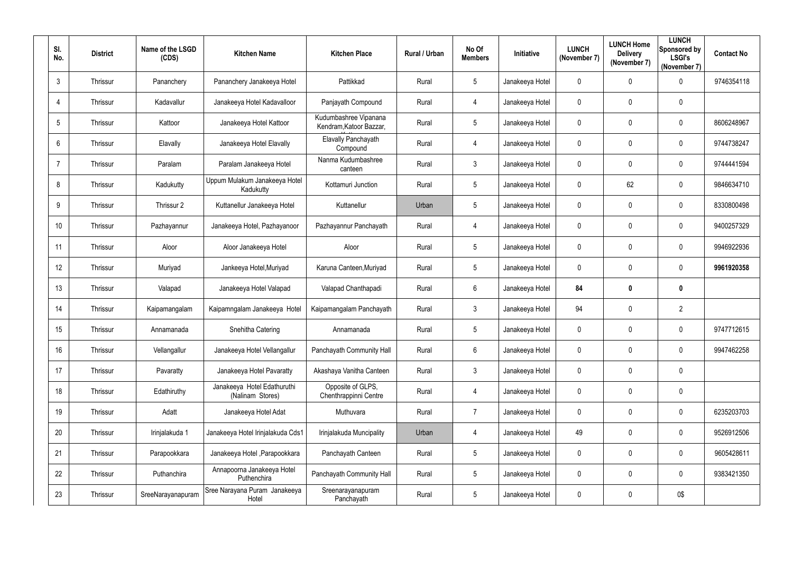| SI.<br>No.   | <b>District</b> | Name of the LSGD<br>(CDS) | <b>Kitchen Name</b>                             | <b>Kitchen Place</b>                             | Rural / Urban | No Of<br><b>Members</b> | Initiative      | <b>LUNCH</b><br>(November 7) | <b>LUNCH Home</b><br><b>Delivery</b><br>(November 7) | <b>LUNCH</b><br>Sponsored by<br><b>LSGI's</b><br>(November 7) | <b>Contact No</b> |
|--------------|-----------------|---------------------------|-------------------------------------------------|--------------------------------------------------|---------------|-------------------------|-----------------|------------------------------|------------------------------------------------------|---------------------------------------------------------------|-------------------|
| $\mathbf{3}$ | Thrissur        | Pananchery                | Pananchery Janakeeya Hotel                      | Pattikkad                                        | Rural         | 5                       | Janakeeya Hotel | $\mathbf 0$                  | $\mathbf 0$                                          | $\mathbf 0$                                                   | 9746354118        |
| 4            | Thrissur        | Kadavallur                | Janakeeya Hotel Kadavalloor                     | Panjayath Compound                               | Rural         | 4                       | Janakeeya Hotel | $\mathbf 0$                  | 0                                                    | $\mathbf 0$                                                   |                   |
| 5            | Thrissur        | Kattoor                   | Janakeeya Hotel Kattoor                         | Kudumbashree Vipanana<br>Kendram, Katoor Bazzar, | Rural         | 5                       | Janakeeya Hotel | $\overline{0}$               | 0                                                    | $\mathbf 0$                                                   | 8606248967        |
| 6            | Thrissur        | Elavally                  | Janakeeya Hotel Elavally                        | Elavally Panchayath<br>Compound                  | Rural         | 4                       | Janakeeya Hotel | $\mathbf 0$                  | 0                                                    | $\mathbf 0$                                                   | 9744738247        |
|              | Thrissur        | Paralam                   | Paralam Janakeeya Hotel                         | Nanma Kudumbashree<br>canteen                    | Rural         | $\mathfrak{Z}$          | Janakeeya Hotel | $\mathbf 0$                  | 0                                                    | $\mathbf 0$                                                   | 9744441594        |
| 8            | Thrissur        | Kadukutty                 | Uppum Mulakum Janakeeya Hotel<br>Kadukutty      | Kottamuri Junction                               | Rural         | 5                       | Janakeeya Hotel | $\overline{0}$               | 62                                                   | $\overline{0}$                                                | 9846634710        |
| 9            | Thrissur        | Thrissur 2                | Kuttanellur Janakeeya Hotel                     | Kuttanellur                                      | Urban         | 5                       | Janakeeya Hotel | $\mathbf 0$                  | $\boldsymbol{0}$                                     | $\mathbf 0$                                                   | 8330800498        |
| 10           | Thrissur        | Pazhayannur               | Janakeeya Hotel, Pazhayanoor                    | Pazhayannur Panchayath                           | Rural         | 4                       | Janakeeya Hotel | $\mathbf 0$                  | $\boldsymbol{0}$                                     | $\overline{0}$                                                | 9400257329        |
| 11           | Thrissur        | Aloor                     | Aloor Janakeeya Hotel                           | Aloor                                            | Rural         | 5                       | Janakeeya Hotel | $\mathbf 0$                  | 0                                                    | $\mathbf 0$                                                   | 9946922936        |
| 12           | Thrissur        | Muriyad                   | Jankeeya Hotel, Muriyad                         | Karuna Canteen, Muriyad                          | Rural         | 5                       | Janakeeya Hotel | $\mathbf 0$                  | $\boldsymbol{0}$                                     | $\mathbf 0$                                                   | 9961920358        |
| 13           | Thrissur        | Valapad                   | Janakeeya Hotel Valapad                         | Valapad Chanthapadi                              | Rural         | $6\phantom{.}$          | Janakeeya Hotel | 84                           | 0                                                    | $\boldsymbol{0}$                                              |                   |
| 14           | Thrissur        | Kaipamangalam             | Kaipamngalam Janakeeya Hotel                    | Kaipamangalam Panchayath                         | Rural         | $3\overline{3}$         | Janakeeya Hotel | 94                           | 0                                                    | $\overline{2}$                                                |                   |
| 15           | Thrissur        | Annamanada                | Snehitha Catering                               | Annamanada                                       | Rural         | 5                       | Janakeeya Hotel | $\mathbf 0$                  | 0                                                    | $\mathbf 0$                                                   | 9747712615        |
| 16           | Thrissur        | Vellangallur              | Janakeeya Hotel Vellangallur                    | Panchayath Community Hall                        | Rural         | $6\phantom{.0}$         | Janakeeya Hotel | $\overline{0}$               | 0                                                    | $\overline{0}$                                                | 9947462258        |
| 17           | Thrissur        | Pavaratty                 | Janakeeya Hotel Pavaratty                       | Akashaya Vanitha Canteen                         | Rural         | $\mathfrak{Z}$          | Janakeeya Hotel | $\mathbf 0$                  | 0                                                    | $\mathbf 0$                                                   |                   |
| 18           | Thrissur        | Edathiruthy               | Janakeeya Hotel Edathuruthi<br>(Nalinam Stores) | Opposite of GLPS,<br>Chenthrappinni Centre       | Rural         | $\overline{4}$          | Janakeeya Hotel | $\mathbf 0$                  | $\pmb{0}$                                            | $\mathbf 0$                                                   |                   |
| 19           | Thrissur        | Adatt                     | Janakeeya Hotel Adat                            | Muthuvara                                        | Rural         | $\overline{7}$          | Janakeeya Hotel | $\mathbf 0$                  | $\pmb{0}$                                            | $\overline{0}$                                                | 6235203703        |
| 20           | Thrissur        | Irinjalakuda 1            | Janakeeya Hotel Irinjalakuda Cds1               | Irinjalakuda Muncipality                         | Urban         | $\overline{4}$          | Janakeeya Hotel | 49                           | $\pmb{0}$                                            | $\overline{0}$                                                | 9526912506        |
| 21           | Thrissur        | Parapookkara              | Janakeeya Hotel, Parapookkara                   | Panchayath Canteen                               | Rural         | 5                       | Janakeeya Hotel | $\overline{0}$               | $\pmb{0}$                                            | $\overline{0}$                                                | 9605428611        |
| 22           | Thrissur        | Puthanchira               | Annapoorna Janakeeya Hotel<br>Puthenchira       | Panchayath Community Hall                        | Rural         | 5                       | Janakeeya Hotel | $\mathbf 0$                  | 0                                                    | $\overline{0}$                                                | 9383421350        |
| 23           | Thrissur        | SreeNarayanapuram         | Sree Narayana Puram Janakeeya<br>Hotel          | Sreenarayanapuram<br>Panchayath                  | Rural         | 5                       | Janakeeya Hotel | $\pmb{0}$                    | 0                                                    | 0\$                                                           |                   |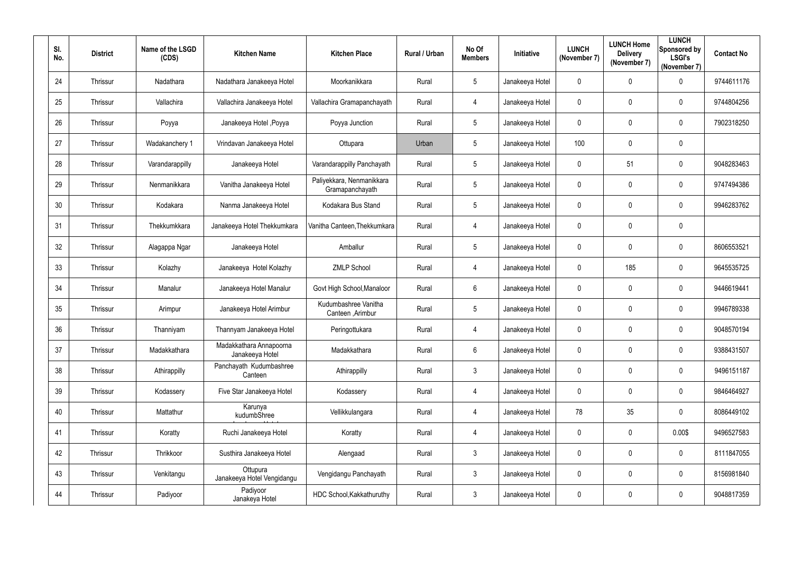| SI.<br>No. | <b>District</b> | Name of the LSGD<br>(CDS) | <b>Kitchen Name</b>                        | <b>Kitchen Place</b>                         | Rural / Urban | No Of<br><b>Members</b> | Initiative      | <b>LUNCH</b><br>(November 7) | <b>LUNCH Home</b><br><b>Delivery</b><br>(November 7) | <b>LUNCH</b><br>Sponsored by<br><b>LSGI's</b><br>(November 7) | <b>Contact No</b> |
|------------|-----------------|---------------------------|--------------------------------------------|----------------------------------------------|---------------|-------------------------|-----------------|------------------------------|------------------------------------------------------|---------------------------------------------------------------|-------------------|
| 24         | Thrissur        | Nadathara                 | Nadathara Janakeeya Hotel                  | Moorkanikkara                                | Rural         | $5\overline{)}$         | Janakeeya Hotel | $\mathbf 0$                  | $\mathbf 0$                                          | $\mathbf 0$                                                   | 9744611176        |
| 25         | Thrissur        | Vallachira                | Vallachira Janakeeya Hotel                 | Vallachira Gramapanchayath                   | Rural         | $\overline{4}$          | Janakeeya Hotel | $\mathbf 0$                  | $\mathbf 0$                                          | $\overline{0}$                                                | 9744804256        |
| 26         | Thrissur        | Poyya                     | Janakeeya Hotel, Poyya                     | Poyya Junction                               | Rural         | $5\phantom{.0}$         | Janakeeya Hotel | $\mathbf 0$                  | $\mathbf 0$                                          | $\overline{0}$                                                | 7902318250        |
| 27         | Thrissur        | Wadakanchery 1            | Vrindavan Janakeeya Hotel                  | Ottupara                                     | Urban         | $5\overline{)}$         | Janakeeya Hotel | 100                          | $\mathbf 0$                                          | $\mathbf 0$                                                   |                   |
| 28         | Thrissur        | Varandarappilly           | Janakeeya Hotel                            | Varandarappilly Panchayath                   | Rural         | $5\overline{)}$         | Janakeeya Hotel | $\mathbf 0$                  | 51                                                   | $\overline{0}$                                                | 9048283463        |
| 29         | Thrissur        | Nenmanikkara              | Vanitha Janakeeya Hotel                    | Paliyekkara, Nenmanikkara<br>Gramapanchayath | Rural         | $5\phantom{.0}$         | Janakeeya Hotel | $\mathbf 0$                  | $\overline{0}$                                       | $\boldsymbol{0}$                                              | 9747494386        |
| 30         | Thrissur        | Kodakara                  | Nanma Janakeeya Hotel                      | Kodakara Bus Stand                           | Rural         | $5\phantom{.0}$         | Janakeeya Hotel | $\mathbf 0$                  | 0                                                    | $\overline{0}$                                                | 9946283762        |
| 31         | Thrissur        | Thekkumkkara              | Janakeeya Hotel Thekkumkara                | Vanitha Canteen, Thekkumkara                 | Rural         | $\overline{4}$          | Janakeeya Hotel | $\mathbf 0$                  | $\mathbf 0$                                          | $\mathbf 0$                                                   |                   |
| 32         | Thrissur        | Alagappa Ngar             | Janakeeya Hotel                            | Amballur                                     | Rural         | $5\overline{)}$         | Janakeeya Hotel | $\boldsymbol{0}$             | $\mathbf 0$                                          | $\overline{0}$                                                | 8606553521        |
| 33         | Thrissur        | Kolazhy                   | Janakeeya Hotel Kolazhy                    | <b>ZMLP School</b>                           | Rural         | $\overline{4}$          | Janakeeya Hotel | $\mathbf 0$                  | 185                                                  | $\mathbf 0$                                                   | 9645535725        |
| 34         | Thrissur        | Manalur                   | Janakeeya Hotel Manalur                    | Govt High School, Manaloor                   | Rural         | $6\phantom{.}6$         | Janakeeya Hotel | $\boldsymbol{0}$             | $\mathbf 0$                                          | $\overline{0}$                                                | 9446619441        |
| 35         | Thrissur        | Arimpur                   | Janakeeya Hotel Arimbur                    | Kudumbashree Vanitha<br>Canteen, Arimbur     | Rural         | $5\overline{)}$         | Janakeeya Hotel | $\mathbf 0$                  | $\mathbf 0$                                          | $\overline{0}$                                                | 9946789338        |
| 36         | Thrissur        | Thanniyam                 | Thannyam Janakeeya Hotel                   | Peringottukara                               | Rural         | 4                       | Janakeeya Hotel | $\mathbf 0$                  | $\mathbf 0$                                          | $\overline{0}$                                                | 9048570194        |
| 37         | Thrissur        | Madakkathara              | Madakkathara Annapoorna<br>Janakeeya Hotel | Madakkathara                                 | Rural         | $6\overline{6}$         | Janakeeya Hotel | $\pmb{0}$                    | $\mathbf 0$                                          | $\mathbf 0$                                                   | 9388431507        |
| 38         | Thrissur        | Athirappilly              | Panchayath Kudumbashree<br>Canteen         | Athirappilly                                 | Rural         | $\mathbf{3}$            | Janakeeya Hotel | $\pmb{0}$                    | $\mathbf 0$                                          | $\mathbf 0$                                                   | 9496151187        |
| 39         | Thrissur        | Kodassery                 | Five Star Janakeeya Hotel                  | Kodassery                                    | Rural         | $\overline{4}$          | Janakeeya Hotel | $\mathbf 0$                  | $\mathbf 0$                                          | $\mathbf 0$                                                   | 9846464927        |
| 40         | Thrissur        | Mattathur                 | Karunya<br>kudumbShree                     | Vellikkulangara                              | Rural         | $\overline{4}$          | Janakeeya Hotel | 78                           | 35                                                   | $\mathbf 0$                                                   | 8086449102        |
| 41         | Thrissur        | Koratty                   | Ruchi Janakeeya Hotel                      | Koratty                                      | Rural         | $\overline{4}$          | Janakeeya Hotel | $\mathbf 0$                  | $\mathbf 0$                                          | 0.00\$                                                        | 9496527583        |
| 42         | Thrissur        | Thrikkoor                 | Susthira Janakeeya Hotel                   | Alengaad                                     | Rural         | $3\overline{3}$         | Janakeeya Hotel | $\pmb{0}$                    | $\mathbf 0$                                          | $\mathbf 0$                                                   | 8111847055        |
| 43         | Thrissur        | Venkitangu                | Ottupura<br>Janakeeya Hotel Vengidangu     | Vengidangu Panchayath                        | Rural         | $\mathbf{3}$            | Janakeeya Hotel | $\boldsymbol{0}$             | $\mathbf 0$                                          | $\pmb{0}$                                                     | 8156981840        |
| 44         | Thrissur        | Padiyoor                  | Padiyoor<br>Janakeya Hotel                 | HDC School, Kakkathuruthy                    | Rural         | $\mathfrak{Z}$          | Janakeeya Hotel | $\boldsymbol{0}$             | $\mathbf 0$                                          | $\bm{0}$                                                      | 9048817359        |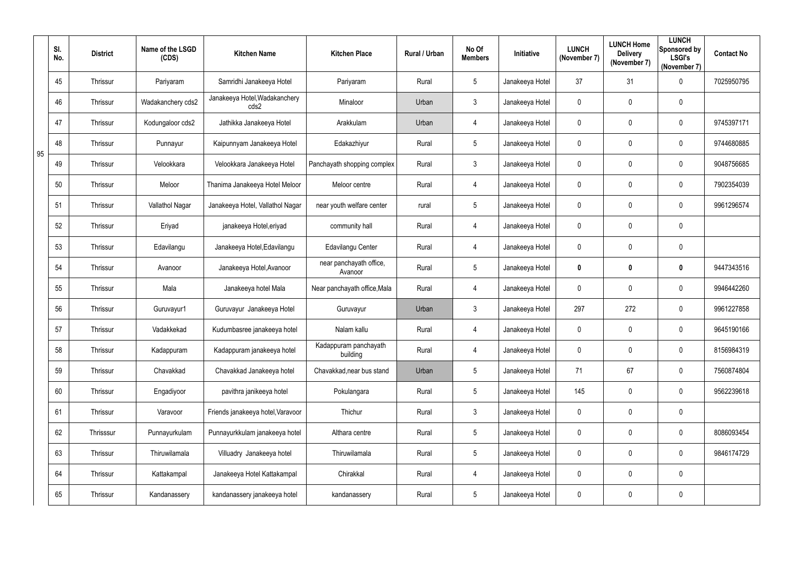|    | SI.<br>No. | <b>District</b> | Name of the LSGD<br>(CDS) | <b>Kitchen Name</b>                   | <b>Kitchen Place</b>               | Rural / Urban | No Of<br><b>Members</b> | Initiative      | <b>LUNCH</b><br>(November 7) | <b>LUNCH Home</b><br><b>Delivery</b><br>(November 7) | <b>LUNCH</b><br>Sponsored by<br><b>LSGI's</b><br>(November 7) | <b>Contact No</b> |
|----|------------|-----------------|---------------------------|---------------------------------------|------------------------------------|---------------|-------------------------|-----------------|------------------------------|------------------------------------------------------|---------------------------------------------------------------|-------------------|
|    | 45         | Thrissur        | Pariyaram                 | Samridhi Janakeeya Hotel              | Pariyaram                          | Rural         | 5                       | Janakeeya Hotel | 37                           | 31                                                   | $\mathbf 0$                                                   | 7025950795        |
|    | 46         | Thrissur        | Wadakanchery cds2         | Janakeeya Hotel, Wadakanchery<br>cds2 | Minaloor                           | Urban         | $\mathfrak{Z}$          | Janakeeya Hotel | $\mathbf 0$                  | 0                                                    | $\mathbf 0$                                                   |                   |
|    | 47         | Thrissur        | Kodungaloor cds2          | Jathikka Janakeeya Hotel              | Arakkulam                          | Urban         | $\overline{4}$          | Janakeeya Hotel | $\mathbf 0$                  | 0                                                    | $\mathbf 0$                                                   | 9745397171        |
| 95 | 48         | Thrissur        | Punnayur                  | Kaipunnyam Janakeeya Hotel            | Edakazhiyur                        | Rural         | 5                       | Janakeeya Hotel | $\mathbf 0$                  | 0                                                    | $\mathbf 0$                                                   | 9744680885        |
|    | 49         | Thrissur        | Velookkara                | Velookkara Janakeeya Hotel            | Panchayath shopping complex        | Rural         | 3                       | Janakeeya Hotel | $\mathbf 0$                  | 0                                                    | $\mathbf 0$                                                   | 9048756685        |
|    | 50         | Thrissur        | Meloor                    | Thanima Janakeeya Hotel Meloor        | Meloor centre                      | Rural         | $\overline{4}$          | Janakeeya Hotel | $\overline{0}$               | 0                                                    | $\mathbf 0$                                                   | 7902354039        |
|    | 51         | Thrissur        | Vallathol Nagar           | Janakeeya Hotel, Vallathol Nagar      | near youth welfare center          | rural         | 5                       | Janakeeya Hotel | $\mathbf 0$                  | 0                                                    | $\mathbf 0$                                                   | 9961296574        |
|    | 52         | Thrissur        | Eriyad                    | janakeeya Hotel, eriyad               | community hall                     | Rural         | $\overline{4}$          | Janakeeya Hotel | $\mathbf 0$                  | 0                                                    | $\mathbf 0$                                                   |                   |
|    | 53         | Thrissur        | Edavilangu                | Janakeeya Hotel, Edavilangu           | Edavilangu Center                  | Rural         | $\overline{4}$          | Janakeeya Hotel | $\overline{0}$               | 0                                                    | $\mathbf 0$                                                   |                   |
|    | 54         | Thrissur        | Avanoor                   | Janakeeya Hotel, Avanoor              | near panchayath office,<br>Avanoor | Rural         | 5                       | Janakeeya Hotel | $\mathbf 0$                  | 0                                                    | $\boldsymbol{0}$                                              | 9447343516        |
|    | 55         | Thrissur        | Mala                      | Janakeeya hotel Mala                  | Near panchayath office, Mala       | Rural         | $\overline{4}$          | Janakeeya Hotel | $\mathbf 0$                  | 0                                                    | $\mathbf 0$                                                   | 9946442260        |
|    | 56         | Thrissur        | Guruvayur1                | Guruvayur Janakeeya Hotel             | Guruvayur                          | Urban         | 3                       | Janakeeya Hotel | 297                          | 272                                                  | $\mathbf 0$                                                   | 9961227858        |
|    | 57         | Thrissur        | Vadakkekad                | Kudumbasree janakeeya hotel           | Nalam kallu                        | Rural         | 4                       | Janakeeya Hotel | $\mathbf 0$                  | $\mathbf 0$                                          | 0                                                             | 9645190166        |
|    | 58         | Thrissur        | Kadappuram                | Kadappuram janakeeya hotel            | Kadappuram panchayath<br>building  | Rural         | $\overline{4}$          | Janakeeya Hotel | $\overline{0}$               | 0                                                    | $\overline{0}$                                                | 8156984319        |
|    | 59         | Thrissur        | Chavakkad                 | Chavakkad Janakeeya hotel             | Chavakkad, near bus stand          | Urban         | $5\overline{)}$         | Janakeeya Hotel | 71                           | 67                                                   | $\overline{0}$                                                | 7560874804        |
|    | 60         | Thrissur        | Engadiyoor                | pavithra janikeeya hotel              | Pokulangara                        | Rural         | 5                       | Janakeeya Hotel | 145                          | 0                                                    | $\overline{0}$                                                | 9562239618        |
|    | 61         | Thrissur        | Varavoor                  | Friends janakeeya hotel, Varavoor     | Thichur                            | Rural         | $\mathfrak{Z}$          | Janakeeya Hotel | $\mathbf 0$                  | 0                                                    | $\mathbf 0$                                                   |                   |
|    | 62         | Thrisssur       | Punnayurkulam             | Punnayurkkulam janakeeya hotel        | Althara centre                     | Rural         | $5\overline{)}$         | Janakeeya Hotel | $\mathbf 0$                  | 0                                                    | $\overline{0}$                                                | 8086093454        |
|    | 63         | Thrissur        | Thiruwilamala             | Villuadry Janakeeya hotel             | Thiruwilamala                      | Rural         | 5                       | Janakeeya Hotel | $\mathbf 0$                  | 0                                                    | $\overline{0}$                                                | 9846174729        |
|    | 64         | Thrissur        | Kattakampal               | Janakeeya Hotel Kattakampal           | Chirakkal                          | Rural         | $\overline{4}$          | Janakeeya Hotel | $\mathbf 0$                  | 0                                                    | $\mathbf 0$                                                   |                   |
|    | 65         | Thrissur        | Kandanassery              | kandanassery janakeeya hotel          | kandanassery                       | Rural         | $5\phantom{.0}$         | Janakeeya Hotel | $\mathbf 0$                  | 0                                                    | $\pmb{0}$                                                     |                   |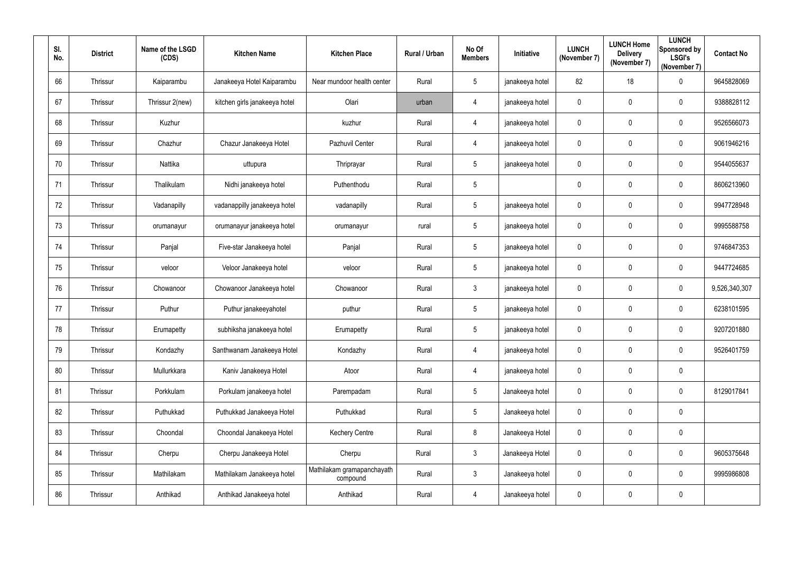| SI. | No. | <b>District</b> | Name of the LSGD<br>(CDS) | <b>Kitchen Name</b>           | <b>Kitchen Place</b>                   | Rural / Urban | No Of<br><b>Members</b> | Initiative      | <b>LUNCH</b><br>(November 7) | <b>LUNCH Home</b><br><b>Delivery</b><br>(November 7) | <b>LUNCH</b><br>Sponsored by<br><b>LSGI's</b><br>(November 7) | <b>Contact No</b> |
|-----|-----|-----------------|---------------------------|-------------------------------|----------------------------------------|---------------|-------------------------|-----------------|------------------------------|------------------------------------------------------|---------------------------------------------------------------|-------------------|
|     | 66  | Thrissur        | Kaiparambu                | Janakeeya Hotel Kaiparambu    | Near mundoor health center             | Rural         | 5                       | janakeeya hotel | 82                           | 18                                                   | $\mathbf 0$                                                   | 9645828069        |
|     | 67  | Thrissur        | Thrissur 2(new)           | kitchen girls janakeeya hotel | Olari                                  | urban         | 4                       | janakeeya hotel | $\mathbf 0$                  | 0                                                    | $\mathbf 0$                                                   | 9388828112        |
|     | 68  | Thrissur        | Kuzhur                    |                               | kuzhur                                 | Rural         | $\overline{4}$          | janakeeya hotel | $\mathbf 0$                  | $\pmb{0}$                                            | $\overline{0}$                                                | 9526566073        |
|     | 69  | Thrissur        | Chazhur                   | Chazur Janakeeya Hotel        | Pazhuvil Center                        | Rural         | $\overline{4}$          | janakeeya hotel | $\mathbf 0$                  | 0                                                    | $\overline{0}$                                                | 9061946216        |
|     | 70  | Thrissur        | Nattika                   | uttupura                      | Thriprayar                             | Rural         | 5                       | janakeeya hotel | $\mathbf 0$                  | $\boldsymbol{0}$                                     | $\mathbf 0$                                                   | 9544055637        |
|     | 71  | Thrissur        | Thalikulam                | Nidhi janakeeya hotel         | Puthenthodu                            | Rural         | $5\phantom{.0}$         |                 | $\overline{0}$               | $\pmb{0}$                                            | $\overline{0}$                                                | 8606213960        |
|     | 72  | Thrissur        | Vadanapilly               | vadanappilly janakeeya hotel  | vadanapilly                            | Rural         | 5                       | janakeeya hotel | $\mathbf 0$                  | 0                                                    | $\mathbf 0$                                                   | 9947728948        |
|     | 73  | Thrissur        | orumanayur                | orumanayur janakeeya hotel    | orumanayur                             | rural         | 5                       | janakeeya hotel | $\mathbf 0$                  | 0                                                    | $\overline{0}$                                                | 9995588758        |
|     | 74  | Thrissur        | Panjal                    | Five-star Janakeeya hotel     | Panjal                                 | Rural         | 5                       | janakeeya hotel | $\mathbf 0$                  | 0                                                    | $\overline{0}$                                                | 9746847353        |
|     | 75  | Thrissur        | veloor                    | Veloor Janakeeya hotel        | veloor                                 | Rural         | 5                       | janakeeya hotel | $\mathbf 0$                  | 0                                                    | $\mathbf 0$                                                   | 9447724685        |
|     | 76  | Thrissur        | Chowanoor                 | Chowanoor Janakeeya hotel     | Chowanoor                              | Rural         | $\mathfrak{Z}$          | janakeeya hotel | $\mathbf 0$                  | 0                                                    | $\overline{0}$                                                | 9,526,340,307     |
|     | 77  | Thrissur        | Puthur                    | Puthur janakeeyahotel         | puthur                                 | Rural         | 5                       | janakeeya hotel | $\overline{0}$               | 0                                                    | $\mathbf 0$                                                   | 6238101595        |
|     | 78  | Thrissur        | Erumapetty                | subhiksha janakeeya hotel     | Erumapetty                             | Rural         | 5                       | janakeeya hotel | $\mathbf 0$                  | 0                                                    | $\mathbf 0$                                                   | 9207201880        |
|     | 79  | Thrissur        | Kondazhy                  | Santhwanam Janakeeya Hotel    | Kondazhy                               | Rural         | $\overline{4}$          | janakeeya hotel | $\overline{0}$               | $\pmb{0}$                                            | $\overline{0}$                                                | 9526401759        |
|     | 80  | Thrissur        | Mullurkkara               | Kaniv Janakeeya Hotel         | Atoor                                  | Rural         | 4                       | janakeeya hotel | $\mathbf 0$                  | $\pmb{0}$                                            | $\overline{0}$                                                |                   |
|     | 81  | Thrissur        | Porkkulam                 | Porkulam janakeeya hotel      | Parempadam                             | Rural         | 5                       | Janakeeya hotel | $\mathbf 0$                  | 0                                                    | $\overline{0}$                                                | 8129017841        |
|     | 82  | Thrissur        | Puthukkad                 | Puthukkad Janakeeya Hotel     | Puthukkad                              | Rural         | $5\phantom{.0}$         | Janakeeya hotel | $\mathbf 0$                  | $\pmb{0}$                                            | $\overline{0}$                                                |                   |
|     | 83  | Thrissur        | Choondal                  | Choondal Janakeeya Hotel      | <b>Kechery Centre</b>                  | Rural         | 8                       | Janakeeya Hotel | $\mathbf 0$                  | $\pmb{0}$                                            | $\overline{0}$                                                |                   |
|     | 84  | Thrissur        | Cherpu                    | Cherpu Janakeeya Hotel        | Cherpu                                 | Rural         | $\mathfrak{Z}$          | Janakeeya Hotel | $\mathbf 0$                  | $\pmb{0}$                                            | $\overline{0}$                                                | 9605375648        |
|     | 85  | Thrissur        | Mathilakam                | Mathilakam Janakeeya hotel    | Mathilakam gramapanchayath<br>compound | Rural         | 3 <sup>1</sup>          | Janakeeya hotel | $\mathbf 0$                  | 0                                                    | $\mathbf 0$                                                   | 9995986808        |
|     | 86  | Thrissur        | Anthikad                  | Anthikad Janakeeya hotel      | Anthikad                               | Rural         | 4                       | Janakeeya hotel | $\mathbf 0$                  | $\boldsymbol{0}$                                     | $\overline{0}$                                                |                   |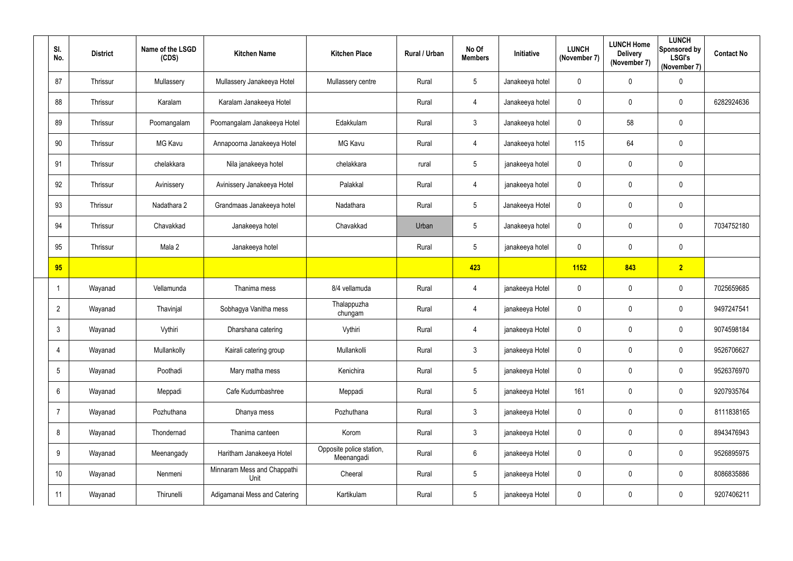| SI.<br>No.      | <b>District</b> | Name of the LSGD<br>(CDS) | <b>Kitchen Name</b>                 | <b>Kitchen Place</b>                   | Rural / Urban | No Of<br><b>Members</b> | Initiative      | <b>LUNCH</b><br>(November 7) | <b>LUNCH Home</b><br><b>Delivery</b><br>(November 7) | <b>LUNCH</b><br>Sponsored by<br><b>LSGI's</b><br>(November 7) | <b>Contact No</b> |
|-----------------|-----------------|---------------------------|-------------------------------------|----------------------------------------|---------------|-------------------------|-----------------|------------------------------|------------------------------------------------------|---------------------------------------------------------------|-------------------|
| 87              | Thrissur        | Mullassery                | Mullassery Janakeeya Hotel          | Mullassery centre                      | Rural         | $5\phantom{.0}$         | Janakeeya hotel | $\mathbf 0$                  | $\mathbf 0$                                          | $\mathbf 0$                                                   |                   |
| 88              | Thrissur        | Karalam                   | Karalam Janakeeya Hotel             |                                        | Rural         | 4                       | Janakeeya hotel | $\pmb{0}$                    | 0                                                    | $\mathbf 0$                                                   | 6282924636        |
| 89              | Thrissur        | Poomangalam               | Poomangalam Janakeeya Hotel         | Edakkulam                              | Rural         | 3                       | Janakeeya hotel | $\mathbf 0$                  | 58                                                   | $\mathbf 0$                                                   |                   |
| 90              | Thrissur        | MG Kavu                   | Annapoorna Janakeeya Hotel          | <b>MG Kavu</b>                         | Rural         | $\overline{4}$          | Janakeeya hotel | 115                          | 64                                                   | $\mathbf 0$                                                   |                   |
| 91              | Thrissur        | chelakkara                | Nila janakeeya hotel                | chelakkara                             | rural         | $5\overline{)}$         | janakeeya hotel | $\mathbf 0$                  | $\mathbf 0$                                          | $\mathbf 0$                                                   |                   |
| 92              | Thrissur        | Avinissery                | Avinissery Janakeeya Hotel          | Palakkal                               | Rural         | $\overline{4}$          | janakeeya hotel | $\overline{0}$               | $\mathbf 0$                                          | $\boldsymbol{0}$                                              |                   |
| 93              | Thrissur        | Nadathara 2               | Grandmaas Janakeeya hotel           | Nadathara                              | Rural         | $5\overline{)}$         | Janakeeya Hotel | $\mathbf 0$                  | 0                                                    | $\mathbf 0$                                                   |                   |
| 94              | Thrissur        | Chavakkad                 | Janakeeya hotel                     | Chavakkad                              | Urban         | $5\overline{)}$         | Janakeeya hotel | $\mathbf 0$                  | $\mathbf 0$                                          | $\mathbf 0$                                                   | 7034752180        |
| 95              | Thrissur        | Mala 2                    | Janakeeya hotel                     |                                        | Rural         | $5\phantom{.0}$         | janakeeya hotel | $\overline{0}$               | $\mathbf 0$                                          | $\overline{0}$                                                |                   |
| 95              |                 |                           |                                     |                                        |               | 423                     |                 | 1152                         | 843                                                  | $\overline{2}$                                                |                   |
|                 | Wayanad         | Vellamunda                | Thanima mess                        | 8/4 vellamuda                          | Rural         | 4                       | janakeeya Hotel | $\overline{0}$               | $\mathbf 0$                                          | $\boldsymbol{0}$                                              | 7025659685        |
| $\overline{2}$  | Wayanad         | Thavinjal                 | Sobhagya Vanitha mess               | Thalappuzha<br>chungam                 | Rural         | $\overline{4}$          | janakeeya Hotel | $\overline{0}$               | $\mathbf 0$                                          | $\overline{0}$                                                | 9497247541        |
| 3               | Wayanad         | Vythiri                   | Dharshana catering                  | Vythiri                                | Rural         | 4                       | janakeeya Hotel | $\mathbf 0$                  | 0                                                    | $\overline{0}$                                                | 9074598184        |
| $\overline{4}$  | Wayanad         | Mullankolly               | Kairali catering group              | Mullankolli                            | Rural         | $\mathbf{3}$            | janakeeya Hotel | $\mathbf 0$                  | $\mathbf 0$                                          | $\pmb{0}$                                                     | 9526706627        |
| $5\phantom{.0}$ | Wayanad         | Poothadi                  | Mary matha mess                     | Kenichira                              | Rural         | $5\phantom{.0}$         | janakeeya Hotel | $\bm{0}$                     | $\pmb{0}$                                            | $\pmb{0}$                                                     | 9526376970        |
| $6\overline{6}$ | Wayanad         | Meppadi                   | Cafe Kudumbashree                   | Meppadi                                | Rural         | $5\phantom{.0}$         | janakeeya Hotel | 161                          | $\pmb{0}$                                            | $\mathbf 0$                                                   | 9207935764        |
| $\overline{7}$  | Wayanad         | Pozhuthana                | Dhanya mess                         | Pozhuthana                             | Rural         | $\mathbf{3}$            | janakeeya Hotel | $\mathbf 0$                  | $\mathbf 0$                                          | $\pmb{0}$                                                     | 8111838165        |
| 8               | Wayanad         | Thondernad                | Thanima canteen                     | Korom                                  | Rural         | 3 <sup>1</sup>          | janakeeya Hotel | $\mathbf 0$                  | $\pmb{0}$                                            | $\mathbf 0$                                                   | 8943476943        |
| 9               | Wayanad         | Meenangady                | Haritham Janakeeya Hotel            | Opposite police station,<br>Meenangadi | Rural         | $6\phantom{.}6$         | janakeeya Hotel | $\pmb{0}$                    | $\mathbf 0$                                          | $\pmb{0}$                                                     | 9526895975        |
| 10              | Wayanad         | Nenmeni                   | Minnaram Mess and Chappathi<br>Unit | Cheeral                                | Rural         | $5\phantom{.0}$         | janakeeya Hotel | $\bm{0}$                     | 0                                                    | $\mathbf 0$                                                   | 8086835886        |
| 11              | Wayanad         | Thirunelli                | Adigamanai Mess and Catering        | Kartikulam                             | Rural         | $5\phantom{.0}$         | janakeeya Hotel | $\bm{0}$                     | $\mathbf 0$                                          | $\bm{0}$                                                      | 9207406211        |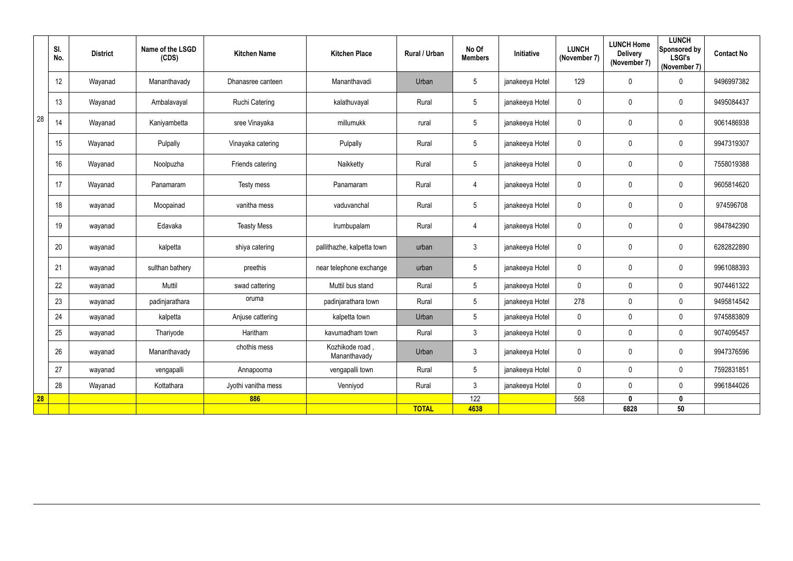|           | SI.<br>No. | <b>District</b> | Name of the LSGD<br>(CDS) | <b>Kitchen Name</b>   | <b>Kitchen Place</b>            | Rural / Urban | No Of<br><b>Members</b> | Initiative      | <b>LUNCH</b><br>(November 7) | <b>LUNCH Home</b><br><b>Delivery</b><br>(November 7) | <b>LUNCH</b><br><b>Sponsored by</b><br><b>LSGI's</b><br>(November 7) | <b>Contact No</b> |
|-----------|------------|-----------------|---------------------------|-----------------------|---------------------------------|---------------|-------------------------|-----------------|------------------------------|------------------------------------------------------|----------------------------------------------------------------------|-------------------|
|           | 12         | Wayanad         | Mananthavady              | Dhanasree canteen     | Mananthavadi                    | Urban         | 5                       | janakeeya Hotel | 129                          | $\pmb{0}$                                            | $\overline{0}$                                                       | 9496997382        |
|           | 13         | Wayanad         | Ambalavayal               | <b>Ruchi Catering</b> | kalathuvayal                    | Rural         | $5\phantom{.0}$         | janakeeya Hotel | $\mathbf 0$                  | 0                                                    | $\mathbf 0$                                                          | 9495084437        |
| 28        | 14         | Wayanad         | Kaniyambetta              | sree Vinayaka         | millumukk                       | rural         | $5\phantom{.0}$         | janakeeya Hotel | $\mathbf 0$                  | 0                                                    | $\overline{0}$                                                       | 9061486938        |
|           | 15         | Wayanad         | Pulpally                  | Vinayaka catering     | Pulpally                        | Rural         | $5\phantom{.0}$         | janakeeya Hotel | 0                            | $\pmb{0}$                                            | $\overline{0}$                                                       | 9947319307        |
|           | 16         | Wayanad         | Noolpuzha                 | Friends catering      | Naikketty                       | Rural         | $\sqrt{5}$              | janakeeya Hotel | 0                            | 0                                                    | $\overline{0}$                                                       | 7558019388        |
|           | 17         | Wayanad         | Panamaram                 | Testy mess            | Panamaram                       | Rural         | $\overline{4}$          | janakeeya Hotel | $\mathbf 0$                  | 0                                                    | $\overline{0}$                                                       | 9605814620        |
|           | 18         | wayanad         | Moopainad                 | vanitha mess          | vaduvanchal                     | Rural         | $5\phantom{.0}$         | janakeeya Hotel | $\mathbf 0$                  | $\pmb{0}$                                            | $\mathbf 0$                                                          | 974596708         |
|           | 19         | wayanad         | Edavaka                   | <b>Teasty Mess</b>    | Irumbupalam                     | Rural         | $\overline{4}$          | janakeeya Hotel | $\mathbf 0$                  | $\pmb{0}$                                            | $\overline{0}$                                                       | 9847842390        |
|           | 20         | wayanad         | kalpetta                  | shiya catering        | pallithazhe, kalpetta town      | urban         | $\mathbf{3}$            | janakeeya Hotel | $\mathbf 0$                  | $\pmb{0}$                                            | $\overline{0}$                                                       | 6282822890        |
|           | 21         | wayanad         | sulthan bathery           | preethis              | near telephone exchange         | urban         | $\sqrt{5}$              | janakeeya Hotel | $\mathbf 0$                  | 0                                                    | $\overline{0}$                                                       | 9961088393        |
|           | 22         | wayanad         | Muttil                    | swad cattering        | Muttil bus stand                | Rural         | 5                       | janakeeya Hotel | $\mathbf 0$                  | $\pmb{0}$                                            | $\mathbf 0$                                                          | 9074461322        |
|           | 23         | wayanad         | padinjarathara            | oruma                 | padinjarathara town             | Rural         | 5                       | janakeeya Hotel | 278                          | 0                                                    | $\mathbf 0$                                                          | 9495814542        |
|           | 24         | wayanad         | kalpetta                  | Anjuse cattering      | kalpetta town                   | Urban         | $5\phantom{.0}$         | janakeeya Hotel | $\mathbf 0$                  | $\mathbf 0$                                          | $\mathbf 0$                                                          | 9745883809        |
|           | 25         | wayanad         | Thariyode                 | Haritham              | kavumadham town                 | Rural         | 3                       | janakeeya Hotel | $\mathbf{0}$                 | $\mathbf 0$                                          | $\mathbf 0$                                                          | 9074095457        |
|           | 26         | wayanad         | Mananthavady              | chothis mess          | Kozhikode road,<br>Mananthavady | Urban         | $\mathfrak{Z}$          | janakeeya Hotel | $\mathbf 0$                  | 0                                                    | $\overline{0}$                                                       | 9947376596        |
|           | 27         | wayanad         | vengapalli                | Annapoorna            | vengapalli town                 | Rural         | $5\phantom{.0}$         | janakeeya Hotel | $\mathbf 0$                  | $\pmb{0}$                                            | $\mathbf 0$                                                          | 7592831851        |
|           | 28         | Wayanad         | Kottathara                | Jyothi vanitha mess   | Venniyod                        | Rural         | $\mathfrak{Z}$          | janakeeya Hotel | $\mathbf 0$                  | 0                                                    | $\mathbf 0$                                                          | 9961844026        |
| <b>28</b> |            |                 |                           | 886                   |                                 |               | 122                     |                 | 568                          | $\boldsymbol{0}$                                     | $\boldsymbol{0}$                                                     |                   |
|           |            |                 |                           |                       |                                 | <b>TOTAL</b>  | 4638                    |                 |                              | 6828                                                 | $50\,$                                                               |                   |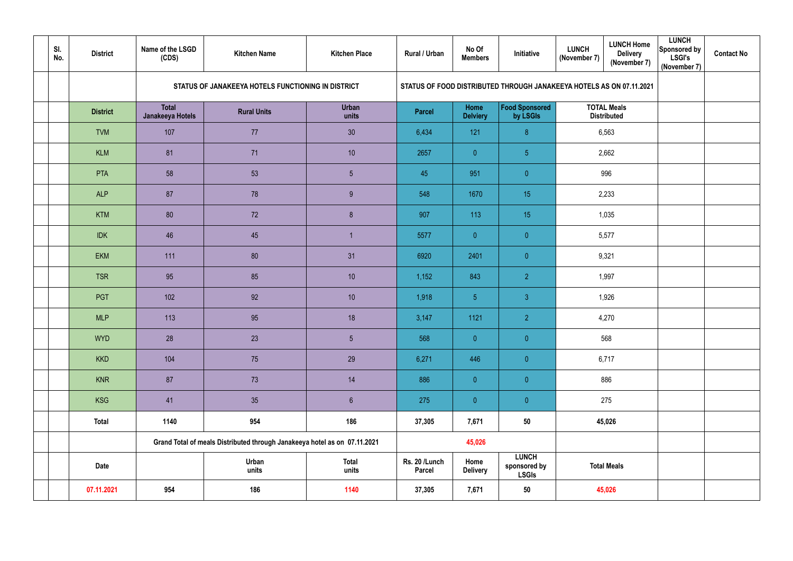| SI.<br>No. | <b>District</b> | Name of the LSGD<br>(CDS)        | <b>Kitchen Name</b>                                                       | <b>Kitchen Place</b>  | Rural / Urban                  | No Of<br><b>Members</b> | <b>Initiative</b>                            | <b>LUNCH Home</b><br><b>LUNCH</b><br><b>Delivery</b><br>(November 7)<br>(November 7) | <b>LUNCH</b><br>Sponsored by<br><b>LSGI's</b><br>(November 7) | <b>Contact No</b> |
|------------|-----------------|----------------------------------|---------------------------------------------------------------------------|-----------------------|--------------------------------|-------------------------|----------------------------------------------|--------------------------------------------------------------------------------------|---------------------------------------------------------------|-------------------|
|            |                 |                                  | STATUS OF JANAKEEYA HOTELS FUNCTIONING IN DISTRICT                        |                       |                                |                         |                                              | STATUS OF FOOD DISTRIBUTED THROUGH JANAKEEYA HOTELS AS ON 07.11.2021                 |                                                               |                   |
|            | <b>District</b> | <b>Total</b><br>Janakeeya Hotels | <b>Rural Units</b>                                                        | <b>Urban</b><br>units | <b>Parcel</b>                  | Home<br><b>Delviery</b> | <b>Food Sponsored</b><br>by LSGIs            | <b>TOTAL Meals</b><br><b>Distributed</b>                                             |                                                               |                   |
|            | <b>TVM</b>      | 107                              | 77                                                                        | 30                    | 6,434                          | 121                     | 8 <sup>°</sup>                               | 6,563                                                                                |                                                               |                   |
|            | <b>KLM</b>      | 81                               | 71                                                                        | 10                    | 2657                           | $\overline{0}$          | 5 <sub>5</sub>                               | 2,662                                                                                |                                                               |                   |
|            | PTA             | 58                               | 53                                                                        | $5\overline{)}$       | 45                             | 951                     | $\overline{0}$                               | 996                                                                                  |                                                               |                   |
|            | <b>ALP</b>      | 87                               | 78                                                                        | 9                     | 548                            | 1670                    | 15                                           | 2,233                                                                                |                                                               |                   |
|            | <b>KTM</b>      | 80                               | 72                                                                        | $8\phantom{.}$        | 907                            | 113                     | 15                                           | 1,035                                                                                |                                                               |                   |
|            | <b>IDK</b>      | 46                               | 45                                                                        |                       | 5577                           | $\overline{0}$          | $\overline{0}$                               | 5,577                                                                                |                                                               |                   |
|            | <b>EKM</b>      | 111                              | 80                                                                        | 31                    | 6920                           | 2401                    | $\overline{0}$                               | 9,321                                                                                |                                                               |                   |
|            | <b>TSR</b>      | 95                               | 85                                                                        | 10                    | 1,152                          | 843                     | 2 <sup>1</sup>                               | 1,997                                                                                |                                                               |                   |
|            | <b>PGT</b>      | 102                              | 92                                                                        | 10                    | 1,918                          | 5 <sub>5</sub>          | 3 <sup>°</sup>                               | 1,926                                                                                |                                                               |                   |
|            | <b>MLP</b>      | 113                              | 95                                                                        | 18                    | 3,147                          | 1121                    | 2 <sup>1</sup>                               | 4,270                                                                                |                                                               |                   |
|            | <b>WYD</b>      | 28                               | 23                                                                        | $5\phantom{.0}$       | 568                            | $\pmb{0}$               | $\overline{0}$                               | 568                                                                                  |                                                               |                   |
|            | <b>KKD</b>      | 104                              | 75                                                                        | 29                    | 6,271                          | 446                     | $\overline{0}$                               | 6,717                                                                                |                                                               |                   |
|            | <b>KNR</b>      | 87                               | 73                                                                        | 14                    | 886                            | $\pmb{0}$               | $\overline{0}$                               | 886                                                                                  |                                                               |                   |
|            | KSG             | 41                               | 35                                                                        | $6\phantom{.}$        | 275                            | $\pmb{0}$               | $\overline{0}$                               | 275                                                                                  |                                                               |                   |
|            | <b>Total</b>    | 1140                             | 954                                                                       | 186                   | 37,305                         | 7,671                   | 50                                           | 45,026                                                                               |                                                               |                   |
|            |                 |                                  | Grand Total of meals Distributed through Janakeeya hotel as on 07.11.2021 |                       |                                | 45,026                  |                                              |                                                                                      |                                                               |                   |
|            | <b>Date</b>     |                                  | Urban<br>units                                                            | <b>Total</b><br>units | Rs. 20 /Lunch<br><b>Parcel</b> | Home<br><b>Delivery</b> | <b>LUNCH</b><br>sponsored by<br><b>LSGIs</b> | <b>Total Meals</b>                                                                   |                                                               |                   |
|            | 07.11.2021      | 954                              | 186                                                                       | 1140                  | 37,305                         | 7,671                   | 50                                           | 45,026                                                                               |                                                               |                   |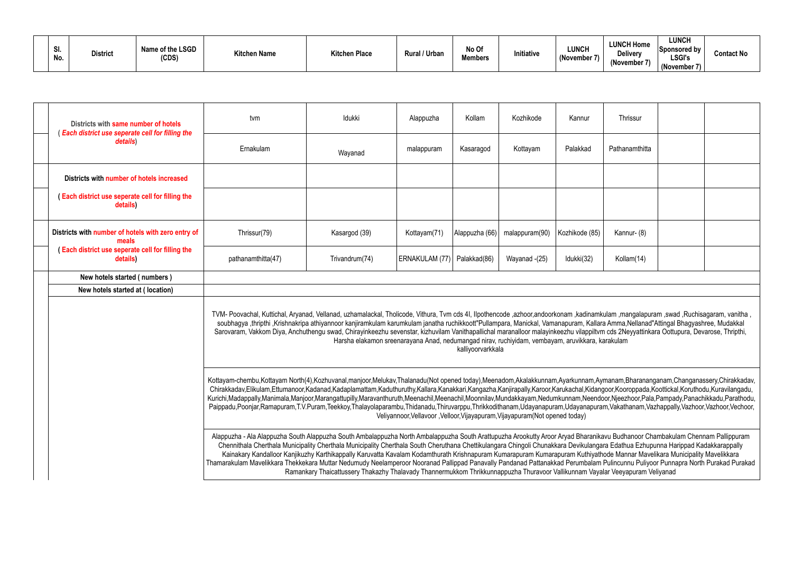|  | SI.<br>No. | <b>District</b> | Name of the LSGD<br>(CDS | <b>Kitchen Name</b> | <b>Kitchen Place</b> | <b>Rural / Urban</b> | No Of<br><b>Members</b> | Initiative | <b>LUNCH</b><br>(November | <b>LUNCH Home</b><br>Delivery<br>(November 7) | <b>LUNCH</b><br>Sponsored by<br><b>LSGI's</b><br>(November 7) | <b>Contact No</b> |
|--|------------|-----------------|--------------------------|---------------------|----------------------|----------------------|-------------------------|------------|---------------------------|-----------------------------------------------|---------------------------------------------------------------|-------------------|
|--|------------|-----------------|--------------------------|---------------------|----------------------|----------------------|-------------------------|------------|---------------------------|-----------------------------------------------|---------------------------------------------------------------|-------------------|

| Districts with same number of hotels<br>(Each district use seperate cell for filling the | tvm                                                                                                                                                                                                                                                                                                                                                                                                                                                                                                                                                                                                                                                                                                                                      | Idukki                                                                                                                                                                                                                                                                                                                                                                                                                                                                                                                                                                                                                                                                                           | Alappuzha                                                                    | Kollam         | Kozhikode      | Kannur         | Thrissur       |  |  |  |  |  |
|------------------------------------------------------------------------------------------|------------------------------------------------------------------------------------------------------------------------------------------------------------------------------------------------------------------------------------------------------------------------------------------------------------------------------------------------------------------------------------------------------------------------------------------------------------------------------------------------------------------------------------------------------------------------------------------------------------------------------------------------------------------------------------------------------------------------------------------|--------------------------------------------------------------------------------------------------------------------------------------------------------------------------------------------------------------------------------------------------------------------------------------------------------------------------------------------------------------------------------------------------------------------------------------------------------------------------------------------------------------------------------------------------------------------------------------------------------------------------------------------------------------------------------------------------|------------------------------------------------------------------------------|----------------|----------------|----------------|----------------|--|--|--|--|--|
| details)                                                                                 | Ernakulam                                                                                                                                                                                                                                                                                                                                                                                                                                                                                                                                                                                                                                                                                                                                | Wayanad                                                                                                                                                                                                                                                                                                                                                                                                                                                                                                                                                                                                                                                                                          | malappuram                                                                   | Kasaragod      | Kottayam       | Palakkad       | Pathanamthitta |  |  |  |  |  |
| Districts with number of hotels increased                                                |                                                                                                                                                                                                                                                                                                                                                                                                                                                                                                                                                                                                                                                                                                                                          |                                                                                                                                                                                                                                                                                                                                                                                                                                                                                                                                                                                                                                                                                                  |                                                                              |                |                |                |                |  |  |  |  |  |
| (Each district use seperate cell for filling the<br>details)                             |                                                                                                                                                                                                                                                                                                                                                                                                                                                                                                                                                                                                                                                                                                                                          |                                                                                                                                                                                                                                                                                                                                                                                                                                                                                                                                                                                                                                                                                                  |                                                                              |                |                |                |                |  |  |  |  |  |
| Districts with number of hotels with zero entry of<br>meals                              | Thrissur(79)                                                                                                                                                                                                                                                                                                                                                                                                                                                                                                                                                                                                                                                                                                                             | Kasargod (39)                                                                                                                                                                                                                                                                                                                                                                                                                                                                                                                                                                                                                                                                                    | Kottayam(71)                                                                 | Alappuzha (66) | malappuram(90) | Kozhikode (85) | Kannur- (8)    |  |  |  |  |  |
| (Each district use seperate cell for filling the<br>details)                             | pathanamthitta(47)                                                                                                                                                                                                                                                                                                                                                                                                                                                                                                                                                                                                                                                                                                                       | Trivandrum(74)                                                                                                                                                                                                                                                                                                                                                                                                                                                                                                                                                                                                                                                                                   | ERNAKULAM (77)   Palakkad(86)                                                |                | Wayanad -(25)  | Idukki(32)     | Kollam(14)     |  |  |  |  |  |
| New hotels started (numbers)                                                             |                                                                                                                                                                                                                                                                                                                                                                                                                                                                                                                                                                                                                                                                                                                                          |                                                                                                                                                                                                                                                                                                                                                                                                                                                                                                                                                                                                                                                                                                  |                                                                              |                |                |                |                |  |  |  |  |  |
| New hotels started at (location)                                                         |                                                                                                                                                                                                                                                                                                                                                                                                                                                                                                                                                                                                                                                                                                                                          |                                                                                                                                                                                                                                                                                                                                                                                                                                                                                                                                                                                                                                                                                                  |                                                                              |                |                |                |                |  |  |  |  |  |
|                                                                                          |                                                                                                                                                                                                                                                                                                                                                                                                                                                                                                                                                                                                                                                                                                                                          | TVM- Poovachal, Kuttichal, Aryanad, Vellanad, uzhamalackal, Tholicode, Vithura, Tvm cds 4I, Ilpothencode, azhoor,andoorkonam, kadinamkulam, mangalapuram, swad ,Ruchisagaram, vanitha,<br>soubhagya ,thripthi ,Krishnakripa athiyannoor kanjiramkulam karumkulam janatha ruchikkoott"Pullampara, Manickal, Vamanapuram, Kallara Amma,Nellanad"Attingal Bhagyashree, Mudakkal<br>Sarovaram, Vakkom Diya, Anchuthengu swad, Chirayinkeezhu sevenstar, kizhuvilam Vanithapallichal maranalloor malayinkeezhu vilappiltvm cds 2Neyyattinkara Oottupura, Devarose, Thripthi,<br>Harsha elakamon sreenarayana Anad, nedumangad nirav, ruchiyidam, vembayam, aruvikkara, karakulam<br>kalliyoorvarkkala |                                                                              |                |                |                |                |  |  |  |  |  |
|                                                                                          | Kottayam-chembu,Kottayam North(4),Kozhuvanal,manjoor,Melukav,Thalanadu(Not opened today),Meenadom,Akalakkunnam,Ayarkunnam,Aymanam,Bharananganam,Changanassery,Chirakkadav,<br>Chirakkadav,Elikulam,Ettumanoor,Kadanad,Kadaplamattam,Kaduthuruthy,Kallara,Kanakkari,Kangazha,Kanjirapally,Karoor,Karukachal,Kidangoor,Kooroppada,Koottickal,Koruthodu,Kuravilangadu,<br>Kurichi,Madappally,Manimala,Manjoor,Marangattupilly,Maravanthuruth,Meenachil,Meenachil,Moonnilav,Mundakkayam,Nedumkunnam,Neendoor,Njeezhoor,Pala,Pampady,Panachikkadu,Parathodu,<br>Paippadu,Poonjar,Ramapuram,T.V.Puram,Teekkoy,Thalayolaparambu,Thidanadu,Thiruvarppu,Thrikkodithanam,Udayanapuram,Udayanapuram,Vakathanam,Vazhappally,Vazhoor,Vazhoor,Vechoor, |                                                                                                                                                                                                                                                                                                                                                                                                                                                                                                                                                                                                                                                                                                  | Veliyannoor, Vellavoor, Velloor, Vijayapuram, Vijayapuram (Not opened today) |                |                |                |                |  |  |  |  |  |
|                                                                                          | Alappuzha - Ala Alappuzha South Alappuzha South Ambalappuzha North Ambalappuzha South Arattupuzha Arookutty Aroor Aryad Bharanikavu Budhanoor Chambakulam Chennam Pallippuram<br>Chennithala Cherthala Municipality Cherthala Municipality Cherthala South Cheruthana Chettikulangara Chingoli Chunakkara Devikulangara Edathua Ezhupunna Harippad Kadakkarappally<br>Thamarakulam Mavelikkara Thekkekara Muttar Nedumudy Neelamperoor Nooranad Pallippad Panavally Pandanad Pattanakkad Perumbalam Pulincunnu Puliyoor Punnapra North Purakad Purakad                                                                                                                                                                                   | Kainakary Kandalloor Kanjikuzhy Karthikappally Karuvatta Kavalam Kodamthurath Krishnapuram Kumarapuram Kumarapuram Kuthiyathode Mannar Mavelikara Municipality Mavelikkara<br>Ramankary Thaicattussery Thakazhy Thalavady Thannermukkom Thrikkunnappuzha Thuravoor Vallikunnam Vayalar Veeyapuram Veliyanad                                                                                                                                                                                                                                                                                                                                                                                      |                                                                              |                |                |                |                |  |  |  |  |  |

| Thrissur                                                                                                                                                                                                                        |  |  |  |  |  |  |  |  |  |  |
|---------------------------------------------------------------------------------------------------------------------------------------------------------------------------------------------------------------------------------|--|--|--|--|--|--|--|--|--|--|
| Pathanamthitta                                                                                                                                                                                                                  |  |  |  |  |  |  |  |  |  |  |
|                                                                                                                                                                                                                                 |  |  |  |  |  |  |  |  |  |  |
|                                                                                                                                                                                                                                 |  |  |  |  |  |  |  |  |  |  |
| Kannur-(8)                                                                                                                                                                                                                      |  |  |  |  |  |  |  |  |  |  |
| Kollam(14)                                                                                                                                                                                                                      |  |  |  |  |  |  |  |  |  |  |
|                                                                                                                                                                                                                                 |  |  |  |  |  |  |  |  |  |  |
|                                                                                                                                                                                                                                 |  |  |  |  |  |  |  |  |  |  |
| kulam ,mangalapuram ,swad ,Ruchisagaram, vanitha ,<br>ra Amma, Nellanad" Attingal Bhagyashree, Mudakkal<br>m cds 2Neyyattinkara Oottupura, Devarose, Thripthi,<br>karakulam                                                     |  |  |  |  |  |  |  |  |  |  |
| ymanam, Bharananganam, Changanassery, Chirakkadav,<br>goor, Kooroppada, Koottickal, Koruthodu, Kuravilangadu,<br>loor,Njeezhoor,Pala,Pampady,Panachikkadu,Parathodu,<br>am, Vakathanam, Vazhappally, Vazhoor, Vazhoor, Vechoor, |  |  |  |  |  |  |  |  |  |  |
| avu Budhanoor Chambakulam Chennam Pallippuram<br>ara Edathua Ezhupunna Harippad Kadakkarappally<br>hode Mannar Mavelikara Municipality Mavelikkara                                                                              |  |  |  |  |  |  |  |  |  |  |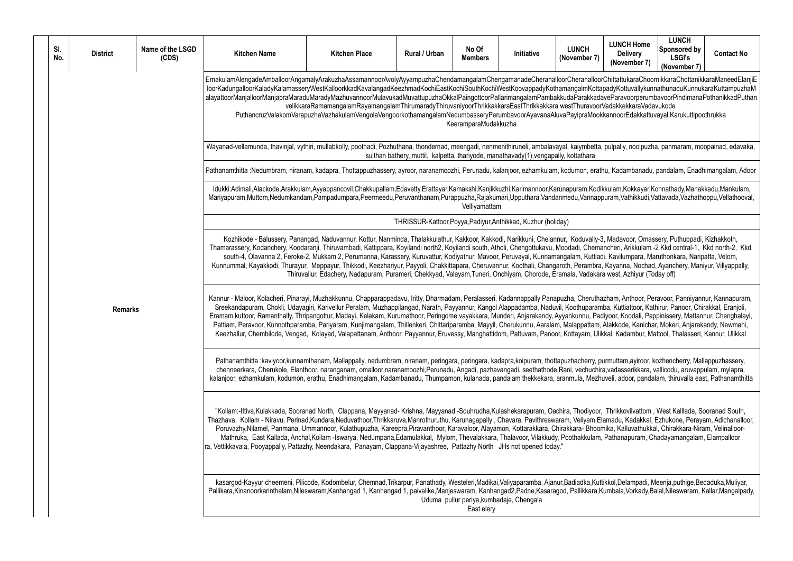orChittattukaraChoornikkaraChottanikkaraManeedElanjiE lapadyKottuvallykunnathunaduKunnukaraKuttampuzhaM daveParavoorperumbavoorPindimanaPothanikkadPuthan rVadakkekkaraVadavukode

kkannoorEdakkattuvayal Karukuttipoothrukka

a, pulpally, noolpuzha, panmaram, moopainad, edavaka, meengadi, nenmenithiruneli, ambalavaka, pulpally, noolpuzha

thu, Kadambanadu, pandalam, Enadhimangalam, Adoor

likkulam,Kokkayar,Konnathady,Manakkadu,Mankulam, puram,Vathikkudi,Vattavada,Vazhathoppu,Vellathooval,

.<br>Robalakanon, Balussery, Puthuppadi, Kizhakkoth, Kakkoth, Kakkoth, Kakakannur, Euthusulalarna, Kakakannur, Chel nancheri, Arikkulam -2 Kkd central-1, Kkd north-2, Kkd adi, Kavilumpara, Maruthonkara, Naripatta, Velom, a, Kayanna, Nochad, Ayanchery, Maniyur, Villyappally, ra west, Azhiyur (Today off)

azham, Anthoor, Peravoor, Panniyannur, Kannapuram, nba, Kuttiattoor, Kathirur, Panoor, Chirakkal, Eranjoli, adiyoor, Koodali, Pappinissery, Mattannur, Chenghalayi, , Alakkode, Kanichar, Mokeri, Anjarakandy, Newmahi, ikkal, Kadambur, Mattool, Thalasseri, Kannur, Ulikkal

purmuttam, ayiroor, kozhencherry, Mallappuzhassery, meeranamoo<br>Flanthoor, aranganamoni, pazaharanaminana, mazamani, pazahi, pazahi, pazahana, pazahara, seetahuchira, seethat huveli, adoor, pandalam, thiruvalla east, Pathanamthitta

f, ,Thrikkovilvattom, West Kalllada, Sooranad South, -<br>Elamadu, Kadakkal, Ezhukone, Perayam, Adichanalloor, pmika, Kalluvathukkal, Chirakkara-Niram, Velinalloorn, Pathanapuram, Chadayamangalam, Elampalloor, Thalavoor, Poothana

ttikkol, Delampadi, Meenja, puthige, Bedaduka, Muliyar, Kumbala, Vorkady,Balal,Nileswaram, Kallar,Mangalpady,

| SI.<br>No.     | <b>District</b> | Name of the LSGD<br>(CDS)                                                                                                                                                                                                                                                                                                                                                                                                                                                                                                                                                                                                                                                                      | <b>Kitchen Name</b>                                                                                                                                                                                                                                                                                                                                                                                                                                                                                                                                                                                                                                                  | <b>Kitchen Place</b>                                                                                                                                                                                               | Rural / Urban | No Of<br><b>Members</b> | Initiative                                                                           | <b>LUNCH</b><br>(November 7) |  |  |  |
|----------------|-----------------|------------------------------------------------------------------------------------------------------------------------------------------------------------------------------------------------------------------------------------------------------------------------------------------------------------------------------------------------------------------------------------------------------------------------------------------------------------------------------------------------------------------------------------------------------------------------------------------------------------------------------------------------------------------------------------------------|----------------------------------------------------------------------------------------------------------------------------------------------------------------------------------------------------------------------------------------------------------------------------------------------------------------------------------------------------------------------------------------------------------------------------------------------------------------------------------------------------------------------------------------------------------------------------------------------------------------------------------------------------------------------|--------------------------------------------------------------------------------------------------------------------------------------------------------------------------------------------------------------------|---------------|-------------------------|--------------------------------------------------------------------------------------|------------------------------|--|--|--|
|                |                 |                                                                                                                                                                                                                                                                                                                                                                                                                                                                                                                                                                                                                                                                                                | ErnakulamAlengadeAmballoorAngamalyArakuzhaAssamannoorAvolyAyyampuzhaChendamangalamChengamanadeCheranalloorCheranalloo<br>loorKadungalloorKaladyKalamasseryWestKalloorkkadKavalangadKeezhmadKochiEastKochiSouthKochiWestKoovappadyKothamangalmKotta<br>alayattoorManjalloorManjapraMaraduMaradyMazhuvannoorMulavukadMuvattupuzhaOkkalPaingottoorPallarimangalamPambakkudaParakkad                                                                                                                                                                                                                                                                                     | velikkaraRamamangalamRayamangalamThirumaradyThiruvaniyoorThrikkakkaraEastThrikkakkara westThuravoo<br>PuthancruzValakomVarapuzhaVazhakulamVengolaVengoorkothamangalamNedumbasseryPerumbavoorAyavanaAluvaPayipraMoo |               | KeeramparaMudakkuzha    |                                                                                      |                              |  |  |  |
|                |                 |                                                                                                                                                                                                                                                                                                                                                                                                                                                                                                                                                                                                                                                                                                | Wayanad-vellamunda, thavinjal, vythiri, mullabkolly, poothadi, Pozhuthana, thondernad, meengadi, nenmenithiruneli, ambalavayal, kaiymbetta                                                                                                                                                                                                                                                                                                                                                                                                                                                                                                                           |                                                                                                                                                                                                                    |               |                         | sulthan bathery, muttil, kalpetta, thariyode, manathavady(1), vengapally, kottathara |                              |  |  |  |
|                |                 |                                                                                                                                                                                                                                                                                                                                                                                                                                                                                                                                                                                                                                                                                                | Pathanamthitta :Nedumbram, niranam, kadapra, Thottappuzhassery, ayroor, naranamoozhi, Perunadu, kalanjoor, ezhamkulam, kodumon, era                                                                                                                                                                                                                                                                                                                                                                                                                                                                                                                                  |                                                                                                                                                                                                                    |               |                         |                                                                                      |                              |  |  |  |
|                |                 |                                                                                                                                                                                                                                                                                                                                                                                                                                                                                                                                                                                                                                                                                                | Idukki:Adimali,Alackode,Arakkulam,Ayyappancovil,Chakkupallam,Edavetty,Erattayar,Kamakshi,Kanjikkuzhi,Karimannoor,Karunapuram,Kod<br>Mariyapuram, Muttom, Nedumkandam, Pampadumpara, Peermeedu, Peruvanthanam, Purappuzha, Rajakumari, Upputhara, Vandanmedu, Vannap                                                                                                                                                                                                                                                                                                                                                                                                  |                                                                                                                                                                                                                    |               | Velliyamattam           |                                                                                      |                              |  |  |  |
|                |                 |                                                                                                                                                                                                                                                                                                                                                                                                                                                                                                                                                                                                                                                                                                |                                                                                                                                                                                                                                                                                                                                                                                                                                                                                                                                                                                                                                                                      |                                                                                                                                                                                                                    |               |                         | THRISSUR-Kattoor, Poyya, Padiyur, Anthikkad, Kuzhur (holiday)                        |                              |  |  |  |
|                |                 |                                                                                                                                                                                                                                                                                                                                                                                                                                                                                                                                                                                                                                                                                                | Kozhikode - Balussery, Panangad, Naduvannur, Kottur, Nanminda, Thalakkulathur, Kakkoor, Kakkodi, Narikkuni, Chelannur, Koduvally-<br>Thamarassery, Kodanchery, Koodaranji, Thiruvambadi, Kattippara, Koyilandi north2, Koyilandi south, Atholi, Chengottukavu, Moodadi, Chem<br>south-4, Olavanna 2, Feroke-2, Mukkam 2, Perumanna, Karassery, Kuruvattur, Kodiyathur, Mavoor, Peruvayal, Kunnamangalam, Kuttia<br>Kunnummal, Kayakkodi, Thurayur, Meppayur, Thikkodi, Keezhariyur, Payyoli, Chakkittapara, Cheruvannur, Koothali, Changaroth, Perambra<br>Thiruvallur, Edachery, Nadapuram, Purameri, Chekkyad, Valayam, Tuneri, Onchiyam, Chorode, Eramala, Vadaka |                                                                                                                                                                                                                    |               |                         |                                                                                      |                              |  |  |  |
| <b>Remarks</b> |                 | Kannur - Maloor, Kolacheri, Pinarayi, Muzhakkunnu, Chapparappadavu, Iritty, Dharmadam, Peralasseri, Kadannappally Panapuzha, Cheruth<br>Sreekandapuram, Chokli, Udayagiri, Karivellur Peralam, Muzhappilangad, Narath, Payyannur, Kangol Alappadamba, Naduvil, Koothuparar<br>Eramam kuttoor, Ramanthally, Thripangottur, Madayi, Kelakam, Kurumathoor, Peringome vayakkara, Munderi, Anjarakandy, Ayyankunnu, Pa<br>Pattiam, Peravoor, Kunnothparamba, Pariyaram, Kunjimangalam, Thillenkeri, Chittariparamba, Mayyil, Cherukunnu, Aaralam, Malappattam<br>Keezhallur, Chembilode, Vengad, Kolayad, Valapattanam, Anthoor, Payyannur, Eruvessy, Manghattidom, Pattuvam, Panoor, Kottayam, Uli |                                                                                                                                                                                                                                                                                                                                                                                                                                                                                                                                                                                                                                                                      |                                                                                                                                                                                                                    |               |                         |                                                                                      |                              |  |  |  |
|                |                 |                                                                                                                                                                                                                                                                                                                                                                                                                                                                                                                                                                                                                                                                                                | Pathanamthitta :kaviyoor,kunnamthanam, Mallappally, nedumbram, niranam, peringara, peringara, kadapra,koipuram, thottapuzhacherry, p<br>chenneerkara, Cherukole, Elanthoor, naranganam, omalloor,naranamoozhi,Perunadu, Angadi, pazhavangadi, seethathode,Rani, vechuchi<br>kalanjoor, ezhamkulam, kodumon, erathu, Enadhimangalam, Kadambanadu, Thumpamon, kulanada, pandalam thekkekara, aranmula, Mezh                                                                                                                                                                                                                                                            |                                                                                                                                                                                                                    |               |                         |                                                                                      |                              |  |  |  |
|                |                 | "Kollam:-Ittiva,Kulakkada, Sooranad North, Clappana, Mayyanad-Krishna, Mayyanad -Souhrudha,Kulashekarapuram, Oachira, Thodiyoor<br>Thazhava, Kollam - Niravu, Perinad, Kundara, Neduvathoor, Thrikkaruva, Manrothuruthu, Karunagapally, Chavara, Pavithreswaram, Veliyam, E<br>Poruvazhy, Nilamel, Panmana, Ummannoor, Kulathupuzha, Kareepra, Piravanthoor, Karavaloor, Alayamon, Kottarakkara, Chirakkara-Bhoo<br>Mathruka, East Kallada, Anchal, Kollam -Iswarya, Nedumpana, Edamulakkal, Mylom, Thevalakkara, Thalavoor, Vilakkudy, Poothakkulam<br>ra, Vettikkavala, Pooyappally, Pattazhy, Neendakara, Panayam, Clappana-Vijayashree, Pattazhy North JHs not opened today."              |                                                                                                                                                                                                                                                                                                                                                                                                                                                                                                                                                                                                                                                                      |                                                                                                                                                                                                                    |               |                         |                                                                                      |                              |  |  |  |
|                |                 |                                                                                                                                                                                                                                                                                                                                                                                                                                                                                                                                                                                                                                                                                                | kasargod-Kayyur cheemeni, Pilicode, Kodombelur, Chemnad, Trikarpur, Panathady, Westeleri, Madikai, Valiyaparamba, Ajanur, Badiadka, Ku<br>Pallikara, Kinanoorkarinthalam, Nileswaram, Kanhangad 1, Kanhangad 1, paivalike, Manjeswaram, Kanhangad2, Padne, Kasaragod, Pallikkara, I<br>Uduma pullur periya, kumbadaje, Chengala<br>East elery                                                                                                                                                                                                                                                                                                                        |                                                                                                                                                                                                                    |               |                         |                                                                                      |                              |  |  |  |